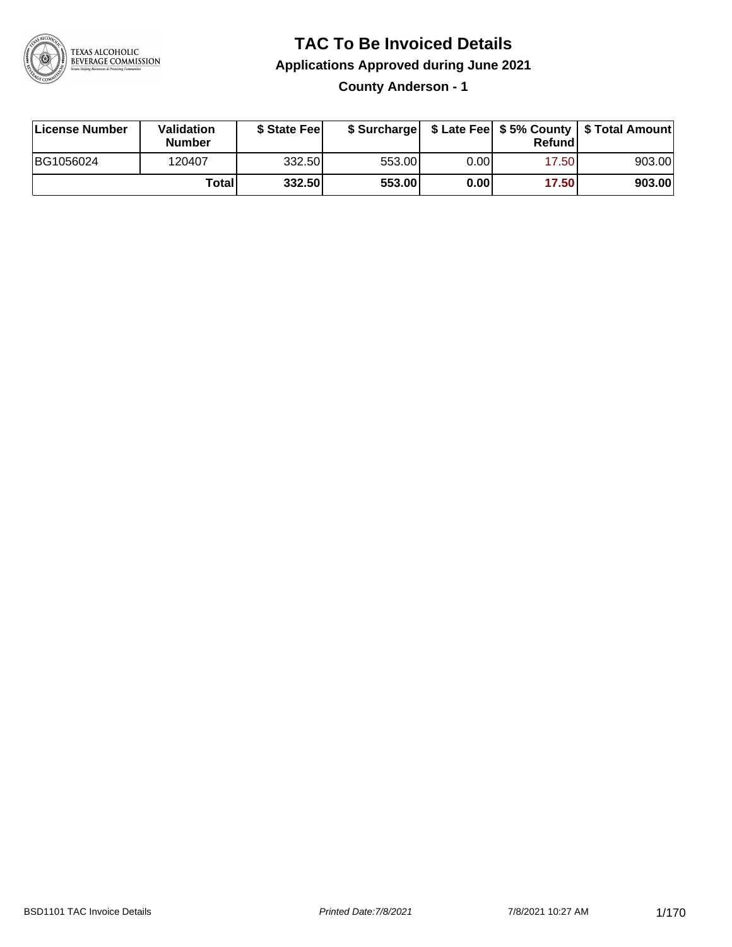

### **TAC To Be Invoiced Details**

**Applications Approved during June 2021**

**County Anderson - 1**

| License Number | Validation<br>Number | \$ State Feel |        |          | Refundl | \$ Surcharge   \$ Late Fee   \$5% County   \$ Total Amount |
|----------------|----------------------|---------------|--------|----------|---------|------------------------------------------------------------|
| BG1056024      | 120407               | 332.50        | 553.00 | $0.00\,$ | 17.501  | 903.00                                                     |
|                | Totall               | 332.50        | 553.00 | 0.00     | 17.50   | 903.00                                                     |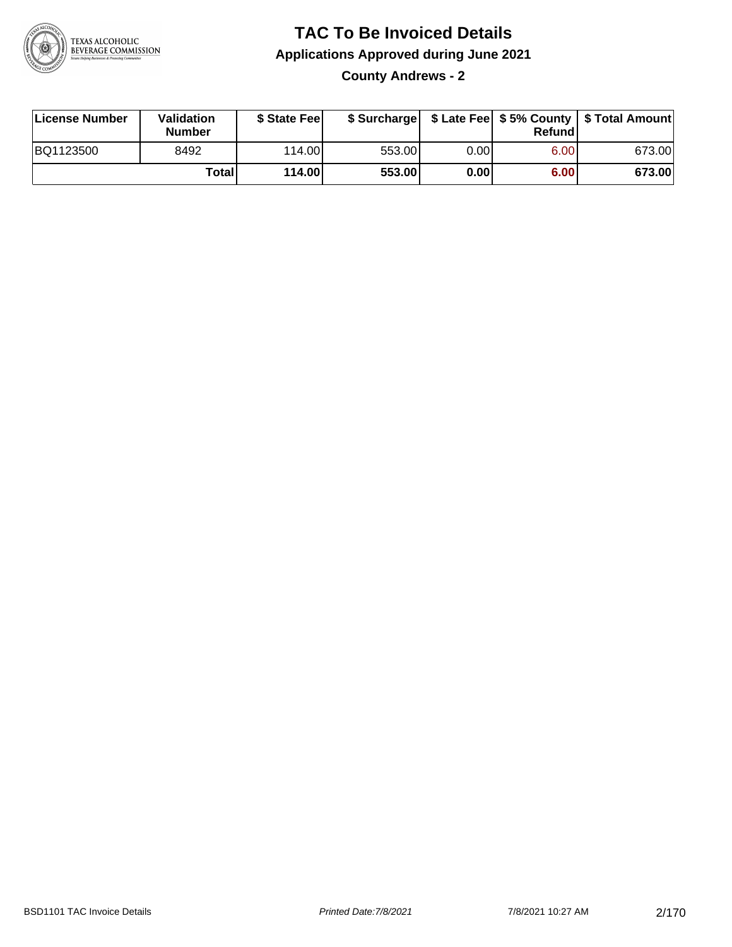

**County Andrews - 2**

| License Number | Validation<br><b>Number</b> | \$ State Fee |        |      | Refundl | \$ Surcharge   \$ Late Fee   \$5% County   \$ Total Amount |
|----------------|-----------------------------|--------------|--------|------|---------|------------------------------------------------------------|
| BQ1123500      | 8492                        | 114.00       | 553.00 | 0.00 | 6.00    | 673.00                                                     |
|                | <b>Total</b>                | 114.00       | 553.00 | 0.00 | 6.00    | 673.00                                                     |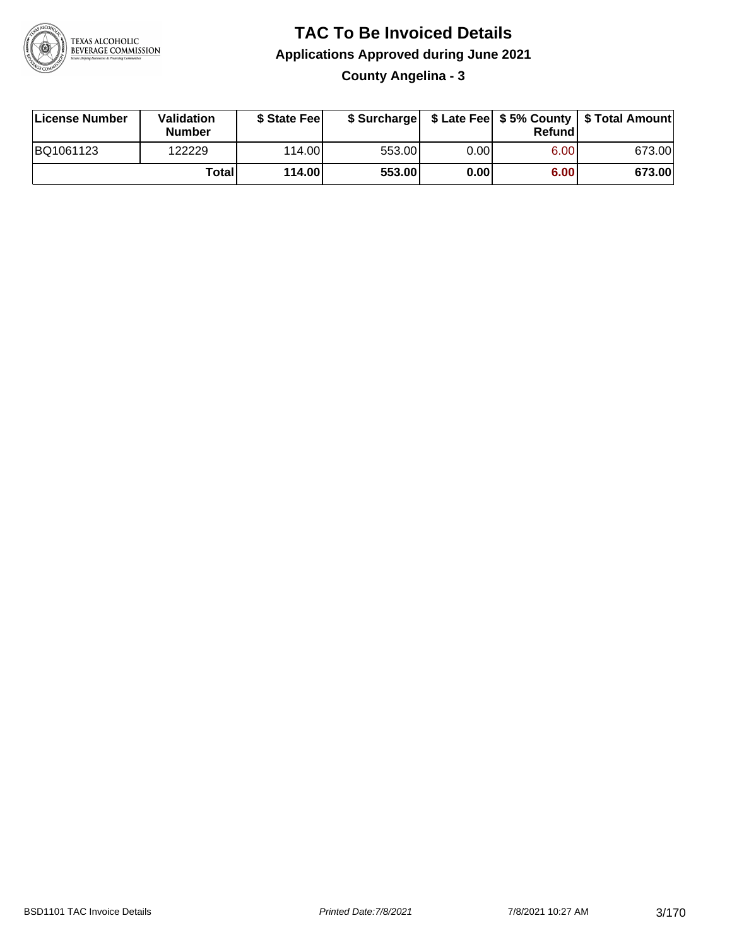

#### **TAC To Be Invoiced Details Applications Approved during June 2021 County Angelina - 3**

| License Number | Validation<br><b>Number</b> | \$ State Fee |        |      | Refund | \$ Surcharge   \$ Late Fee   \$5% County   \$ Total Amount |
|----------------|-----------------------------|--------------|--------|------|--------|------------------------------------------------------------|
| BQ1061123      | 122229                      | 114.00L      | 553.00 | 0.00 | 6.00   | 673.00                                                     |
|                | Totall                      | 114.00       | 553.00 | 0.00 | 6.00   | 673.00                                                     |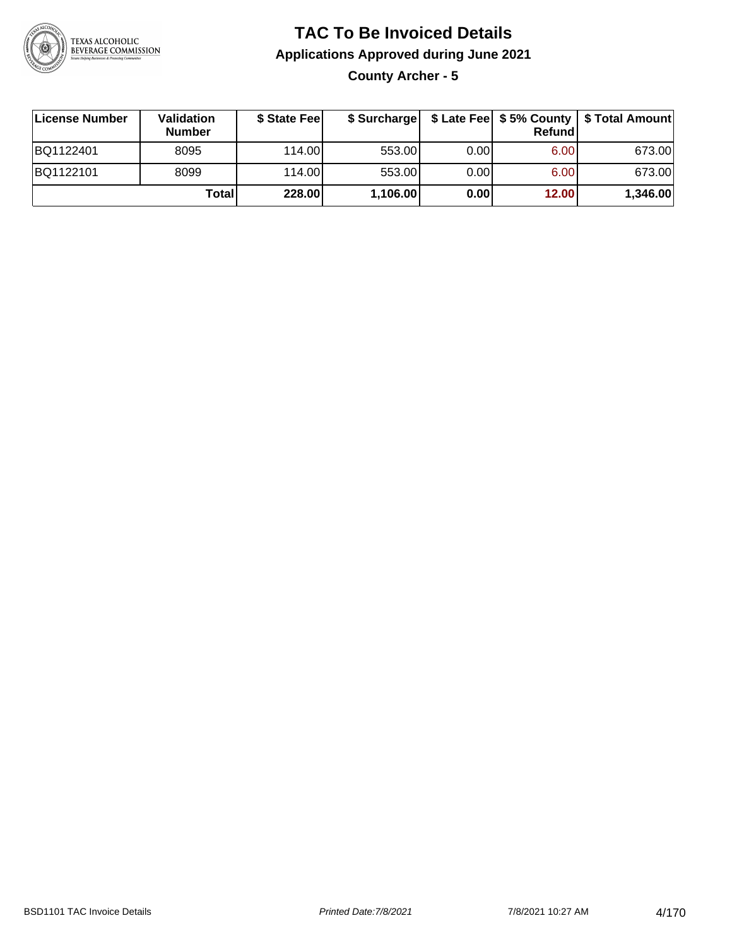

**County Archer - 5**

| License Number | <b>Validation</b><br><b>Number</b> | \$ State Feel |          |      | Refundl | \$ Surcharge   \$ Late Fee   \$5% County   \$ Total Amount |
|----------------|------------------------------------|---------------|----------|------|---------|------------------------------------------------------------|
| BQ1122401      | 8095                               | 114.00        | 553.00   | 0.00 | 6.00    | 673.00                                                     |
| BQ1122101      | 8099                               | 114.00        | 553.00   | 0.00 | 6.00    | 673.00                                                     |
|                | Totall                             | 228.00        | 1,106.00 | 0.00 | 12.00   | 1,346.00                                                   |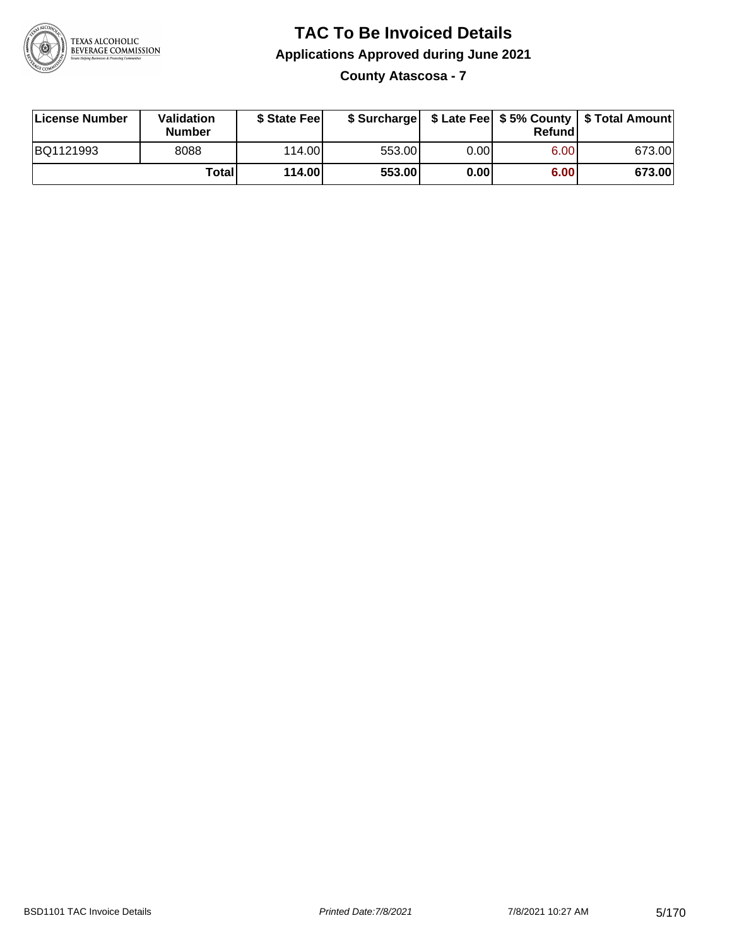

**County Atascosa - 7**

| License Number | Validation<br><b>Number</b> | \$ State Feel |        |      | Refundl | \$ Surcharge   \$ Late Fee   \$5% County   \$ Total Amount |
|----------------|-----------------------------|---------------|--------|------|---------|------------------------------------------------------------|
| BQ1121993      | 8088                        | 114.00        | 553.00 | 0.00 | 6.00    | 673.00                                                     |
|                | Totall                      | 114.00        | 553.00 | 0.00 | 6.00    | 673.00                                                     |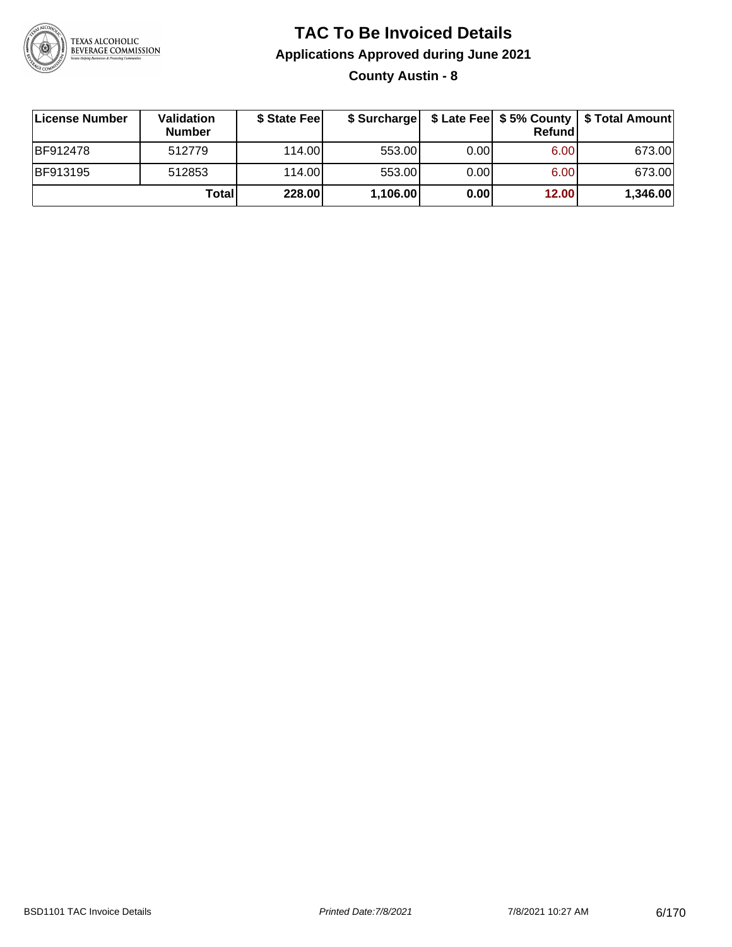

**County Austin - 8**

| ∣License Number | <b>Validation</b><br><b>Number</b> | \$ State Fee |          |      | Refundl | \$ Surcharge   \$ Late Fee   \$5% County   \$ Total Amount |
|-----------------|------------------------------------|--------------|----------|------|---------|------------------------------------------------------------|
| <b>BF912478</b> | 512779                             | 114.00       | 553.00   | 0.00 | 6.00    | 673.00                                                     |
| <b>BF913195</b> | 512853                             | 114.00       | 553.00   | 0.00 | 6.00    | 673.00                                                     |
|                 | <b>Total</b>                       | 228.00       | 1,106.00 | 0.00 | 12.00   | 1,346.00                                                   |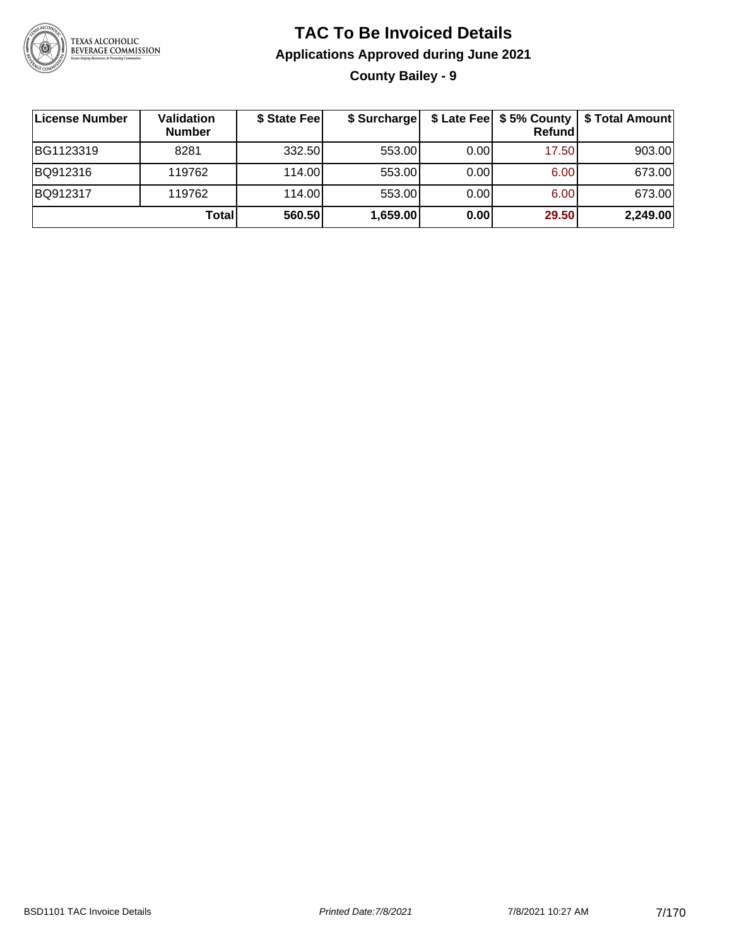

#### **TAC To Be Invoiced Details Applications Approved during June 2021 County Bailey - 9**

**License Number Validation Number \$ State Fee \$ Surcharge \$ Late Fee \$ 5% County Refund \$ Total Amount** BG1123319 | 8281 | 332.50| 553.00| 0.00| 17.50| 903.00 BQ912316 119762 114.00 553.00 0.00 6.00 673.00 BQ912317 119762 114.00 553.00 0.00 6.00 673.00 **Total 560.50 1,659.00 0.00 29.50 2,249.00**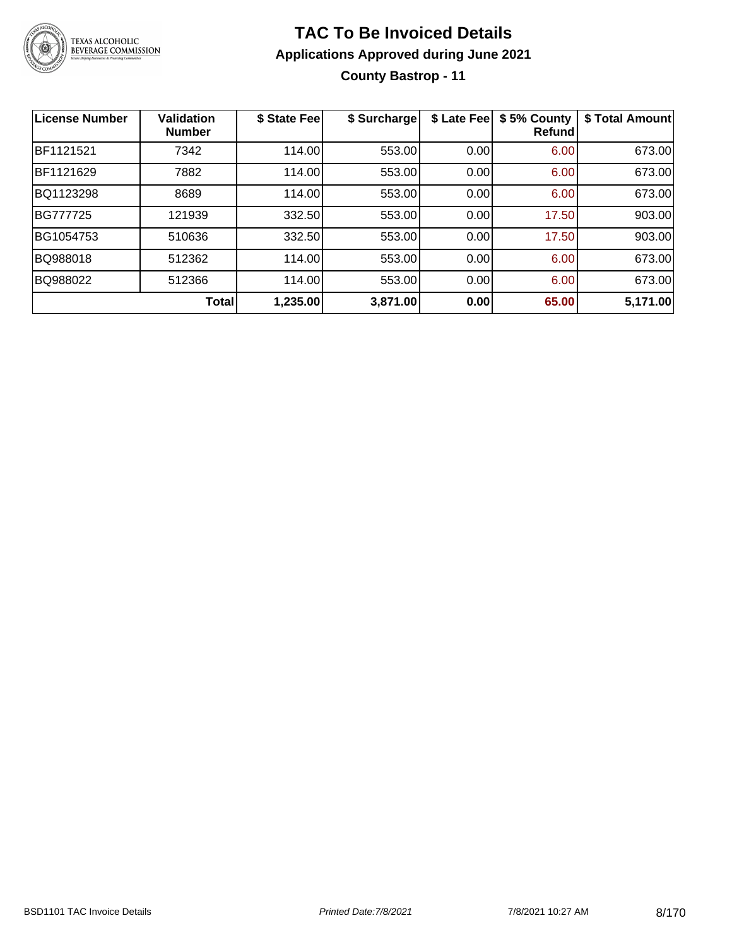

### **TAC To Be Invoiced Details Applications Approved during June 2021 County Bastrop - 11**

| <b>License Number</b> | <b>Validation</b><br><b>Number</b> | \$ State Fee | \$ Surcharge | \$ Late Fee | \$5% County<br>Refundl | \$ Total Amount |
|-----------------------|------------------------------------|--------------|--------------|-------------|------------------------|-----------------|
| BF1121521             | 7342                               | 114.00       | 553.00       | 0.00        | 6.00                   | 673.00          |
| BF1121629             | 7882                               | 114.00       | 553.00       | 0.00        | 6.00                   | 673.00          |
| BQ1123298             | 8689                               | 114.00       | 553.00       | 0.00        | 6.00                   | 673.00          |
| <b>BG777725</b>       | 121939                             | 332.50       | 553.00       | 0.00        | 17.50                  | 903.00          |
| BG1054753             | 510636                             | 332.50       | 553.00       | 0.00        | 17.50                  | 903.00          |
| BQ988018              | 512362                             | 114.00       | 553.00       | 0.00        | 6.00                   | 673.00          |
| BQ988022              | 512366                             | 114.00       | 553.00       | 0.00        | 6.00                   | 673.00          |
|                       | <b>Total</b>                       | 1,235.00     | 3,871.00     | 0.00        | 65.00                  | 5,171.00        |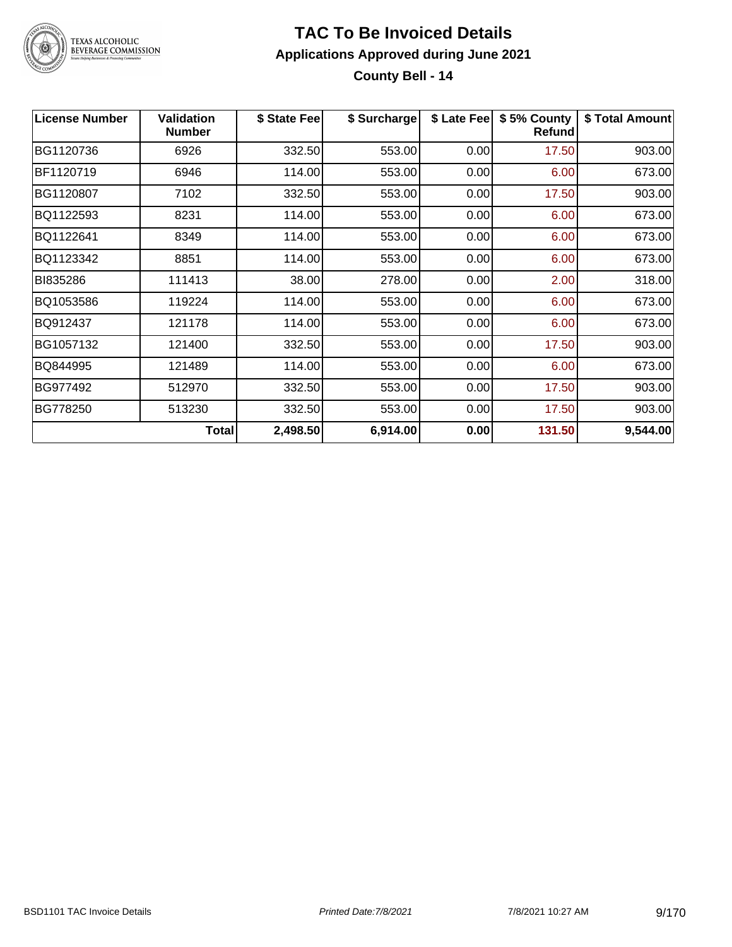

**County Bell - 14**

| <b>License Number</b> | <b>Validation</b><br><b>Number</b> | \$ State Fee | \$ Surcharge |      | \$ Late Fee   \$5% County<br><b>Refund</b> | \$ Total Amount |
|-----------------------|------------------------------------|--------------|--------------|------|--------------------------------------------|-----------------|
| BG1120736             | 6926                               | 332.50       | 553.00       | 0.00 | 17.50                                      | 903.00          |
| BF1120719             | 6946                               | 114.00       | 553.00       | 0.00 | 6.00                                       | 673.00          |
| BG1120807             | 7102                               | 332.50       | 553.00       | 0.00 | 17.50                                      | 903.00          |
| BQ1122593             | 8231                               | 114.00       | 553.00       | 0.00 | 6.00                                       | 673.00          |
| BQ1122641             | 8349                               | 114.00       | 553.00       | 0.00 | 6.00                                       | 673.00          |
| BQ1123342             | 8851                               | 114.00       | 553.00       | 0.00 | 6.00                                       | 673.00          |
| BI835286              | 111413                             | 38.00        | 278.00       | 0.00 | 2.00                                       | 318.00          |
| BQ1053586             | 119224                             | 114.00       | 553.00       | 0.00 | 6.00                                       | 673.00          |
| BQ912437              | 121178                             | 114.00       | 553.00       | 0.00 | 6.00                                       | 673.00          |
| BG1057132             | 121400                             | 332.50       | 553.00       | 0.00 | 17.50                                      | 903.00          |
| BQ844995              | 121489                             | 114.00       | 553.00       | 0.00 | 6.00                                       | 673.00          |
| BG977492              | 512970                             | 332.50       | 553.00       | 0.00 | 17.50                                      | 903.00          |
| BG778250              | 513230                             | 332.50       | 553.00       | 0.00 | 17.50                                      | 903.00          |
|                       | Total                              | 2,498.50     | 6,914.00     | 0.00 | 131.50                                     | 9,544.00        |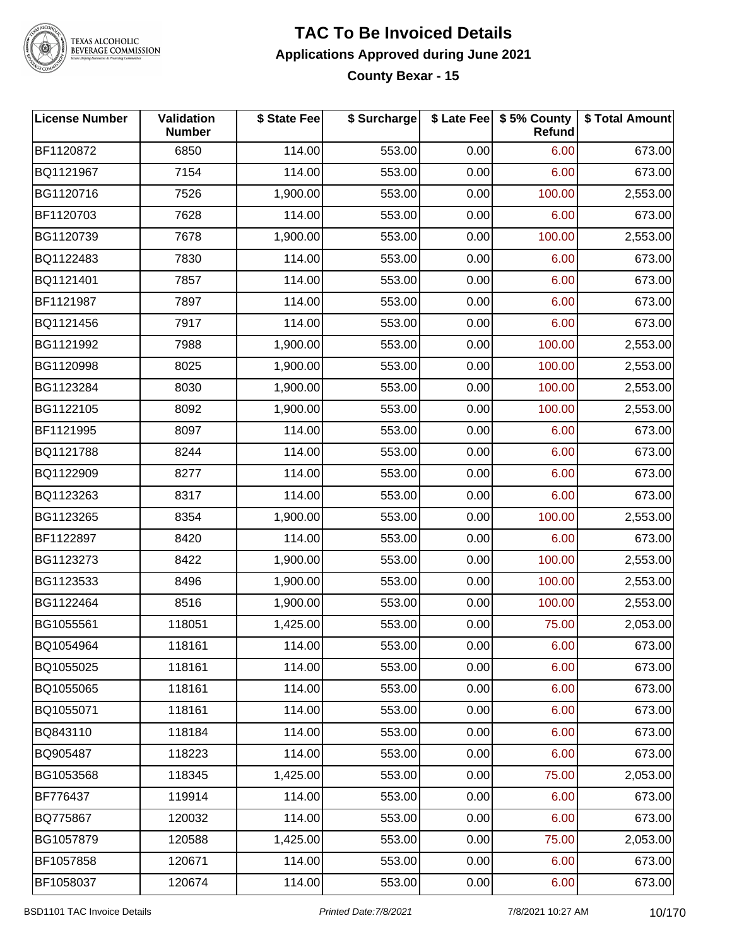

# TEXAS ALCOHOLIC<br>BEVERAGE COMMISSION

#### **TAC To Be Invoiced Details Applications Approved during June 2021 County Bexar - 15**

| <b>License Number</b> | Validation<br><b>Number</b> | \$ State Fee | \$ Surcharge |      | \$ Late Fee   \$5% County<br>Refund | \$ Total Amount |
|-----------------------|-----------------------------|--------------|--------------|------|-------------------------------------|-----------------|
| BF1120872             | 6850                        | 114.00       | 553.00       | 0.00 | 6.00                                | 673.00          |
| BQ1121967             | 7154                        | 114.00       | 553.00       | 0.00 | 6.00                                | 673.00          |
| BG1120716             | 7526                        | 1,900.00     | 553.00       | 0.00 | 100.00                              | 2,553.00        |
| BF1120703             | 7628                        | 114.00       | 553.00       | 0.00 | 6.00                                | 673.00          |
| BG1120739             | 7678                        | 1,900.00     | 553.00       | 0.00 | 100.00                              | 2,553.00        |
| BQ1122483             | 7830                        | 114.00       | 553.00       | 0.00 | 6.00                                | 673.00          |
| BQ1121401             | 7857                        | 114.00       | 553.00       | 0.00 | 6.00                                | 673.00          |
| BF1121987             | 7897                        | 114.00       | 553.00       | 0.00 | 6.00                                | 673.00          |
| BQ1121456             | 7917                        | 114.00       | 553.00       | 0.00 | 6.00                                | 673.00          |
| BG1121992             | 7988                        | 1,900.00     | 553.00       | 0.00 | 100.00                              | 2,553.00        |
| BG1120998             | 8025                        | 1,900.00     | 553.00       | 0.00 | 100.00                              | 2,553.00        |
| BG1123284             | 8030                        | 1,900.00     | 553.00       | 0.00 | 100.00                              | 2,553.00        |
| BG1122105             | 8092                        | 1,900.00     | 553.00       | 0.00 | 100.00                              | 2,553.00        |
| BF1121995             | 8097                        | 114.00       | 553.00       | 0.00 | 6.00                                | 673.00          |
| BQ1121788             | 8244                        | 114.00       | 553.00       | 0.00 | 6.00                                | 673.00          |
| BQ1122909             | 8277                        | 114.00       | 553.00       | 0.00 | 6.00                                | 673.00          |
| BQ1123263             | 8317                        | 114.00       | 553.00       | 0.00 | 6.00                                | 673.00          |
| BG1123265             | 8354                        | 1,900.00     | 553.00       | 0.00 | 100.00                              | 2,553.00        |
| BF1122897             | 8420                        | 114.00       | 553.00       | 0.00 | 6.00                                | 673.00          |
| BG1123273             | 8422                        | 1,900.00     | 553.00       | 0.00 | 100.00                              | 2,553.00        |
| BG1123533             | 8496                        | 1,900.00     | 553.00       | 0.00 | 100.00                              | 2,553.00        |
| BG1122464             | 8516                        | 1,900.00     | 553.00       | 0.00 | 100.00                              | 2,553.00        |
| BG1055561             | 118051                      | 1,425.00     | 553.00       | 0.00 | 75.00                               | 2,053.00        |
| BQ1054964             | 118161                      | 114.00       | 553.00       | 0.00 | 6.00                                | 673.00          |
| BQ1055025             | 118161                      | 114.00       | 553.00       | 0.00 | 6.00                                | 673.00          |
| BQ1055065             | 118161                      | 114.00       | 553.00       | 0.00 | 6.00                                | 673.00          |
| BQ1055071             | 118161                      | 114.00       | 553.00       | 0.00 | 6.00                                | 673.00          |
| BQ843110              | 118184                      | 114.00       | 553.00       | 0.00 | 6.00                                | 673.00          |
| BQ905487              | 118223                      | 114.00       | 553.00       | 0.00 | 6.00                                | 673.00          |
| BG1053568             | 118345                      | 1,425.00     | 553.00       | 0.00 | 75.00                               | 2,053.00        |
| BF776437              | 119914                      | 114.00       | 553.00       | 0.00 | 6.00                                | 673.00          |
| BQ775867              | 120032                      | 114.00       | 553.00       | 0.00 | 6.00                                | 673.00          |
| BG1057879             | 120588                      | 1,425.00     | 553.00       | 0.00 | 75.00                               | 2,053.00        |
| BF1057858             | 120671                      | 114.00       | 553.00       | 0.00 | 6.00                                | 673.00          |
| BF1058037             | 120674                      | 114.00       | 553.00       | 0.00 | 6.00                                | 673.00          |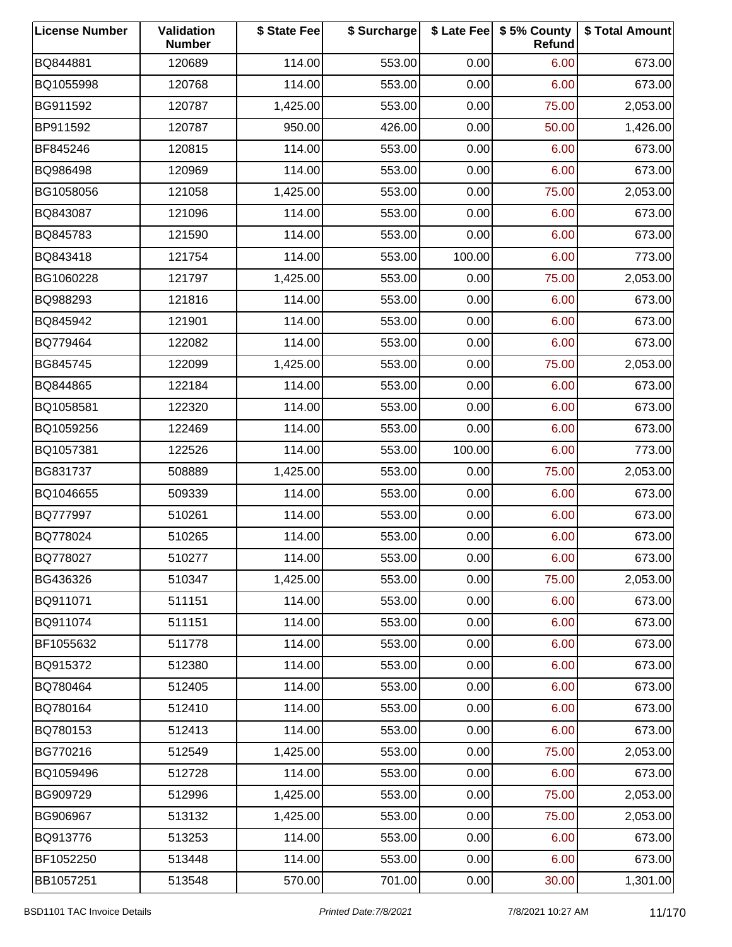| <b>License Number</b> | Validation<br><b>Number</b> | \$ State Fee | \$ Surcharge |        | \$ Late Fee   \$5% County<br>Refund | \$ Total Amount |
|-----------------------|-----------------------------|--------------|--------------|--------|-------------------------------------|-----------------|
| BQ844881              | 120689                      | 114.00       | 553.00       | 0.00   | 6.00                                | 673.00          |
| BQ1055998             | 120768                      | 114.00       | 553.00       | 0.00   | 6.00                                | 673.00          |
| BG911592              | 120787                      | 1,425.00     | 553.00       | 0.00   | 75.00                               | 2,053.00        |
| BP911592              | 120787                      | 950.00       | 426.00       | 0.00   | 50.00                               | 1,426.00        |
| BF845246              | 120815                      | 114.00       | 553.00       | 0.00   | 6.00                                | 673.00          |
| BQ986498              | 120969                      | 114.00       | 553.00       | 0.00   | 6.00                                | 673.00          |
| BG1058056             | 121058                      | 1,425.00     | 553.00       | 0.00   | 75.00                               | 2,053.00        |
| BQ843087              | 121096                      | 114.00       | 553.00       | 0.00   | 6.00                                | 673.00          |
| BQ845783              | 121590                      | 114.00       | 553.00       | 0.00   | 6.00                                | 673.00          |
| BQ843418              | 121754                      | 114.00       | 553.00       | 100.00 | 6.00                                | 773.00          |
| BG1060228             | 121797                      | 1,425.00     | 553.00       | 0.00   | 75.00                               | 2,053.00        |
| BQ988293              | 121816                      | 114.00       | 553.00       | 0.00   | 6.00                                | 673.00          |
| BQ845942              | 121901                      | 114.00       | 553.00       | 0.00   | 6.00                                | 673.00          |
| BQ779464              | 122082                      | 114.00       | 553.00       | 0.00   | 6.00                                | 673.00          |
| BG845745              | 122099                      | 1,425.00     | 553.00       | 0.00   | 75.00                               | 2,053.00        |
| BQ844865              | 122184                      | 114.00       | 553.00       | 0.00   | 6.00                                | 673.00          |
| BQ1058581             | 122320                      | 114.00       | 553.00       | 0.00   | 6.00                                | 673.00          |
| BQ1059256             | 122469                      | 114.00       | 553.00       | 0.00   | 6.00                                | 673.00          |
| BQ1057381             | 122526                      | 114.00       | 553.00       | 100.00 | 6.00                                | 773.00          |
| BG831737              | 508889                      | 1,425.00     | 553.00       | 0.00   | 75.00                               | 2,053.00        |
| BQ1046655             | 509339                      | 114.00       | 553.00       | 0.00   | 6.00                                | 673.00          |
| BQ777997              | 510261                      | 114.00       | 553.00       | 0.00   | 6.00                                | 673.00          |
| BQ778024              | 510265                      | 114.00       | 553.00       | 0.00   | 6.00                                | 673.00          |
| BQ778027              | 510277                      | 114.00       | 553.00       | 0.00   | 6.00                                | 673.00          |
| BG436326              | 510347                      | 1,425.00     | 553.00       | 0.00   | 75.00                               | 2,053.00        |
| BQ911071              | 511151                      | 114.00       | 553.00       | 0.00   | 6.00                                | 673.00          |
| BQ911074              | 511151                      | 114.00       | 553.00       | 0.00   | 6.00                                | 673.00          |
| BF1055632             | 511778                      | 114.00       | 553.00       | 0.00   | 6.00                                | 673.00          |
| BQ915372              | 512380                      | 114.00       | 553.00       | 0.00   | 6.00                                | 673.00          |
| BQ780464              | 512405                      | 114.00       | 553.00       | 0.00   | 6.00                                | 673.00          |
| BQ780164              | 512410                      | 114.00       | 553.00       | 0.00   | 6.00                                | 673.00          |
| BQ780153              | 512413                      | 114.00       | 553.00       | 0.00   | 6.00                                | 673.00          |
| BG770216              | 512549                      | 1,425.00     | 553.00       | 0.00   | 75.00                               | 2,053.00        |
| BQ1059496             | 512728                      | 114.00       | 553.00       | 0.00   | 6.00                                | 673.00          |
| BG909729              | 512996                      | 1,425.00     | 553.00       | 0.00   | 75.00                               | 2,053.00        |
| BG906967              | 513132                      | 1,425.00     | 553.00       | 0.00   | 75.00                               | 2,053.00        |
| BQ913776              | 513253                      | 114.00       | 553.00       | 0.00   | 6.00                                | 673.00          |
| BF1052250             | 513448                      | 114.00       | 553.00       | 0.00   | 6.00                                | 673.00          |
| BB1057251             | 513548                      | 570.00       | 701.00       | 0.00   | 30.00                               | 1,301.00        |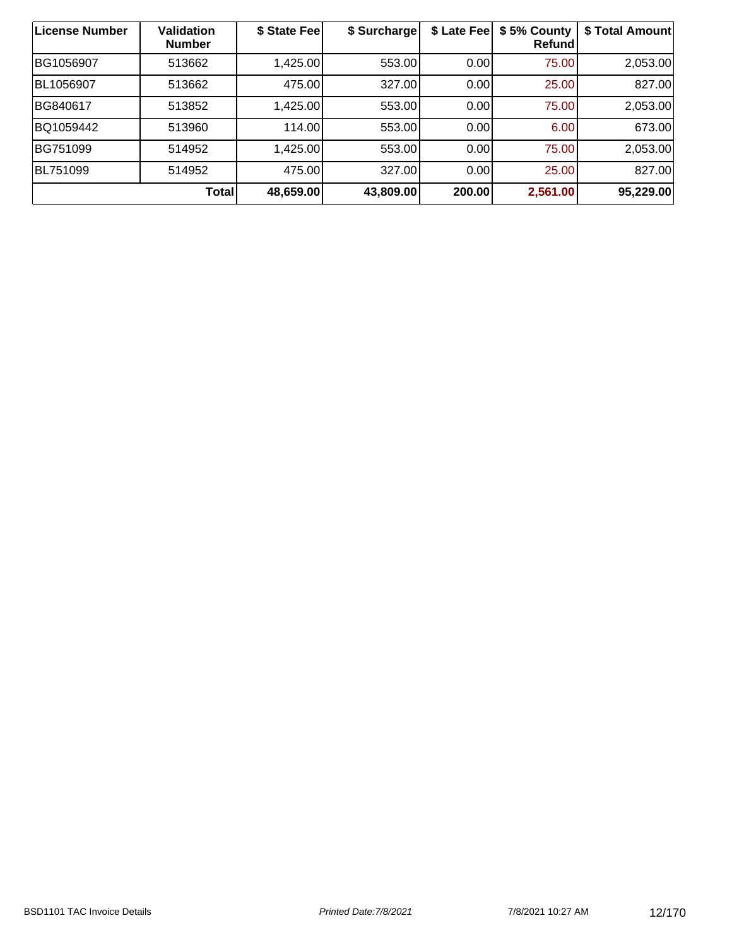| <b>License Number</b> | Validation<br><b>Number</b> | \$ State Fee | \$ Surcharge | \$ Late Fee | \$5% County<br>Refund | \$ Total Amount |
|-----------------------|-----------------------------|--------------|--------------|-------------|-----------------------|-----------------|
| BG1056907             | 513662                      | 1,425.00     | 553.00       | 0.00        | 75.00                 | 2,053.00        |
| BL1056907             | 513662                      | 475.00       | 327.00       | 0.00        | 25.00                 | 827.00          |
| BG840617              | 513852                      | 1,425.00     | 553.00       | 0.00        | 75.00                 | 2,053.00        |
| BQ1059442             | 513960                      | 114.00       | 553.00       | 0.00        | 6.00                  | 673.00          |
| BG751099              | 514952                      | 1,425.00     | 553.00       | 0.00        | 75.00                 | 2,053.00        |
| BL751099              | 514952                      | 475.00       | 327.00       | 0.00        | 25.00                 | 827.00          |
|                       | Total                       | 48,659.00    | 43,809.00    | 200.00      | 2,561.00              | 95,229.00       |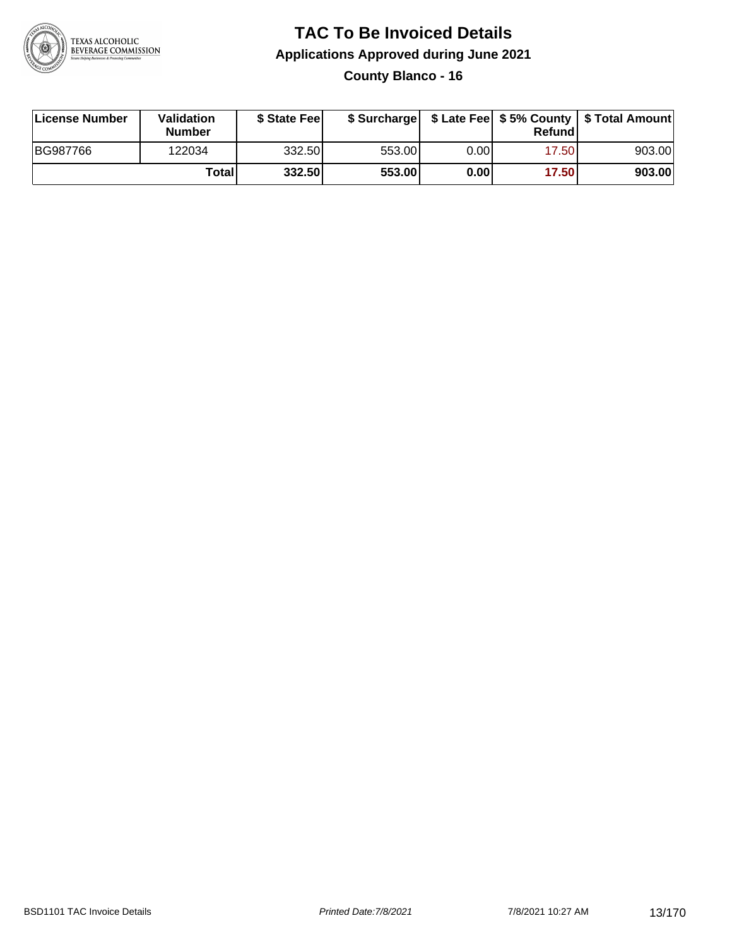

#### **TAC To Be Invoiced Details Applications Approved during June 2021 County Blanco - 16**

| License Number | Validation<br><b>Number</b> | \$ State Fee |        |      | Refundl | \$ Surcharge   \$ Late Fee   \$5% County   \$ Total Amount |
|----------------|-----------------------------|--------------|--------|------|---------|------------------------------------------------------------|
| BG987766       | 122034                      | 332.50       | 553.00 | 0.00 | 17.50   | 903.00                                                     |
|                | Totall                      | 332.50       | 553.00 | 0.00 | 17.50   | 903.00                                                     |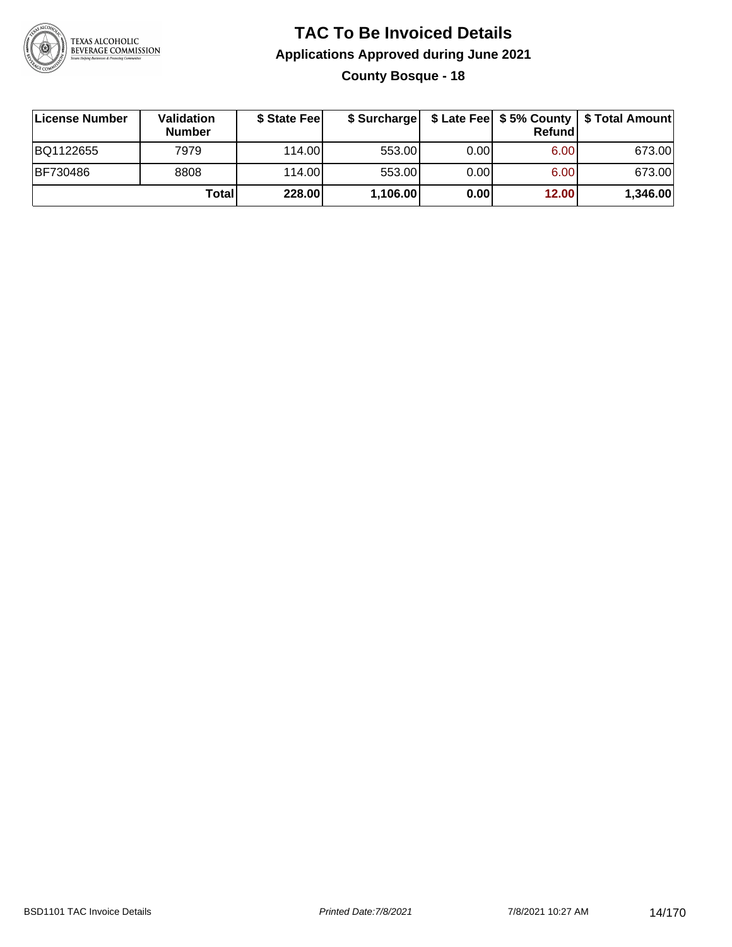

### **TAC To Be Invoiced Details Applications Approved during June 2021 County Bosque - 18**

| ∣License Number | <b>Validation</b><br><b>Number</b> | \$ State Fee | \$ Surcharge |       | <b>Refund</b> | \$ Late Fee   \$5% County   \$ Total Amount |
|-----------------|------------------------------------|--------------|--------------|-------|---------------|---------------------------------------------|
| BQ1122655       | 7979                               | 114.00L      | 553.00       | 0.001 | 6.00          | 673.00                                      |
| <b>BF730486</b> | 8808                               | 114.00L      | 553.00       | 0.00  | 6.00          | 673.00                                      |
|                 | Total                              | 228.00       | 1,106.00     | 0.00  | 12.00         | 1,346.00                                    |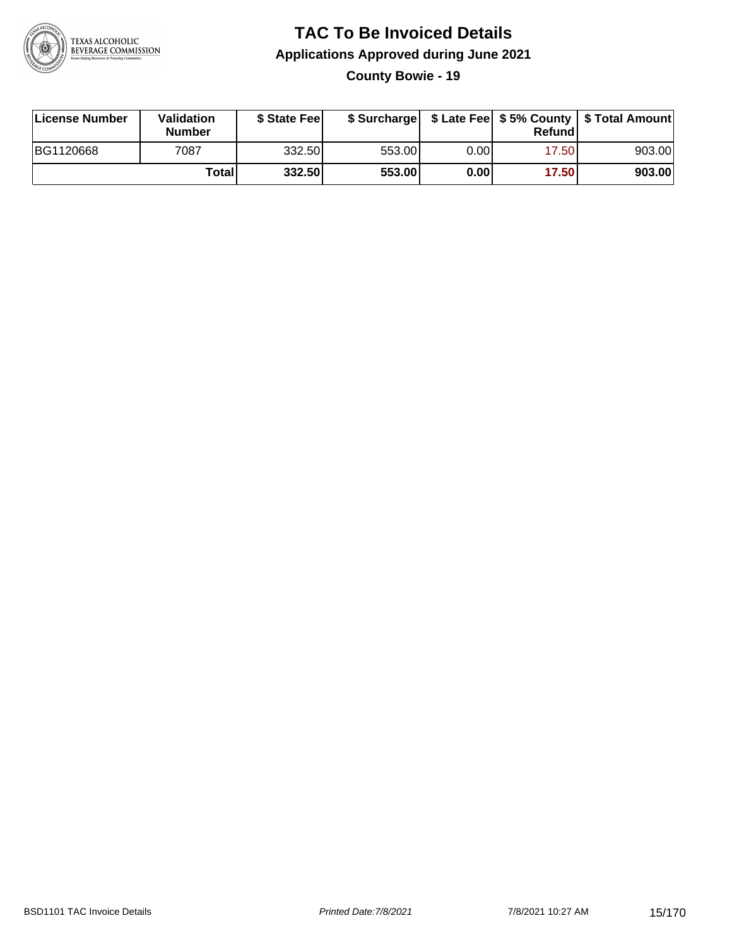

**County Bowie - 19**

| License Number | Validation<br><b>Number</b> | \$ State Feel |        |       | Refundl | \$ Surcharge   \$ Late Fee   \$5% County   \$ Total Amount |
|----------------|-----------------------------|---------------|--------|-------|---------|------------------------------------------------------------|
| BG1120668      | 7087                        | 332.50        | 553.00 | 0.00I | 17.501  | 903.00                                                     |
|                | Totall                      | 332.50        | 553.00 | 0.00  | 17.50   | 903.00                                                     |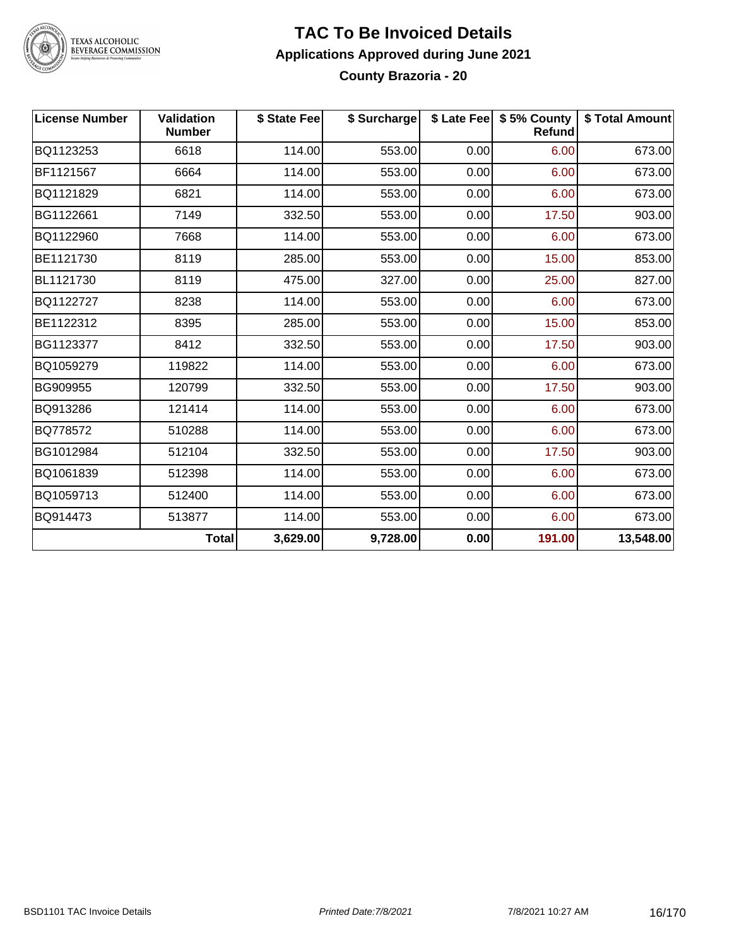

# TEXAS ALCOHOLIC<br>BEVERAGE COMMISSION

#### **TAC To Be Invoiced Details Applications Approved during June 2021 County Brazoria - 20**

| <b>License Number</b> | <b>Validation</b><br><b>Number</b> | \$ State Fee | \$ Surcharge |      | \$ Late Fee   \$5% County<br><b>Refund</b> | \$ Total Amount |
|-----------------------|------------------------------------|--------------|--------------|------|--------------------------------------------|-----------------|
| BQ1123253             | 6618                               | 114.00       | 553.00       | 0.00 | 6.00                                       | 673.00          |
| BF1121567             | 6664                               | 114.00       | 553.00       | 0.00 | 6.00                                       | 673.00          |
| BQ1121829             | 6821                               | 114.00       | 553.00       | 0.00 | 6.00                                       | 673.00          |
| BG1122661             | 7149                               | 332.50       | 553.00       | 0.00 | 17.50                                      | 903.00          |
| BQ1122960             | 7668                               | 114.00       | 553.00       | 0.00 | 6.00                                       | 673.00          |
| BE1121730             | 8119                               | 285.00       | 553.00       | 0.00 | 15.00                                      | 853.00          |
| BL1121730             | 8119                               | 475.00       | 327.00       | 0.00 | 25.00                                      | 827.00          |
| BQ1122727             | 8238                               | 114.00       | 553.00       | 0.00 | 6.00                                       | 673.00          |
| BE1122312             | 8395                               | 285.00       | 553.00       | 0.00 | 15.00                                      | 853.00          |
| BG1123377             | 8412                               | 332.50       | 553.00       | 0.00 | 17.50                                      | 903.00          |
| BQ1059279             | 119822                             | 114.00       | 553.00       | 0.00 | 6.00                                       | 673.00          |
| BG909955              | 120799                             | 332.50       | 553.00       | 0.00 | 17.50                                      | 903.00          |
| BQ913286              | 121414                             | 114.00       | 553.00       | 0.00 | 6.00                                       | 673.00          |
| BQ778572              | 510288                             | 114.00       | 553.00       | 0.00 | 6.00                                       | 673.00          |
| BG1012984             | 512104                             | 332.50       | 553.00       | 0.00 | 17.50                                      | 903.00          |
| BQ1061839             | 512398                             | 114.00       | 553.00       | 0.00 | 6.00                                       | 673.00          |
| BQ1059713             | 512400                             | 114.00       | 553.00       | 0.00 | 6.00                                       | 673.00          |
| BQ914473              | 513877                             | 114.00       | 553.00       | 0.00 | 6.00                                       | 673.00          |
|                       | <b>Total</b>                       | 3,629.00     | 9,728.00     | 0.00 | 191.00                                     | 13,548.00       |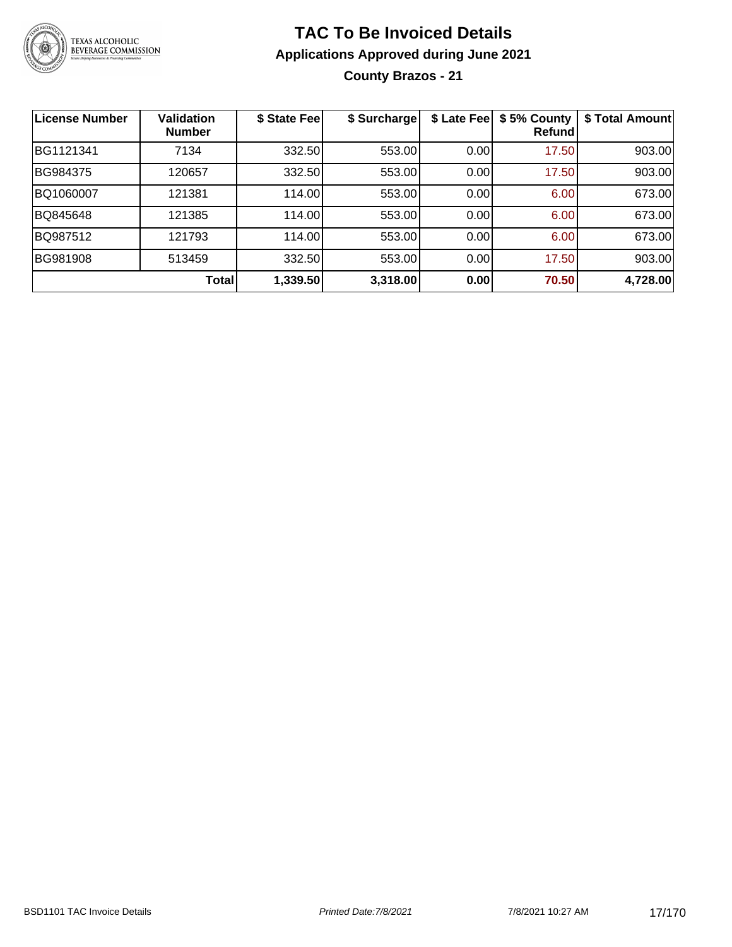

### **TAC To Be Invoiced Details Applications Approved during June 2021 County Brazos - 21**

| <b>License Number</b> | <b>Validation</b><br><b>Number</b> | \$ State Fee | \$ Surcharge | \$ Late Fee | \$5% County<br>Refundl | \$ Total Amount |
|-----------------------|------------------------------------|--------------|--------------|-------------|------------------------|-----------------|
| BG1121341             | 7134                               | 332.50       | 553.00       | 0.00        | 17.50                  | 903.00          |
| BG984375              | 120657                             | 332.50       | 553.00       | 0.00        | 17.50                  | 903.00          |
| BQ1060007             | 121381                             | 114.00       | 553.00       | 0.00        | 6.00                   | 673.00          |
| BQ845648              | 121385                             | 114.00       | 553.00       | 0.00        | 6.00                   | 673.00          |
| BQ987512              | 121793                             | 114.00       | 553.00       | 0.00        | 6.00                   | 673.00          |
| BG981908              | 513459                             | 332.50       | 553.00       | 0.00        | 17.50                  | 903.00          |
|                       | <b>Total</b>                       | 1,339.50     | 3,318.00     | 0.00        | 70.50                  | 4,728.00        |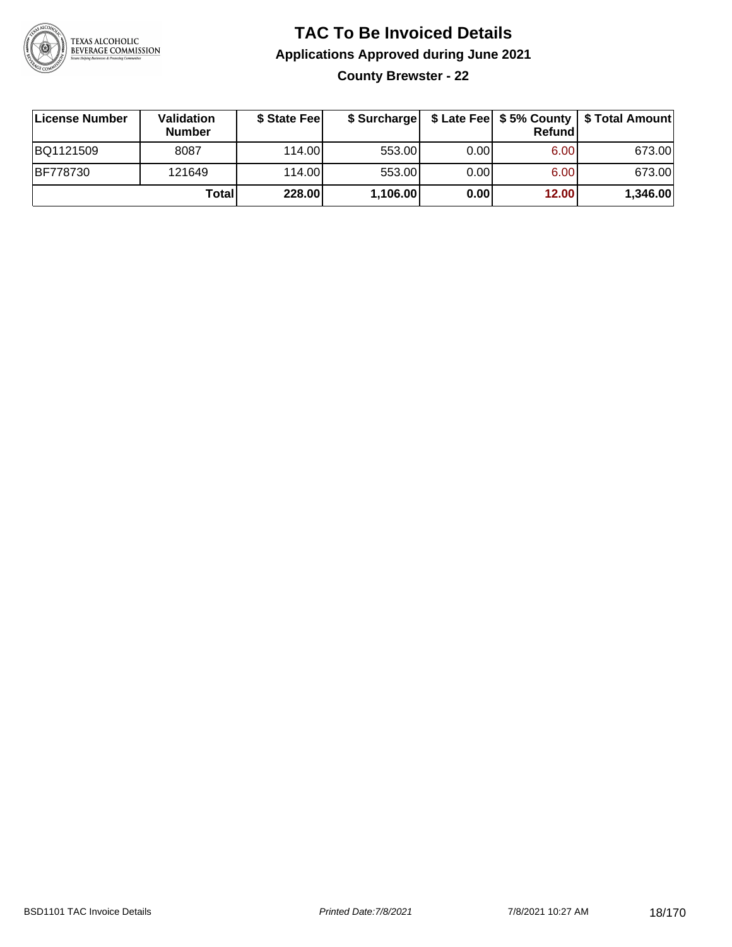

**County Brewster - 22**

| License Number  | Validation<br><b>Number</b> | \$ State Feel |          |      | Refundl | \$ Surcharge   \$ Late Fee   \$5% County   \$ Total Amount |
|-----------------|-----------------------------|---------------|----------|------|---------|------------------------------------------------------------|
| BQ1121509       | 8087                        | 114.00        | 553.00   | 0.00 | 6.00    | 673.00                                                     |
| <b>BF778730</b> | 121649                      | 114.00        | 553.00   | 0.00 | 6.00    | 673.00                                                     |
|                 | Totall                      | 228.00        | 1,106.00 | 0.00 | 12.00   | 1,346.00                                                   |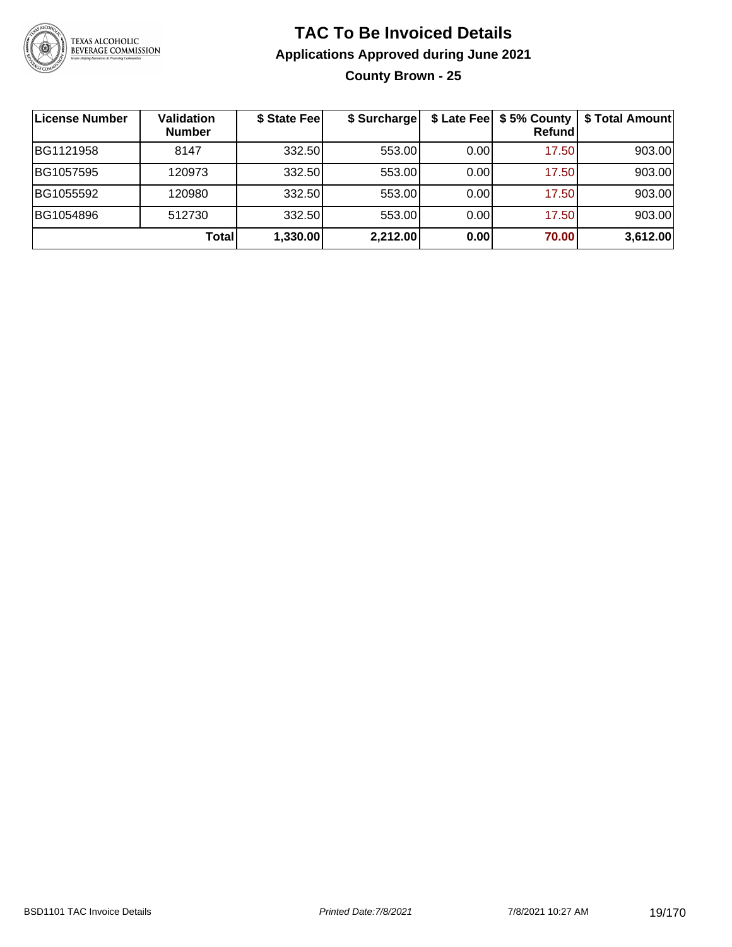

### **TAC To Be Invoiced Details Applications Approved during June 2021 County Brown - 25**

| License Number | <b>Validation</b><br><b>Number</b> | \$ State Fee | \$ Surcharge | \$ Late Fee | \$5% County<br>Refund | \$ Total Amount |
|----------------|------------------------------------|--------------|--------------|-------------|-----------------------|-----------------|
| BG1121958      | 8147                               | 332.50       | 553.00       | 0.00        | 17.50                 | 903.00          |
| BG1057595      | 120973                             | 332.50       | 553.00       | 0.00        | 17.50                 | 903.00          |
| BG1055592      | 120980                             | 332.50       | 553.00       | 0.00        | 17.50                 | 903.00          |
| BG1054896      | 512730                             | 332.50       | 553.00       | 0.00        | 17.50                 | 903.00          |
|                | Total                              | 1,330.00     | 2,212.00     | 0.00        | 70.00                 | 3,612.00        |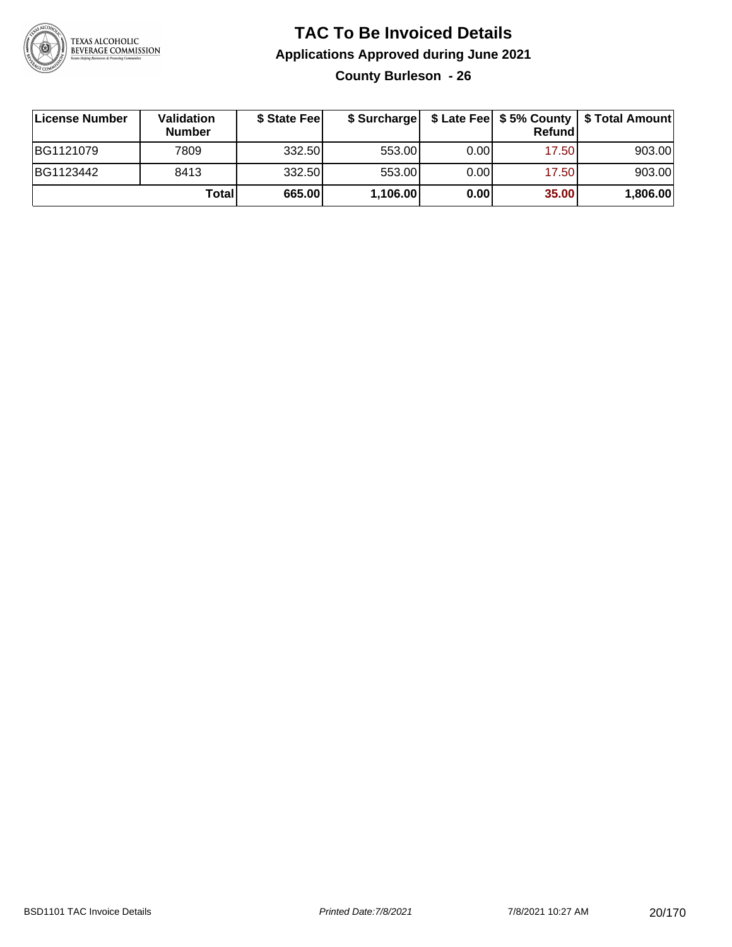

### **TAC To Be Invoiced Details Applications Approved during June 2021 County Burleson - 26**

**License Number Validation Number \$ State Fee \$ Surcharge \$ Late Fee \$ 5% County Refund \$ Total Amount** BG1121079 7809 332.50 553.00 0.00 17.50 903.00 BG1123442 | 8413 | 332.50| 553.00| 0.00| 17.50| 903.00 **Total 665.00 1,106.00 0.00 35.00 1,806.00**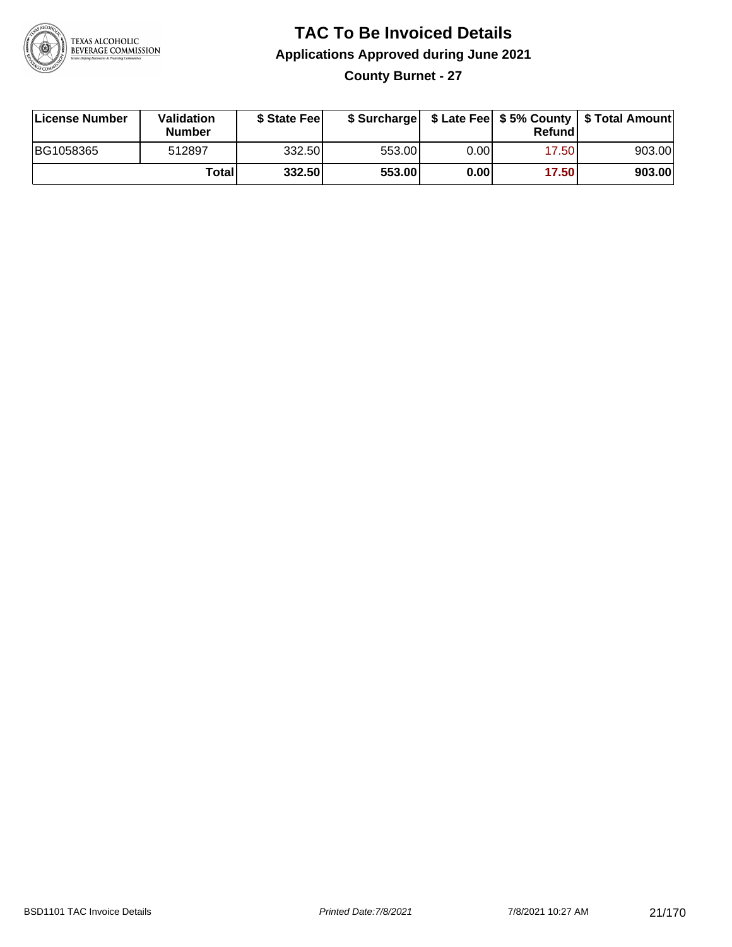

#### **TAC To Be Invoiced Details Applications Approved during June 2021 County Burnet - 27**

| License Number | Validation<br><b>Number</b> | \$ State Feel |        |      | Refund | \$ Surcharge   \$ Late Fee   \$5% County   \$ Total Amount |
|----------------|-----------------------------|---------------|--------|------|--------|------------------------------------------------------------|
| BG1058365      | 512897                      | 332.50        | 553.00 | 0.00 | 17.50  | 903.00                                                     |
|                | Totall                      | 332.50        | 553.00 | 0.00 | 17.50  | 903.00                                                     |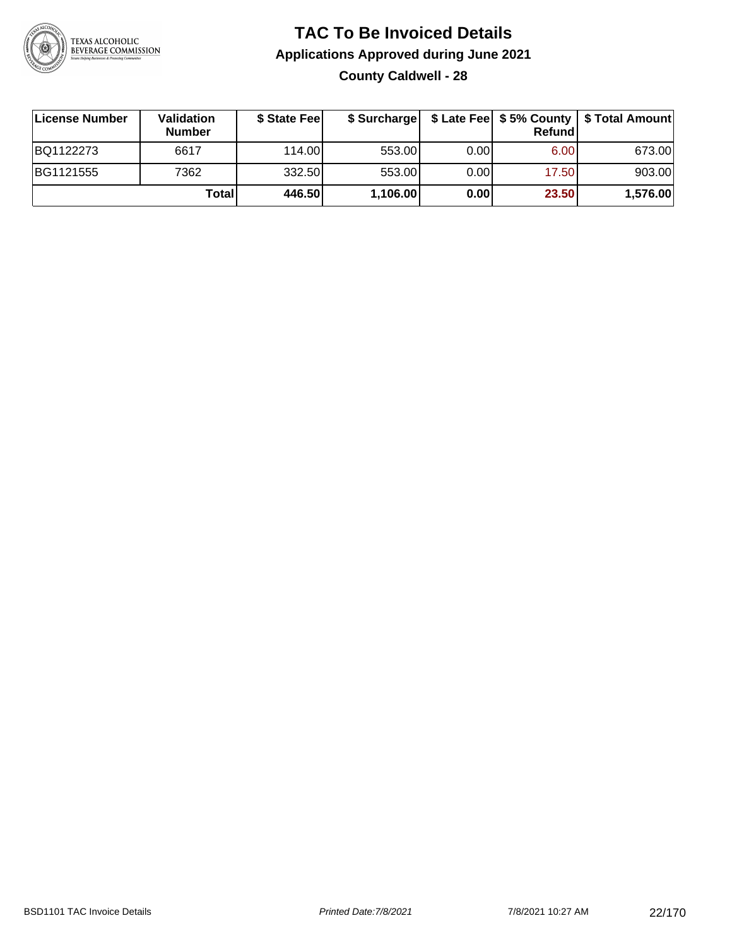

### **TAC To Be Invoiced Details Applications Approved during June 2021 County Caldwell - 28**

| License Number | <b>Validation</b><br><b>Number</b> | \$ State Fee |          |      | Refundi | \$ Surcharge   \$ Late Fee   \$5% County   \$ Total Amount |
|----------------|------------------------------------|--------------|----------|------|---------|------------------------------------------------------------|
| BQ1122273      | 6617                               | 114.00L      | 553.00   | 0.00 | 6.00    | 673.00                                                     |
| BG1121555      | 7362                               | 332.50       | 553.00   | 0.00 | 17.50   | 903.00                                                     |
|                | Total                              | 446.50       | 1,106.00 | 0.00 | 23.50   | 1,576.00                                                   |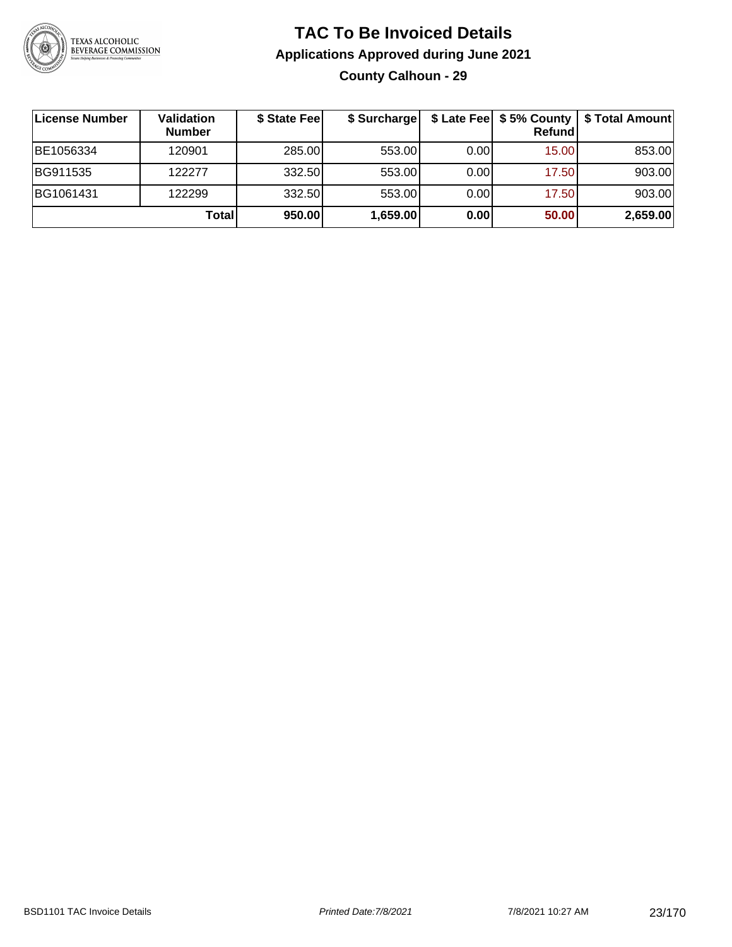

### **TAC To Be Invoiced Details Applications Approved during June 2021 County Calhoun - 29**

| License Number | Validation<br><b>Number</b> | \$ State Fee | \$ Surcharge |      | \$ Late Fee   \$5% County  <br>Refund | \$ Total Amount |
|----------------|-----------------------------|--------------|--------------|------|---------------------------------------|-----------------|
| BE1056334      | 120901                      | 285.00       | 553.00       | 0.00 | 15.00                                 | 853.00          |
| BG911535       | 122277                      | 332.50       | 553.00       | 0.00 | 17.50                                 | 903.00          |
| BG1061431      | 122299                      | 332.50       | 553.00       | 0.00 | 17.50                                 | 903.00          |
|                | <b>Total</b>                | 950.00       | 1,659.00     | 0.00 | 50.00                                 | 2,659.00        |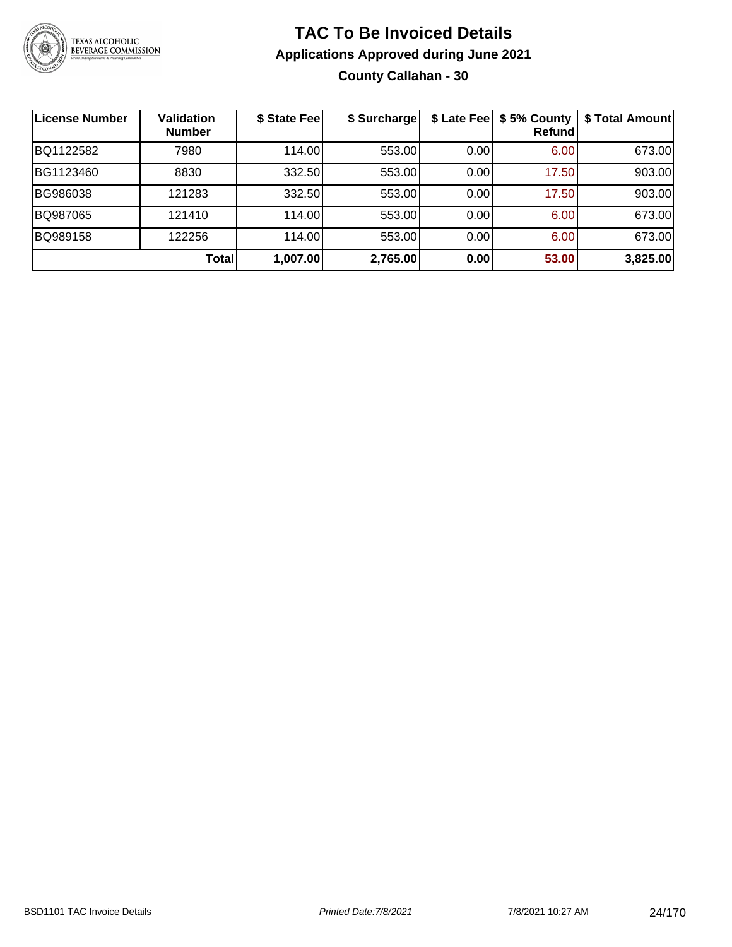

### **TAC To Be Invoiced Details Applications Approved during June 2021 County Callahan - 30**

| <b>License Number</b> | <b>Validation</b><br><b>Number</b> | \$ State Fee | \$ Surcharge | \$ Late Fee | \$5% County<br>Refundl | \$ Total Amount |
|-----------------------|------------------------------------|--------------|--------------|-------------|------------------------|-----------------|
| BQ1122582             | 7980                               | 114.00       | 553.00       | 0.00        | 6.00                   | 673.00          |
| BG1123460             | 8830                               | 332.50       | 553.00       | 0.00        | 17.50                  | 903.00          |
| BG986038              | 121283                             | 332.50       | 553.00       | 0.00        | 17.50                  | 903.00          |
| BQ987065              | 121410                             | 114.00       | 553.00       | 0.00        | 6.00                   | 673.00          |
| BQ989158              | 122256                             | 114.00       | 553.00       | 0.00        | 6.00                   | 673.00          |
|                       | Total                              | 1,007.00     | 2,765.00     | 0.00        | 53.00                  | 3,825.00        |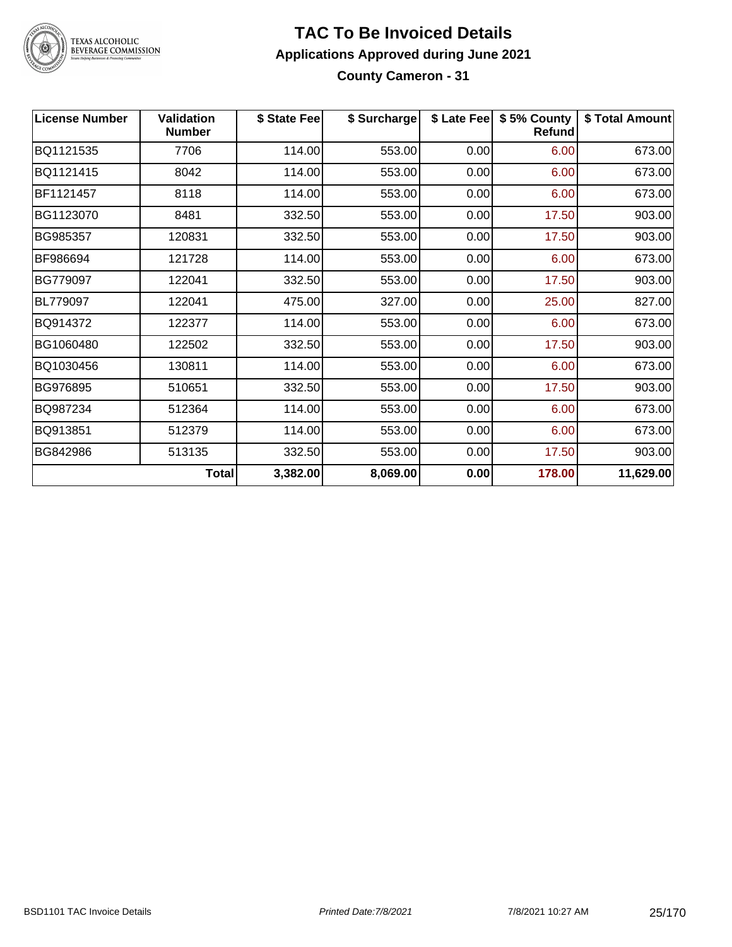

### **TAC To Be Invoiced Details Applications Approved during June 2021 County Cameron - 31**

| <b>License Number</b> | <b>Validation</b><br><b>Number</b> | \$ State Fee | \$ Surcharge |      | \$ Late Fee   \$5% County<br><b>Refund</b> | \$ Total Amount |
|-----------------------|------------------------------------|--------------|--------------|------|--------------------------------------------|-----------------|
| BQ1121535             | 7706                               | 114.00       | 553.00       | 0.00 | 6.00                                       | 673.00          |
| BQ1121415             | 8042                               | 114.00       | 553.00       | 0.00 | 6.00                                       | 673.00          |
| BF1121457             | 8118                               | 114.00       | 553.00       | 0.00 | 6.00                                       | 673.00          |
| BG1123070             | 8481                               | 332.50       | 553.00       | 0.00 | 17.50                                      | 903.00          |
| BG985357              | 120831                             | 332.50       | 553.00       | 0.00 | 17.50                                      | 903.00          |
| BF986694              | 121728                             | 114.00       | 553.00       | 0.00 | 6.00                                       | 673.00          |
| BG779097              | 122041                             | 332.50       | 553.00       | 0.00 | 17.50                                      | 903.00          |
| BL779097              | 122041                             | 475.00       | 327.00       | 0.00 | 25.00                                      | 827.00          |
| BQ914372              | 122377                             | 114.00       | 553.00       | 0.00 | 6.00                                       | 673.00          |
| BG1060480             | 122502                             | 332.50       | 553.00       | 0.00 | 17.50                                      | 903.00          |
| BQ1030456             | 130811                             | 114.00       | 553.00       | 0.00 | 6.00                                       | 673.00          |
| BG976895              | 510651                             | 332.50       | 553.00       | 0.00 | 17.50                                      | 903.00          |
| BQ987234              | 512364                             | 114.00       | 553.00       | 0.00 | 6.00                                       | 673.00          |
| BQ913851              | 512379                             | 114.00       | 553.00       | 0.00 | 6.00                                       | 673.00          |
| BG842986              | 513135                             | 332.50       | 553.00       | 0.00 | 17.50                                      | 903.00          |
|                       | <b>Total</b>                       | 3,382.00     | 8,069.00     | 0.00 | 178.00                                     | 11,629.00       |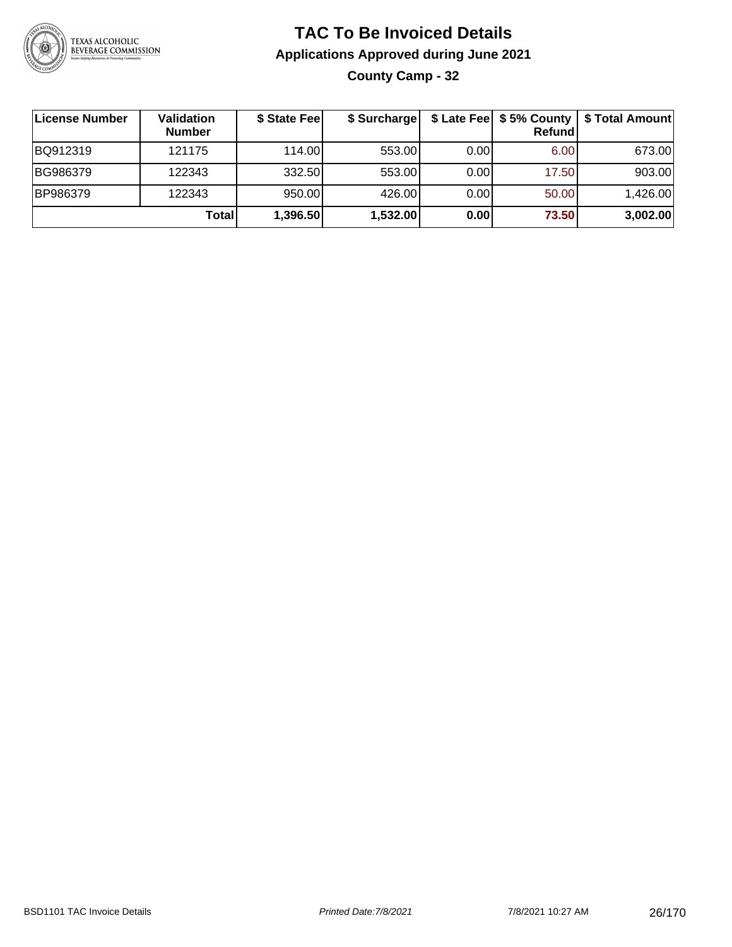

### **TAC To Be Invoiced Details Applications Approved during June 2021 County Camp - 32**

| License Number | Validation<br><b>Number</b> | \$ State Fee | \$ Surcharge |      | <b>Refund</b>     | \$ Late Fee   \$5% County   \$ Total Amount |
|----------------|-----------------------------|--------------|--------------|------|-------------------|---------------------------------------------|
| BQ912319       | 121175                      | 114.00       | 553.00       | 0.00 | 6.00 <sub>1</sub> | 673.00                                      |
| BG986379       | 122343                      | 332.50       | 553.00       | 0.00 | 17.50             | 903.00                                      |
| BP986379       | 122343                      | 950.00       | 426.00       | 0.00 | 50.00             | 1,426.00                                    |
|                | <b>Total</b>                | 1,396.50     | 1,532.00     | 0.00 | 73.50             | 3,002.00                                    |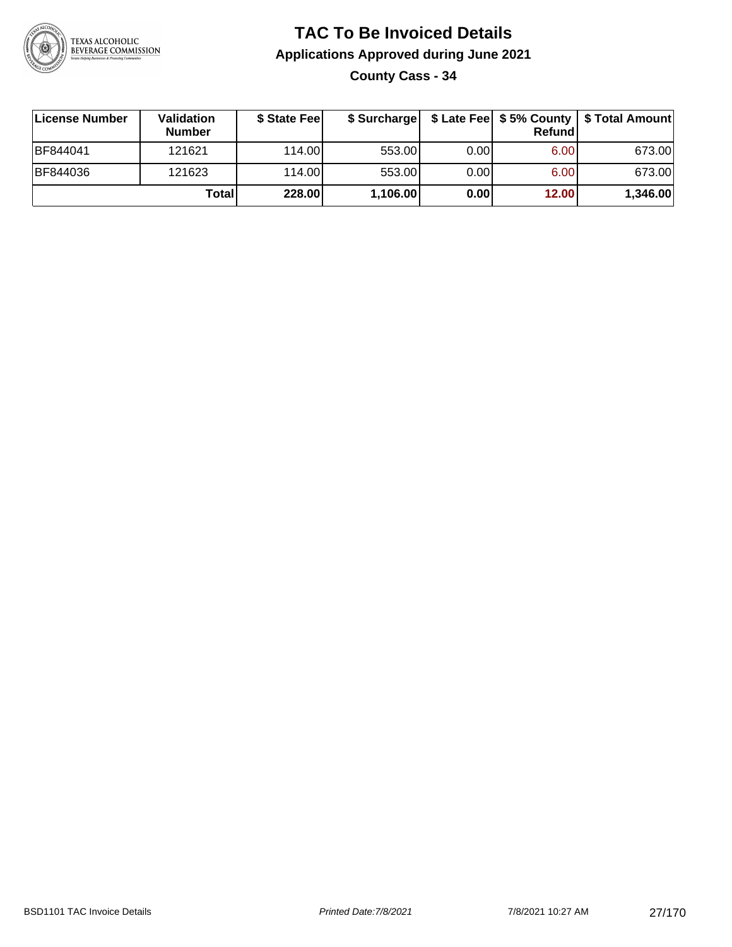

**County Cass - 34**

| ∣License Number  | <b>Validation</b><br><b>Number</b> | \$ State Feel | \$ Surcharge |      | Refund | \$ Late Fee   \$5% County   \$ Total Amount |
|------------------|------------------------------------|---------------|--------------|------|--------|---------------------------------------------|
| <b>IBF844041</b> | 121621                             | 114.00L       | 553.00       | 0.00 | 6.00   | 673.00                                      |
| <b>BF844036</b>  | 121623                             | 114.00L       | 553.00       | 0.00 | 6.00   | 673.00                                      |
|                  | Total                              | 228.00        | 1,106.00     | 0.00 | 12.00  | 1,346.00                                    |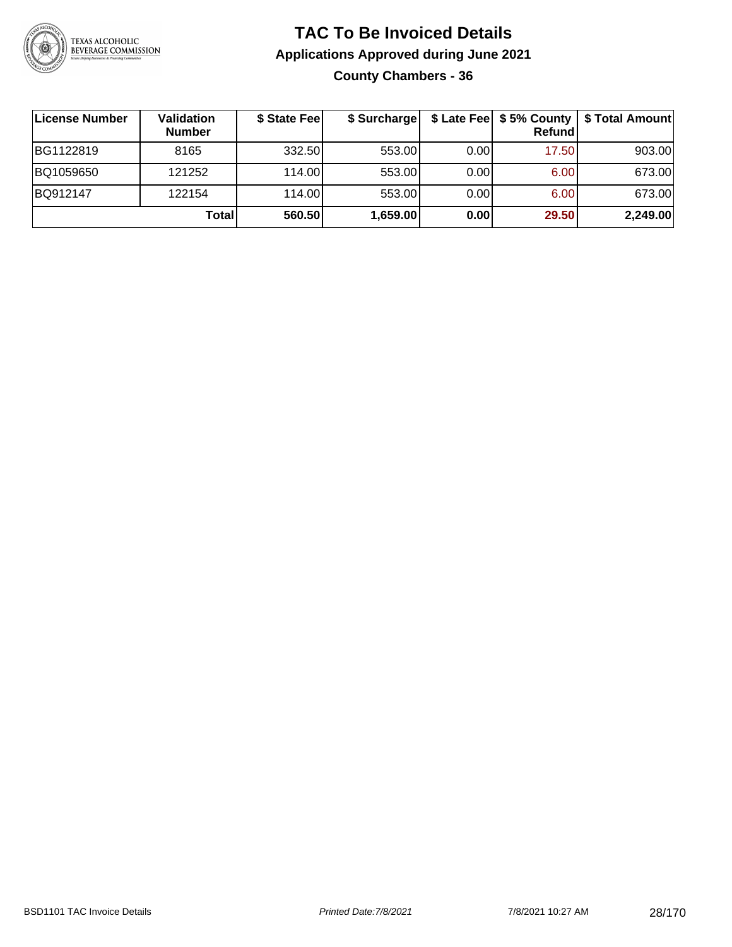

#### **TAC To Be Invoiced Details Applications Approved during June 2021 County Chambers - 36**

| License Number | <b>Validation</b><br><b>Number</b> | \$ State Fee | \$ Surcharge |      | \$ Late Fee   \$5% County<br>Refund | \$ Total Amount |
|----------------|------------------------------------|--------------|--------------|------|-------------------------------------|-----------------|
| BG1122819      | 8165                               | 332.50       | 553.00       | 0.00 | 17.50                               | 903.00          |
| BQ1059650      | 121252                             | 114.00L      | 553.00       | 0.00 | 6.00                                | 673.00          |
| BQ912147       | 122154                             | 114.00       | 553.00       | 0.00 | 6.00                                | 673.00          |
|                | Total                              | 560.50       | 1,659.00     | 0.00 | 29.50                               | 2,249.00        |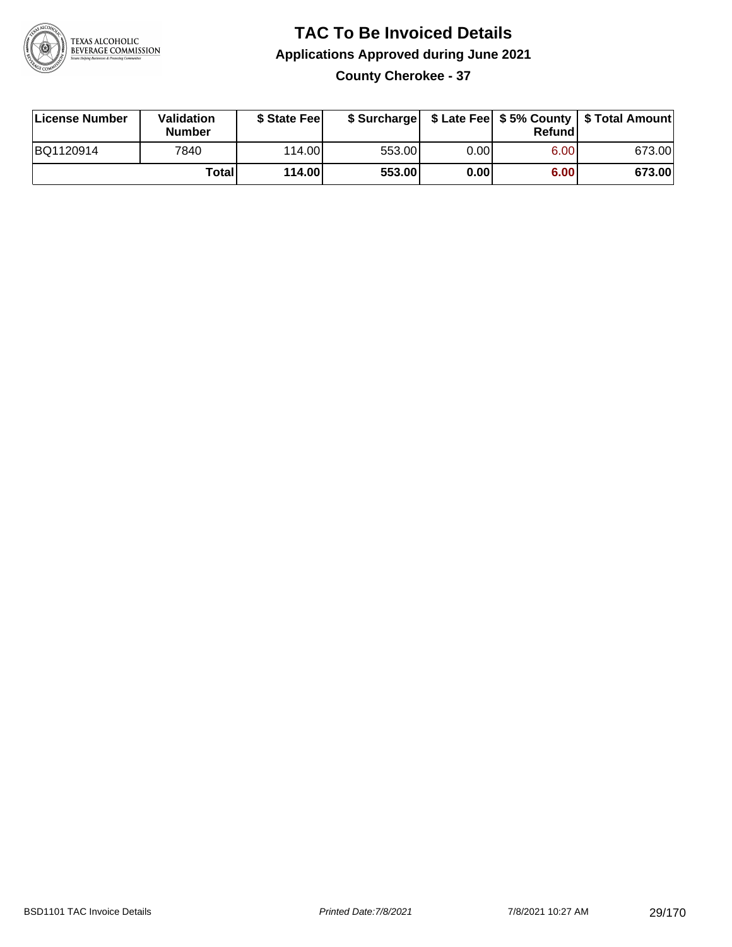

### **TAC To Be Invoiced Details Applications Approved during June 2021 County Cherokee - 37**

| License Number | Validation<br><b>Number</b> | \$ State Feel |        |      | Refund | \$ Surcharge   \$ Late Fee   \$5% County   \$ Total Amount |
|----------------|-----------------------------|---------------|--------|------|--------|------------------------------------------------------------|
| BQ1120914      | 7840                        | 114.00L       | 553.00 | 0.00 | 6.00   | 673.00                                                     |
|                | Totall                      | 114.00        | 553.00 | 0.00 | 6.00   | 673.00                                                     |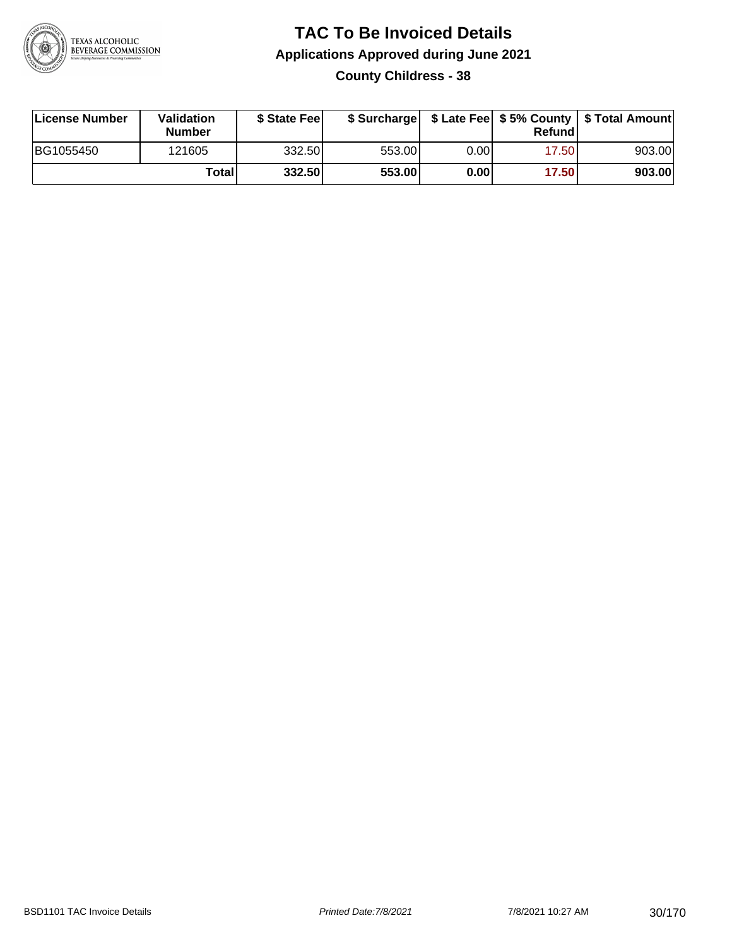

#### **TAC To Be Invoiced Details Applications Approved during June 2021 County Childress - 38**

| License Number | Validation<br><b>Number</b> | \$ State Fee | \$ Surcharge |      | Refundl | \$ Late Fee   \$5% County   \$ Total Amount |
|----------------|-----------------------------|--------------|--------------|------|---------|---------------------------------------------|
| BG1055450      | 121605                      | 332.50       | 553.00       | 0.00 | 17.50   | 903.00                                      |
|                | Totall                      | 332.50       | 553.00       | 0.00 | 17.50   | 903.00                                      |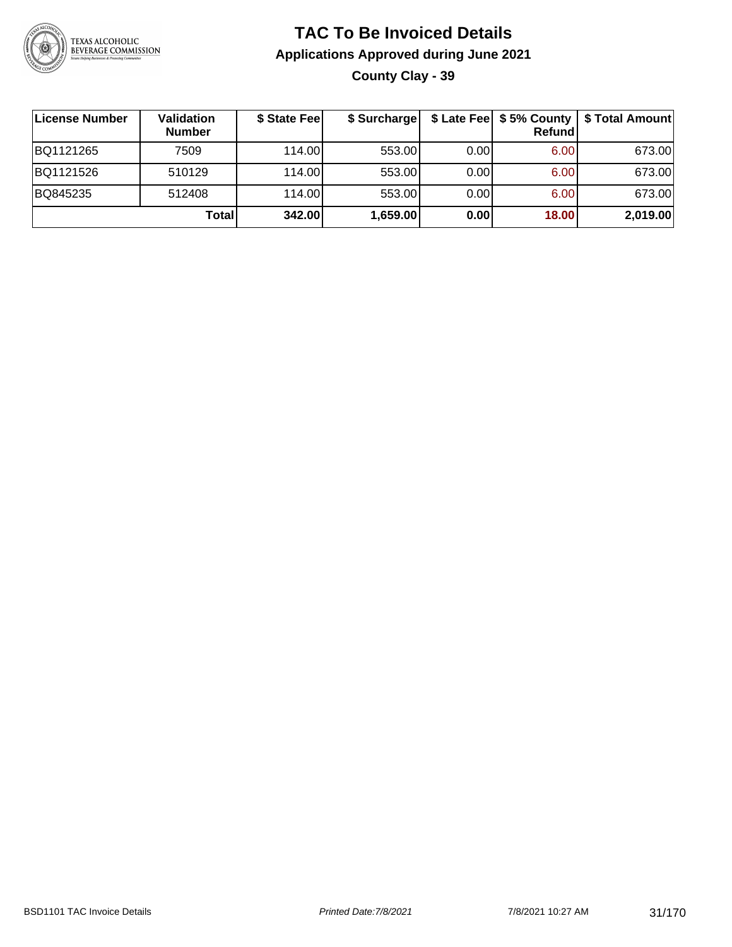

**County Clay - 39**

| ∣License Number | <b>Validation</b><br><b>Number</b> | \$ State Fee | \$ Surcharge |       | Refundl | \$ Late Fee   \$5% County   \$ Total Amount |
|-----------------|------------------------------------|--------------|--------------|-------|---------|---------------------------------------------|
| BQ1121265       | 7509                               | 114.00       | 553.00       | 0.001 | 6.00    | 673.00                                      |
| BQ1121526       | 510129                             | 114.00       | 553.00       | 0.001 | 6.00    | 673.00                                      |
| BQ845235        | 512408                             | 114.00       | 553.00       | 0.001 | 6.00    | 673.00                                      |
|                 | Total                              | 342.00       | 1,659.00     | 0.00  | 18.00   | 2,019.00                                    |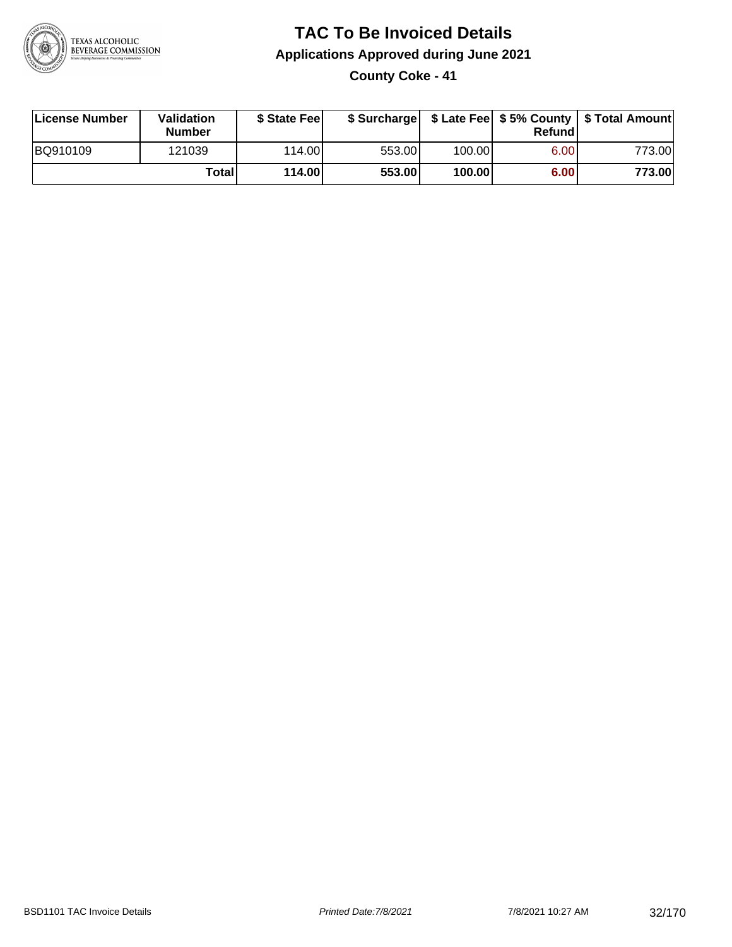

**County Coke - 41**

| License Number | <b>Validation</b><br><b>Number</b> | \$ State Feel |        |        | Refundl | \$ Surcharge   \$ Late Fee   \$5% County   \$ Total Amount |
|----------------|------------------------------------|---------------|--------|--------|---------|------------------------------------------------------------|
| BQ910109       | 121039                             | 114.00L       | 553.00 | 100.00 | 6.00    | 773.00                                                     |
|                | Totall                             | 114.00        | 553.00 | 100.00 | 6.00    | 773.00                                                     |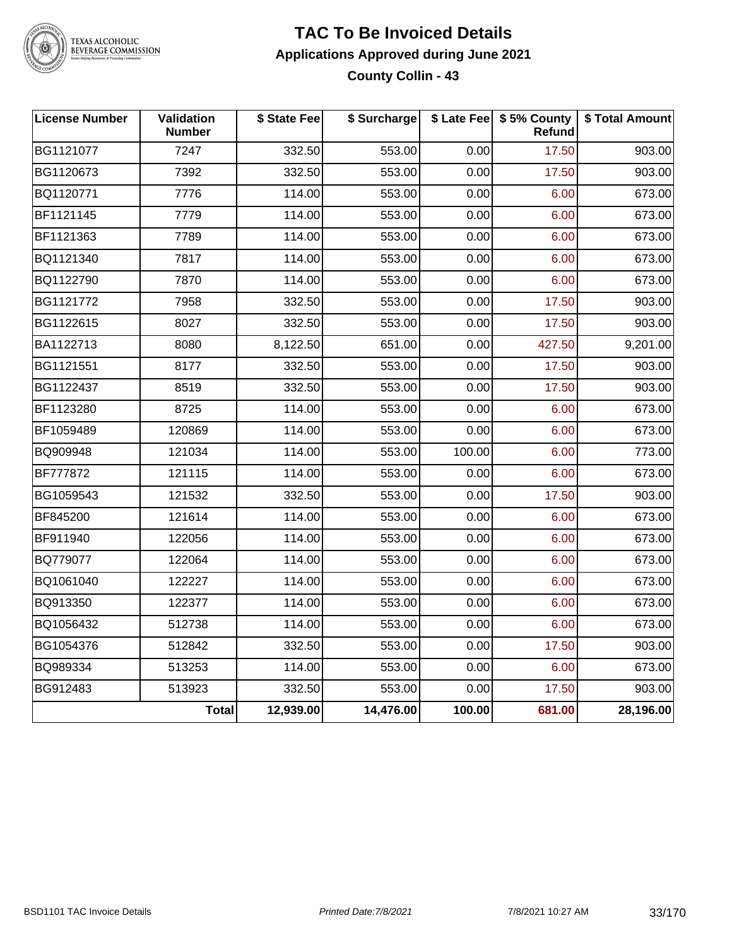

TEXAS ALCOHOLIC<br>BEVERAGE COMMISSION

#### **TAC To Be Invoiced Details Applications Approved during June 2021 County Collin - 43**

| <b>License Number</b> | Validation<br><b>Number</b> | \$ State Fee | \$ Surcharge |        | \$ Late Fee   \$5% County<br>Refund | \$ Total Amount |
|-----------------------|-----------------------------|--------------|--------------|--------|-------------------------------------|-----------------|
| BG1121077             | 7247                        | 332.50       | 553.00       | 0.00   | 17.50                               | 903.00          |
| BG1120673             | 7392                        | 332.50       | 553.00       | 0.00   | 17.50                               | 903.00          |
| BQ1120771             | 7776                        | 114.00       | 553.00       | 0.00   | 6.00                                | 673.00          |
| BF1121145             | 7779                        | 114.00       | 553.00       | 0.00   | 6.00                                | 673.00          |
| BF1121363             | 7789                        | 114.00       | 553.00       | 0.00   | 6.00                                | 673.00          |
| BQ1121340             | 7817                        | 114.00       | 553.00       | 0.00   | 6.00                                | 673.00          |
| BQ1122790             | 7870                        | 114.00       | 553.00       | 0.00   | 6.00                                | 673.00          |
| BG1121772             | 7958                        | 332.50       | 553.00       | 0.00   | 17.50                               | 903.00          |
| BG1122615             | 8027                        | 332.50       | 553.00       | 0.00   | 17.50                               | 903.00          |
| BA1122713             | 8080                        | 8,122.50     | 651.00       | 0.00   | 427.50                              | 9,201.00        |
| BG1121551             | 8177                        | 332.50       | 553.00       | 0.00   | 17.50                               | 903.00          |
| BG1122437             | 8519                        | 332.50       | 553.00       | 0.00   | 17.50                               | 903.00          |
| BF1123280             | 8725                        | 114.00       | 553.00       | 0.00   | 6.00                                | 673.00          |
| BF1059489             | 120869                      | 114.00       | 553.00       | 0.00   | 6.00                                | 673.00          |
| BQ909948              | 121034                      | 114.00       | 553.00       | 100.00 | 6.00                                | 773.00          |
| BF777872              | 121115                      | 114.00       | 553.00       | 0.00   | 6.00                                | 673.00          |
| BG1059543             | 121532                      | 332.50       | 553.00       | 0.00   | 17.50                               | 903.00          |
| BF845200              | 121614                      | 114.00       | 553.00       | 0.00   | 6.00                                | 673.00          |
| BF911940              | 122056                      | 114.00       | 553.00       | 0.00   | 6.00                                | 673.00          |
| BQ779077              | 122064                      | 114.00       | 553.00       | 0.00   | 6.00                                | 673.00          |
| BQ1061040             | 122227                      | 114.00       | 553.00       | 0.00   | 6.00                                | 673.00          |
| BQ913350              | 122377                      | 114.00       | 553.00       | 0.00   | 6.00                                | 673.00          |
| BQ1056432             | 512738                      | 114.00       | 553.00       | 0.00   | 6.00                                | 673.00          |
| BG1054376             | 512842                      | 332.50       | 553.00       | 0.00   | 17.50                               | 903.00          |
| BQ989334              | 513253                      | 114.00       | 553.00       | 0.00   | 6.00                                | 673.00          |
| BG912483              | 513923                      | 332.50       | 553.00       | 0.00   | 17.50                               | 903.00          |
|                       | <b>Total</b>                | 12,939.00    | 14,476.00    | 100.00 | 681.00                              | 28,196.00       |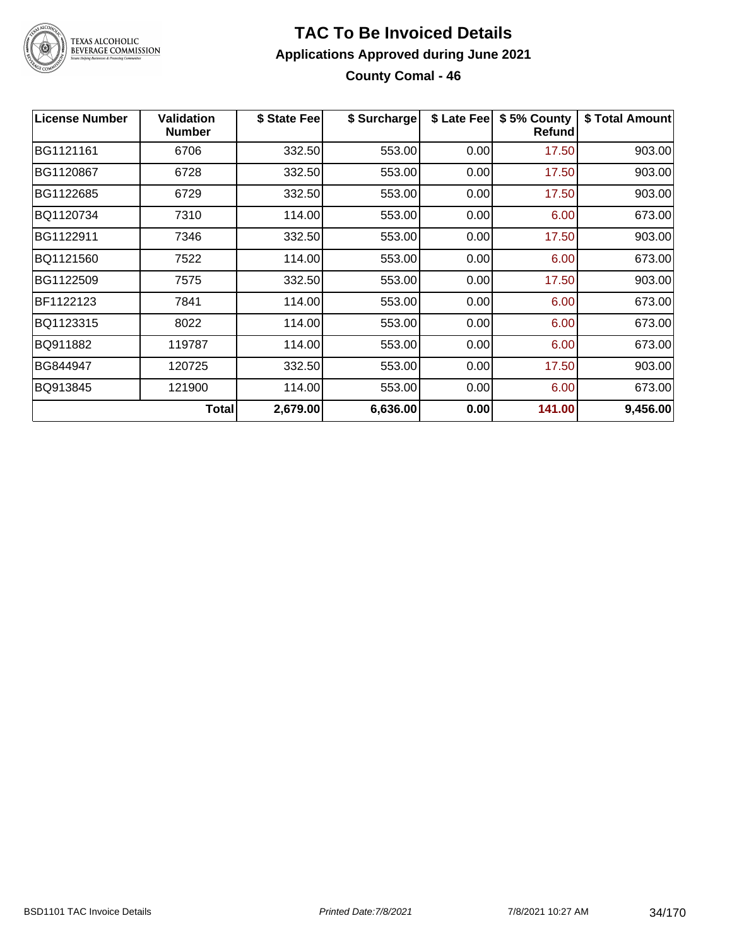

### **TAC To Be Invoiced Details Applications Approved during June 2021 County Comal - 46**

| <b>License Number</b> | <b>Validation</b><br><b>Number</b> | \$ State Fee | \$ Surcharge | \$ Late Fee | \$5% County<br>Refundl | \$ Total Amount |
|-----------------------|------------------------------------|--------------|--------------|-------------|------------------------|-----------------|
| BG1121161             | 6706                               | 332.50       | 553.00       | 0.00        | 17.50                  | 903.00          |
| BG1120867             | 6728                               | 332.50       | 553.00       | 0.00        | 17.50                  | 903.00          |
| BG1122685             | 6729                               | 332.50       | 553.00       | 0.00        | 17.50                  | 903.00          |
| BQ1120734             | 7310                               | 114.00       | 553.00       | 0.00        | 6.00                   | 673.00          |
| BG1122911             | 7346                               | 332.50       | 553.00       | 0.00        | 17.50                  | 903.00          |
| BQ1121560             | 7522                               | 114.00       | 553.00       | 0.00        | 6.00                   | 673.00          |
| BG1122509             | 7575                               | 332.50       | 553.00       | 0.00        | 17.50                  | 903.00          |
| BF1122123             | 7841                               | 114.00       | 553.00       | 0.00        | 6.00                   | 673.00          |
| BQ1123315             | 8022                               | 114.00       | 553.00       | 0.00        | 6.00                   | 673.00          |
| BQ911882              | 119787                             | 114.00       | 553.00       | 0.00        | 6.00                   | 673.00          |
| BG844947              | 120725                             | 332.50       | 553.00       | 0.00        | 17.50                  | 903.00          |
| BQ913845              | 121900                             | 114.00       | 553.00       | 0.00        | 6.00                   | 673.00          |
|                       | <b>Total</b>                       | 2,679.00     | 6,636.00     | 0.00        | 141.00                 | 9,456.00        |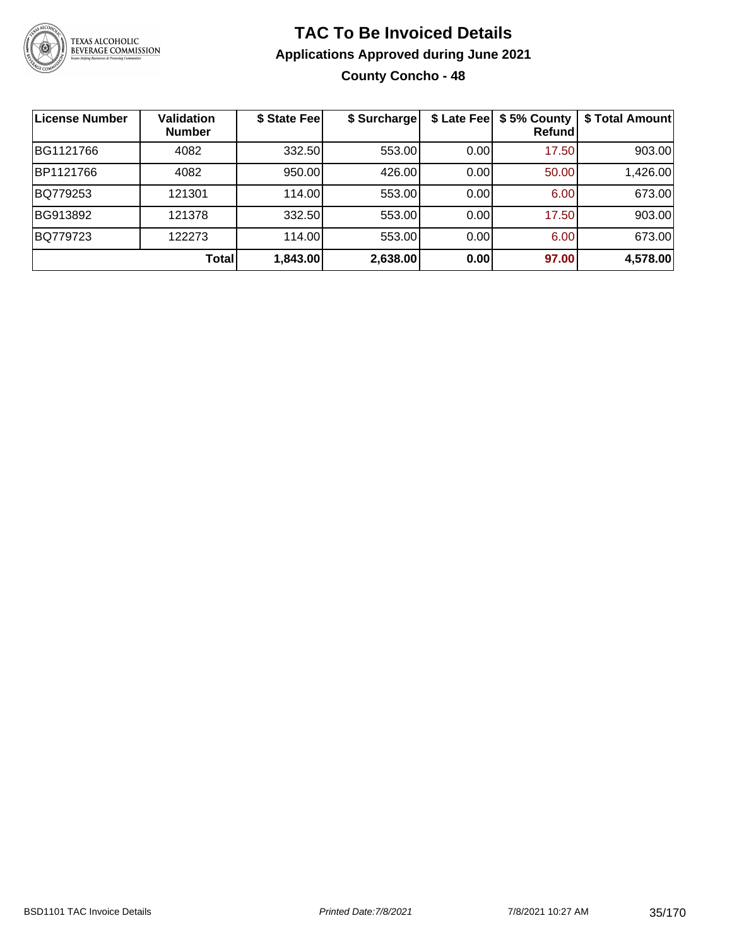

### **TAC To Be Invoiced Details Applications Approved during June 2021 County Concho - 48**

| License Number | <b>Validation</b><br><b>Number</b> | \$ State Fee | \$ Surcharge |      | \$ Late Fee   \$5% County<br>Refundl | \$ Total Amount |
|----------------|------------------------------------|--------------|--------------|------|--------------------------------------|-----------------|
| BG1121766      | 4082                               | 332.50       | 553.00       | 0.00 | 17.50                                | 903.00          |
| BP1121766      | 4082                               | 950.00       | 426.00       | 0.00 | 50.00                                | 1,426.00        |
| BQ779253       | 121301                             | 114.00       | 553.00       | 0.00 | 6.00                                 | 673.00          |
| BG913892       | 121378                             | 332.50       | 553.00       | 0.00 | 17.50                                | 903.00          |
| BQ779723       | 122273                             | 114.00       | 553.00       | 0.00 | 6.00                                 | 673.00          |
|                | Total                              | 1,843.00     | 2,638.00     | 0.00 | 97.00                                | 4,578.00        |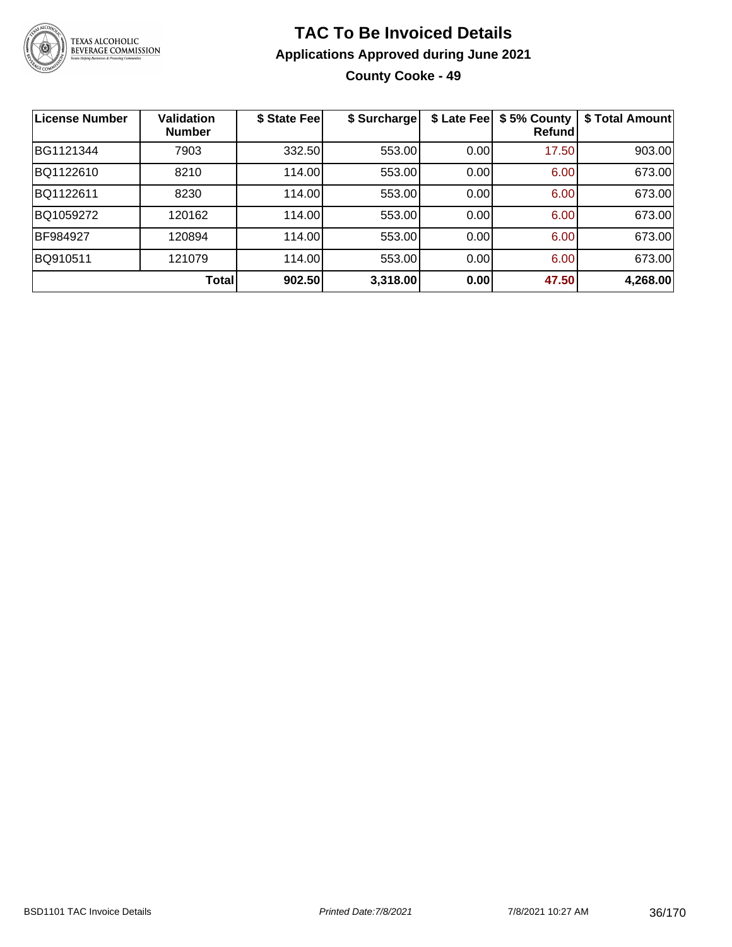

### **TAC To Be Invoiced Details Applications Approved during June 2021 County Cooke - 49**

| <b>License Number</b> | <b>Validation</b><br><b>Number</b> | \$ State Fee | \$ Surcharge | \$ Late Fee | \$5% County<br>Refundl | \$ Total Amount |
|-----------------------|------------------------------------|--------------|--------------|-------------|------------------------|-----------------|
| BG1121344             | 7903                               | 332.50       | 553.00       | 0.00        | 17.50                  | 903.00          |
| BQ1122610             | 8210                               | 114.00       | 553.00       | 0.00        | 6.00                   | 673.00          |
| BQ1122611             | 8230                               | 114.00       | 553.00       | 0.00        | 6.00                   | 673.00          |
| BQ1059272             | 120162                             | 114.00       | 553.00       | 0.00        | 6.00                   | 673.00          |
| BF984927              | 120894                             | 114.00       | 553.00       | 0.00        | 6.00                   | 673.00          |
| BQ910511              | 121079                             | 114.00       | 553.00       | 0.00        | 6.00                   | 673.00          |
|                       | Total                              | 902.50       | 3,318.00     | 0.00        | 47.50                  | 4,268.00        |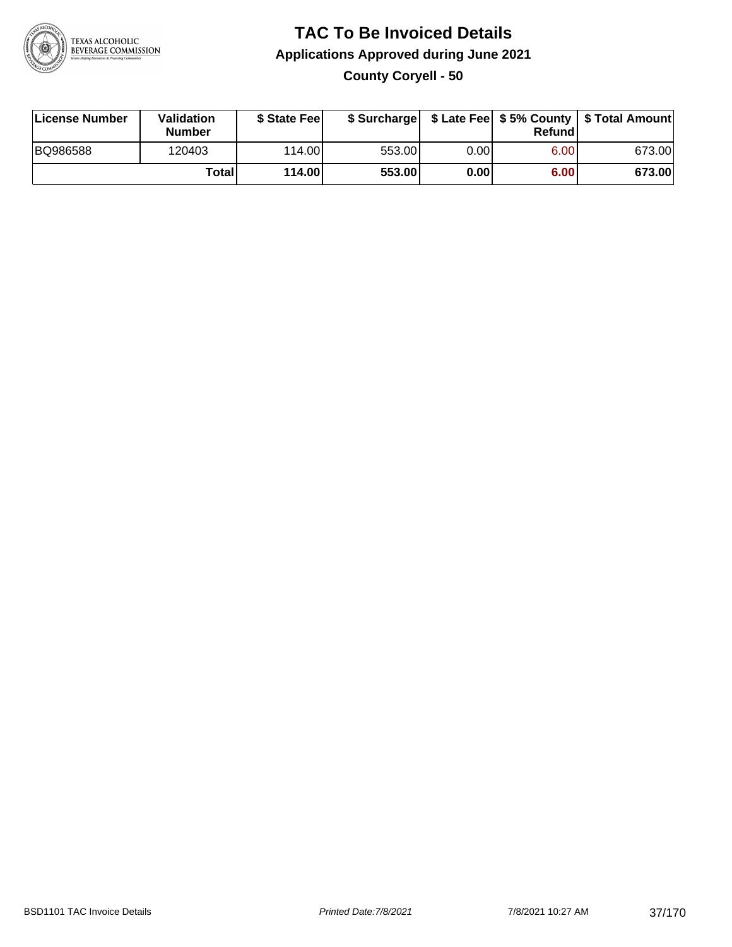

# **TAC To Be Invoiced Details Applications Approved during June 2021 County Coryell - 50**

| License Number | Validation<br><b>Number</b> | \$ State Fee |        |      | Refundl           | \$ Surcharge   \$ Late Fee   \$5% County   \$ Total Amount |
|----------------|-----------------------------|--------------|--------|------|-------------------|------------------------------------------------------------|
| BQ986588       | 120403                      | 114.00L      | 553.00 | 0.00 | 6.00 <sub>1</sub> | 673.00                                                     |
|                | Total                       | 114.00       | 553.00 | 0.00 | 6.00              | 673.00                                                     |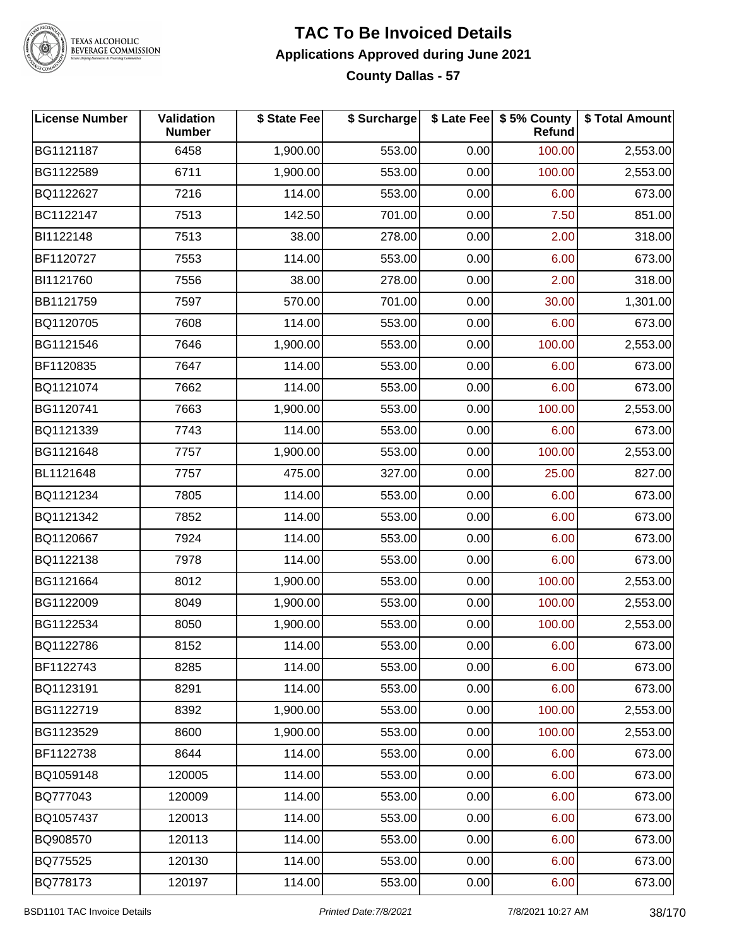

# TEXAS ALCOHOLIC<br>BEVERAGE COMMISSION

#### **TAC To Be Invoiced Details Applications Approved during June 2021 County Dallas - 57**

| <b>License Number</b> | Validation<br><b>Number</b> | \$ State Fee | \$ Surcharge |      | \$ Late Fee   \$5% County<br>Refund | \$ Total Amount |
|-----------------------|-----------------------------|--------------|--------------|------|-------------------------------------|-----------------|
| BG1121187             | 6458                        | 1,900.00     | 553.00       | 0.00 | 100.00                              | 2,553.00        |
| BG1122589             | 6711                        | 1,900.00     | 553.00       | 0.00 | 100.00                              | 2,553.00        |
| BQ1122627             | 7216                        | 114.00       | 553.00       | 0.00 | 6.00                                | 673.00          |
| BC1122147             | 7513                        | 142.50       | 701.00       | 0.00 | 7.50                                | 851.00          |
| BI1122148             | 7513                        | 38.00        | 278.00       | 0.00 | 2.00                                | 318.00          |
| BF1120727             | 7553                        | 114.00       | 553.00       | 0.00 | 6.00                                | 673.00          |
| BI1121760             | 7556                        | 38.00        | 278.00       | 0.00 | 2.00                                | 318.00          |
| BB1121759             | 7597                        | 570.00       | 701.00       | 0.00 | 30.00                               | 1,301.00        |
| BQ1120705             | 7608                        | 114.00       | 553.00       | 0.00 | 6.00                                | 673.00          |
| BG1121546             | 7646                        | 1,900.00     | 553.00       | 0.00 | 100.00                              | 2,553.00        |
| BF1120835             | 7647                        | 114.00       | 553.00       | 0.00 | 6.00                                | 673.00          |
| BQ1121074             | 7662                        | 114.00       | 553.00       | 0.00 | 6.00                                | 673.00          |
| BG1120741             | 7663                        | 1,900.00     | 553.00       | 0.00 | 100.00                              | 2,553.00        |
| BQ1121339             | 7743                        | 114.00       | 553.00       | 0.00 | 6.00                                | 673.00          |
| BG1121648             | 7757                        | 1,900.00     | 553.00       | 0.00 | 100.00                              | 2,553.00        |
| BL1121648             | 7757                        | 475.00       | 327.00       | 0.00 | 25.00                               | 827.00          |
| BQ1121234             | 7805                        | 114.00       | 553.00       | 0.00 | 6.00                                | 673.00          |
| BQ1121342             | 7852                        | 114.00       | 553.00       | 0.00 | 6.00                                | 673.00          |
| BQ1120667             | 7924                        | 114.00       | 553.00       | 0.00 | 6.00                                | 673.00          |
| BQ1122138             | 7978                        | 114.00       | 553.00       | 0.00 | 6.00                                | 673.00          |
| BG1121664             | 8012                        | 1,900.00     | 553.00       | 0.00 | 100.00                              | 2,553.00        |
| BG1122009             | 8049                        | 1,900.00     | 553.00       | 0.00 | 100.00                              | 2,553.00        |
| BG1122534             | 8050                        | 1,900.00     | 553.00       | 0.00 | 100.00                              | 2,553.00        |
| BQ1122786             | 8152                        | 114.00       | 553.00       | 0.00 | 6.00                                | 673.00          |
| BF1122743             | 8285                        | 114.00       | 553.00       | 0.00 | 6.00                                | 673.00          |
| BQ1123191             | 8291                        | 114.00       | 553.00       | 0.00 | 6.00                                | 673.00          |
| BG1122719             | 8392                        | 1,900.00     | 553.00       | 0.00 | 100.00                              | 2,553.00        |
| BG1123529             | 8600                        | 1,900.00     | 553.00       | 0.00 | 100.00                              | 2,553.00        |
| BF1122738             | 8644                        | 114.00       | 553.00       | 0.00 | 6.00                                | 673.00          |
| BQ1059148             | 120005                      | 114.00       | 553.00       | 0.00 | 6.00                                | 673.00          |
| BQ777043              | 120009                      | 114.00       | 553.00       | 0.00 | 6.00                                | 673.00          |
| BQ1057437             | 120013                      | 114.00       | 553.00       | 0.00 | 6.00                                | 673.00          |
| BQ908570              | 120113                      | 114.00       | 553.00       | 0.00 | 6.00                                | 673.00          |
| BQ775525              | 120130                      | 114.00       | 553.00       | 0.00 | 6.00                                | 673.00          |
| BQ778173              | 120197                      | 114.00       | 553.00       | 0.00 | 6.00                                | 673.00          |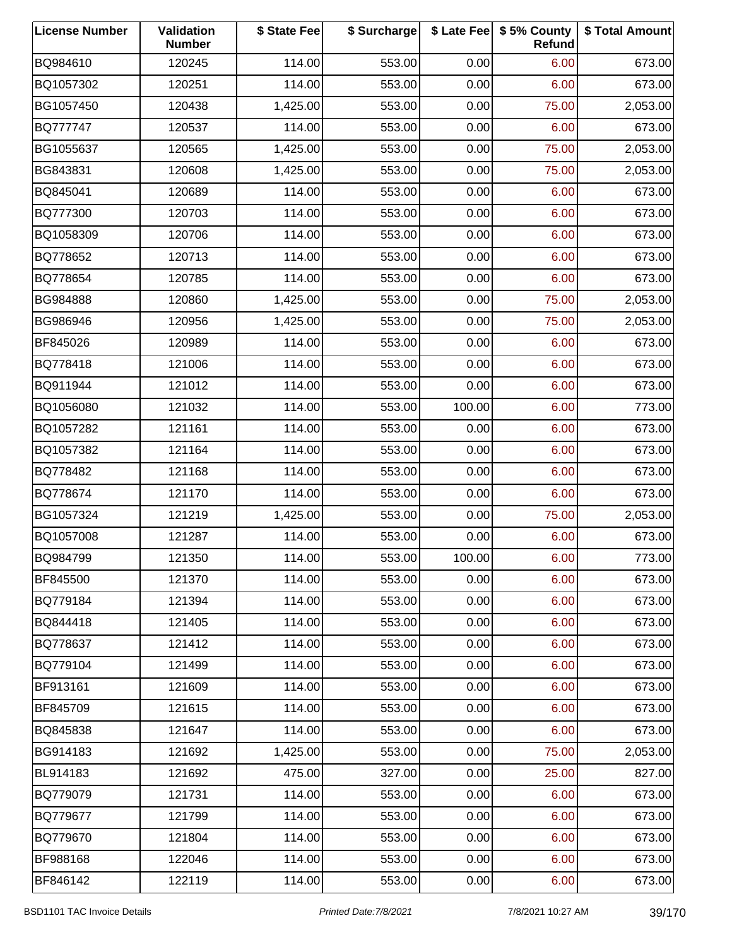| <b>License Number</b> | Validation<br><b>Number</b> | \$ State Fee | \$ Surcharge |        | \$ Late Fee   \$5% County<br>Refund | \$ Total Amount |
|-----------------------|-----------------------------|--------------|--------------|--------|-------------------------------------|-----------------|
| BQ984610              | 120245                      | 114.00       | 553.00       | 0.00   | 6.00                                | 673.00          |
| BQ1057302             | 120251                      | 114.00       | 553.00       | 0.00   | 6.00                                | 673.00          |
| BG1057450             | 120438                      | 1,425.00     | 553.00       | 0.00   | 75.00                               | 2,053.00        |
| BQ777747              | 120537                      | 114.00       | 553.00       | 0.00   | 6.00                                | 673.00          |
| BG1055637             | 120565                      | 1,425.00     | 553.00       | 0.00   | 75.00                               | 2,053.00        |
| BG843831              | 120608                      | 1,425.00     | 553.00       | 0.00   | 75.00                               | 2,053.00        |
| BQ845041              | 120689                      | 114.00       | 553.00       | 0.00   | 6.00                                | 673.00          |
| BQ777300              | 120703                      | 114.00       | 553.00       | 0.00   | 6.00                                | 673.00          |
| BQ1058309             | 120706                      | 114.00       | 553.00       | 0.00   | 6.00                                | 673.00          |
| BQ778652              | 120713                      | 114.00       | 553.00       | 0.00   | 6.00                                | 673.00          |
| BQ778654              | 120785                      | 114.00       | 553.00       | 0.00   | 6.00                                | 673.00          |
| BG984888              | 120860                      | 1,425.00     | 553.00       | 0.00   | 75.00                               | 2,053.00        |
| BG986946              | 120956                      | 1,425.00     | 553.00       | 0.00   | 75.00                               | 2,053.00        |
| BF845026              | 120989                      | 114.00       | 553.00       | 0.00   | 6.00                                | 673.00          |
| BQ778418              | 121006                      | 114.00       | 553.00       | 0.00   | 6.00                                | 673.00          |
| BQ911944              | 121012                      | 114.00       | 553.00       | 0.00   | 6.00                                | 673.00          |
| BQ1056080             | 121032                      | 114.00       | 553.00       | 100.00 | 6.00                                | 773.00          |
| BQ1057282             | 121161                      | 114.00       | 553.00       | 0.00   | 6.00                                | 673.00          |
| BQ1057382             | 121164                      | 114.00       | 553.00       | 0.00   | 6.00                                | 673.00          |
| BQ778482              | 121168                      | 114.00       | 553.00       | 0.00   | 6.00                                | 673.00          |
| BQ778674              | 121170                      | 114.00       | 553.00       | 0.00   | 6.00                                | 673.00          |
| BG1057324             | 121219                      | 1,425.00     | 553.00       | 0.00   | 75.00                               | 2,053.00        |
| BQ1057008             | 121287                      | 114.00       | 553.00       | 0.00   | 6.00                                | 673.00          |
| BQ984799              | 121350                      | 114.00       | 553.00       | 100.00 | 6.00                                | 773.00          |
| BF845500              | 121370                      | 114.00       | 553.00       | 0.00   | 6.00                                | 673.00          |
| BQ779184              | 121394                      | 114.00       | 553.00       | 0.00   | 6.00                                | 673.00          |
| BQ844418              | 121405                      | 114.00       | 553.00       | 0.00   | 6.00                                | 673.00          |
| BQ778637              | 121412                      | 114.00       | 553.00       | 0.00   | 6.00                                | 673.00          |
| BQ779104              | 121499                      | 114.00       | 553.00       | 0.00   | 6.00                                | 673.00          |
| BF913161              | 121609                      | 114.00       | 553.00       | 0.00   | 6.00                                | 673.00          |
| BF845709              | 121615                      | 114.00       | 553.00       | 0.00   | 6.00                                | 673.00          |
| BQ845838              | 121647                      | 114.00       | 553.00       | 0.00   | 6.00                                | 673.00          |
| BG914183              | 121692                      | 1,425.00     | 553.00       | 0.00   | 75.00                               | 2,053.00        |
| BL914183              | 121692                      | 475.00       | 327.00       | 0.00   | 25.00                               | 827.00          |
| BQ779079              | 121731                      | 114.00       | 553.00       | 0.00   | 6.00                                | 673.00          |
| BQ779677              | 121799                      | 114.00       | 553.00       | 0.00   | 6.00                                | 673.00          |
| BQ779670              | 121804                      | 114.00       | 553.00       | 0.00   | 6.00                                | 673.00          |
| BF988168              | 122046                      | 114.00       | 553.00       | 0.00   | 6.00                                | 673.00          |
| BF846142              | 122119                      | 114.00       | 553.00       | 0.00   | 6.00                                | 673.00          |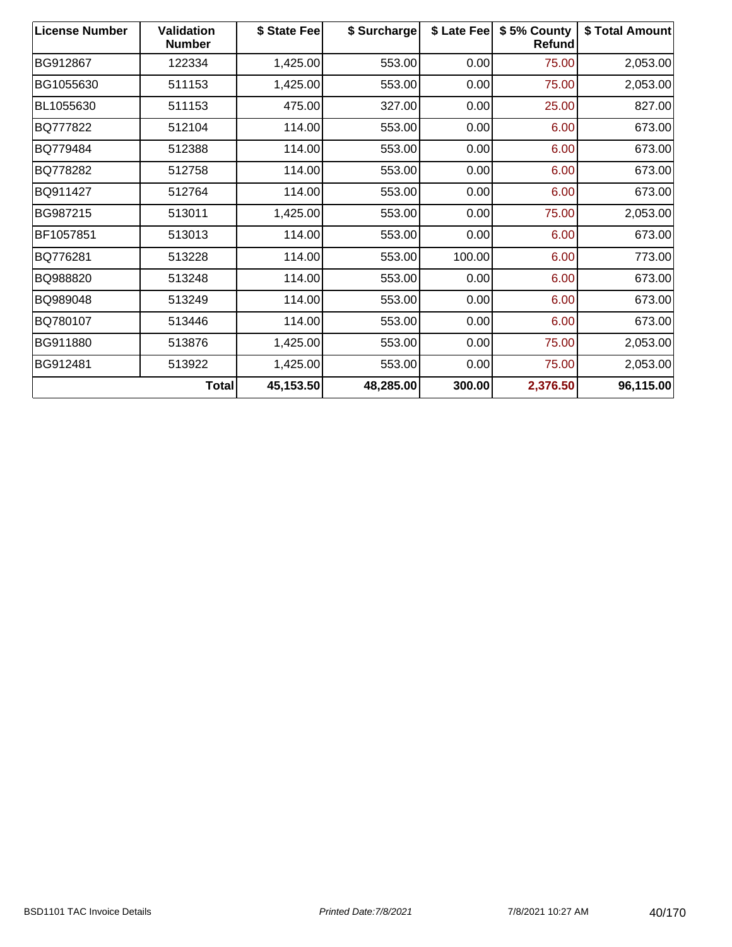| <b>License Number</b> | <b>Validation</b><br><b>Number</b> | \$ State Fee | \$ Surcharge | \$ Late Fee | \$5% County<br>Refund | \$ Total Amount |
|-----------------------|------------------------------------|--------------|--------------|-------------|-----------------------|-----------------|
| BG912867              | 122334                             | 1,425.00     | 553.00       | 0.00        | 75.00                 | 2,053.00        |
| BG1055630             | 511153                             | 1,425.00     | 553.00       | 0.00        | 75.00                 | 2,053.00        |
| BL1055630             | 511153                             | 475.00       | 327.00       | 0.00        | 25.00                 | 827.00          |
| BQ777822              | 512104                             | 114.00       | 553.00       | 0.00        | 6.00                  | 673.00          |
| BQ779484              | 512388                             | 114.00       | 553.00       | 0.00        | 6.00                  | 673.00          |
| BQ778282              | 512758                             | 114.00       | 553.00       | 0.00        | 6.00                  | 673.00          |
| BQ911427              | 512764                             | 114.00       | 553.00       | 0.00        | 6.00                  | 673.00          |
| BG987215              | 513011                             | 1,425.00     | 553.00       | 0.00        | 75.00                 | 2,053.00        |
| BF1057851             | 513013                             | 114.00       | 553.00       | 0.00        | 6.00                  | 673.00          |
| BQ776281              | 513228                             | 114.00       | 553.00       | 100.00      | 6.00                  | 773.00          |
| BQ988820              | 513248                             | 114.00       | 553.00       | 0.00        | 6.00                  | 673.00          |
| BQ989048              | 513249                             | 114.00       | 553.00       | 0.00        | 6.00                  | 673.00          |
| BQ780107              | 513446                             | 114.00       | 553.00       | 0.00        | 6.00                  | 673.00          |
| BG911880              | 513876                             | 1,425.00     | 553.00       | 0.00        | 75.00                 | 2,053.00        |
| BG912481              | 513922                             | 1,425.00     | 553.00       | 0.00        | 75.00                 | 2,053.00        |
|                       | Total                              | 45,153.50    | 48,285.00    | 300.00      | 2,376.50              | 96,115.00       |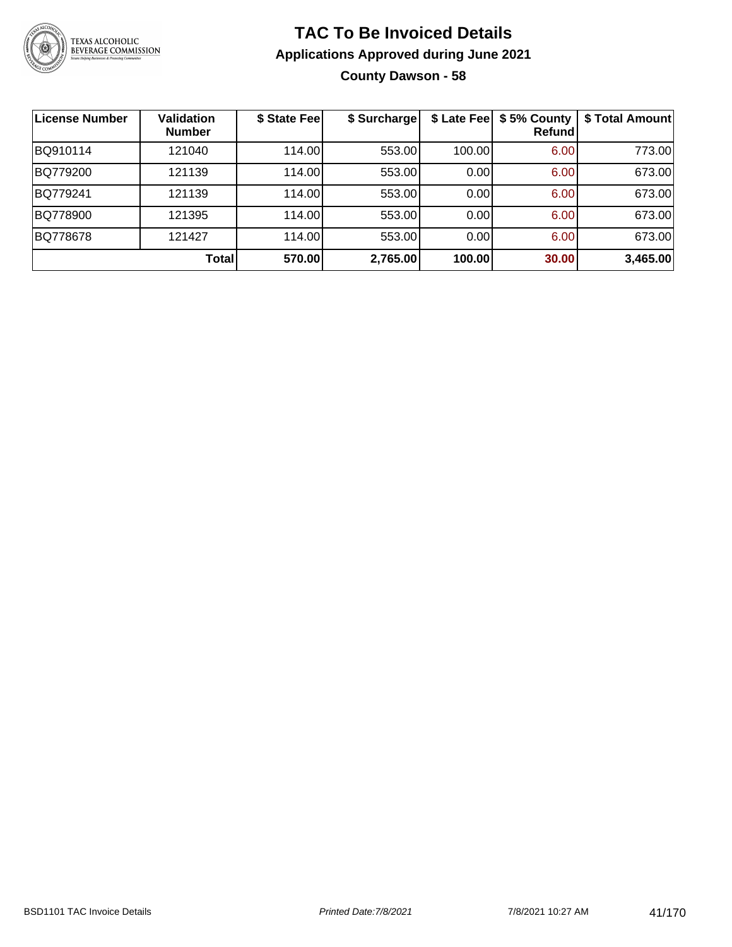

# **TAC To Be Invoiced Details Applications Approved during June 2021 County Dawson - 58**

| <b>License Number</b> | <b>Validation</b><br><b>Number</b> | \$ State Fee | \$ Surcharge |        | \$ Late Fee   \$5% County<br>Refundl | \$ Total Amount |
|-----------------------|------------------------------------|--------------|--------------|--------|--------------------------------------|-----------------|
| BQ910114              | 121040                             | 114.00       | 553.00       | 100.00 | 6.00                                 | 773.00          |
| BQ779200              | 121139                             | 114.00       | 553.00       | 0.00   | 6.00                                 | 673.00          |
| BQ779241              | 121139                             | 114.00       | 553.00       | 0.00   | 6.00                                 | 673.00          |
| BQ778900              | 121395                             | 114.00       | 553.00       | 0.00   | 6.00                                 | 673.00          |
| BQ778678              | 121427                             | 114.00       | 553.00       | 0.00   | 6.00                                 | 673.00          |
|                       | Total                              | 570.00       | 2,765.00     | 100.00 | 30.00                                | 3,465.00        |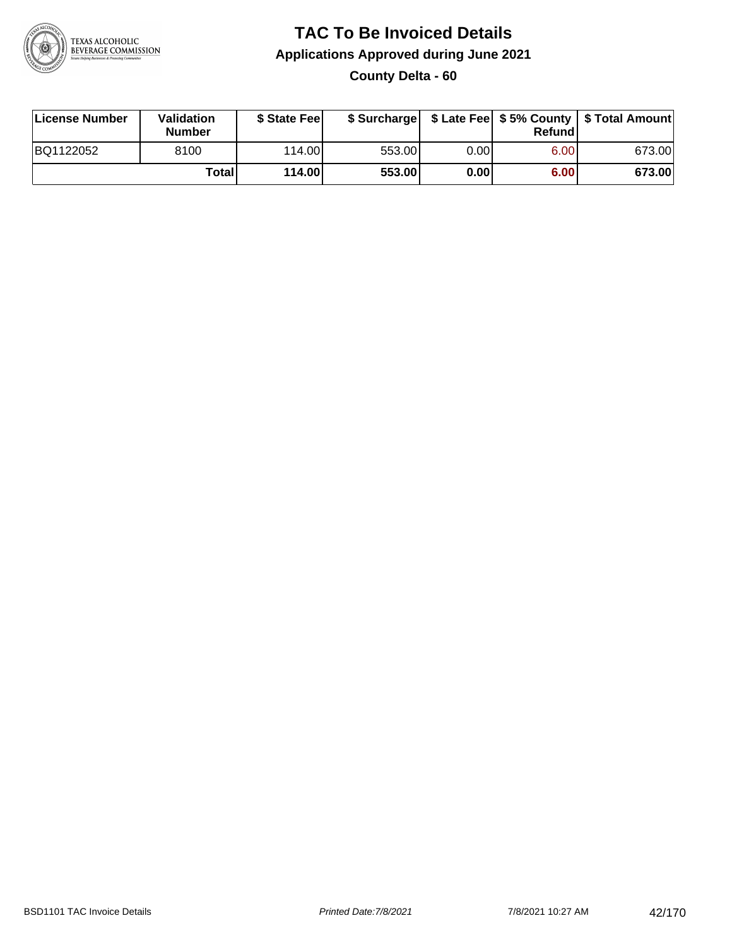

### **TAC To Be Invoiced Details Applications Approved during June 2021 County Delta - 60**

| License Number | Validation<br><b>Number</b> | \$ State Fee |        |      | Refundl | \$ Surcharge   \$ Late Fee   \$5% County   \$ Total Amount |
|----------------|-----------------------------|--------------|--------|------|---------|------------------------------------------------------------|
| BQ1122052      | 8100                        | 114.00       | 553.00 | 0.00 | 6.00    | 673.00                                                     |
|                | <b>Total</b>                | 114.00       | 553.00 | 0.00 | 6.00    | 673.00                                                     |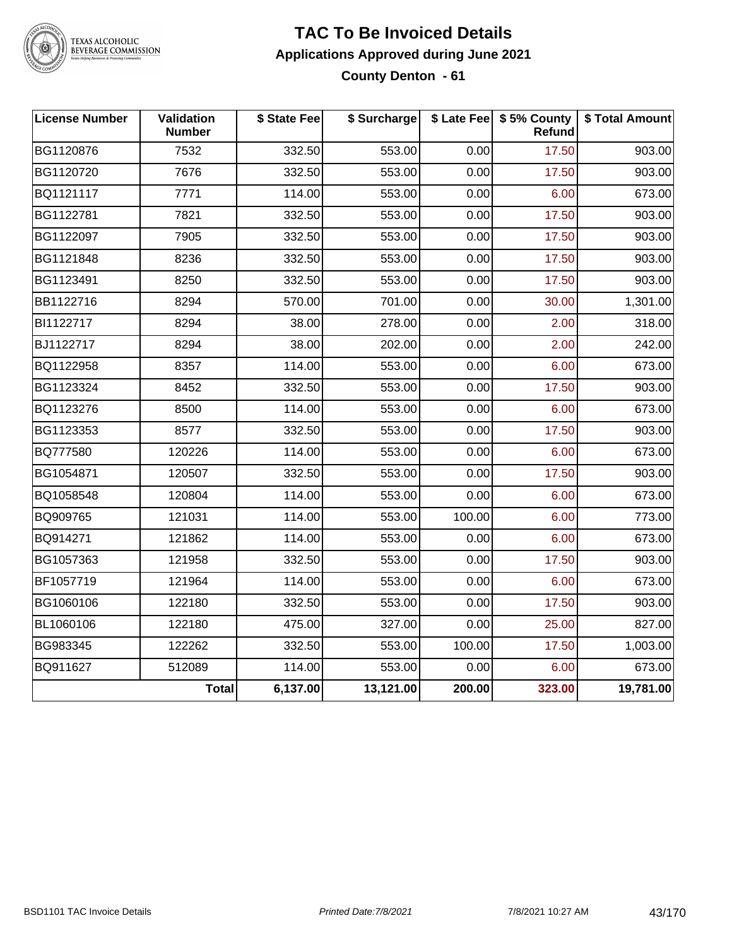

# TEXAS ALCOHOLIC<br>BEVERAGE COMMISSION

#### **TAC To Be Invoiced Details Applications Approved during June 2021 County Denton - 61**

| <b>License Number</b> | Validation<br><b>Number</b> | \$ State Fee | \$ Surcharge |        | \$ Late Fee   \$5% County<br>Refund | \$ Total Amount |
|-----------------------|-----------------------------|--------------|--------------|--------|-------------------------------------|-----------------|
| BG1120876             | 7532                        | 332.50       | 553.00       | 0.00   | 17.50                               | 903.00          |
| BG1120720             | 7676                        | 332.50       | 553.00       | 0.00   | 17.50                               | 903.00          |
| BQ1121117             | 7771                        | 114.00       | 553.00       | 0.00   | 6.00                                | 673.00          |
| BG1122781             | 7821                        | 332.50       | 553.00       | 0.00   | 17.50                               | 903.00          |
| BG1122097             | 7905                        | 332.50       | 553.00       | 0.00   | 17.50                               | 903.00          |
| BG1121848             | 8236                        | 332.50       | 553.00       | 0.00   | 17.50                               | 903.00          |
| BG1123491             | 8250                        | 332.50       | 553.00       | 0.00   | 17.50                               | 903.00          |
| BB1122716             | 8294                        | 570.00       | 701.00       | 0.00   | 30.00                               | 1,301.00        |
| BI1122717             | 8294                        | 38.00        | 278.00       | 0.00   | 2.00                                | 318.00          |
| BJ1122717             | 8294                        | 38.00        | 202.00       | 0.00   | 2.00                                | 242.00          |
| BQ1122958             | 8357                        | 114.00       | 553.00       | 0.00   | 6.00                                | 673.00          |
| BG1123324             | 8452                        | 332.50       | 553.00       | 0.00   | 17.50                               | 903.00          |
| BQ1123276             | 8500                        | 114.00       | 553.00       | 0.00   | 6.00                                | 673.00          |
| BG1123353             | 8577                        | 332.50       | 553.00       | 0.00   | 17.50                               | 903.00          |
| BQ777580              | 120226                      | 114.00       | 553.00       | 0.00   | 6.00                                | 673.00          |
| BG1054871             | 120507                      | 332.50       | 553.00       | 0.00   | 17.50                               | 903.00          |
| BQ1058548             | 120804                      | 114.00       | 553.00       | 0.00   | 6.00                                | 673.00          |
| BQ909765              | 121031                      | 114.00       | 553.00       | 100.00 | 6.00                                | 773.00          |
| BQ914271              | 121862                      | 114.00       | 553.00       | 0.00   | 6.00                                | 673.00          |
| BG1057363             | 121958                      | 332.50       | 553.00       | 0.00   | 17.50                               | 903.00          |
| BF1057719             | 121964                      | 114.00       | 553.00       | 0.00   | 6.00                                | 673.00          |
| BG1060106             | 122180                      | 332.50       | 553.00       | 0.00   | 17.50                               | 903.00          |
| BL1060106             | 122180                      | 475.00       | 327.00       | 0.00   | 25.00                               | 827.00          |
| BG983345              | 122262                      | 332.50       | 553.00       | 100.00 | 17.50                               | 1,003.00        |
| BQ911627              | 512089                      | 114.00       | 553.00       | 0.00   | 6.00                                | 673.00          |
|                       | <b>Total</b>                | 6,137.00     | 13,121.00    | 200.00 | 323.00                              | 19,781.00       |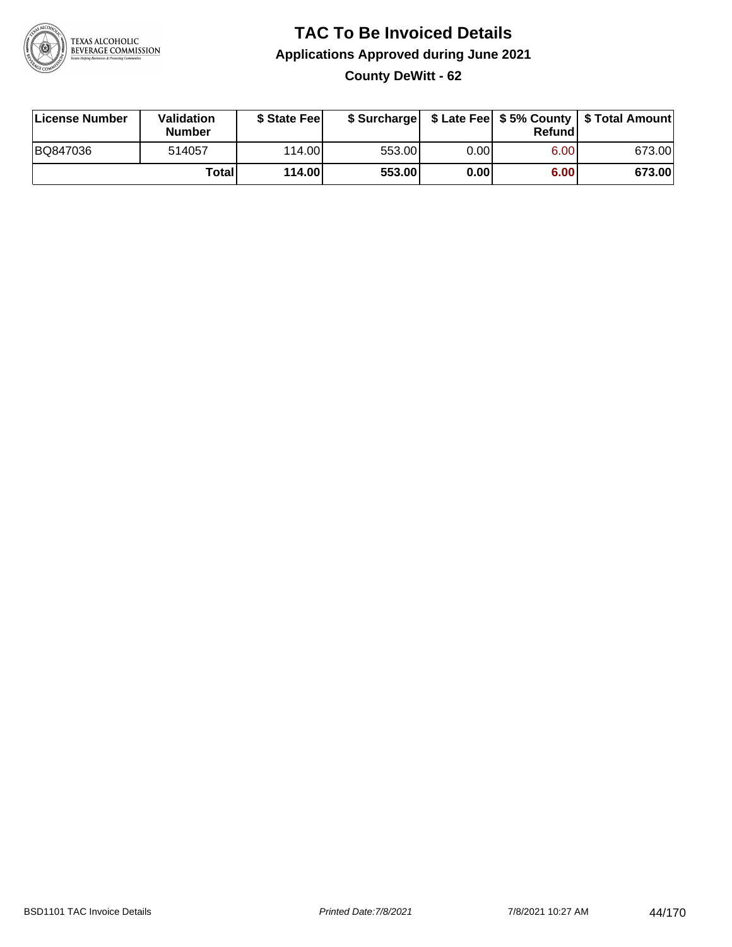

# **TAC To Be Invoiced Details Applications Approved during June 2021 County DeWitt - 62**

| License Number | Validation<br><b>Number</b> | \$ State Feel |        |      | Refundl | \$ Surcharge   \$ Late Fee   \$5% County   \$ Total Amount |
|----------------|-----------------------------|---------------|--------|------|---------|------------------------------------------------------------|
| BQ847036       | 514057                      | 114.00L       | 553.00 | 0.00 | 6.00    | 673.00                                                     |
|                | Total                       | 114.00        | 553.00 | 0.00 | 6.00    | 673.00                                                     |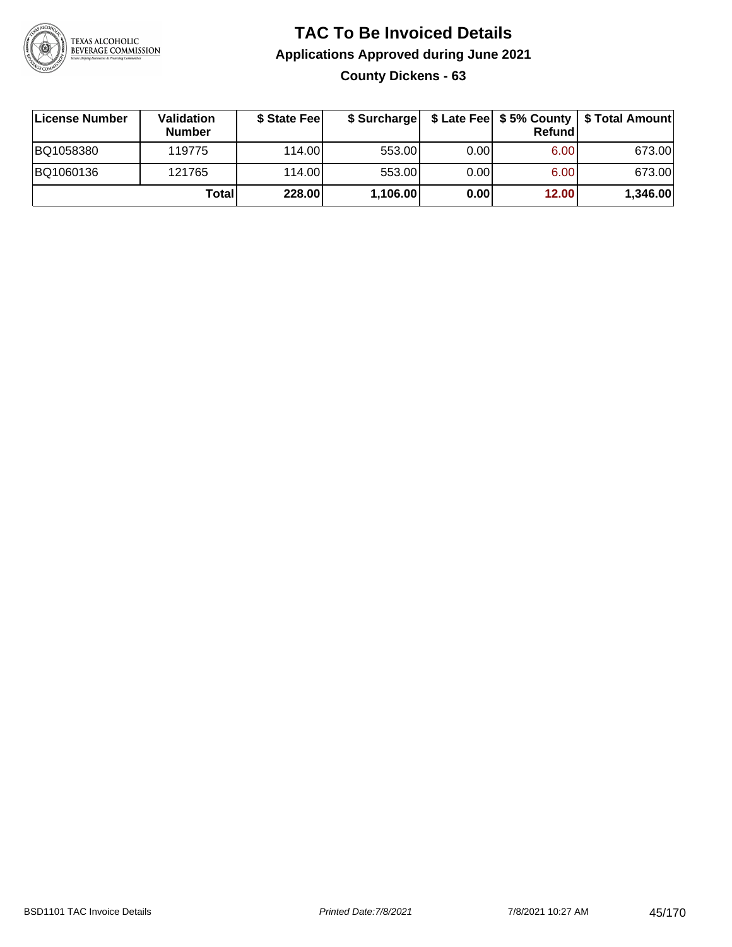

# **TAC To Be Invoiced Details Applications Approved during June 2021 County Dickens - 63**

| License Number | <b>Validation</b><br><b>Number</b> | \$ State Fee |          |       | <b>Refund</b> | \$ Surcharge   \$ Late Fee   \$5% County   \$ Total Amount |
|----------------|------------------------------------|--------------|----------|-------|---------------|------------------------------------------------------------|
| BQ1058380      | 119775                             | 114.00L      | 553.00   | 0.001 | 6.00          | 673.00                                                     |
| BQ1060136      | 121765                             | 114.00L      | 553.00   | 0.00  | 6.00          | 673.00                                                     |
|                | Totall                             | 228.00       | 1,106.00 | 0.00  | 12.00         | 1,346.00                                                   |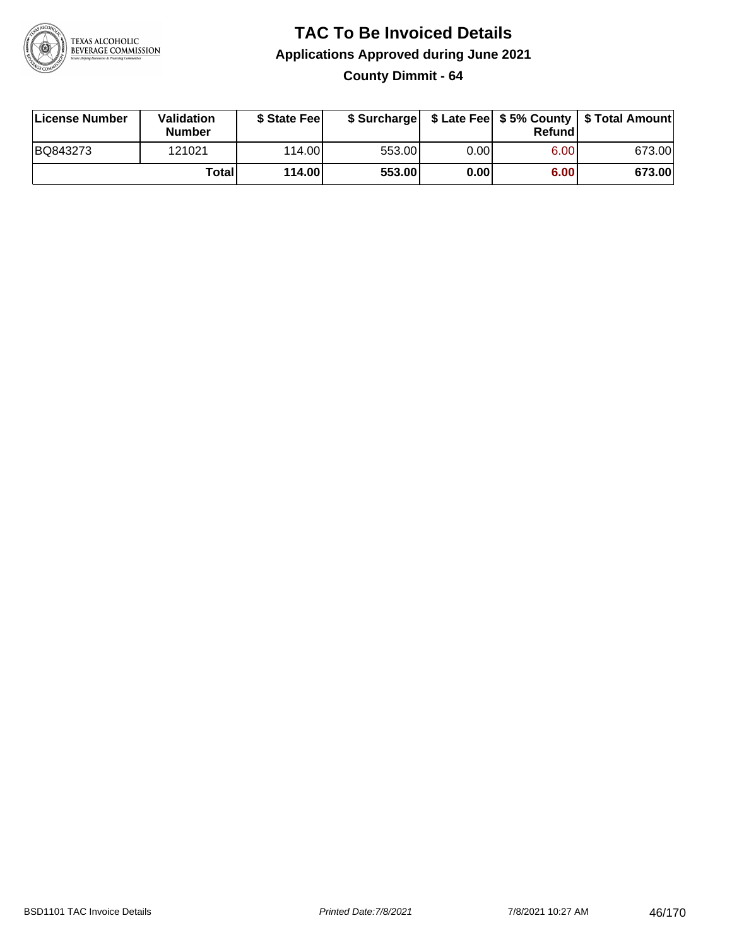

**County Dimmit - 64**

| License Number | Validation<br><b>Number</b> | \$ State Feel |        |      | Refundl | \$ Surcharge   \$ Late Fee   \$5% County   \$ Total Amount |
|----------------|-----------------------------|---------------|--------|------|---------|------------------------------------------------------------|
| BQ843273       | 121021                      | 114.00        | 553.00 | 0.00 | 6.00    | 673.00                                                     |
|                | Totall                      | 114.00        | 553.00 | 0.00 | 6.00    | 673.00                                                     |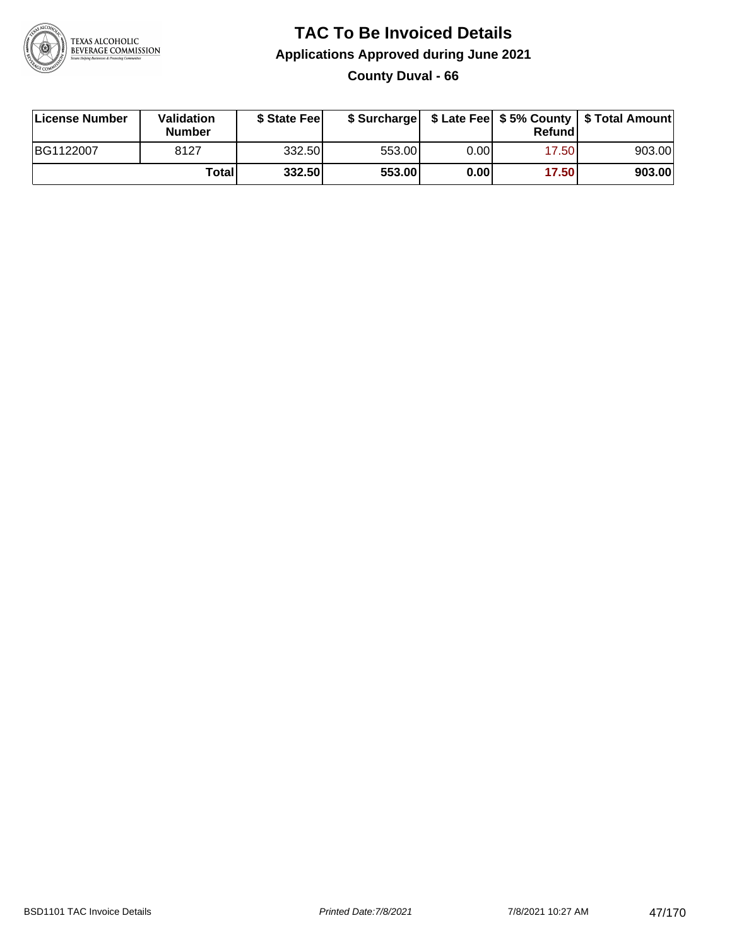

### **TAC To Be Invoiced Details Applications Approved during June 2021 County Duval - 66**

| License Number | Validation<br><b>Number</b> | \$ State Feel |        |      | Refundl | \$ Surcharge   \$ Late Fee   \$5% County   \$ Total Amount |
|----------------|-----------------------------|---------------|--------|------|---------|------------------------------------------------------------|
| BG1122007      | 8127                        | 332.50        | 553.00 | 0.00 | 17.50   | 903.00                                                     |
|                | Totall                      | 332.50        | 553.00 | 0.00 | 17.50   | 903.00                                                     |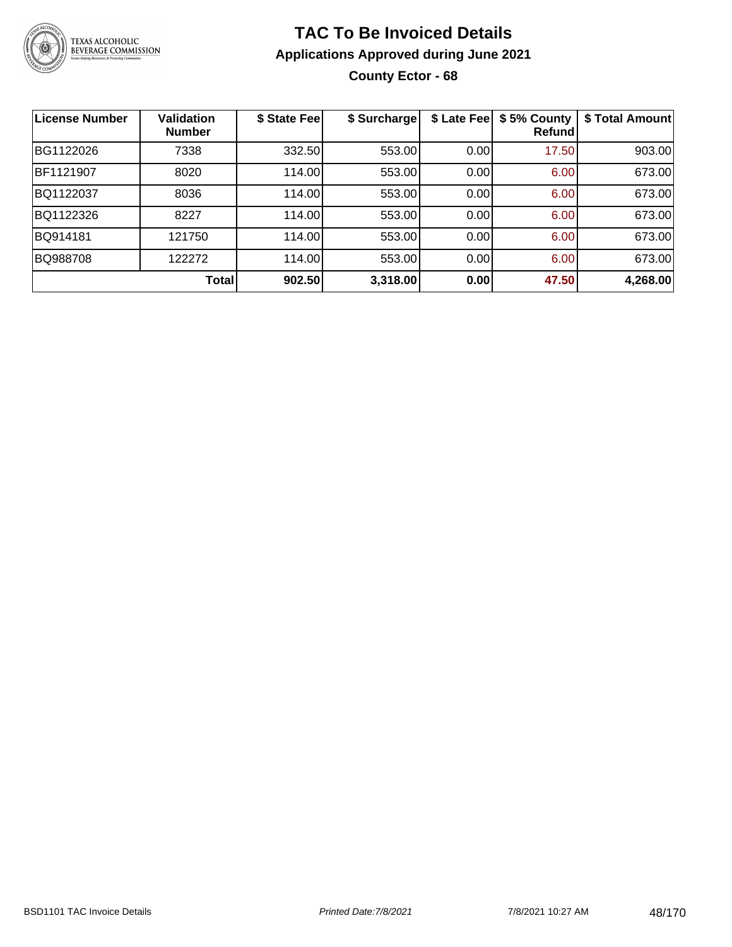

# **TAC To Be Invoiced Details Applications Approved during June 2021 County Ector - 68**

| License Number | <b>Validation</b><br><b>Number</b> | \$ State Fee | \$ Surcharge | \$ Late Fee | \$5% County<br><b>Refund</b> | \$ Total Amount |
|----------------|------------------------------------|--------------|--------------|-------------|------------------------------|-----------------|
| BG1122026      | 7338                               | 332.50       | 553.00       | 0.00        | 17.50                        | 903.00          |
| BF1121907      | 8020                               | 114.00       | 553.00       | 0.00        | 6.00                         | 673.00          |
| BQ1122037      | 8036                               | 114.00       | 553.00       | 0.00        | 6.00                         | 673.00          |
| BQ1122326      | 8227                               | 114.00       | 553.00       | 0.00        | 6.00                         | 673.00          |
| BQ914181       | 121750                             | 114.00       | 553.00       | 0.00        | 6.00                         | 673.00          |
| BQ988708       | 122272                             | 114.00       | 553.00       | 0.00        | 6.00                         | 673.00          |
|                | Total                              | 902.50       | 3,318.00     | 0.00        | 47.50                        | 4,268.00        |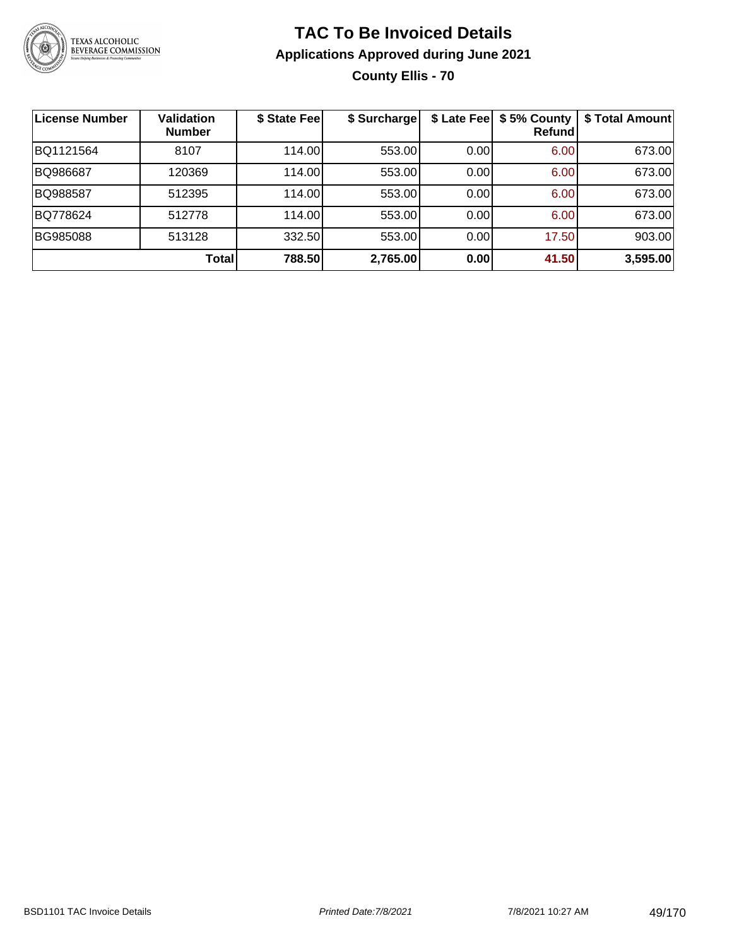

**County Ellis - 70**

| <b>License Number</b> | <b>Validation</b><br><b>Number</b> | \$ State Fee | \$ Surcharge |      | \$ Late Fee   \$5% County<br>Refundl | \$ Total Amount |
|-----------------------|------------------------------------|--------------|--------------|------|--------------------------------------|-----------------|
| BQ1121564             | 8107                               | 114.00       | 553.00       | 0.00 | 6.00                                 | 673.00          |
| BQ986687              | 120369                             | 114.00       | 553.00       | 0.00 | 6.00                                 | 673.00          |
| BQ988587              | 512395                             | 114.00L      | 553.00       | 0.00 | 6.00                                 | 673.00          |
| BQ778624              | 512778                             | 114.00       | 553.00       | 0.00 | 6.00                                 | 673.00          |
| <b>BG985088</b>       | 513128                             | 332.50       | 553.00       | 0.00 | 17.50                                | 903.00          |
|                       | <b>Total</b>                       | 788.50       | 2,765.00     | 0.00 | 41.50                                | 3,595.00        |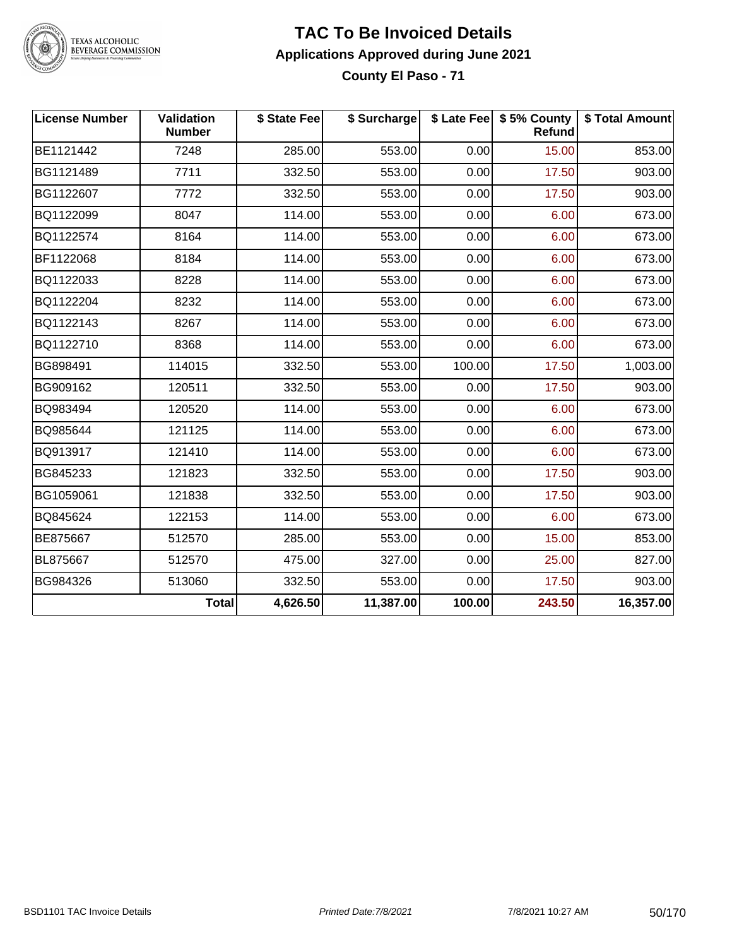

TEXAS ALCOHOLIC<br>BEVERAGE COMMISSION

#### **TAC To Be Invoiced Details Applications Approved during June 2021 County El Paso - 71**

| <b>License Number</b> | Validation<br><b>Number</b> | \$ State Fee | \$ Surcharge |        | \$ Late Fee   \$5% County<br>Refund | \$ Total Amount |
|-----------------------|-----------------------------|--------------|--------------|--------|-------------------------------------|-----------------|
| BE1121442             | 7248                        | 285.00       | 553.00       | 0.00   | 15.00                               | 853.00          |
| BG1121489             | 7711                        | 332.50       | 553.00       | 0.00   | 17.50                               | 903.00          |
| BG1122607             | 7772                        | 332.50       | 553.00       | 0.00   | 17.50                               | 903.00          |
| BQ1122099             | 8047                        | 114.00       | 553.00       | 0.00   | 6.00                                | 673.00          |
| BQ1122574             | 8164                        | 114.00       | 553.00       | 0.00   | 6.00                                | 673.00          |
| BF1122068             | 8184                        | 114.00       | 553.00       | 0.00   | 6.00                                | 673.00          |
| BQ1122033             | 8228                        | 114.00       | 553.00       | 0.00   | 6.00                                | 673.00          |
| BQ1122204             | 8232                        | 114.00       | 553.00       | 0.00   | 6.00                                | 673.00          |
| BQ1122143             | 8267                        | 114.00       | 553.00       | 0.00   | 6.00                                | 673.00          |
| BQ1122710             | 8368                        | 114.00       | 553.00       | 0.00   | 6.00                                | 673.00          |
| BG898491              | 114015                      | 332.50       | 553.00       | 100.00 | 17.50                               | 1,003.00        |
| BG909162              | 120511                      | 332.50       | 553.00       | 0.00   | 17.50                               | 903.00          |
| BQ983494              | 120520                      | 114.00       | 553.00       | 0.00   | 6.00                                | 673.00          |
| BQ985644              | 121125                      | 114.00       | 553.00       | 0.00   | 6.00                                | 673.00          |
| BQ913917              | 121410                      | 114.00       | 553.00       | 0.00   | 6.00                                | 673.00          |
| BG845233              | 121823                      | 332.50       | 553.00       | 0.00   | 17.50                               | 903.00          |
| BG1059061             | 121838                      | 332.50       | 553.00       | 0.00   | 17.50                               | 903.00          |
| BQ845624              | 122153                      | 114.00       | 553.00       | 0.00   | 6.00                                | 673.00          |
| BE875667              | 512570                      | 285.00       | 553.00       | 0.00   | 15.00                               | 853.00          |
| BL875667              | 512570                      | 475.00       | 327.00       | 0.00   | 25.00                               | 827.00          |
| BG984326              | 513060                      | 332.50       | 553.00       | 0.00   | 17.50                               | 903.00          |
|                       | <b>Total</b>                | 4,626.50     | 11,387.00    | 100.00 | 243.50                              | 16,357.00       |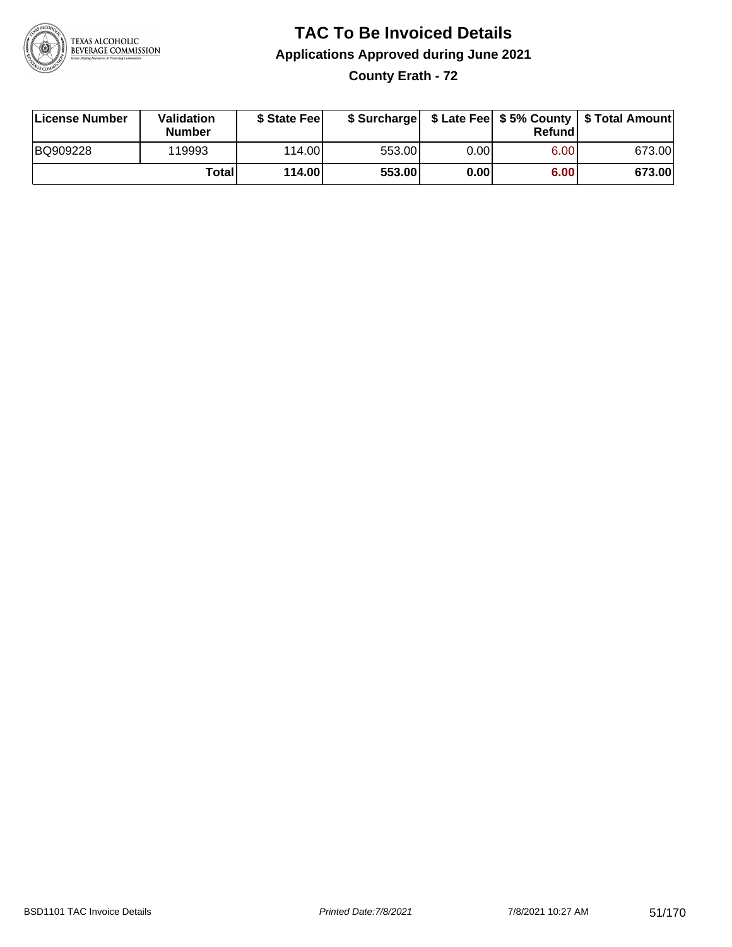

**County Erath - 72**

| License Number | Validation<br><b>Number</b> | \$ State Feel   |        |      | Refundl | \$ Surcharge   \$ Late Fee   \$5% County   \$ Total Amount |
|----------------|-----------------------------|-----------------|--------|------|---------|------------------------------------------------------------|
| BQ909228       | 119993                      | 114.00 <b>1</b> | 553.00 | 0.00 | 6.00    | 673.00                                                     |
|                | Totall                      | 114.00          | 553.00 | 0.00 | 6.00    | 673.00                                                     |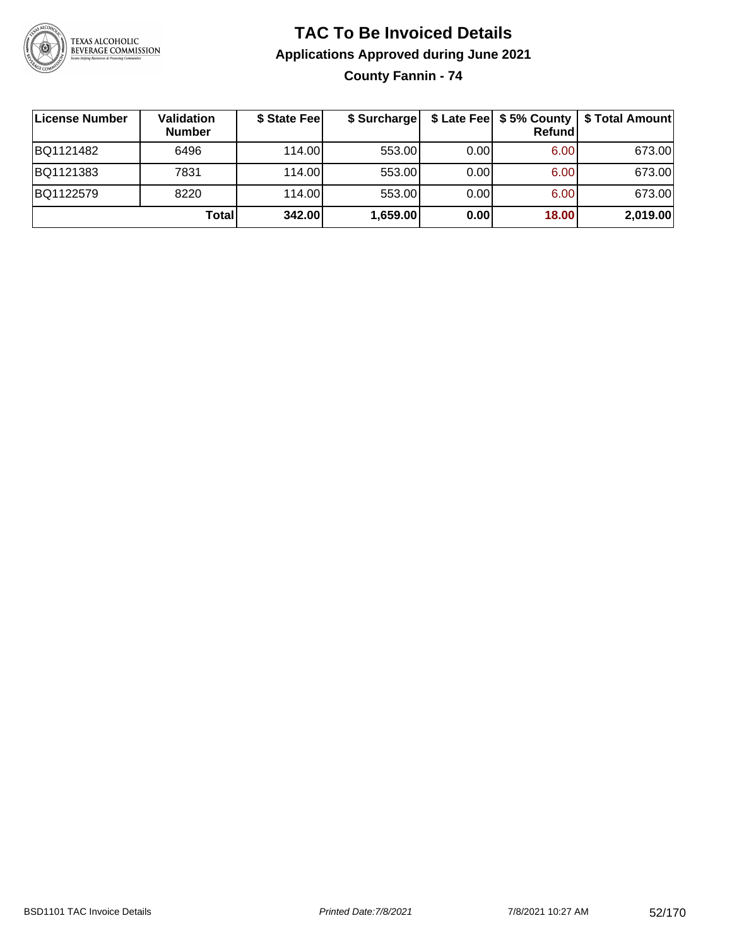

**County Fannin - 74**

| <b>License Number</b> | Validation<br><b>Number</b> | \$ State Fee | \$ Surcharge |      | Refundl | \$ Late Fee   \$5% County   \$ Total Amount |
|-----------------------|-----------------------------|--------------|--------------|------|---------|---------------------------------------------|
| BQ1121482             | 6496                        | 114.00       | 553.00       | 0.00 | 6.00    | 673.00                                      |
| BQ1121383             | 7831                        | 114.00       | 553.00       | 0.00 | 6.00    | 673.00                                      |
| BQ1122579             | 8220                        | 114.00       | 553.00       | 0.00 | 6.00    | 673.00                                      |
|                       | <b>Total</b>                | 342.00       | 1,659.00     | 0.00 | 18.00   | 2,019.00                                    |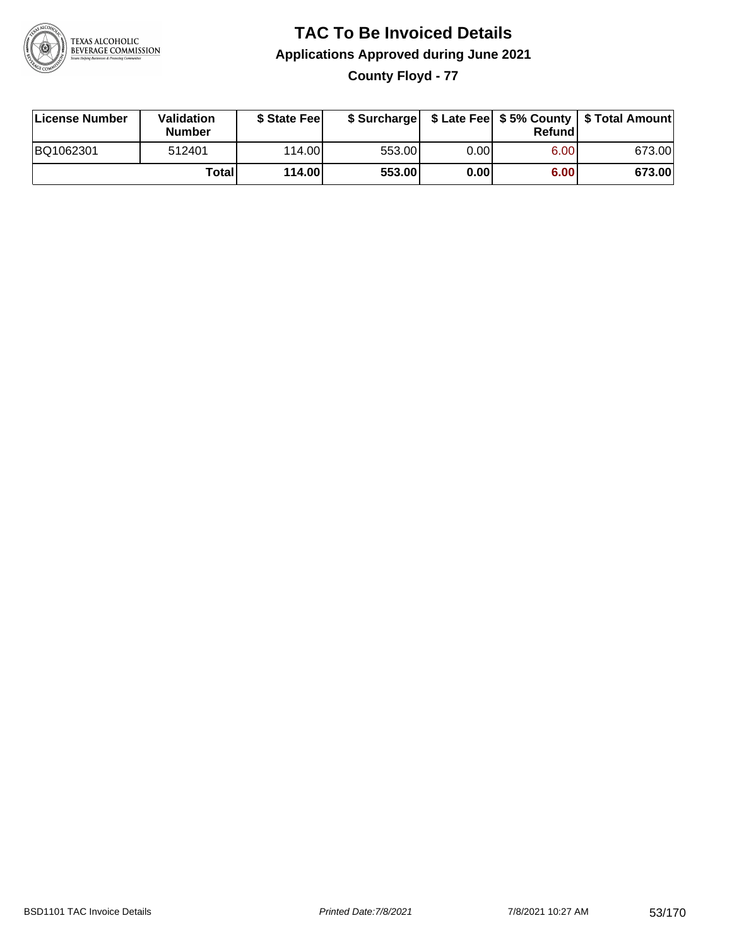

**County Floyd - 77**

| License Number | Validation<br><b>Number</b> | \$ State Feel |        |       | Refundl | \$ Surcharge   \$ Late Fee   \$5% County   \$ Total Amount |
|----------------|-----------------------------|---------------|--------|-------|---------|------------------------------------------------------------|
| BQ1062301      | 512401                      | 114.00        | 553.00 | 0.00I | 6.00    | 673.00                                                     |
|                | Totall                      | 114.00        | 553.00 | 0.00  | 6.00    | 673.00                                                     |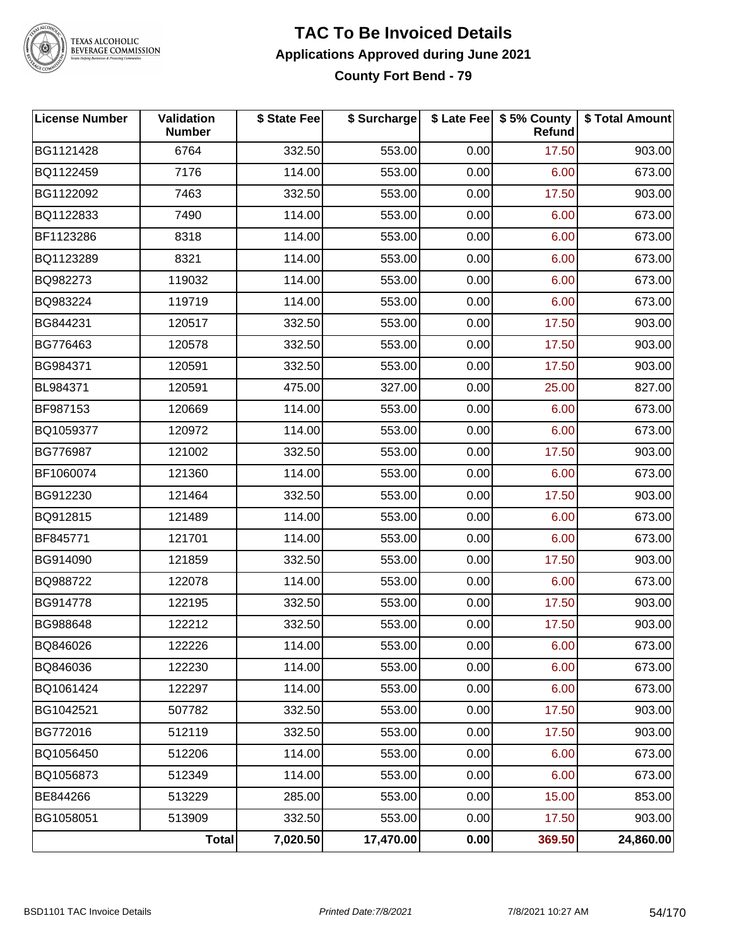

# TEXAS ALCOHOLIC<br>BEVERAGE COMMISSION

#### **TAC To Be Invoiced Details Applications Approved during June 2021 County Fort Bend - 79**

| <b>License Number</b> | Validation<br><b>Number</b> | \$ State Fee | \$ Surcharge |      | \$ Late Fee   \$5% County<br>Refund | \$ Total Amount |
|-----------------------|-----------------------------|--------------|--------------|------|-------------------------------------|-----------------|
| BG1121428             | 6764                        | 332.50       | 553.00       | 0.00 | 17.50                               | 903.00          |
| BQ1122459             | 7176                        | 114.00       | 553.00       | 0.00 | 6.00                                | 673.00          |
| BG1122092             | 7463                        | 332.50       | 553.00       | 0.00 | 17.50                               | 903.00          |
| BQ1122833             | 7490                        | 114.00       | 553.00       | 0.00 | 6.00                                | 673.00          |
| BF1123286             | 8318                        | 114.00       | 553.00       | 0.00 | 6.00                                | 673.00          |
| BQ1123289             | 8321                        | 114.00       | 553.00       | 0.00 | 6.00                                | 673.00          |
| BQ982273              | 119032                      | 114.00       | 553.00       | 0.00 | 6.00                                | 673.00          |
| BQ983224              | 119719                      | 114.00       | 553.00       | 0.00 | 6.00                                | 673.00          |
| BG844231              | 120517                      | 332.50       | 553.00       | 0.00 | 17.50                               | 903.00          |
| BG776463              | 120578                      | 332.50       | 553.00       | 0.00 | 17.50                               | 903.00          |
| BG984371              | 120591                      | 332.50       | 553.00       | 0.00 | 17.50                               | 903.00          |
| BL984371              | 120591                      | 475.00       | 327.00       | 0.00 | 25.00                               | 827.00          |
| BF987153              | 120669                      | 114.00       | 553.00       | 0.00 | 6.00                                | 673.00          |
| BQ1059377             | 120972                      | 114.00       | 553.00       | 0.00 | 6.00                                | 673.00          |
| BG776987              | 121002                      | 332.50       | 553.00       | 0.00 | 17.50                               | 903.00          |
| BF1060074             | 121360                      | 114.00       | 553.00       | 0.00 | 6.00                                | 673.00          |
| BG912230              | 121464                      | 332.50       | 553.00       | 0.00 | 17.50                               | 903.00          |
| BQ912815              | 121489                      | 114.00       | 553.00       | 0.00 | 6.00                                | 673.00          |
| BF845771              | 121701                      | 114.00       | 553.00       | 0.00 | 6.00                                | 673.00          |
| BG914090              | 121859                      | 332.50       | 553.00       | 0.00 | 17.50                               | 903.00          |
| BQ988722              | 122078                      | 114.00       | 553.00       | 0.00 | 6.00                                | 673.00          |
| BG914778              | 122195                      | 332.50       | 553.00       | 0.00 | 17.50                               | 903.00          |
| BG988648              | 122212                      | 332.50       | 553.00       | 0.00 | 17.50                               | 903.00          |
| BQ846026              | 122226                      | 114.00       | 553.00       | 0.00 | 6.00                                | 673.00          |
| BQ846036              | 122230                      | 114.00       | 553.00       | 0.00 | 6.00                                | 673.00          |
| BQ1061424             | 122297                      | 114.00       | 553.00       | 0.00 | 6.00                                | 673.00          |
| BG1042521             | 507782                      | 332.50       | 553.00       | 0.00 | 17.50                               | 903.00          |
| BG772016              | 512119                      | 332.50       | 553.00       | 0.00 | 17.50                               | 903.00          |
| BQ1056450             | 512206                      | 114.00       | 553.00       | 0.00 | 6.00                                | 673.00          |
| BQ1056873             | 512349                      | 114.00       | 553.00       | 0.00 | 6.00                                | 673.00          |
| BE844266              | 513229                      | 285.00       | 553.00       | 0.00 | 15.00                               | 853.00          |
| BG1058051             | 513909                      | 332.50       | 553.00       | 0.00 | 17.50                               | 903.00          |
|                       | Total                       | 7,020.50     | 17,470.00    | 0.00 | 369.50                              | 24,860.00       |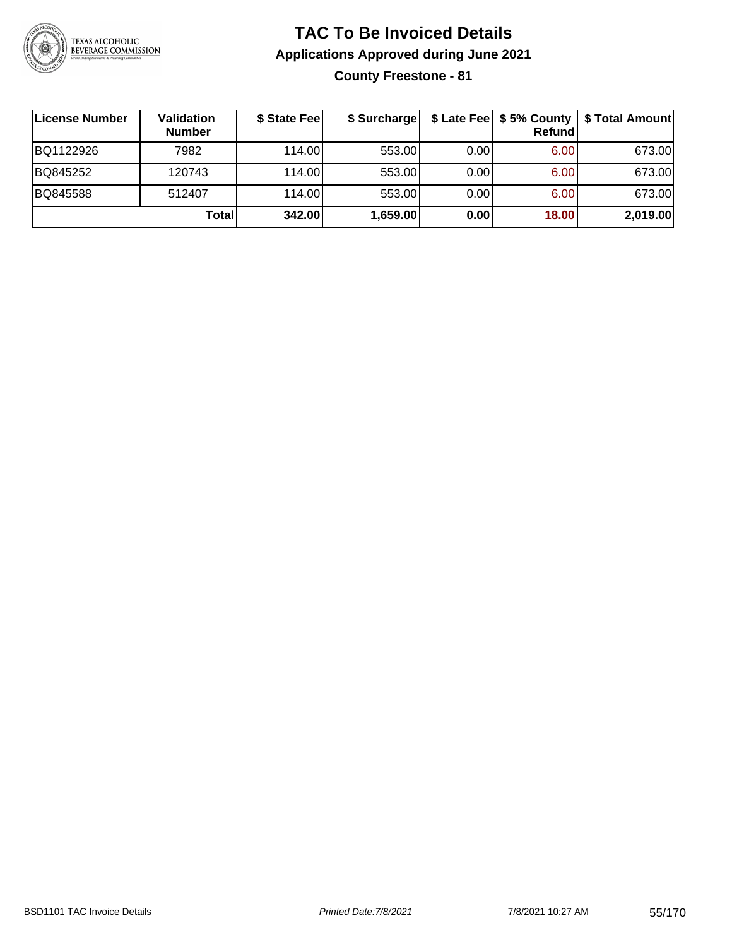

**County Freestone - 81**

| License Number | <b>Validation</b><br><b>Number</b> | \$ State Fee | \$ Surcharge |       | Refundl | \$ Late Fee   \$5% County   \$ Total Amount |
|----------------|------------------------------------|--------------|--------------|-------|---------|---------------------------------------------|
| BQ1122926      | 7982                               | 114.00       | 553.00       | 0.001 | 6.00    | 673.00                                      |
| BQ845252       | 120743                             | 114.00       | 553.00       | 0.001 | 6.00    | 673.00                                      |
| BQ845588       | 512407                             | 114.00       | 553.00       | 0.001 | 6.00    | 673.00                                      |
|                | Total                              | 342.00       | 1,659.00     | 0.00  | 18.00   | 2,019.00                                    |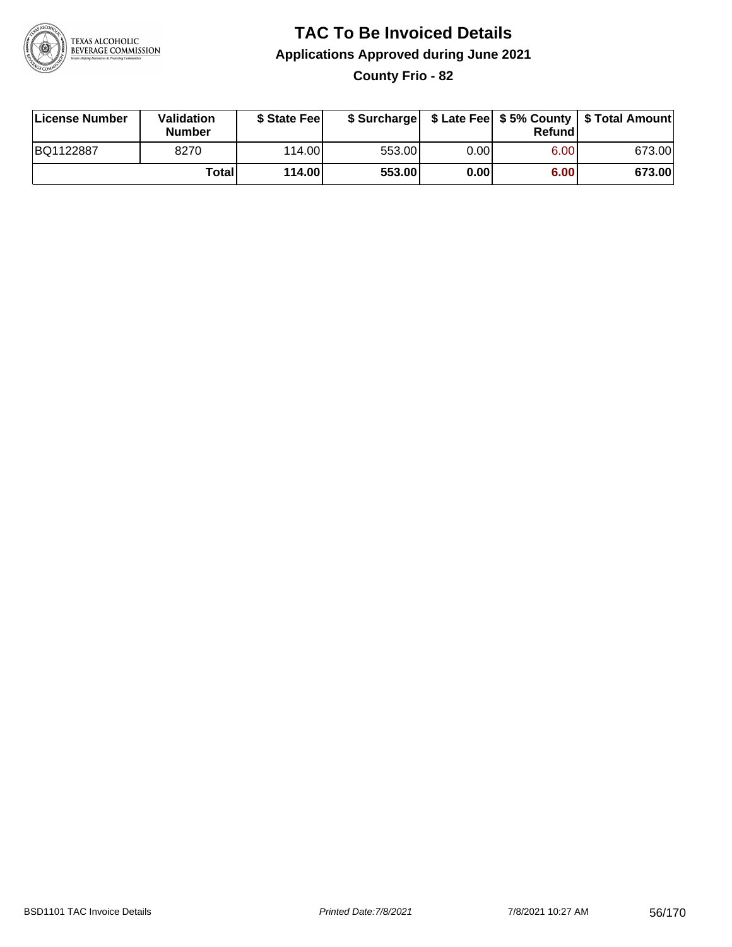

**County Frio - 82**

| License Number | Validation<br><b>Number</b> | \$ State Feel |        |       | Refundl | \$ Surcharge   \$ Late Fee   \$5% County   \$ Total Amount |
|----------------|-----------------------------|---------------|--------|-------|---------|------------------------------------------------------------|
| BQ1122887      | 8270                        | 114.00        | 553.00 | 0.00I | 6.00    | 673.00                                                     |
|                | Totall                      | 114.00        | 553.00 | 0.001 | 6.00    | 673.00                                                     |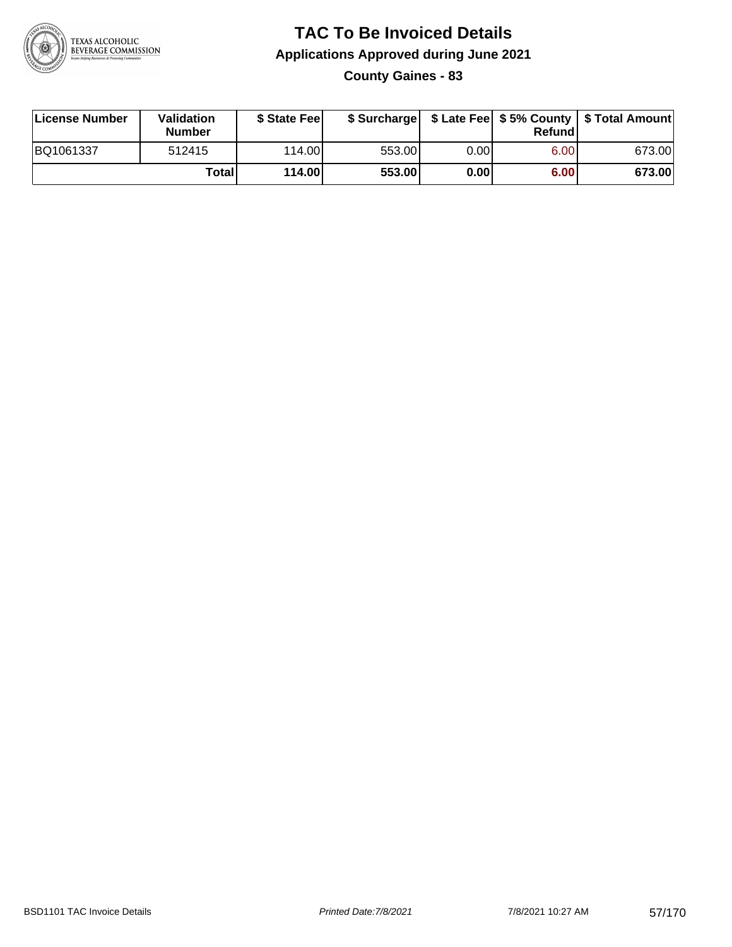

**County Gaines - 83**

| License Number | Validation<br><b>Number</b> | \$ State Feel |        |      | Refundl | \$ Surcharge   \$ Late Fee   \$5% County   \$ Total Amount |
|----------------|-----------------------------|---------------|--------|------|---------|------------------------------------------------------------|
| BQ1061337      | 512415                      | 114.00        | 553.00 | 0.00 | 6.00    | 673.00                                                     |
|                | Totall                      | 114.00        | 553.00 | 0.00 | 6.00    | 673.00                                                     |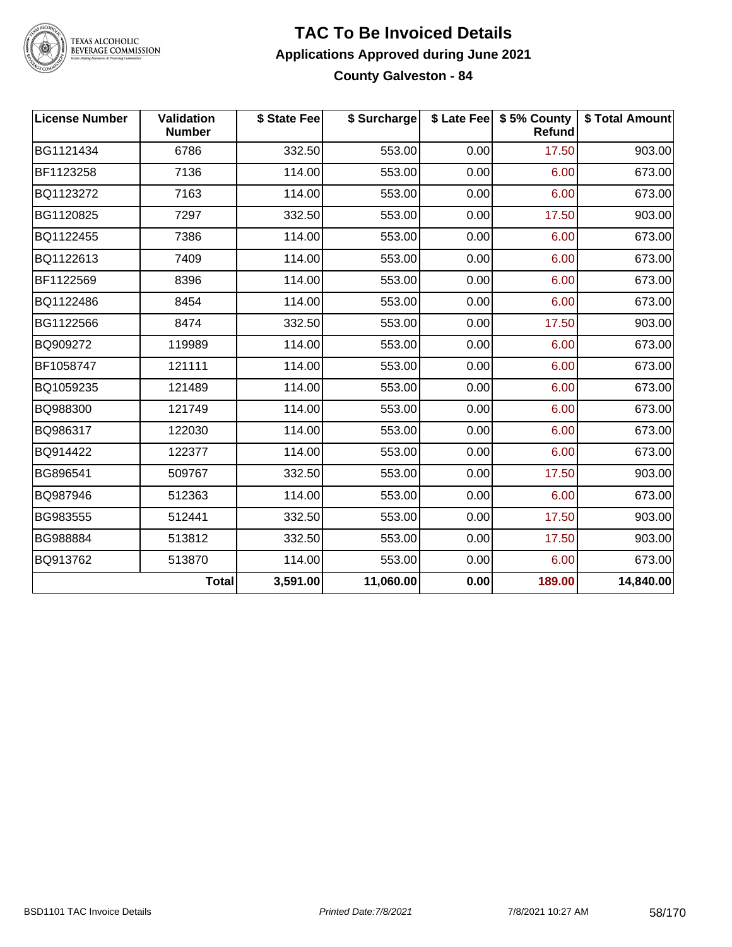

TEXAS ALCOHOLIC<br>BEVERAGE COMMISSION

#### **TAC To Be Invoiced Details Applications Approved during June 2021 County Galveston - 84**

| <b>License Number</b> | Validation<br><b>Number</b> | \$ State Fee | \$ Surcharge |      | \$ Late Fee   \$5% County<br>Refund | \$ Total Amount |
|-----------------------|-----------------------------|--------------|--------------|------|-------------------------------------|-----------------|
| BG1121434             | 6786                        | 332.50       | 553.00       | 0.00 | 17.50                               | 903.00          |
| BF1123258             | 7136                        | 114.00       | 553.00       | 0.00 | 6.00                                | 673.00          |
| BQ1123272             | 7163                        | 114.00       | 553.00       | 0.00 | 6.00                                | 673.00          |
| BG1120825             | 7297                        | 332.50       | 553.00       | 0.00 | 17.50                               | 903.00          |
| BQ1122455             | 7386                        | 114.00       | 553.00       | 0.00 | 6.00                                | 673.00          |
| BQ1122613             | 7409                        | 114.00       | 553.00       | 0.00 | 6.00                                | 673.00          |
| BF1122569             | 8396                        | 114.00       | 553.00       | 0.00 | 6.00                                | 673.00          |
| BQ1122486             | 8454                        | 114.00       | 553.00       | 0.00 | 6.00                                | 673.00          |
| BG1122566             | 8474                        | 332.50       | 553.00       | 0.00 | 17.50                               | 903.00          |
| BQ909272              | 119989                      | 114.00       | 553.00       | 0.00 | 6.00                                | 673.00          |
| BF1058747             | 121111                      | 114.00       | 553.00       | 0.00 | 6.00                                | 673.00          |
| BQ1059235             | 121489                      | 114.00       | 553.00       | 0.00 | 6.00                                | 673.00          |
| BQ988300              | 121749                      | 114.00       | 553.00       | 0.00 | 6.00                                | 673.00          |
| BQ986317              | 122030                      | 114.00       | 553.00       | 0.00 | 6.00                                | 673.00          |
| BQ914422              | 122377                      | 114.00       | 553.00       | 0.00 | 6.00                                | 673.00          |
| BG896541              | 509767                      | 332.50       | 553.00       | 0.00 | 17.50                               | 903.00          |
| BQ987946              | 512363                      | 114.00       | 553.00       | 0.00 | 6.00                                | 673.00          |
| BG983555              | 512441                      | 332.50       | 553.00       | 0.00 | 17.50                               | 903.00          |
| BG988884              | 513812                      | 332.50       | 553.00       | 0.00 | 17.50                               | 903.00          |
| BQ913762              | 513870                      | 114.00       | 553.00       | 0.00 | 6.00                                | 673.00          |
|                       | <b>Total</b>                | 3,591.00     | 11,060.00    | 0.00 | 189.00                              | 14,840.00       |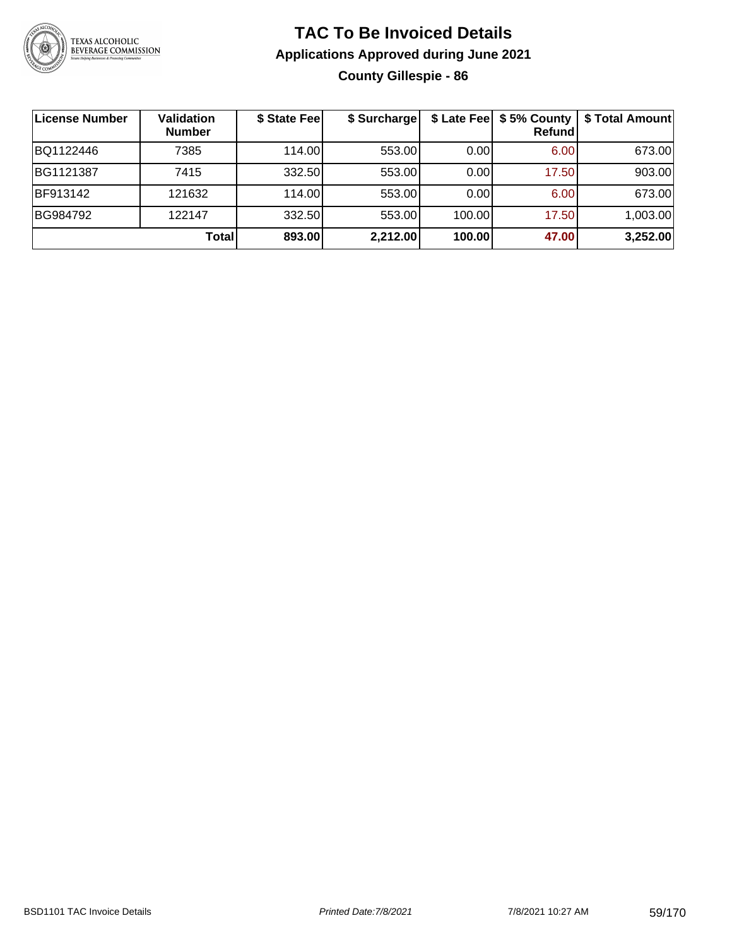

# **TAC To Be Invoiced Details Applications Approved during June 2021 County Gillespie - 86**

| License Number  | <b>Validation</b><br><b>Number</b> | \$ State Fee | \$ Surcharge |        | Refundl | \$ Late Fee   \$5% County   \$ Total Amount |
|-----------------|------------------------------------|--------------|--------------|--------|---------|---------------------------------------------|
| BQ1122446       | 7385                               | 114.00L      | 553.00       | 0.00   | 6.00    | 673.00                                      |
| BG1121387       | 7415                               | 332.50       | 553.00       | 0.00   | 17.50   | 903.00                                      |
| <b>BF913142</b> | 121632                             | 114.00       | 553.00       | 0.00   | 6.00    | 673.00                                      |
| BG984792        | 122147                             | 332.50       | 553.00       | 100.00 | 17.50   | 1,003.00                                    |
|                 | Total                              | 893.00       | 2,212.00     | 100.00 | 47.00   | 3,252.00                                    |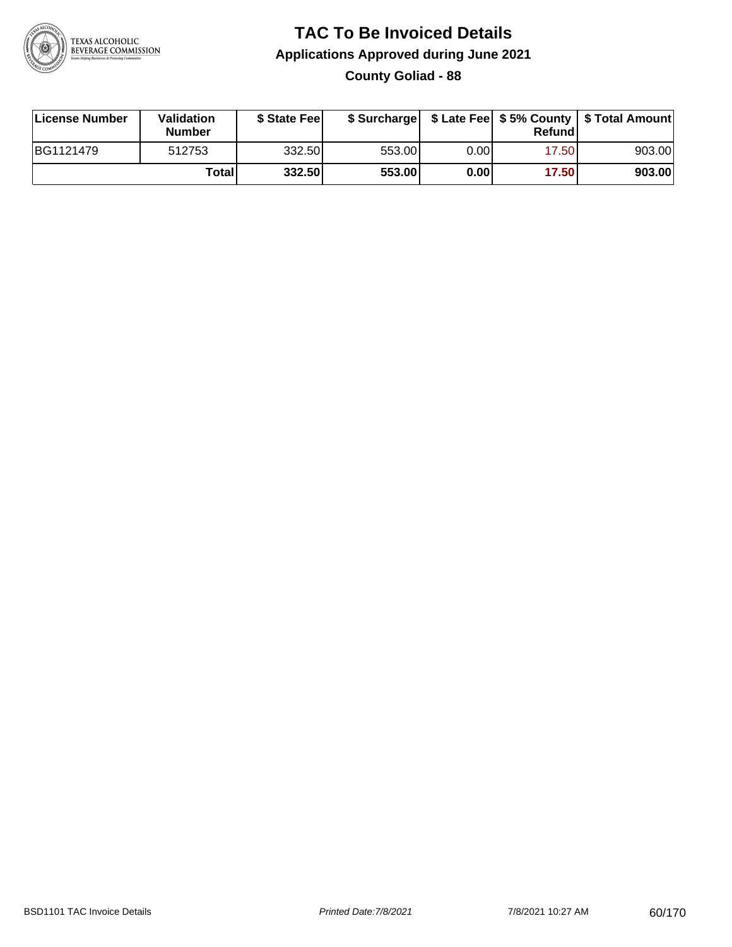

## **TAC To Be Invoiced Details Applications Approved during June 2021 County Goliad - 88**

| License Number | Validation<br><b>Number</b> | \$ State Feel |        |      | Refundl | \$ Surcharge   \$ Late Fee   \$5% County   \$ Total Amount |
|----------------|-----------------------------|---------------|--------|------|---------|------------------------------------------------------------|
| BG1121479      | 512753                      | 332.50        | 553.00 | 0.00 | 17.50   | 903.00                                                     |
|                | Totall                      | 332.50        | 553.00 | 0.00 | 17.50   | 903.00                                                     |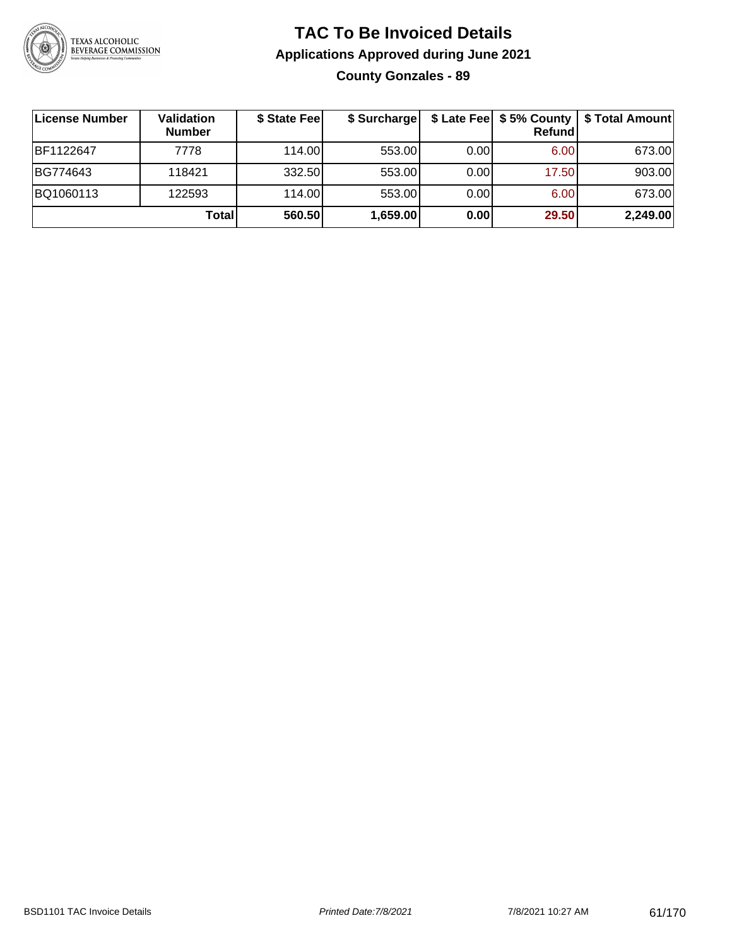

# **TAC To Be Invoiced Details Applications Approved during June 2021 County Gonzales - 89**

| ∣License Number | Validation<br><b>Number</b> | \$ State Fee | \$ Surcharge |      | Refundl | \$ Late Fee   \$5% County   \$ Total Amount |
|-----------------|-----------------------------|--------------|--------------|------|---------|---------------------------------------------|
| BF1122647       | 7778                        | 114.00L      | 553.00       | 0.00 | 6.00    | 673.00                                      |
| BG774643        | 118421                      | 332.50       | 553.00       | 0.00 | 17.50   | 903.00                                      |
| BQ1060113       | 122593                      | 114.00L      | 553.00       | 0.00 | 6.00    | 673.00                                      |
|                 | Total                       | 560.50       | 1,659.00     | 0.00 | 29.50   | 2,249.00                                    |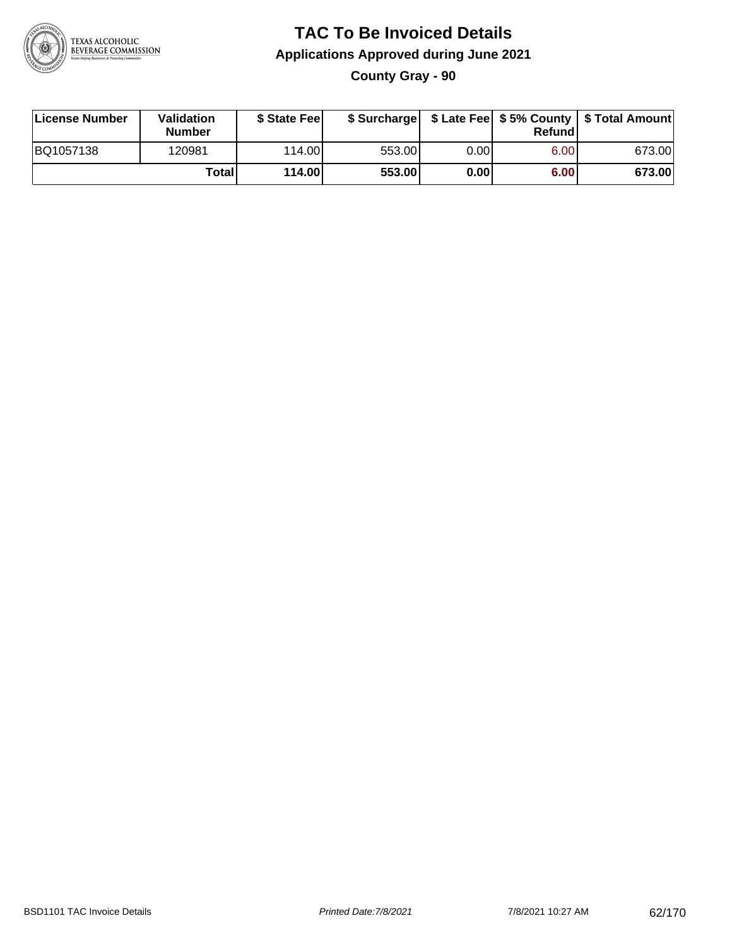

# **TAC To Be Invoiced Details Applications Approved during June 2021 County Gray - 90**

| License Number | Validation<br><b>Number</b> | \$ State Feel |        |      | Refundl | \$ Surcharge   \$ Late Fee   \$5% County   \$ Total Amount |
|----------------|-----------------------------|---------------|--------|------|---------|------------------------------------------------------------|
| BQ1057138      | 120981                      | 114.00L       | 553.00 | 0.00 | 6.00    | 673.00                                                     |
|                | Total                       | 114.00        | 553.00 | 0.00 | 6.00    | 673.00                                                     |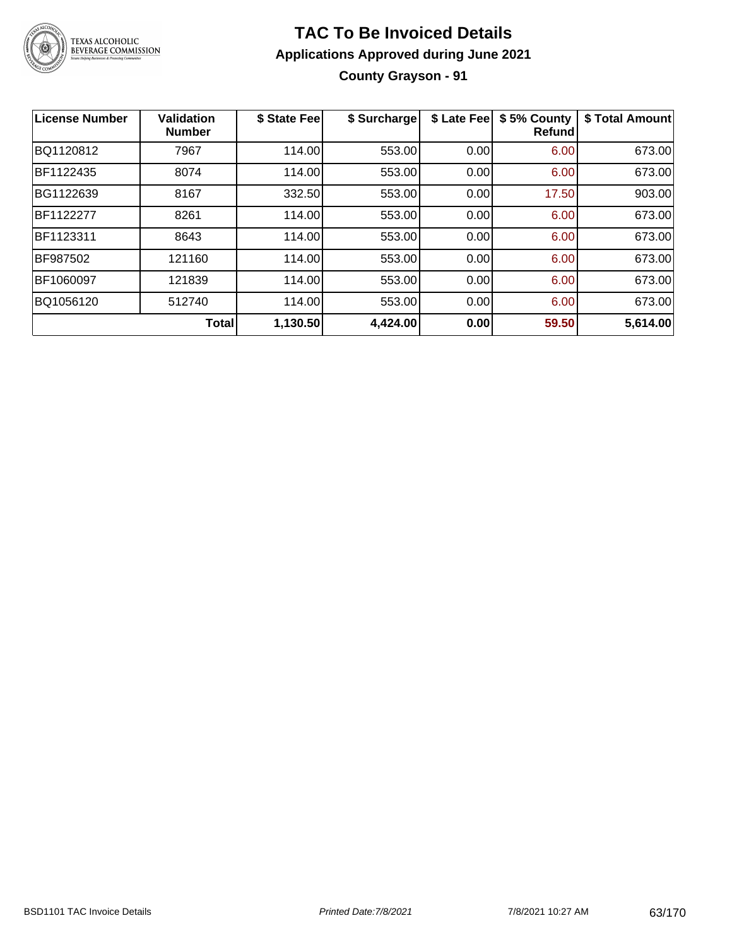

# **TAC To Be Invoiced Details Applications Approved during June 2021 County Grayson - 91**

| <b>License Number</b> | <b>Validation</b><br><b>Number</b> | \$ State Fee | \$ Surcharge | \$ Late Fee | \$5% County<br><b>Refund</b> | \$ Total Amount |
|-----------------------|------------------------------------|--------------|--------------|-------------|------------------------------|-----------------|
| BQ1120812             | 7967                               | 114.00       | 553.00       | 0.00        | 6.00                         | 673.00          |
| BF1122435             | 8074                               | 114.00       | 553.00       | 0.00        | 6.00                         | 673.00          |
| BG1122639             | 8167                               | 332.50       | 553.00       | 0.00        | 17.50                        | 903.00          |
| BF1122277             | 8261                               | 114.00       | 553.00       | 0.00        | 6.00                         | 673.00          |
| BF1123311             | 8643                               | 114.00       | 553.00       | 0.00        | 6.00                         | 673.00          |
| BF987502              | 121160                             | 114.00       | 553.00       | 0.00        | 6.00                         | 673.00          |
| BF1060097             | 121839                             | 114.00       | 553.00       | 0.00        | 6.00                         | 673.00          |
| BQ1056120             | 512740                             | 114.00       | 553.00       | 0.00        | 6.00                         | 673.00          |
|                       | <b>Total</b>                       | 1,130.50     | 4,424.00     | 0.00        | 59.50                        | 5,614.00        |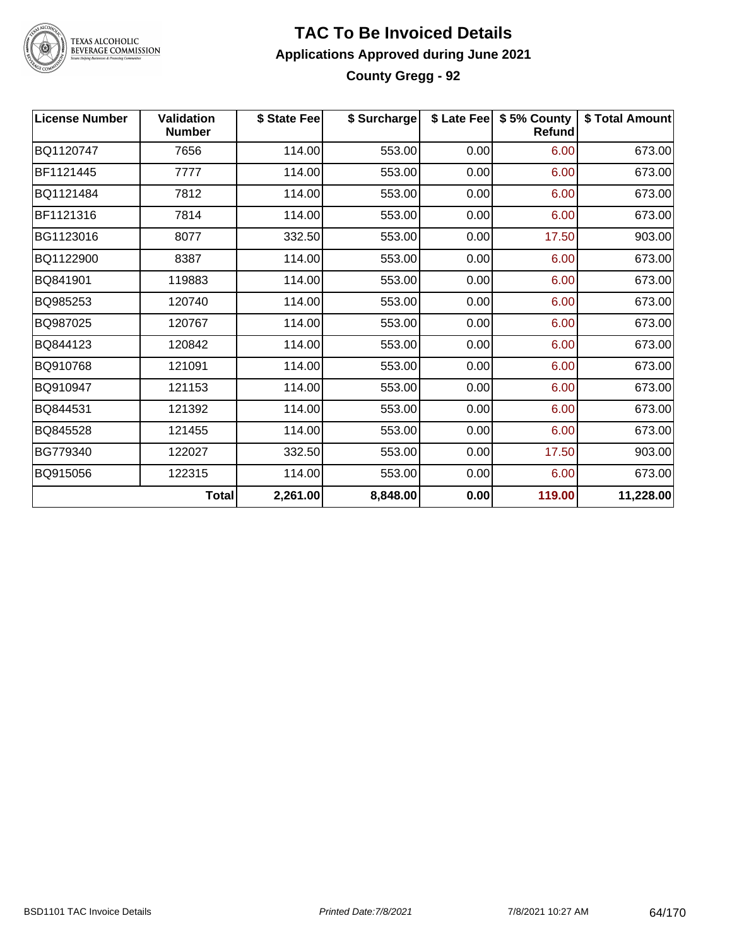

# **TAC To Be Invoiced Details Applications Approved during June 2021 County Gregg - 92**

| <b>License Number</b> | <b>Validation</b><br><b>Number</b> | \$ State Fee | \$ Surcharge |      | \$ Late Fee   \$5% County<br><b>Refund</b> | \$ Total Amount |
|-----------------------|------------------------------------|--------------|--------------|------|--------------------------------------------|-----------------|
| BQ1120747             | 7656                               | 114.00       | 553.00       | 0.00 | 6.00                                       | 673.00          |
| BF1121445             | 7777                               | 114.00       | 553.00       | 0.00 | 6.00                                       | 673.00          |
| BQ1121484             | 7812                               | 114.00       | 553.00       | 0.00 | 6.00                                       | 673.00          |
| BF1121316             | 7814                               | 114.00       | 553.00       | 0.00 | 6.00                                       | 673.00          |
| BG1123016             | 8077                               | 332.50       | 553.00       | 0.00 | 17.50                                      | 903.00          |
| BQ1122900             | 8387                               | 114.00       | 553.00       | 0.00 | 6.00                                       | 673.00          |
| BQ841901              | 119883                             | 114.00       | 553.00       | 0.00 | 6.00                                       | 673.00          |
| BQ985253              | 120740                             | 114.00       | 553.00       | 0.00 | 6.00                                       | 673.00          |
| BQ987025              | 120767                             | 114.00       | 553.00       | 0.00 | 6.00                                       | 673.00          |
| BQ844123              | 120842                             | 114.00       | 553.00       | 0.00 | 6.00                                       | 673.00          |
| BQ910768              | 121091                             | 114.00       | 553.00       | 0.00 | 6.00                                       | 673.00          |
| BQ910947              | 121153                             | 114.00       | 553.00       | 0.00 | 6.00                                       | 673.00          |
| BQ844531              | 121392                             | 114.00       | 553.00       | 0.00 | 6.00                                       | 673.00          |
| BQ845528              | 121455                             | 114.00       | 553.00       | 0.00 | 6.00                                       | 673.00          |
| BG779340              | 122027                             | 332.50       | 553.00       | 0.00 | 17.50                                      | 903.00          |
| BQ915056              | 122315                             | 114.00       | 553.00       | 0.00 | 6.00                                       | 673.00          |
|                       | <b>Total</b>                       | 2,261.00     | 8,848.00     | 0.00 | 119.00                                     | 11,228.00       |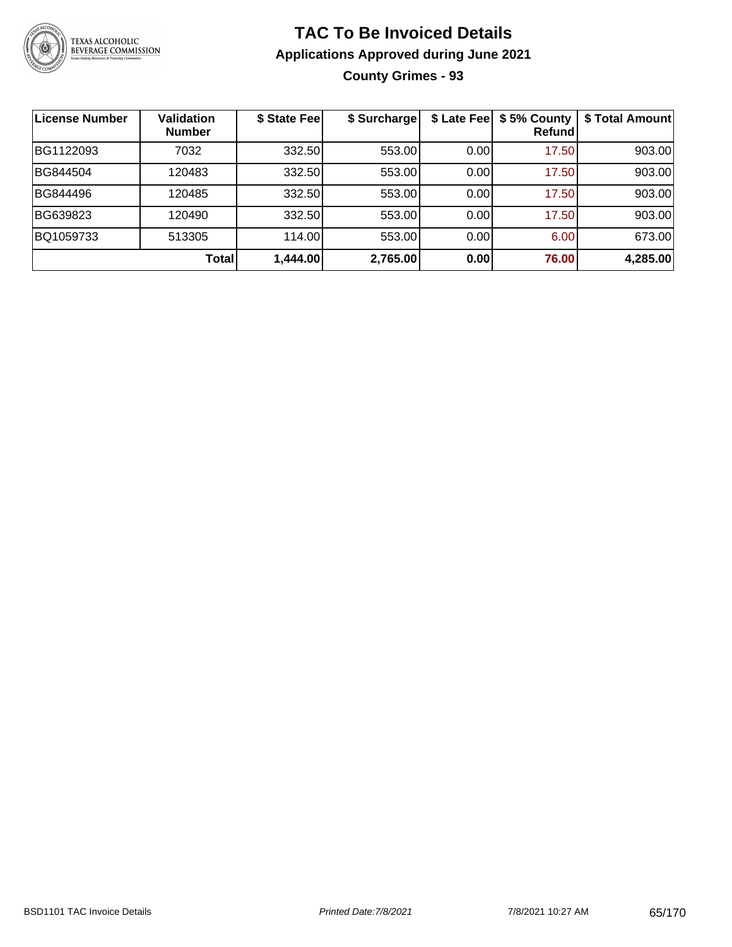

# **TAC To Be Invoiced Details Applications Approved during June 2021 County Grimes - 93**

| License Number | <b>Validation</b><br><b>Number</b> | \$ State Fee | \$ Surcharge | \$ Late Fee | \$5% County<br>Refundl | \$ Total Amount |
|----------------|------------------------------------|--------------|--------------|-------------|------------------------|-----------------|
| BG1122093      | 7032                               | 332.50       | 553.00       | 0.00        | 17.50                  | 903.00          |
| BG844504       | 120483                             | 332.50       | 553.00       | 0.00        | 17.50                  | 903.00          |
| BG844496       | 120485                             | 332.50       | 553.00       | 0.00        | 17.50                  | 903.00          |
| BG639823       | 120490                             | 332.50       | 553.00       | 0.00        | 17.50                  | 903.00          |
| BQ1059733      | 513305                             | 114.00       | 553.00       | 0.00        | 6.00                   | 673.00          |
|                | Total                              | 1,444.00     | 2,765.00     | 0.00        | 76.00                  | 4,285.00        |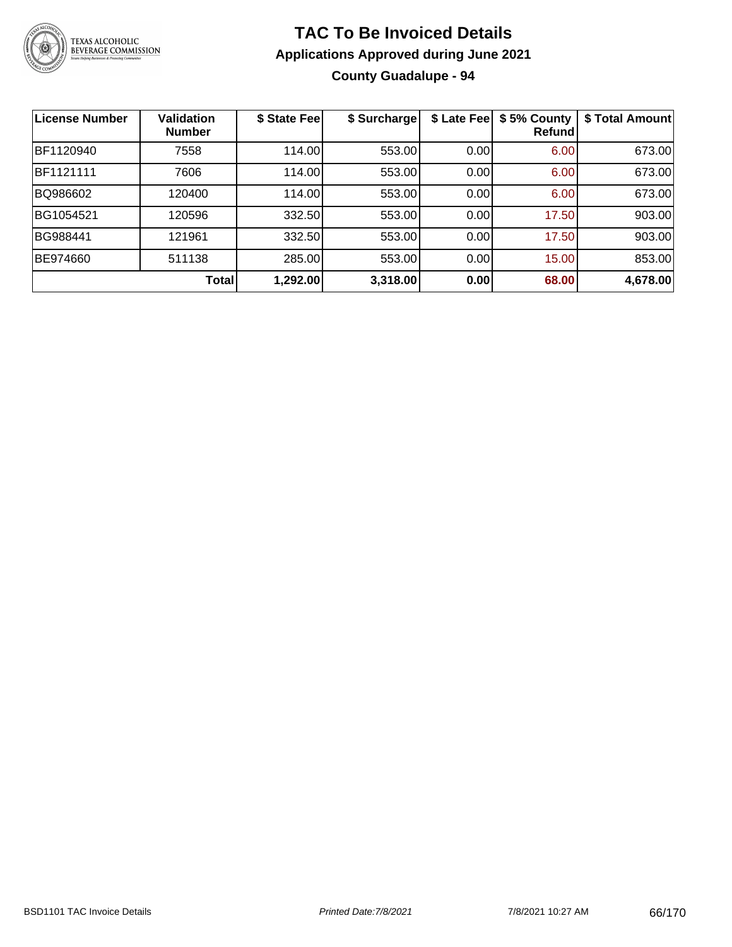

# **TAC To Be Invoiced Details Applications Approved during June 2021 County Guadalupe - 94**

| <b>License Number</b> | <b>Validation</b><br><b>Number</b> | \$ State Fee | \$ Surcharge | \$ Late Fee | \$5% County<br>Refund | \$ Total Amount |
|-----------------------|------------------------------------|--------------|--------------|-------------|-----------------------|-----------------|
| BF1120940             | 7558                               | 114.00       | 553.00       | 0.00        | 6.00                  | 673.00          |
| BF1121111             | 7606                               | 114.00       | 553.00       | 0.00        | 6.00                  | 673.00          |
| BQ986602              | 120400                             | 114.00       | 553.00       | 0.00        | 6.00                  | 673.00          |
| BG1054521             | 120596                             | 332.50       | 553.00       | 0.00        | 17.50                 | 903.00          |
| BG988441              | 121961                             | 332.50       | 553.00       | 0.00        | 17.50                 | 903.00          |
| BE974660              | 511138                             | 285.00       | 553.00       | 0.00        | 15.00                 | 853.00          |
|                       | Total                              | 1,292.00     | 3,318.00     | 0.00        | 68.00                 | 4,678.00        |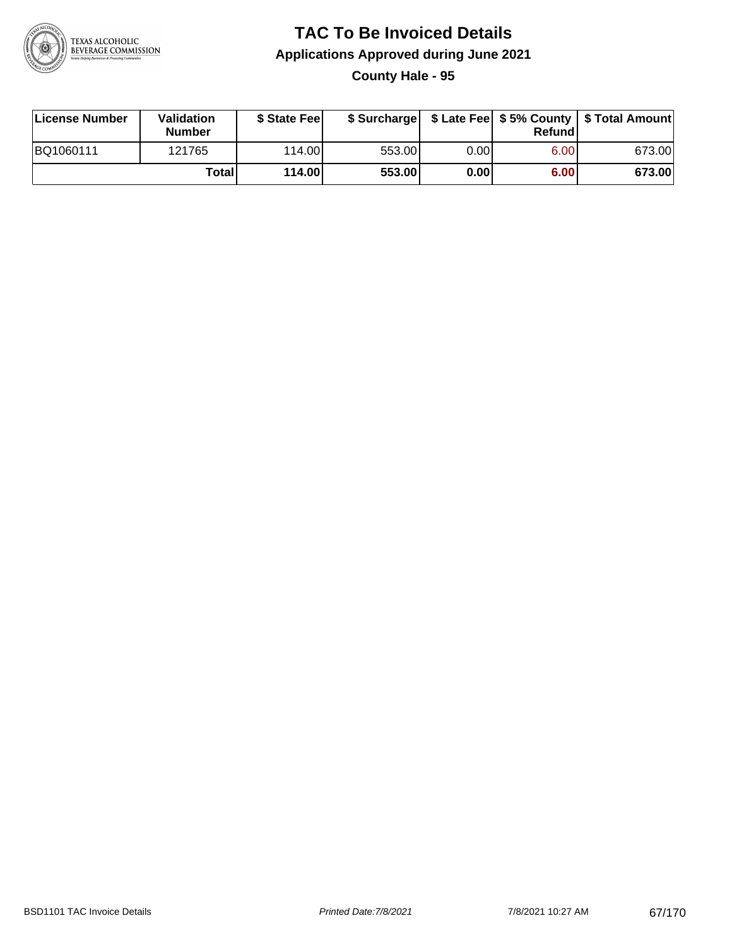

**County Hale - 95**

| License Number | Validation<br><b>Number</b> | \$ State Feel |        |       | Refundl | \$ Surcharge   \$ Late Fee   \$5% County   \$ Total Amount |
|----------------|-----------------------------|---------------|--------|-------|---------|------------------------------------------------------------|
| BQ1060111      | 121765                      | 114.00        | 553.00 | 0.00I | 6.00    | 673.00                                                     |
|                | Totall                      | 114.00        | 553.00 | 0.00  | 6.00    | 673.00                                                     |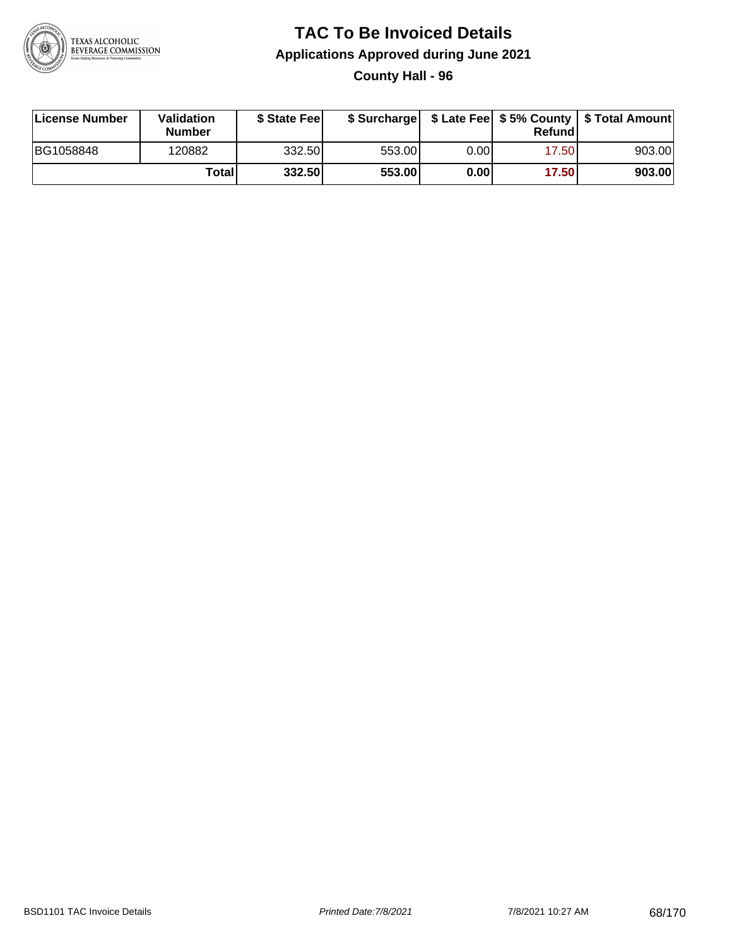

## **TAC To Be Invoiced Details Applications Approved during June 2021 County Hall - 96**

| License Number | Validation<br><b>Number</b> | \$ State Feel |        |      | Refund | \$ Surcharge   \$ Late Fee   \$5% County   \$ Total Amount |
|----------------|-----------------------------|---------------|--------|------|--------|------------------------------------------------------------|
| BG1058848      | 120882                      | 332.50        | 553.00 | 0.00 | 17.50  | 903.00                                                     |
|                | <b>Total</b>                | 332.50        | 553.00 | 0.00 | 17.50  | 903.00                                                     |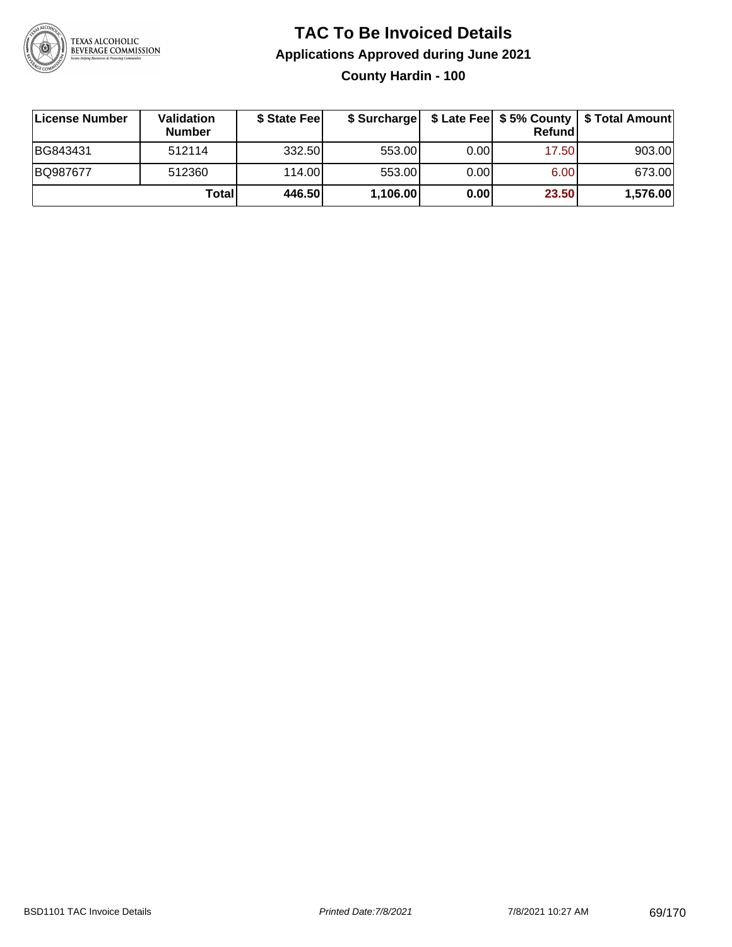

# **TAC To Be Invoiced Details Applications Approved during June 2021 County Hardin - 100**

| ∣License Number | <b>Validation</b><br><b>Number</b> | \$ State Fee |          |       | Refund | \$ Surcharge   \$ Late Fee   \$5% County   \$ Total Amount |
|-----------------|------------------------------------|--------------|----------|-------|--------|------------------------------------------------------------|
| BG843431        | 512114                             | 332.50       | 553.00   | 0.001 | 17.50  | 903.00                                                     |
| BQ987677        | 512360                             | 114.00       | 553.00   | 0.001 | 6.00   | 673.00                                                     |
|                 | Totall                             | 446.50       | 1,106.00 | 0.00  | 23.50  | 1,576.00                                                   |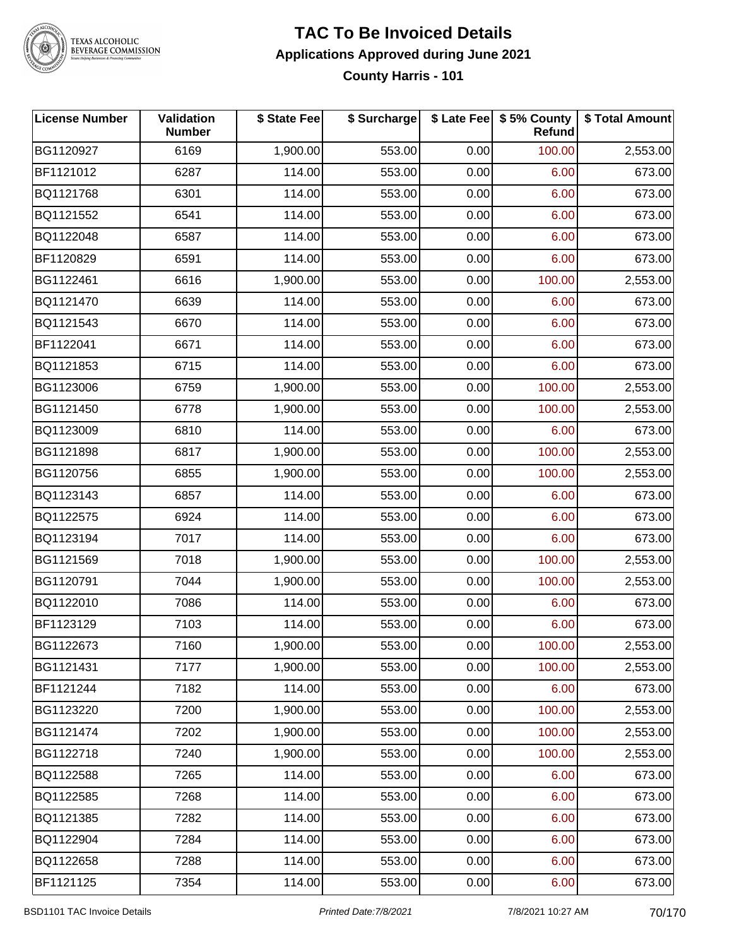

**County Harris - 101**

| <b>License Number</b> | Validation<br><b>Number</b> | \$ State Fee | \$ Surcharge |      | \$ Late Fee   \$5% County<br>Refund | \$ Total Amount |
|-----------------------|-----------------------------|--------------|--------------|------|-------------------------------------|-----------------|
| BG1120927             | 6169                        | 1,900.00     | 553.00       | 0.00 | 100.00                              | 2,553.00        |
| BF1121012             | 6287                        | 114.00       | 553.00       | 0.00 | 6.00                                | 673.00          |
| BQ1121768             | 6301                        | 114.00       | 553.00       | 0.00 | 6.00                                | 673.00          |
| BQ1121552             | 6541                        | 114.00       | 553.00       | 0.00 | 6.00                                | 673.00          |
| BQ1122048             | 6587                        | 114.00       | 553.00       | 0.00 | 6.00                                | 673.00          |
| BF1120829             | 6591                        | 114.00       | 553.00       | 0.00 | 6.00                                | 673.00          |
| BG1122461             | 6616                        | 1,900.00     | 553.00       | 0.00 | 100.00                              | 2,553.00        |
| BQ1121470             | 6639                        | 114.00       | 553.00       | 0.00 | 6.00                                | 673.00          |
| BQ1121543             | 6670                        | 114.00       | 553.00       | 0.00 | 6.00                                | 673.00          |
| BF1122041             | 6671                        | 114.00       | 553.00       | 0.00 | 6.00                                | 673.00          |
| BQ1121853             | 6715                        | 114.00       | 553.00       | 0.00 | 6.00                                | 673.00          |
| BG1123006             | 6759                        | 1,900.00     | 553.00       | 0.00 | 100.00                              | 2,553.00        |
| BG1121450             | 6778                        | 1,900.00     | 553.00       | 0.00 | 100.00                              | 2,553.00        |
| BQ1123009             | 6810                        | 114.00       | 553.00       | 0.00 | 6.00                                | 673.00          |
| BG1121898             | 6817                        | 1,900.00     | 553.00       | 0.00 | 100.00                              | 2,553.00        |
| BG1120756             | 6855                        | 1,900.00     | 553.00       | 0.00 | 100.00                              | 2,553.00        |
| BQ1123143             | 6857                        | 114.00       | 553.00       | 0.00 | 6.00                                | 673.00          |
| BQ1122575             | 6924                        | 114.00       | 553.00       | 0.00 | 6.00                                | 673.00          |
| BQ1123194             | 7017                        | 114.00       | 553.00       | 0.00 | 6.00                                | 673.00          |
| BG1121569             | 7018                        | 1,900.00     | 553.00       | 0.00 | 100.00                              | 2,553.00        |
| BG1120791             | 7044                        | 1,900.00     | 553.00       | 0.00 | 100.00                              | 2,553.00        |
| BQ1122010             | 7086                        | 114.00       | 553.00       | 0.00 | 6.00                                | 673.00          |
| BF1123129             | 7103                        | 114.00       | 553.00       | 0.00 | 6.00                                | 673.00          |
| BG1122673             | 7160                        | 1,900.00     | 553.00       | 0.00 | 100.00                              | 2,553.00        |
| BG1121431             | 7177                        | 1,900.00     | 553.00       | 0.00 | 100.00                              | 2,553.00        |
| BF1121244             | 7182                        | 114.00       | 553.00       | 0.00 | 6.00                                | 673.00          |
| BG1123220             | 7200                        | 1,900.00     | 553.00       | 0.00 | 100.00                              | 2,553.00        |
| BG1121474             | 7202                        | 1,900.00     | 553.00       | 0.00 | 100.00                              | 2,553.00        |
| BG1122718             | 7240                        | 1,900.00     | 553.00       | 0.00 | 100.00                              | 2,553.00        |
| BQ1122588             | 7265                        | 114.00       | 553.00       | 0.00 | 6.00                                | 673.00          |
| BQ1122585             | 7268                        | 114.00       | 553.00       | 0.00 | 6.00                                | 673.00          |
| BQ1121385             | 7282                        | 114.00       | 553.00       | 0.00 | 6.00                                | 673.00          |
| BQ1122904             | 7284                        | 114.00       | 553.00       | 0.00 | 6.00                                | 673.00          |
| BQ1122658             | 7288                        | 114.00       | 553.00       | 0.00 | 6.00                                | 673.00          |
| BF1121125             | 7354                        | 114.00       | 553.00       | 0.00 | 6.00                                | 673.00          |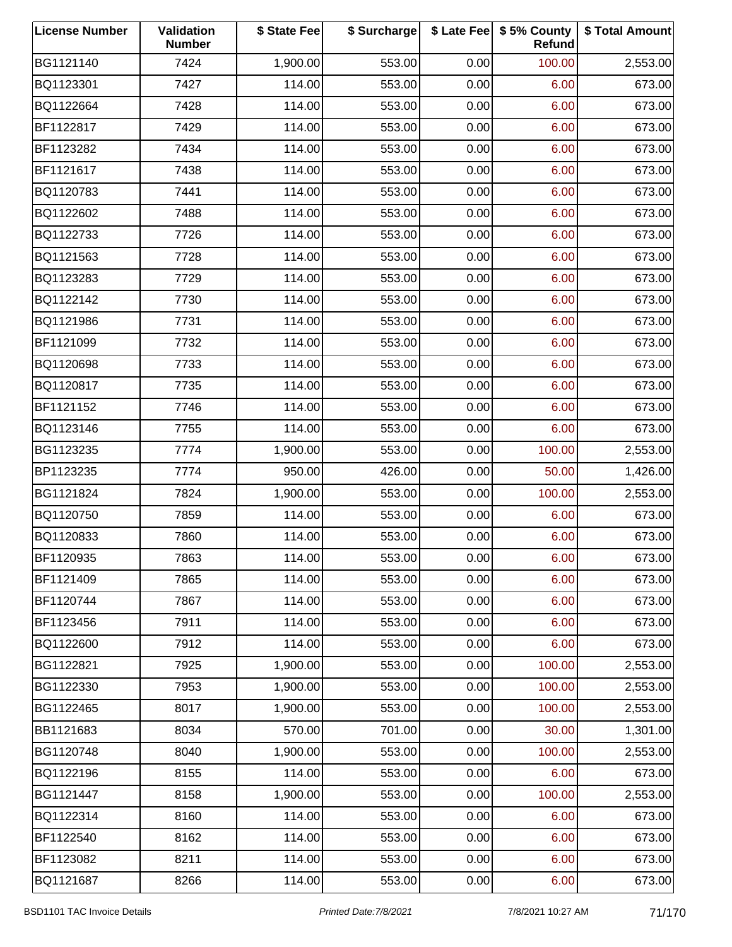| <b>License Number</b> | Validation<br><b>Number</b> | \$ State Fee | \$ Surcharge |      | \$ Late Fee   \$5% County<br>Refund | \$ Total Amount |
|-----------------------|-----------------------------|--------------|--------------|------|-------------------------------------|-----------------|
| BG1121140             | 7424                        | 1,900.00     | 553.00       | 0.00 | 100.00                              | 2,553.00        |
| BQ1123301             | 7427                        | 114.00       | 553.00       | 0.00 | 6.00                                | 673.00          |
| BQ1122664             | 7428                        | 114.00       | 553.00       | 0.00 | 6.00                                | 673.00          |
| BF1122817             | 7429                        | 114.00       | 553.00       | 0.00 | 6.00                                | 673.00          |
| BF1123282             | 7434                        | 114.00       | 553.00       | 0.00 | 6.00                                | 673.00          |
| BF1121617             | 7438                        | 114.00       | 553.00       | 0.00 | 6.00                                | 673.00          |
| BQ1120783             | 7441                        | 114.00       | 553.00       | 0.00 | 6.00                                | 673.00          |
| BQ1122602             | 7488                        | 114.00       | 553.00       | 0.00 | 6.00                                | 673.00          |
| BQ1122733             | 7726                        | 114.00       | 553.00       | 0.00 | 6.00                                | 673.00          |
| BQ1121563             | 7728                        | 114.00       | 553.00       | 0.00 | 6.00                                | 673.00          |
| BQ1123283             | 7729                        | 114.00       | 553.00       | 0.00 | 6.00                                | 673.00          |
| BQ1122142             | 7730                        | 114.00       | 553.00       | 0.00 | 6.00                                | 673.00          |
| BQ1121986             | 7731                        | 114.00       | 553.00       | 0.00 | 6.00                                | 673.00          |
| BF1121099             | 7732                        | 114.00       | 553.00       | 0.00 | 6.00                                | 673.00          |
| BQ1120698             | 7733                        | 114.00       | 553.00       | 0.00 | 6.00                                | 673.00          |
| BQ1120817             | 7735                        | 114.00       | 553.00       | 0.00 | 6.00                                | 673.00          |
| BF1121152             | 7746                        | 114.00       | 553.00       | 0.00 | 6.00                                | 673.00          |
| BQ1123146             | 7755                        | 114.00       | 553.00       | 0.00 | 6.00                                | 673.00          |
| BG1123235             | 7774                        | 1,900.00     | 553.00       | 0.00 | 100.00                              | 2,553.00        |
| BP1123235             | 7774                        | 950.00       | 426.00       | 0.00 | 50.00                               | 1,426.00        |
| BG1121824             | 7824                        | 1,900.00     | 553.00       | 0.00 | 100.00                              | 2,553.00        |
| BQ1120750             | 7859                        | 114.00       | 553.00       | 0.00 | 6.00                                | 673.00          |
| BQ1120833             | 7860                        | 114.00       | 553.00       | 0.00 | 6.00                                | 673.00          |
| BF1120935             | 7863                        | 114.00       | 553.00       | 0.00 | 6.00                                | 673.00          |
| BF1121409             | 7865                        | 114.00       | 553.00       | 0.00 | 6.00                                | 673.00          |
| BF1120744             | 7867                        | 114.00       | 553.00       | 0.00 | 6.00                                | 673.00          |
| BF1123456             | 7911                        | 114.00       | 553.00       | 0.00 | 6.00                                | 673.00          |
| BQ1122600             | 7912                        | 114.00       | 553.00       | 0.00 | 6.00                                | 673.00          |
| BG1122821             | 7925                        | 1,900.00     | 553.00       | 0.00 | 100.00                              | 2,553.00        |
| BG1122330             | 7953                        | 1,900.00     | 553.00       | 0.00 | 100.00                              | 2,553.00        |
| BG1122465             | 8017                        | 1,900.00     | 553.00       | 0.00 | 100.00                              | 2,553.00        |
| BB1121683             | 8034                        | 570.00       | 701.00       | 0.00 | 30.00                               | 1,301.00        |
| BG1120748             | 8040                        | 1,900.00     | 553.00       | 0.00 | 100.00                              | 2,553.00        |
| BQ1122196             | 8155                        | 114.00       | 553.00       | 0.00 | 6.00                                | 673.00          |
| BG1121447             | 8158                        | 1,900.00     | 553.00       | 0.00 | 100.00                              | 2,553.00        |
| BQ1122314             | 8160                        | 114.00       | 553.00       | 0.00 | 6.00                                | 673.00          |
| BF1122540             | 8162                        | 114.00       | 553.00       | 0.00 | 6.00                                | 673.00          |
| BF1123082             | 8211                        | 114.00       | 553.00       | 0.00 | 6.00                                | 673.00          |
| BQ1121687             | 8266                        | 114.00       | 553.00       | 0.00 | 6.00                                | 673.00          |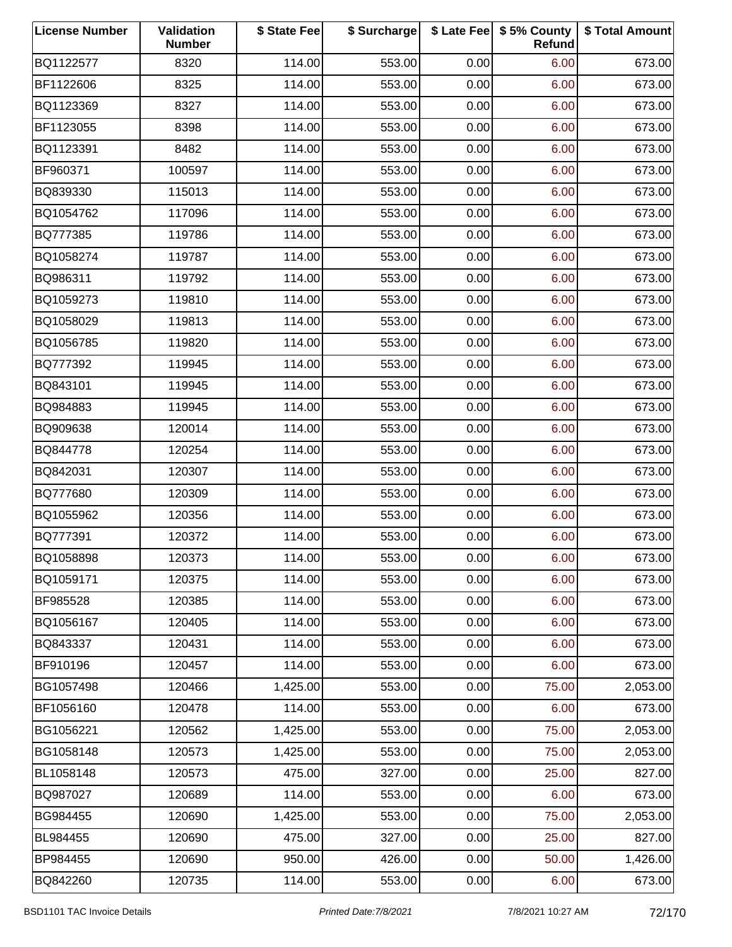| <b>License Number</b> | Validation<br><b>Number</b> | \$ State Fee | \$ Surcharge |      | \$ Late Fee   \$5% County<br>Refund | \$ Total Amount |
|-----------------------|-----------------------------|--------------|--------------|------|-------------------------------------|-----------------|
| BQ1122577             | 8320                        | 114.00       | 553.00       | 0.00 | 6.00                                | 673.00          |
| BF1122606             | 8325                        | 114.00       | 553.00       | 0.00 | 6.00                                | 673.00          |
| BQ1123369             | 8327                        | 114.00       | 553.00       | 0.00 | 6.00                                | 673.00          |
| BF1123055             | 8398                        | 114.00       | 553.00       | 0.00 | 6.00                                | 673.00          |
| BQ1123391             | 8482                        | 114.00       | 553.00       | 0.00 | 6.00                                | 673.00          |
| BF960371              | 100597                      | 114.00       | 553.00       | 0.00 | 6.00                                | 673.00          |
| BQ839330              | 115013                      | 114.00       | 553.00       | 0.00 | 6.00                                | 673.00          |
| BQ1054762             | 117096                      | 114.00       | 553.00       | 0.00 | 6.00                                | 673.00          |
| BQ777385              | 119786                      | 114.00       | 553.00       | 0.00 | 6.00                                | 673.00          |
| BQ1058274             | 119787                      | 114.00       | 553.00       | 0.00 | 6.00                                | 673.00          |
| BQ986311              | 119792                      | 114.00       | 553.00       | 0.00 | 6.00                                | 673.00          |
| BQ1059273             | 119810                      | 114.00       | 553.00       | 0.00 | 6.00                                | 673.00          |
| BQ1058029             | 119813                      | 114.00       | 553.00       | 0.00 | 6.00                                | 673.00          |
| BQ1056785             | 119820                      | 114.00       | 553.00       | 0.00 | 6.00                                | 673.00          |
| BQ777392              | 119945                      | 114.00       | 553.00       | 0.00 | 6.00                                | 673.00          |
| BQ843101              | 119945                      | 114.00       | 553.00       | 0.00 | 6.00                                | 673.00          |
| BQ984883              | 119945                      | 114.00       | 553.00       | 0.00 | 6.00                                | 673.00          |
| BQ909638              | 120014                      | 114.00       | 553.00       | 0.00 | 6.00                                | 673.00          |
| BQ844778              | 120254                      | 114.00       | 553.00       | 0.00 | 6.00                                | 673.00          |
| BQ842031              | 120307                      | 114.00       | 553.00       | 0.00 | 6.00                                | 673.00          |
| BQ777680              | 120309                      | 114.00       | 553.00       | 0.00 | 6.00                                | 673.00          |
| BQ1055962             | 120356                      | 114.00       | 553.00       | 0.00 | 6.00                                | 673.00          |
| BQ777391              | 120372                      | 114.00       | 553.00       | 0.00 | 6.00                                | 673.00          |
| BQ1058898             | 120373                      | 114.00       | 553.00       | 0.00 | 6.00                                | 673.00          |
| BQ1059171             | 120375                      | 114.00       | 553.00       | 0.00 | 6.00                                | 673.00          |
| BF985528              | 120385                      | 114.00       | 553.00       | 0.00 | 6.00                                | 673.00          |
| BQ1056167             | 120405                      | 114.00       | 553.00       | 0.00 | 6.00                                | 673.00          |
| BQ843337              | 120431                      | 114.00       | 553.00       | 0.00 | 6.00                                | 673.00          |
| BF910196              | 120457                      | 114.00       | 553.00       | 0.00 | 6.00                                | 673.00          |
| BG1057498             | 120466                      | 1,425.00     | 553.00       | 0.00 | 75.00                               | 2,053.00        |
| BF1056160             | 120478                      | 114.00       | 553.00       | 0.00 | 6.00                                | 673.00          |
| BG1056221             | 120562                      | 1,425.00     | 553.00       | 0.00 | 75.00                               | 2,053.00        |
| BG1058148             | 120573                      | 1,425.00     | 553.00       | 0.00 | 75.00                               | 2,053.00        |
| BL1058148             | 120573                      | 475.00       | 327.00       | 0.00 | 25.00                               | 827.00          |
| BQ987027              | 120689                      | 114.00       | 553.00       | 0.00 | 6.00                                | 673.00          |
| BG984455              | 120690                      | 1,425.00     | 553.00       | 0.00 | 75.00                               | 2,053.00        |
| BL984455              | 120690                      | 475.00       | 327.00       | 0.00 | 25.00                               | 827.00          |
| BP984455              | 120690                      | 950.00       | 426.00       | 0.00 | 50.00                               | 1,426.00        |
| BQ842260              | 120735                      | 114.00       | 553.00       | 0.00 | 6.00                                | 673.00          |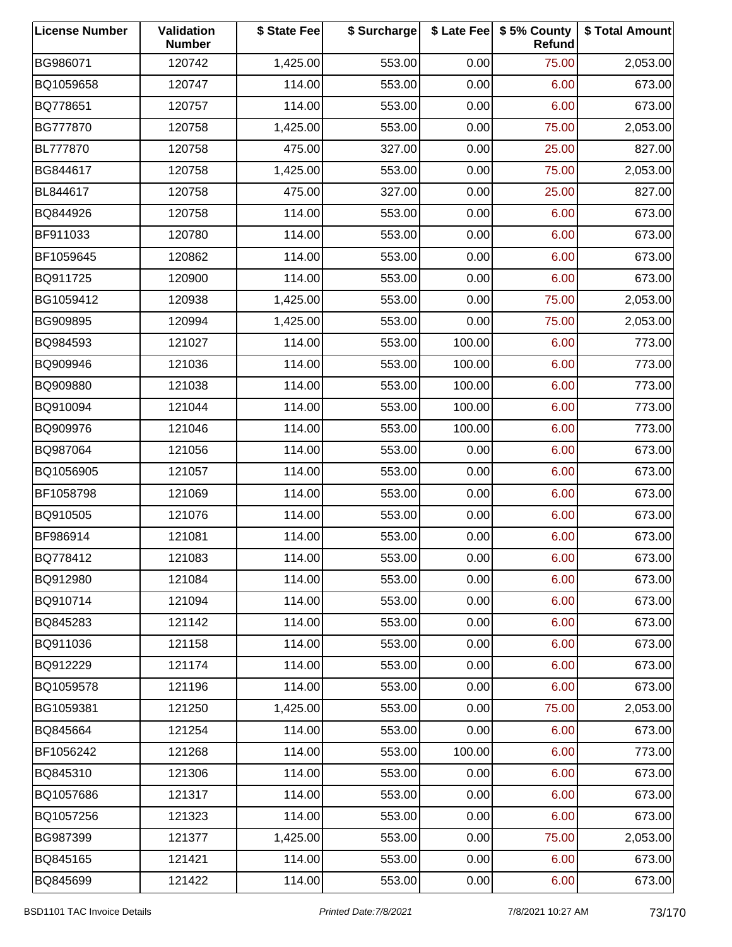| <b>License Number</b> | Validation<br><b>Number</b> | \$ State Fee | \$ Surcharge |        | \$ Late Fee   \$5% County<br>Refund | \$ Total Amount |
|-----------------------|-----------------------------|--------------|--------------|--------|-------------------------------------|-----------------|
| BG986071              | 120742                      | 1,425.00     | 553.00       | 0.00   | 75.00                               | 2,053.00        |
| BQ1059658             | 120747                      | 114.00       | 553.00       | 0.00   | 6.00                                | 673.00          |
| BQ778651              | 120757                      | 114.00       | 553.00       | 0.00   | 6.00                                | 673.00          |
| BG777870              | 120758                      | 1,425.00     | 553.00       | 0.00   | 75.00                               | 2,053.00        |
| BL777870              | 120758                      | 475.00       | 327.00       | 0.00   | 25.00                               | 827.00          |
| BG844617              | 120758                      | 1,425.00     | 553.00       | 0.00   | 75.00                               | 2,053.00        |
| BL844617              | 120758                      | 475.00       | 327.00       | 0.00   | 25.00                               | 827.00          |
| BQ844926              | 120758                      | 114.00       | 553.00       | 0.00   | 6.00                                | 673.00          |
| BF911033              | 120780                      | 114.00       | 553.00       | 0.00   | 6.00                                | 673.00          |
| BF1059645             | 120862                      | 114.00       | 553.00       | 0.00   | 6.00                                | 673.00          |
| BQ911725              | 120900                      | 114.00       | 553.00       | 0.00   | 6.00                                | 673.00          |
| BG1059412             | 120938                      | 1,425.00     | 553.00       | 0.00   | 75.00                               | 2,053.00        |
| BG909895              | 120994                      | 1,425.00     | 553.00       | 0.00   | 75.00                               | 2,053.00        |
| BQ984593              | 121027                      | 114.00       | 553.00       | 100.00 | 6.00                                | 773.00          |
| BQ909946              | 121036                      | 114.00       | 553.00       | 100.00 | 6.00                                | 773.00          |
| BQ909880              | 121038                      | 114.00       | 553.00       | 100.00 | 6.00                                | 773.00          |
| BQ910094              | 121044                      | 114.00       | 553.00       | 100.00 | 6.00                                | 773.00          |
| BQ909976              | 121046                      | 114.00       | 553.00       | 100.00 | 6.00                                | 773.00          |
| BQ987064              | 121056                      | 114.00       | 553.00       | 0.00   | 6.00                                | 673.00          |
| BQ1056905             | 121057                      | 114.00       | 553.00       | 0.00   | 6.00                                | 673.00          |
| BF1058798             | 121069                      | 114.00       | 553.00       | 0.00   | 6.00                                | 673.00          |
| BQ910505              | 121076                      | 114.00       | 553.00       | 0.00   | 6.00                                | 673.00          |
| BF986914              | 121081                      | 114.00       | 553.00       | 0.00   | 6.00                                | 673.00          |
| BQ778412              | 121083                      | 114.00       | 553.00       | 0.00   | 6.00                                | 673.00          |
| BQ912980              | 121084                      | 114.00       | 553.00       | 0.00   | 6.00                                | 673.00          |
| BQ910714              | 121094                      | 114.00       | 553.00       | 0.00   | 6.00                                | 673.00          |
| BQ845283              | 121142                      | 114.00       | 553.00       | 0.00   | 6.00                                | 673.00          |
| BQ911036              | 121158                      | 114.00       | 553.00       | 0.00   | 6.00                                | 673.00          |
| BQ912229              | 121174                      | 114.00       | 553.00       | 0.00   | 6.00                                | 673.00          |
| BQ1059578             | 121196                      | 114.00       | 553.00       | 0.00   | 6.00                                | 673.00          |
| BG1059381             | 121250                      | 1,425.00     | 553.00       | 0.00   | 75.00                               | 2,053.00        |
| BQ845664              | 121254                      | 114.00       | 553.00       | 0.00   | 6.00                                | 673.00          |
| BF1056242             | 121268                      | 114.00       | 553.00       | 100.00 | 6.00                                | 773.00          |
| BQ845310              | 121306                      | 114.00       | 553.00       | 0.00   | 6.00                                | 673.00          |
| BQ1057686             | 121317                      | 114.00       | 553.00       | 0.00   | 6.00                                | 673.00          |
| BQ1057256             | 121323                      | 114.00       | 553.00       | 0.00   | 6.00                                | 673.00          |
| BG987399              | 121377                      | 1,425.00     | 553.00       | 0.00   | 75.00                               | 2,053.00        |
| BQ845165              | 121421                      | 114.00       | 553.00       | 0.00   | 6.00                                | 673.00          |
| BQ845699              | 121422                      | 114.00       | 553.00       | 0.00   | 6.00                                | 673.00          |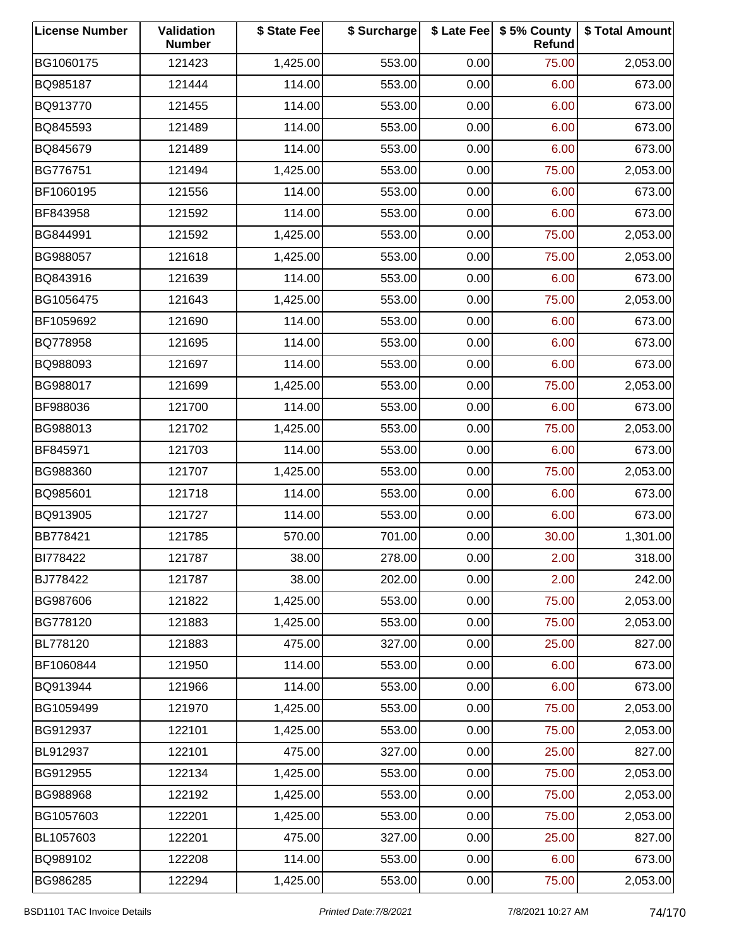| <b>License Number</b> | Validation<br><b>Number</b> | \$ State Fee | \$ Surcharge |      | \$ Late Fee   \$5% County<br>Refund | \$ Total Amount |
|-----------------------|-----------------------------|--------------|--------------|------|-------------------------------------|-----------------|
| BG1060175             | 121423                      | 1,425.00     | 553.00       | 0.00 | 75.00                               | 2,053.00        |
| BQ985187              | 121444                      | 114.00       | 553.00       | 0.00 | 6.00                                | 673.00          |
| BQ913770              | 121455                      | 114.00       | 553.00       | 0.00 | 6.00                                | 673.00          |
| BQ845593              | 121489                      | 114.00       | 553.00       | 0.00 | 6.00                                | 673.00          |
| BQ845679              | 121489                      | 114.00       | 553.00       | 0.00 | 6.00                                | 673.00          |
| BG776751              | 121494                      | 1,425.00     | 553.00       | 0.00 | 75.00                               | 2,053.00        |
| BF1060195             | 121556                      | 114.00       | 553.00       | 0.00 | 6.00                                | 673.00          |
| BF843958              | 121592                      | 114.00       | 553.00       | 0.00 | 6.00                                | 673.00          |
| BG844991              | 121592                      | 1,425.00     | 553.00       | 0.00 | 75.00                               | 2,053.00        |
| BG988057              | 121618                      | 1,425.00     | 553.00       | 0.00 | 75.00                               | 2,053.00        |
| BQ843916              | 121639                      | 114.00       | 553.00       | 0.00 | 6.00                                | 673.00          |
| BG1056475             | 121643                      | 1,425.00     | 553.00       | 0.00 | 75.00                               | 2,053.00        |
| BF1059692             | 121690                      | 114.00       | 553.00       | 0.00 | 6.00                                | 673.00          |
| BQ778958              | 121695                      | 114.00       | 553.00       | 0.00 | 6.00                                | 673.00          |
| BQ988093              | 121697                      | 114.00       | 553.00       | 0.00 | 6.00                                | 673.00          |
| BG988017              | 121699                      | 1,425.00     | 553.00       | 0.00 | 75.00                               | 2,053.00        |
| BF988036              | 121700                      | 114.00       | 553.00       | 0.00 | 6.00                                | 673.00          |
| BG988013              | 121702                      | 1,425.00     | 553.00       | 0.00 | 75.00                               | 2,053.00        |
| BF845971              | 121703                      | 114.00       | 553.00       | 0.00 | 6.00                                | 673.00          |
| BG988360              | 121707                      | 1,425.00     | 553.00       | 0.00 | 75.00                               | 2,053.00        |
| BQ985601              | 121718                      | 114.00       | 553.00       | 0.00 | 6.00                                | 673.00          |
| BQ913905              | 121727                      | 114.00       | 553.00       | 0.00 | 6.00                                | 673.00          |
| BB778421              | 121785                      | 570.00       | 701.00       | 0.00 | 30.00                               | 1,301.00        |
| BI778422              | 121787                      | 38.00        | 278.00       | 0.00 | 2.00                                | 318.00          |
| BJ778422              | 121787                      | 38.00        | 202.00       | 0.00 | 2.00                                | 242.00          |
| BG987606              | 121822                      | 1,425.00     | 553.00       | 0.00 | 75.00                               | 2,053.00        |
| BG778120              | 121883                      | 1,425.00     | 553.00       | 0.00 | 75.00                               | 2,053.00        |
| BL778120              | 121883                      | 475.00       | 327.00       | 0.00 | 25.00                               | 827.00          |
| BF1060844             | 121950                      | 114.00       | 553.00       | 0.00 | 6.00                                | 673.00          |
| BQ913944              | 121966                      | 114.00       | 553.00       | 0.00 | 6.00                                | 673.00          |
| BG1059499             | 121970                      | 1,425.00     | 553.00       | 0.00 | 75.00                               | 2,053.00        |
| BG912937              | 122101                      | 1,425.00     | 553.00       | 0.00 | 75.00                               | 2,053.00        |
| BL912937              | 122101                      | 475.00       | 327.00       | 0.00 | 25.00                               | 827.00          |
| BG912955              | 122134                      | 1,425.00     | 553.00       | 0.00 | 75.00                               | 2,053.00        |
| BG988968              | 122192                      | 1,425.00     | 553.00       | 0.00 | 75.00                               | 2,053.00        |
| BG1057603             | 122201                      | 1,425.00     | 553.00       | 0.00 | 75.00                               | 2,053.00        |
| BL1057603             | 122201                      | 475.00       | 327.00       | 0.00 | 25.00                               | 827.00          |
| BQ989102              | 122208                      | 114.00       | 553.00       | 0.00 | 6.00                                | 673.00          |
| BG986285              | 122294                      | 1,425.00     | 553.00       | 0.00 | 75.00                               | 2,053.00        |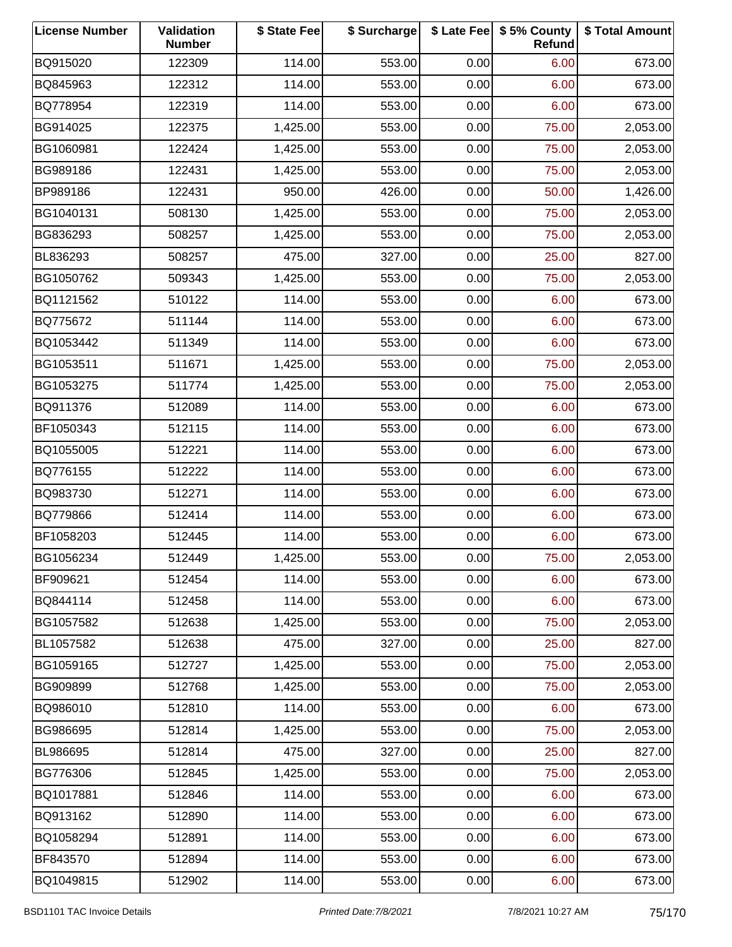| <b>License Number</b> | Validation<br><b>Number</b> | \$ State Fee | \$ Surcharge |      | \$ Late Fee   \$5% County<br>Refund | \$ Total Amount |
|-----------------------|-----------------------------|--------------|--------------|------|-------------------------------------|-----------------|
| BQ915020              | 122309                      | 114.00       | 553.00       | 0.00 | 6.00                                | 673.00          |
| BQ845963              | 122312                      | 114.00       | 553.00       | 0.00 | 6.00                                | 673.00          |
| BQ778954              | 122319                      | 114.00       | 553.00       | 0.00 | 6.00                                | 673.00          |
| BG914025              | 122375                      | 1,425.00     | 553.00       | 0.00 | 75.00                               | 2,053.00        |
| BG1060981             | 122424                      | 1,425.00     | 553.00       | 0.00 | 75.00                               | 2,053.00        |
| BG989186              | 122431                      | 1,425.00     | 553.00       | 0.00 | 75.00                               | 2,053.00        |
| BP989186              | 122431                      | 950.00       | 426.00       | 0.00 | 50.00                               | 1,426.00        |
| BG1040131             | 508130                      | 1,425.00     | 553.00       | 0.00 | 75.00                               | 2,053.00        |
| BG836293              | 508257                      | 1,425.00     | 553.00       | 0.00 | 75.00                               | 2,053.00        |
| BL836293              | 508257                      | 475.00       | 327.00       | 0.00 | 25.00                               | 827.00          |
| BG1050762             | 509343                      | 1,425.00     | 553.00       | 0.00 | 75.00                               | 2,053.00        |
| BQ1121562             | 510122                      | 114.00       | 553.00       | 0.00 | 6.00                                | 673.00          |
| BQ775672              | 511144                      | 114.00       | 553.00       | 0.00 | 6.00                                | 673.00          |
| BQ1053442             | 511349                      | 114.00       | 553.00       | 0.00 | 6.00                                | 673.00          |
| BG1053511             | 511671                      | 1,425.00     | 553.00       | 0.00 | 75.00                               | 2,053.00        |
| BG1053275             | 511774                      | 1,425.00     | 553.00       | 0.00 | 75.00                               | 2,053.00        |
| BQ911376              | 512089                      | 114.00       | 553.00       | 0.00 | 6.00                                | 673.00          |
| BF1050343             | 512115                      | 114.00       | 553.00       | 0.00 | 6.00                                | 673.00          |
| BQ1055005             | 512221                      | 114.00       | 553.00       | 0.00 | 6.00                                | 673.00          |
| BQ776155              | 512222                      | 114.00       | 553.00       | 0.00 | 6.00                                | 673.00          |
| BQ983730              | 512271                      | 114.00       | 553.00       | 0.00 | 6.00                                | 673.00          |
| BQ779866              | 512414                      | 114.00       | 553.00       | 0.00 | 6.00                                | 673.00          |
| BF1058203             | 512445                      | 114.00       | 553.00       | 0.00 | 6.00                                | 673.00          |
| BG1056234             | 512449                      | 1,425.00     | 553.00       | 0.00 | 75.00                               | 2,053.00        |
| BF909621              | 512454                      | 114.00       | 553.00       | 0.00 | 6.00                                | 673.00          |
| BQ844114              | 512458                      | 114.00       | 553.00       | 0.00 | 6.00                                | 673.00          |
| BG1057582             | 512638                      | 1,425.00     | 553.00       | 0.00 | 75.00                               | 2,053.00        |
| BL1057582             | 512638                      | 475.00       | 327.00       | 0.00 | 25.00                               | 827.00          |
| BG1059165             | 512727                      | 1,425.00     | 553.00       | 0.00 | 75.00                               | 2,053.00        |
| BG909899              | 512768                      | 1,425.00     | 553.00       | 0.00 | 75.00                               | 2,053.00        |
| BQ986010              | 512810                      | 114.00       | 553.00       | 0.00 | 6.00                                | 673.00          |
| BG986695              | 512814                      | 1,425.00     | 553.00       | 0.00 | 75.00                               | 2,053.00        |
| BL986695              | 512814                      | 475.00       | 327.00       | 0.00 | 25.00                               | 827.00          |
| BG776306              | 512845                      | 1,425.00     | 553.00       | 0.00 | 75.00                               | 2,053.00        |
| BQ1017881             | 512846                      | 114.00       | 553.00       | 0.00 | 6.00                                | 673.00          |
| BQ913162              | 512890                      | 114.00       | 553.00       | 0.00 | 6.00                                | 673.00          |
| BQ1058294             | 512891                      | 114.00       | 553.00       | 0.00 | 6.00                                | 673.00          |
| BF843570              | 512894                      | 114.00       | 553.00       | 0.00 | 6.00                                | 673.00          |
| BQ1049815             | 512902                      | 114.00       | 553.00       | 0.00 | 6.00                                | 673.00          |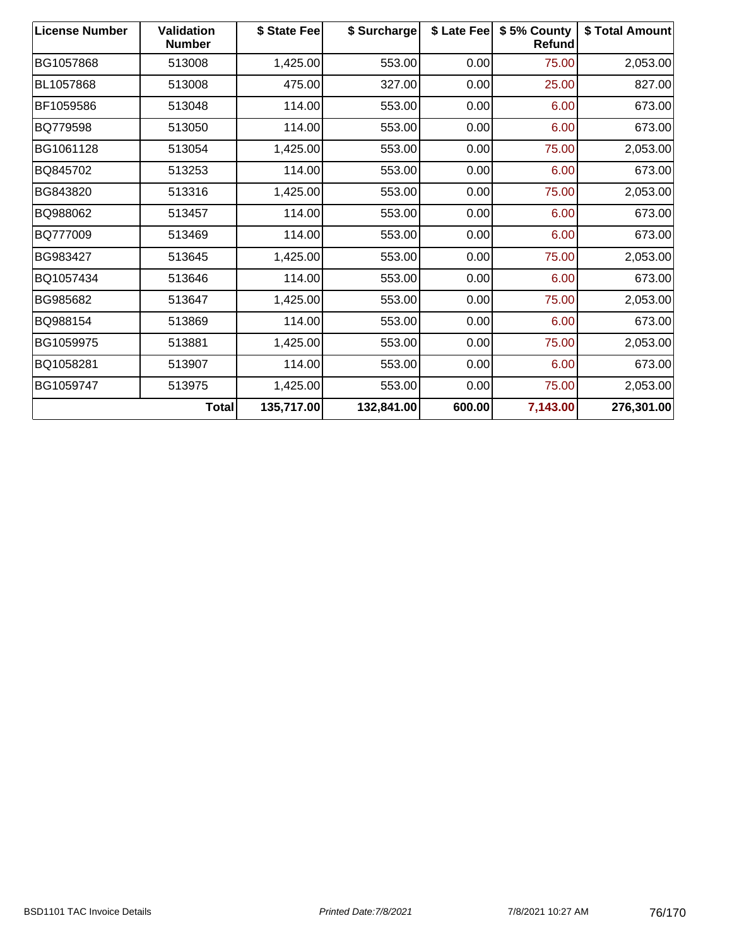| <b>License Number</b> | <b>Validation</b><br><b>Number</b> | \$ State Fee | \$ Surcharge | \$ Late Fee | \$5% County<br>Refund | \$ Total Amount |
|-----------------------|------------------------------------|--------------|--------------|-------------|-----------------------|-----------------|
| BG1057868             | 513008                             | 1,425.00     | 553.00       | 0.00        | 75.00                 | 2,053.00        |
| BL1057868             | 513008                             | 475.00       | 327.00       | 0.00        | 25.00                 | 827.00          |
| BF1059586             | 513048                             | 114.00       | 553.00       | 0.00        | 6.00                  | 673.00          |
| BQ779598              | 513050                             | 114.00       | 553.00       | 0.00        | 6.00                  | 673.00          |
| BG1061128             | 513054                             | 1,425.00     | 553.00       | 0.00        | 75.00                 | 2,053.00        |
| BQ845702              | 513253                             | 114.00       | 553.00       | 0.00        | 6.00                  | 673.00          |
| BG843820              | 513316                             | 1,425.00     | 553.00       | 0.00        | 75.00                 | 2,053.00        |
| BQ988062              | 513457                             | 114.00       | 553.00       | 0.00        | 6.00                  | 673.00          |
| BQ777009              | 513469                             | 114.00       | 553.00       | 0.00        | 6.00                  | 673.00          |
| BG983427              | 513645                             | 1,425.00     | 553.00       | 0.00        | 75.00                 | 2,053.00        |
| BQ1057434             | 513646                             | 114.00       | 553.00       | 0.00        | 6.00                  | 673.00          |
| BG985682              | 513647                             | 1,425.00     | 553.00       | 0.00        | 75.00                 | 2,053.00        |
| BQ988154              | 513869                             | 114.00       | 553.00       | 0.00        | 6.00                  | 673.00          |
| BG1059975             | 513881                             | 1,425.00     | 553.00       | 0.00        | 75.00                 | 2,053.00        |
| BQ1058281             | 513907                             | 114.00       | 553.00       | 0.00        | 6.00                  | 673.00          |
| BG1059747             | 513975                             | 1,425.00     | 553.00       | 0.00        | 75.00                 | 2,053.00        |
|                       | <b>Total</b>                       | 135,717.00   | 132,841.00   | 600.00      | 7,143.00              | 276,301.00      |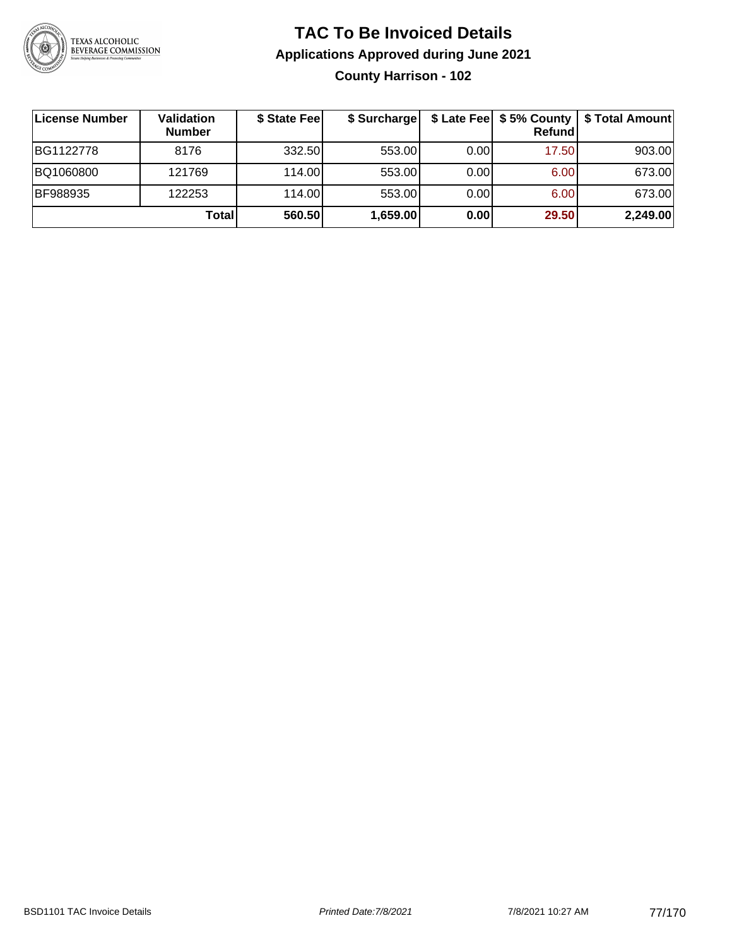

# **TAC To Be Invoiced Details Applications Approved during June 2021 County Harrison - 102**

| ∣License Number | Validation<br><b>Number</b> | \$ State Fee | \$ Surcharge |       | Refundl | \$ Late Fee   \$5% County   \$ Total Amount |
|-----------------|-----------------------------|--------------|--------------|-------|---------|---------------------------------------------|
| BG1122778       | 8176                        | 332.50       | 553.00       | 0.001 | 17.50   | 903.00                                      |
| BQ1060800       | 121769                      | 114.00       | 553.00       | 0.00  | 6.00    | 673.00                                      |
| <b>BF988935</b> | 122253                      | 114.00L      | 553.00       | 0.00  | 6.00    | 673.00                                      |
|                 | Total                       | 560.50       | 1,659.00     | 0.00  | 29.50   | 2,249.00                                    |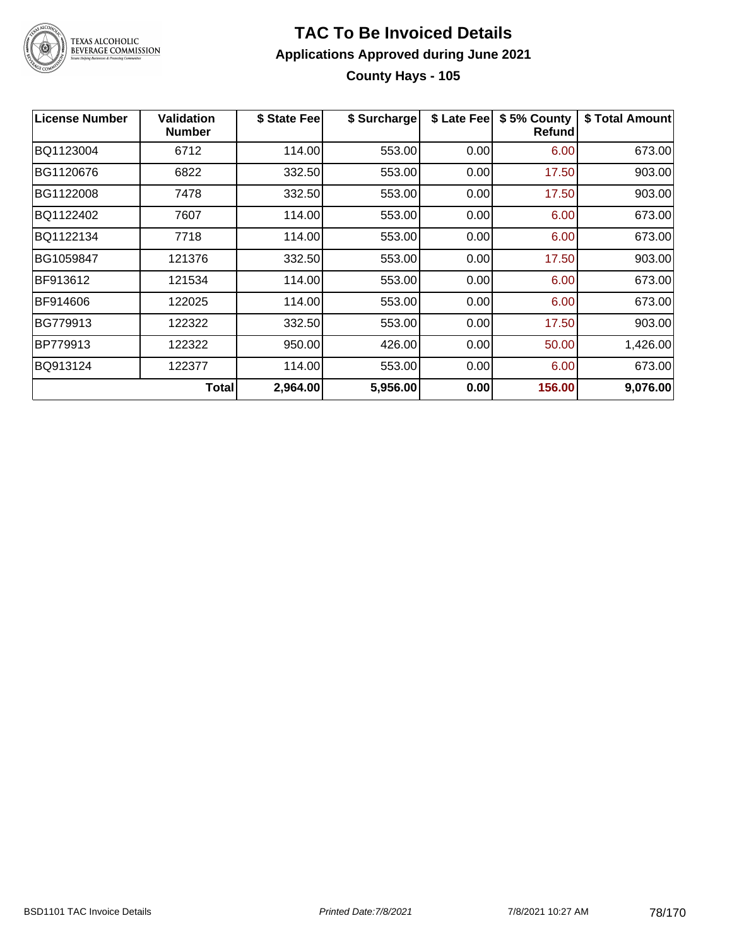

# **TAC To Be Invoiced Details Applications Approved during June 2021 County Hays - 105**

| License Number | <b>Validation</b><br>Number | \$ State Fee | \$ Surcharge | \$ Late Fee | \$5% County<br>Refund | \$ Total Amount |
|----------------|-----------------------------|--------------|--------------|-------------|-----------------------|-----------------|
| BQ1123004      | 6712                        | 114.00       | 553.00       | 0.00        | 6.00                  | 673.00          |
| BG1120676      | 6822                        | 332.50       | 553.00       | 0.00        | 17.50                 | 903.00          |
| BG1122008      | 7478                        | 332.50       | 553.00       | 0.00        | 17.50                 | 903.00          |
| BQ1122402      | 7607                        | 114.00       | 553.00       | 0.00        | 6.00                  | 673.00          |
| BQ1122134      | 7718                        | 114.00       | 553.00       | 0.00        | 6.00                  | 673.00          |
| BG1059847      | 121376                      | 332.50       | 553.00       | 0.00        | 17.50                 | 903.00          |
| BF913612       | 121534                      | 114.00       | 553.00       | 0.00        | 6.00                  | 673.00          |
| BF914606       | 122025                      | 114.00       | 553.00       | 0.00        | 6.00                  | 673.00          |
| BG779913       | 122322                      | 332.50       | 553.00       | 0.00        | 17.50                 | 903.00          |
| BP779913       | 122322                      | 950.00       | 426.00       | 0.00        | 50.00                 | 1,426.00        |
| BQ913124       | 122377                      | 114.00       | 553.00       | 0.00        | 6.00                  | 673.00          |
|                | Total                       | 2,964.00     | 5,956.00     | 0.00        | 156.00                | 9,076.00        |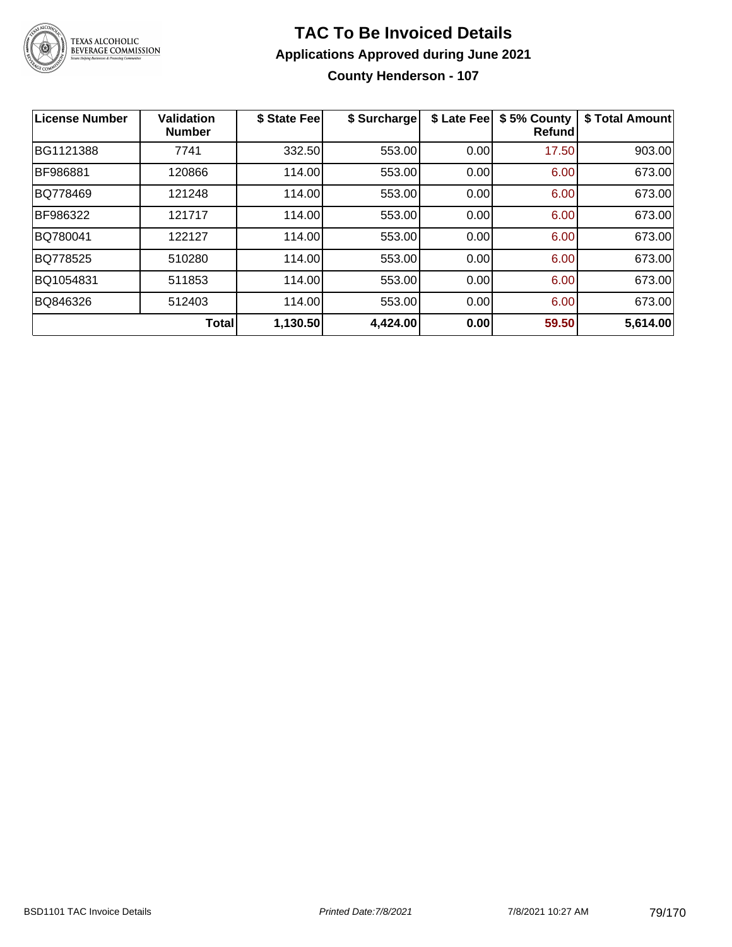

# **TAC To Be Invoiced Details Applications Approved during June 2021 County Henderson - 107**

| <b>License Number</b> | <b>Validation</b><br><b>Number</b> | \$ State Fee | \$ Surcharge | \$ Late Fee | \$5% County<br><b>Refund</b> | \$ Total Amount |
|-----------------------|------------------------------------|--------------|--------------|-------------|------------------------------|-----------------|
| BG1121388             | 7741                               | 332.50       | 553.00       | 0.00        | 17.50                        | 903.00          |
| BF986881              | 120866                             | 114.00       | 553.00       | 0.00        | 6.00                         | 673.00          |
| BQ778469              | 121248                             | 114.00       | 553.00       | 0.00        | 6.00                         | 673.00          |
| BF986322              | 121717                             | 114.00       | 553.00       | 0.00        | 6.00                         | 673.00          |
| BQ780041              | 122127                             | 114.00       | 553.00       | 0.00        | 6.00                         | 673.00          |
| BQ778525              | 510280                             | 114.00       | 553.00       | 0.00        | 6.00                         | 673.00          |
| BQ1054831             | 511853                             | 114.00       | 553.00       | 0.00        | 6.00                         | 673.00          |
| BQ846326              | 512403                             | 114.00       | 553.00       | 0.00        | 6.00                         | 673.00          |
|                       | <b>Total</b>                       | 1,130.50     | 4,424.00     | 0.00        | 59.50                        | 5,614.00        |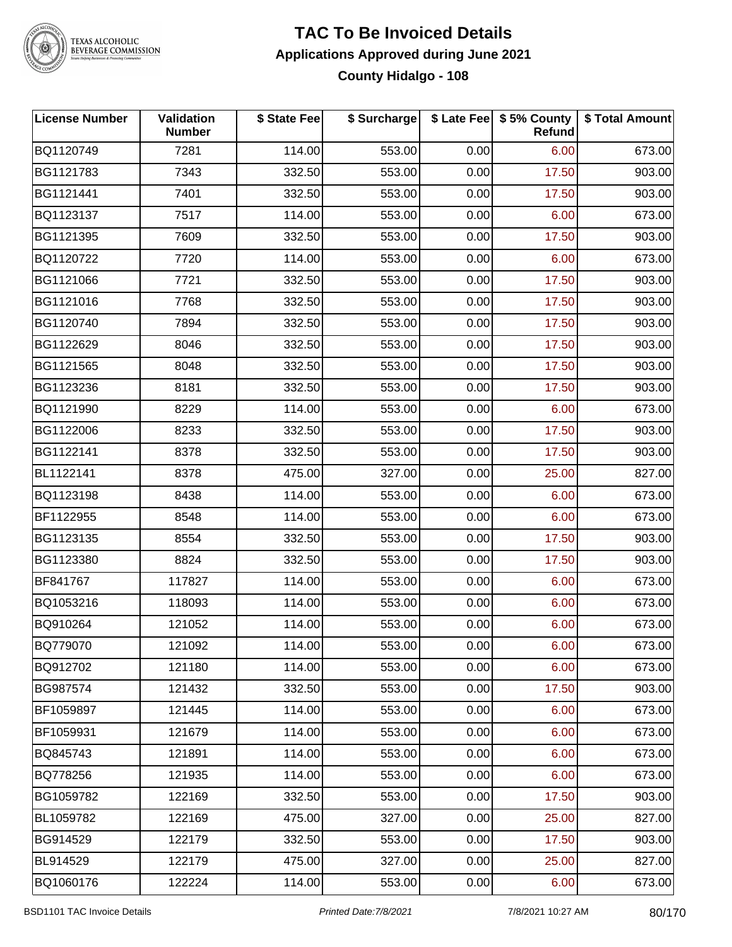

# TEXAS ALCOHOLIC<br>BEVERAGE COMMISSION

# **TAC To Be Invoiced Details Applications Approved during June 2021 County Hidalgo - 108**

| <b>License Number</b> | <b>Validation</b><br><b>Number</b> | \$ State Fee | \$ Surcharge |      | \$ Late Fee   \$5% County<br>Refund | \$ Total Amount |
|-----------------------|------------------------------------|--------------|--------------|------|-------------------------------------|-----------------|
| BQ1120749             | 7281                               | 114.00       | 553.00       | 0.00 | 6.00                                | 673.00          |
| BG1121783             | 7343                               | 332.50       | 553.00       | 0.00 | 17.50                               | 903.00          |
| BG1121441             | 7401                               | 332.50       | 553.00       | 0.00 | 17.50                               | 903.00          |
| BQ1123137             | 7517                               | 114.00       | 553.00       | 0.00 | 6.00                                | 673.00          |
| BG1121395             | 7609                               | 332.50       | 553.00       | 0.00 | 17.50                               | 903.00          |
| BQ1120722             | 7720                               | 114.00       | 553.00       | 0.00 | 6.00                                | 673.00          |
| BG1121066             | 7721                               | 332.50       | 553.00       | 0.00 | 17.50                               | 903.00          |
| BG1121016             | 7768                               | 332.50       | 553.00       | 0.00 | 17.50                               | 903.00          |
| BG1120740             | 7894                               | 332.50       | 553.00       | 0.00 | 17.50                               | 903.00          |
| BG1122629             | 8046                               | 332.50       | 553.00       | 0.00 | 17.50                               | 903.00          |
| BG1121565             | 8048                               | 332.50       | 553.00       | 0.00 | 17.50                               | 903.00          |
| BG1123236             | 8181                               | 332.50       | 553.00       | 0.00 | 17.50                               | 903.00          |
| BQ1121990             | 8229                               | 114.00       | 553.00       | 0.00 | 6.00                                | 673.00          |
| BG1122006             | 8233                               | 332.50       | 553.00       | 0.00 | 17.50                               | 903.00          |
| BG1122141             | 8378                               | 332.50       | 553.00       | 0.00 | 17.50                               | 903.00          |
| BL1122141             | 8378                               | 475.00       | 327.00       | 0.00 | 25.00                               | 827.00          |
| BQ1123198             | 8438                               | 114.00       | 553.00       | 0.00 | 6.00                                | 673.00          |
| BF1122955             | 8548                               | 114.00       | 553.00       | 0.00 | 6.00                                | 673.00          |
| BG1123135             | 8554                               | 332.50       | 553.00       | 0.00 | 17.50                               | 903.00          |
| BG1123380             | 8824                               | 332.50       | 553.00       | 0.00 | 17.50                               | 903.00          |
| BF841767              | 117827                             | 114.00       | 553.00       | 0.00 | 6.00                                | 673.00          |
| BQ1053216             | 118093                             | 114.00       | 553.00       | 0.00 | 6.00                                | 673.00          |
| BQ910264              | 121052                             | 114.00       | 553.00       | 0.00 | 6.00                                | 673.00          |
| BQ779070              | 121092                             | 114.00       | 553.00       | 0.00 | 6.00                                | 673.00          |
| BQ912702              | 121180                             | 114.00       | 553.00       | 0.00 | 6.00                                | 673.00          |
| BG987574              | 121432                             | 332.50       | 553.00       | 0.00 | 17.50                               | 903.00          |
| BF1059897             | 121445                             | 114.00       | 553.00       | 0.00 | 6.00                                | 673.00          |
| BF1059931             | 121679                             | 114.00       | 553.00       | 0.00 | 6.00                                | 673.00          |
| BQ845743              | 121891                             | 114.00       | 553.00       | 0.00 | 6.00                                | 673.00          |
| BQ778256              | 121935                             | 114.00       | 553.00       | 0.00 | 6.00                                | 673.00          |
| BG1059782             | 122169                             | 332.50       | 553.00       | 0.00 | 17.50                               | 903.00          |
| BL1059782             | 122169                             | 475.00       | 327.00       | 0.00 | 25.00                               | 827.00          |
| BG914529              | 122179                             | 332.50       | 553.00       | 0.00 | 17.50                               | 903.00          |
| BL914529              | 122179                             | 475.00       | 327.00       | 0.00 | 25.00                               | 827.00          |
| BQ1060176             | 122224                             | 114.00       | 553.00       | 0.00 | 6.00                                | 673.00          |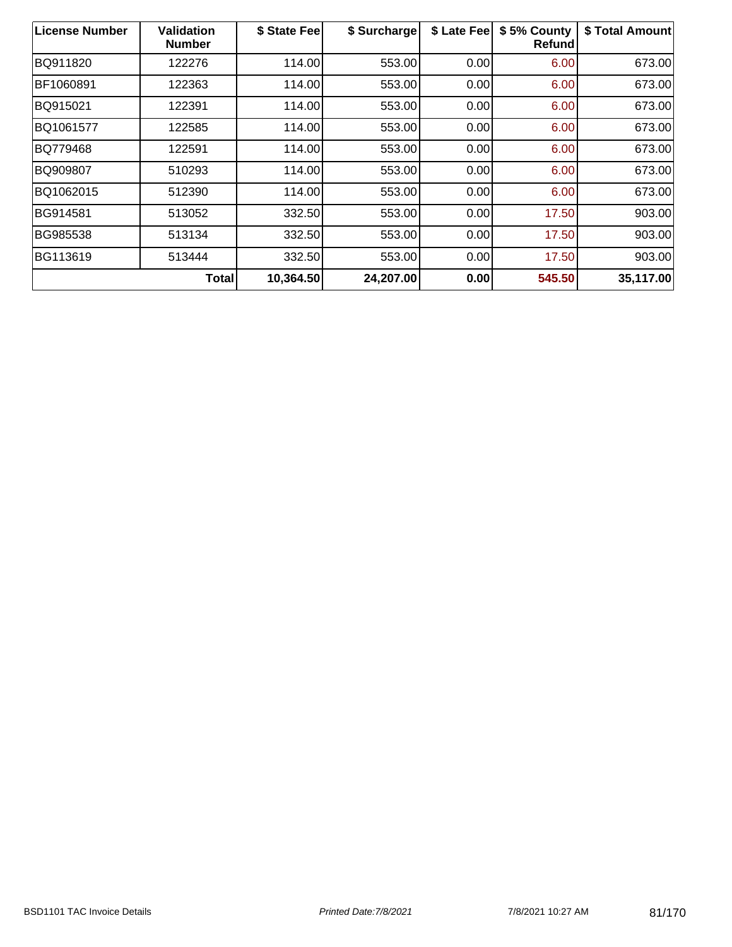| <b>License Number</b> | <b>Validation</b><br><b>Number</b> | \$ State Fee | \$ Surcharge | \$ Late Fee | \$5% County<br>Refund | \$ Total Amount |
|-----------------------|------------------------------------|--------------|--------------|-------------|-----------------------|-----------------|
| BQ911820              | 122276                             | 114.00       | 553.00       | 0.00        | 6.00                  | 673.00          |
| BF1060891             | 122363                             | 114.00       | 553.00       | 0.00        | 6.00                  | 673.00          |
| BQ915021              | 122391                             | 114.00       | 553.00       | 0.00        | 6.00                  | 673.00          |
| BQ1061577             | 122585                             | 114.00       | 553.00       | 0.00        | 6.00                  | 673.00          |
| BQ779468              | 122591                             | 114.00       | 553.00       | 0.00        | 6.00                  | 673.00          |
| BQ909807              | 510293                             | 114.00       | 553.00       | 0.00        | 6.00                  | 673.00          |
| BQ1062015             | 512390                             | 114.00       | 553.00       | 0.00        | 6.00                  | 673.00          |
| BG914581              | 513052                             | 332.50       | 553.00       | 0.00        | 17.50                 | 903.00          |
| BG985538              | 513134                             | 332.50       | 553.00       | 0.00        | 17.50                 | 903.00          |
| BG113619              | 513444                             | 332.50       | 553.00       | 0.00        | 17.50                 | 903.00          |
|                       | Total                              | 10,364.50    | 24,207.00    | 0.00        | 545.50                | 35,117.00       |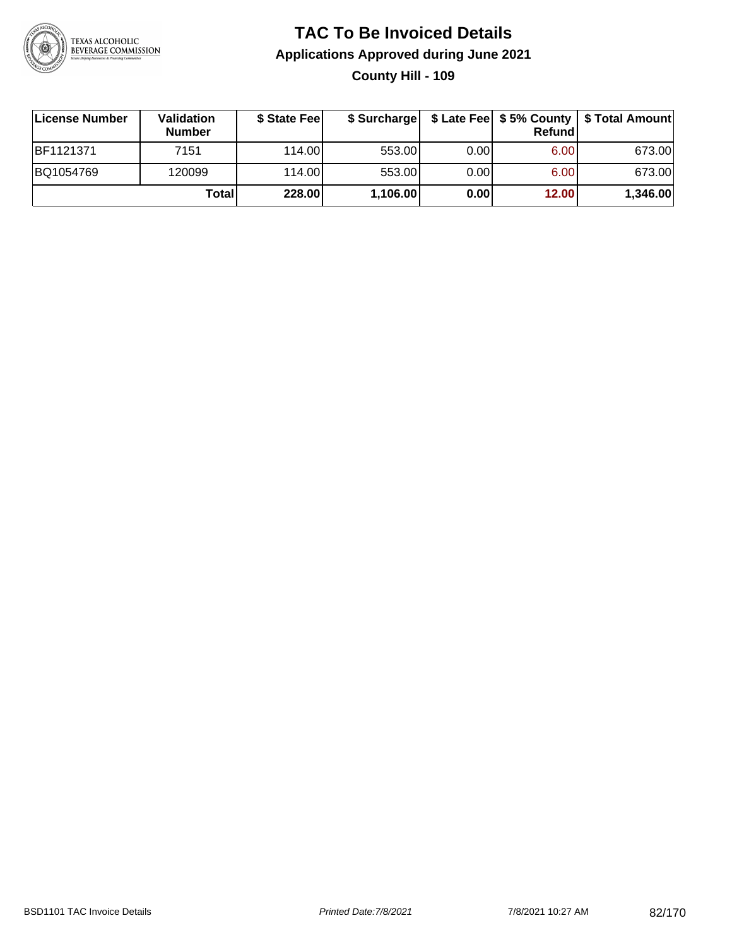

# **TAC To Be Invoiced Details Applications Approved during June 2021 County Hill - 109**

| License Number | <b>Validation</b><br><b>Number</b> | \$ State Fee |          |       | <b>Refund</b> | \$ Surcharge   \$ Late Fee   \$5% County   \$ Total Amount |
|----------------|------------------------------------|--------------|----------|-------|---------------|------------------------------------------------------------|
| BF1121371      | 7151                               | 114.00L      | 553.00   | 0.001 | 6.00          | 673.00                                                     |
| BQ1054769      | 120099                             | 114.00L      | 553.00   | 0.00  | 6.00          | 673.00                                                     |
|                | Total                              | 228.00       | 1,106.00 | 0.00  | 12.00         | 1,346.00                                                   |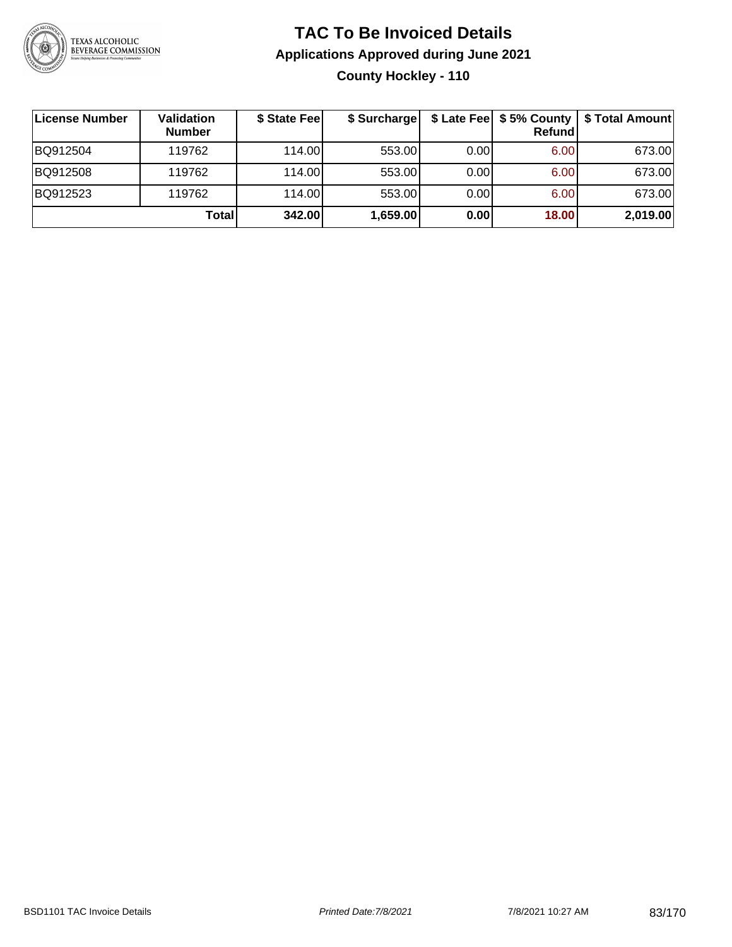

# **TAC To Be Invoiced Details Applications Approved during June 2021 County Hockley - 110**

| License Number | Validation<br><b>Number</b> | \$ State Fee | \$ Surcharge |      | \$ Late Fee   \$5% County<br>Refundl | \$ Total Amount |
|----------------|-----------------------------|--------------|--------------|------|--------------------------------------|-----------------|
| BQ912504       | 119762                      | 114.00       | 553.00       | 0.00 | 6.00                                 | 673.00          |
| BQ912508       | 119762                      | 114.00       | 553.00       | 0.00 | 6.00                                 | 673.00          |
| BQ912523       | 119762                      | 114.00       | 553.00       | 0.00 | 6.00                                 | 673.00          |
|                | Total                       | 342.00       | 1,659.00     | 0.00 | 18.00                                | 2,019.00        |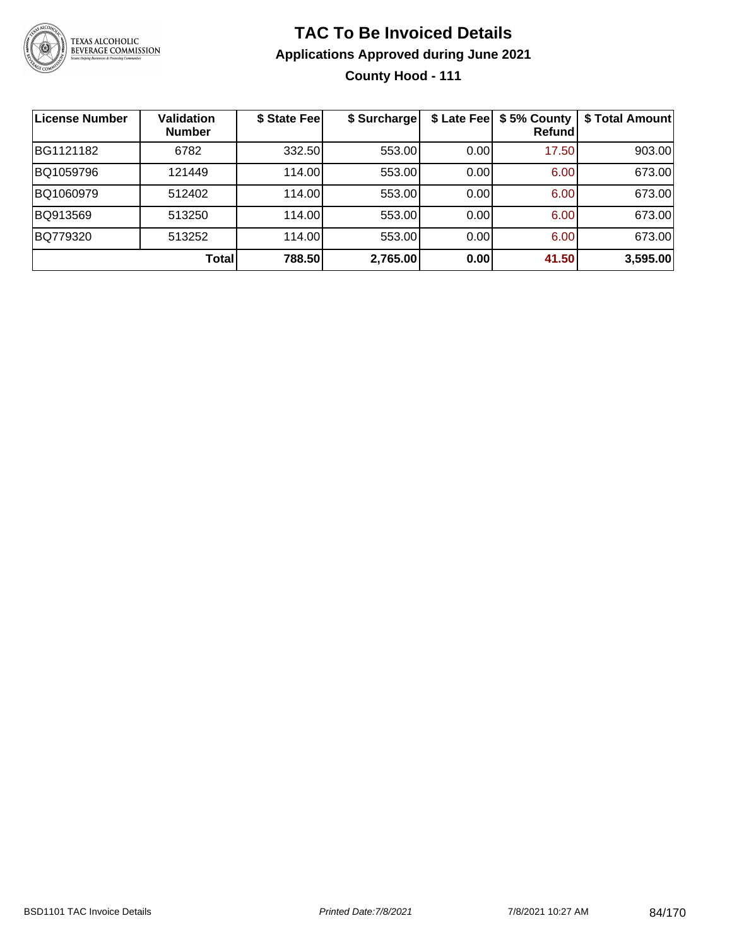

# **TAC To Be Invoiced Details Applications Approved during June 2021 County Hood - 111**

| <b>License Number</b> | <b>Validation</b><br><b>Number</b> | \$ State Fee | \$ Surcharge |      | \$ Late Fee   \$5% County<br>Refund | \$ Total Amount |
|-----------------------|------------------------------------|--------------|--------------|------|-------------------------------------|-----------------|
| BG1121182             | 6782                               | 332.50       | 553.00       | 0.00 | 17.50                               | 903.00          |
| BQ1059796             | 121449                             | 114.00       | 553.00       | 0.00 | 6.00                                | 673.00          |
| BQ1060979             | 512402                             | 114.00       | 553.00       | 0.00 | 6.00                                | 673.00          |
| BQ913569              | 513250                             | 114.00       | 553.00       | 0.00 | 6.00                                | 673.00          |
| BQ779320              | 513252                             | 114.00       | 553.00       | 0.00 | 6.00                                | 673.00          |
|                       | <b>Total</b>                       | 788.50       | 2,765.00     | 0.00 | 41.50                               | 3,595.00        |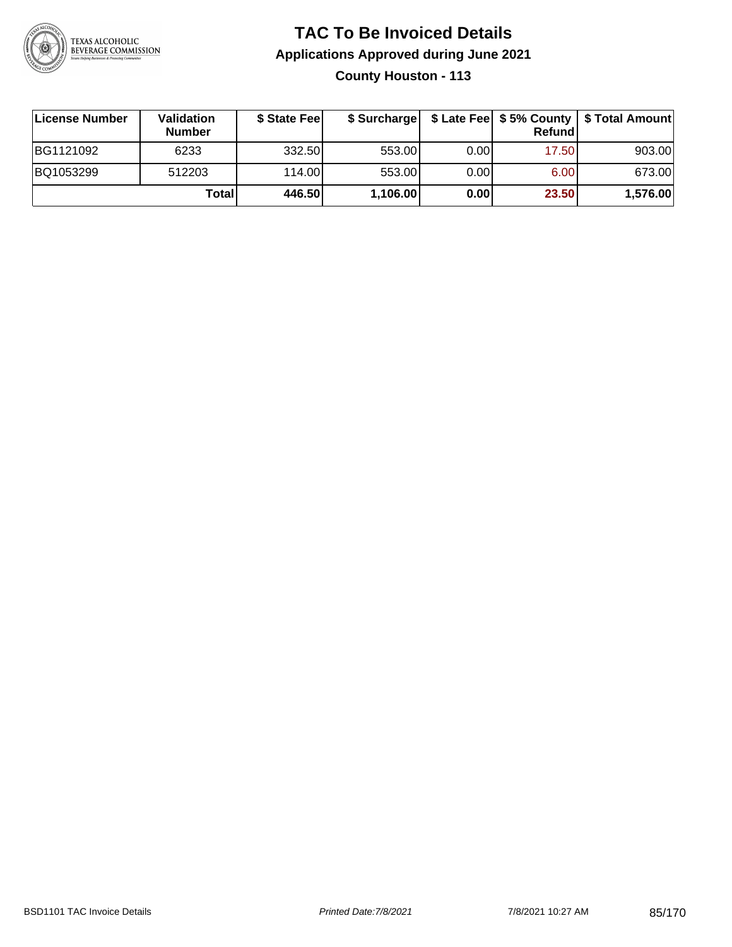

# **TAC To Be Invoiced Details Applications Approved during June 2021 County Houston - 113**

| License Number | <b>Validation</b><br><b>Number</b> | \$ State Fee | \$ Surcharge |      | <b>Refund</b> | \$ Late Fee   \$5% County   \$ Total Amount |
|----------------|------------------------------------|--------------|--------------|------|---------------|---------------------------------------------|
| BG1121092      | 6233                               | 332.50       | 553.00       | 0.00 | 17.50         | 903.00                                      |
| BQ1053299      | 512203                             | 114.00L      | 553.00       | 0.00 | 6.00          | 673.00                                      |
|                | Total                              | 446.50       | 1,106.00     | 0.00 | 23.50         | 1,576.00                                    |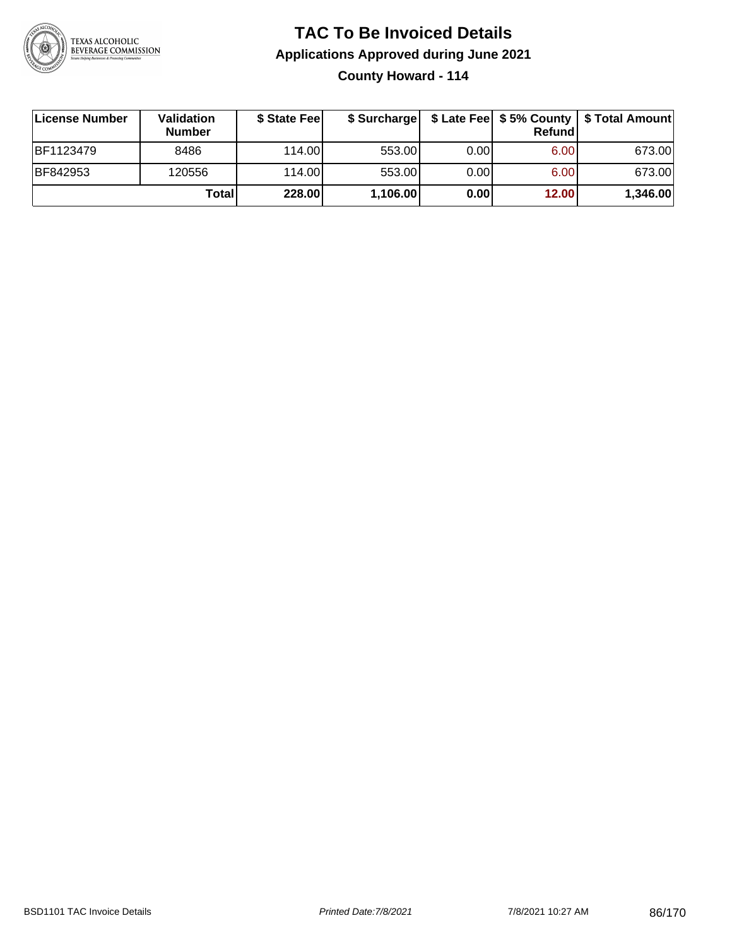

# **TAC To Be Invoiced Details Applications Approved during June 2021 County Howard - 114**

| License Number   | Validation<br><b>Number</b> | \$ State Feel |          |      | Refundl | \$ Surcharge   \$ Late Fee   \$5% County   \$ Total Amount |
|------------------|-----------------------------|---------------|----------|------|---------|------------------------------------------------------------|
| <b>BF1123479</b> | 8486                        | 114.00L       | 553.00   | 0.00 | 6.00    | 673.00                                                     |
| <b>BF842953</b>  | 120556                      | 114.00L       | 553.00   | 0.00 | 6.00    | 673.00                                                     |
|                  | Totall                      | 228.00        | 1,106.00 | 0.00 | 12.00   | 1,346.00                                                   |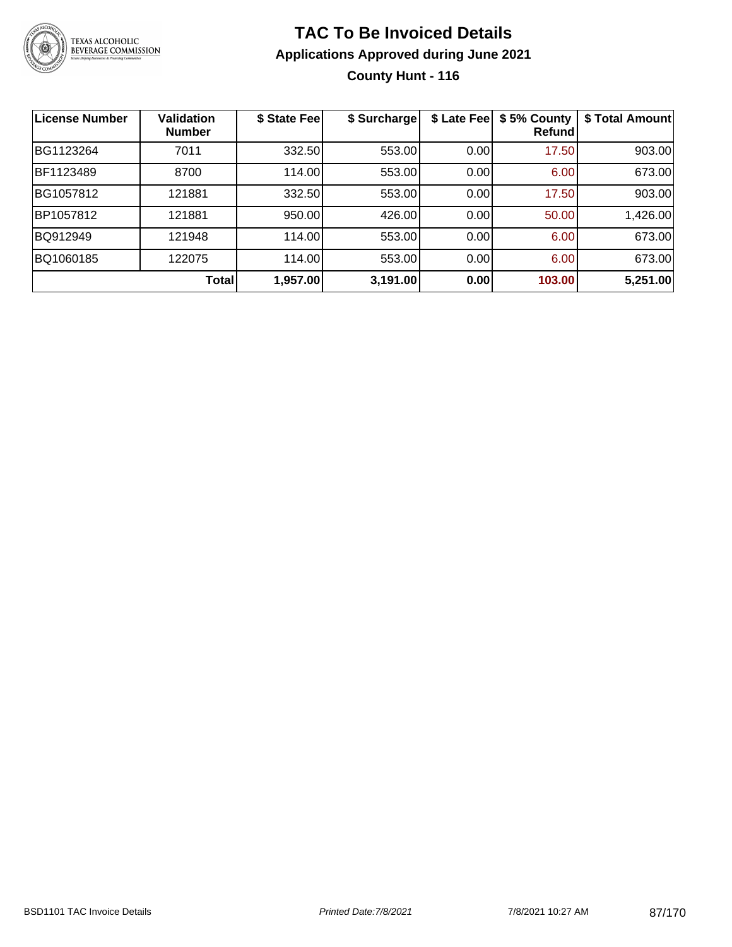

### **TAC To Be Invoiced Details Applications Approved during June 2021 County Hunt - 116**

| <b>License Number</b> | <b>Validation</b><br><b>Number</b> | \$ State Fee | \$ Surcharge | \$ Late Fee | \$5% County<br>Refundl | \$ Total Amount |
|-----------------------|------------------------------------|--------------|--------------|-------------|------------------------|-----------------|
| BG1123264             | 7011                               | 332.50       | 553.00       | 0.00        | 17.50                  | 903.00          |
| BF1123489             | 8700                               | 114.00       | 553.00       | 0.00        | 6.00                   | 673.00          |
| BG1057812             | 121881                             | 332.50       | 553.00       | 0.00        | 17.50                  | 903.00          |
| BP1057812             | 121881                             | 950.00       | 426.00       | 0.00        | 50.00                  | 1,426.00        |
| BQ912949              | 121948                             | 114.00       | 553.00       | 0.00        | 6.00                   | 673.00          |
| BQ1060185             | 122075                             | 114.00       | 553.00       | 0.00        | 6.00                   | 673.00          |
|                       | <b>Total</b>                       | 1,957.00     | 3,191.00     | 0.00        | 103.00                 | 5,251.00        |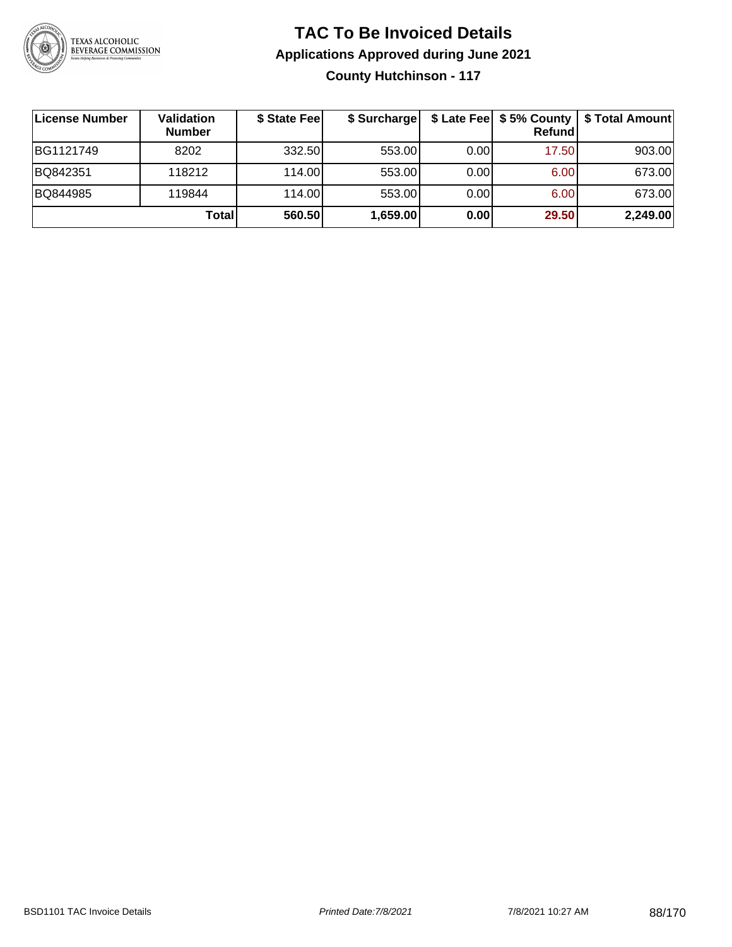

# **TAC To Be Invoiced Details Applications Approved during June 2021 County Hutchinson - 117**

| License Number | <b>Validation</b><br><b>Number</b> | \$ State Feel | \$ Surcharge |      | Refund | \$ Late Fee   \$5% County   \$ Total Amount |
|----------------|------------------------------------|---------------|--------------|------|--------|---------------------------------------------|
| BG1121749      | 8202                               | 332.50        | 553.00       | 0.00 | 17.50  | 903.00                                      |
| BQ842351       | 118212                             | 114.00L       | 553.00       | 0.00 | 6.00   | 673.00                                      |
| BQ844985       | 119844                             | 114.00L       | 553.00       | 0.00 | 6.00   | 673.00                                      |
|                | Total                              | 560.50        | 1,659.00     | 0.00 | 29.50  | 2,249.00                                    |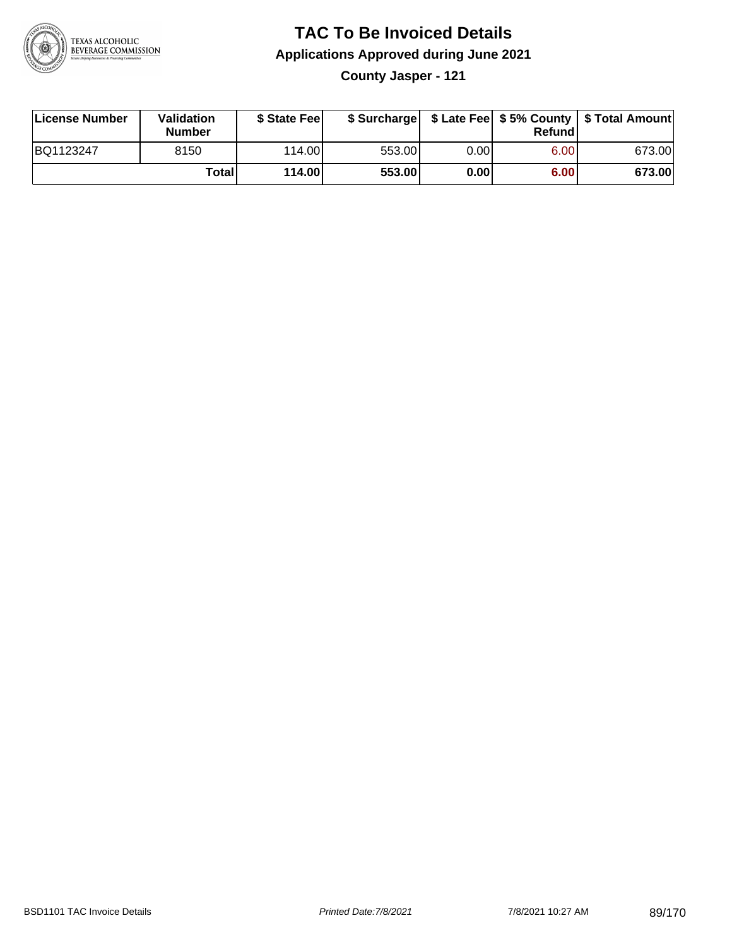

# **TAC To Be Invoiced Details Applications Approved during June 2021**

**County Jasper - 121**

| License Number | Validation<br><b>Number</b> | \$ State Feel |        |      | Refundl | \$ Surcharge   \$ Late Fee   \$5% County   \$ Total Amount |
|----------------|-----------------------------|---------------|--------|------|---------|------------------------------------------------------------|
| BQ1123247      | 8150                        | 114.00        | 553.00 | 0.00 | 6.00    | 673.00                                                     |
|                | Totall                      | 114.00        | 553.00 | 0.00 | 6.00    | 673.00                                                     |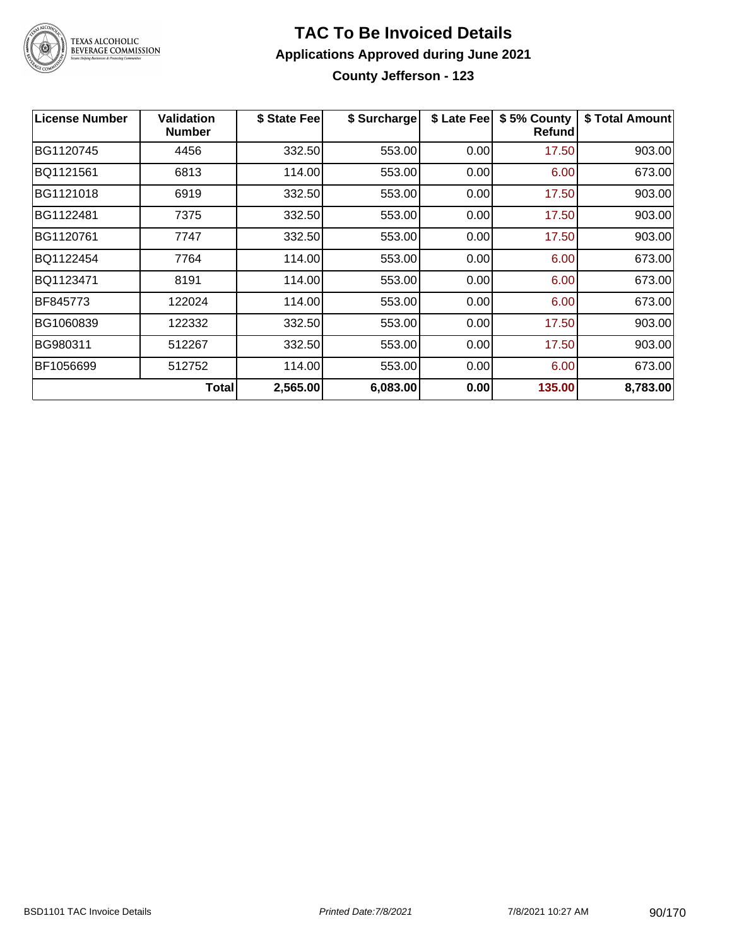

# **TAC To Be Invoiced Details Applications Approved during June 2021 County Jefferson - 123**

| <b>License Number</b> | <b>Validation</b><br><b>Number</b> | \$ State Fee | \$ Surcharge | \$ Late Fee | \$5% County<br>Refund | \$ Total Amount |
|-----------------------|------------------------------------|--------------|--------------|-------------|-----------------------|-----------------|
| BG1120745             | 4456                               | 332.50       | 553.00       | 0.00        | 17.50                 | 903.00          |
| BQ1121561             | 6813                               | 114.00       | 553.00       | 0.00        | 6.00                  | 673.00          |
| BG1121018             | 6919                               | 332.50       | 553.00       | 0.00        | 17.50                 | 903.00          |
| BG1122481             | 7375                               | 332.50       | 553.00       | 0.00        | 17.50                 | 903.00          |
| BG1120761             | 7747                               | 332.50       | 553.00       | 0.00        | 17.50                 | 903.00          |
| BQ1122454             | 7764                               | 114.00       | 553.00       | 0.00        | 6.00                  | 673.00          |
| BQ1123471             | 8191                               | 114.00       | 553.00       | 0.00        | 6.00                  | 673.00          |
| BF845773              | 122024                             | 114.00       | 553.00       | 0.00        | 6.00                  | 673.00          |
| BG1060839             | 122332                             | 332.50       | 553.00       | 0.00        | 17.50                 | 903.00          |
| BG980311              | 512267                             | 332.50       | 553.00       | 0.00        | 17.50                 | 903.00          |
| BF1056699             | 512752                             | 114.00       | 553.00       | 0.00        | 6.00                  | 673.00          |
|                       | Total                              | 2,565.00     | 6,083.00     | 0.00        | 135.00                | 8,783.00        |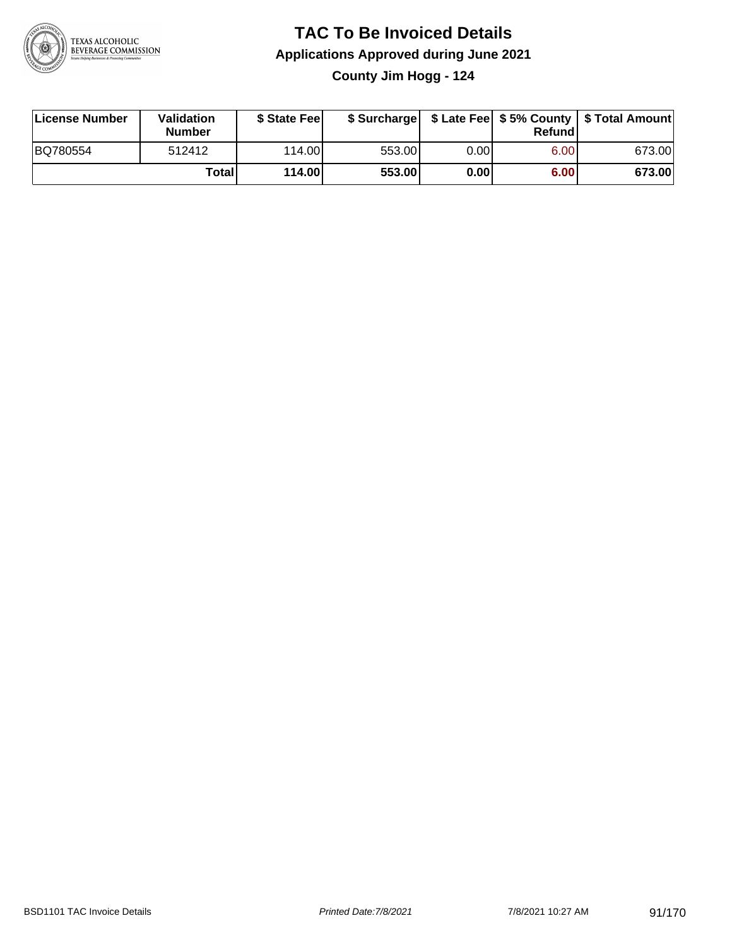

# **TAC To Be Invoiced Details Applications Approved during June 2021 County Jim Hogg - 124**

| License Number | Validation<br><b>Number</b> | \$ State Feel |        |      | Refund | \$ Surcharge   \$ Late Fee   \$5% County   \$ Total Amount |
|----------------|-----------------------------|---------------|--------|------|--------|------------------------------------------------------------|
| BQ780554       | 512412                      | 114.00L       | 553.00 | 0.00 | 6.00   | 673.00                                                     |
|                | Total                       | 114.00        | 553.00 | 0.00 | 6.00   | 673.00                                                     |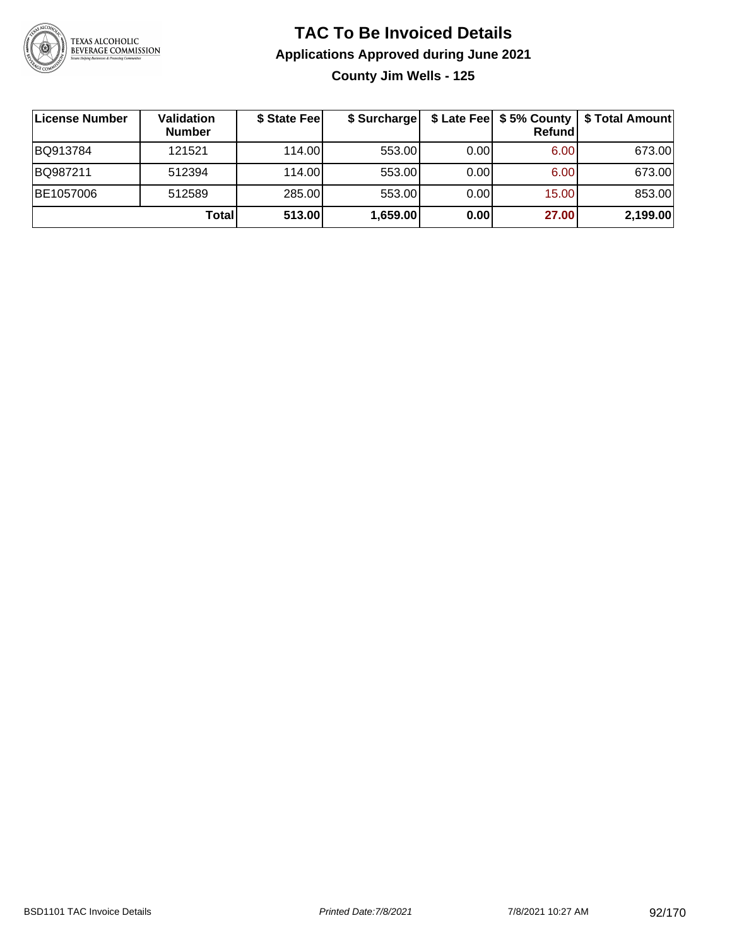

# **TAC To Be Invoiced Details Applications Approved during June 2021 County Jim Wells - 125**

| License Number | Validation<br><b>Number</b> | \$ State Fee | \$ Surcharge |      | Refund | \$ Late Fee   \$5% County   \$ Total Amount |
|----------------|-----------------------------|--------------|--------------|------|--------|---------------------------------------------|
| BQ913784       | 121521                      | 114.00L      | 553.00       | 0.00 | 6.00   | 673.00                                      |
| BQ987211       | 512394                      | 114.00L      | 553.00       | 0.00 | 6.00   | 673.00                                      |
| BE1057006      | 512589                      | 285.00       | 553.00       | 0.00 | 15.00  | 853.00                                      |
|                | Total                       | 513.00       | 1,659.00     | 0.00 | 27.00  | 2,199.00                                    |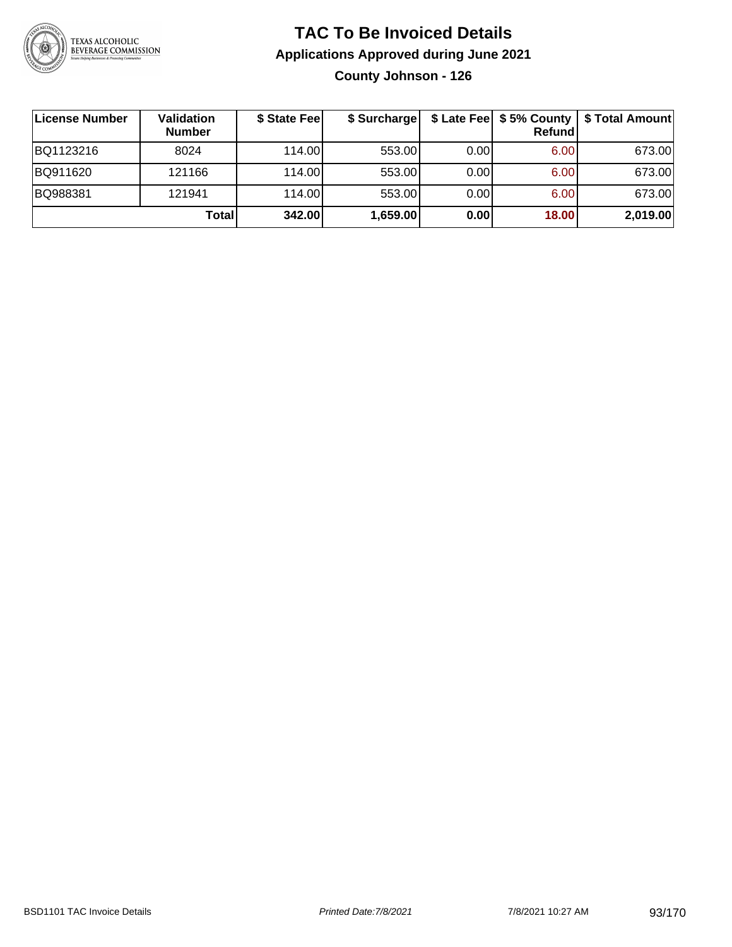

# **TAC To Be Invoiced Details Applications Approved during June 2021 County Johnson - 126**

| License Number | <b>Validation</b><br><b>Number</b> | \$ State Fee | \$ Surcharge |      | Refundl           | \$ Late Fee   \$5% County   \$ Total Amount |
|----------------|------------------------------------|--------------|--------------|------|-------------------|---------------------------------------------|
| BQ1123216      | 8024                               | 114.00       | 553.00       | 0.00 | 6.00 <sub>1</sub> | 673.00                                      |
| BQ911620       | 121166                             | 114.00       | 553.00       | 0.00 | 6.00              | 673.00                                      |
| BQ988381       | 121941                             | 114.00       | 553.00       | 0.00 | 6.00 <sub>1</sub> | 673.00                                      |
|                | <b>Total</b>                       | 342.00       | 1,659.00     | 0.00 | 18.00             | 2,019.00                                    |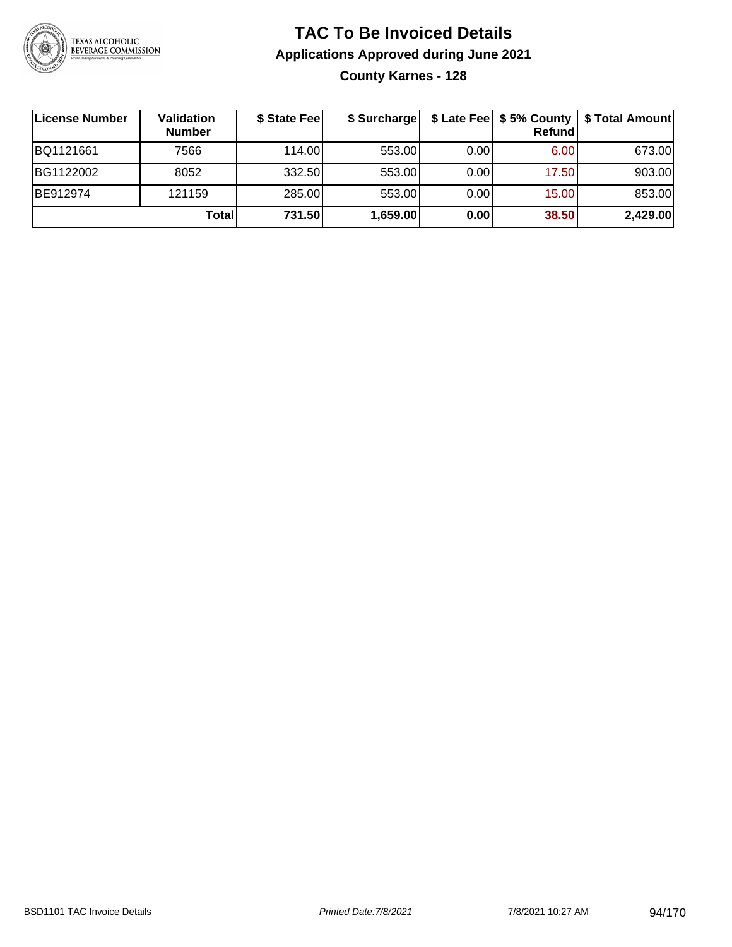

# **TAC To Be Invoiced Details Applications Approved during June 2021 County Karnes - 128**

| License Number | Validation<br><b>Number</b> | \$ State Fee | \$ Surcharge |      | \$ Late Fee   \$5% County  <br>Refundl | \$ Total Amount |
|----------------|-----------------------------|--------------|--------------|------|----------------------------------------|-----------------|
| BQ1121661      | 7566                        | 114.00L      | 553.00       | 0.00 | 6.00                                   | 673.00          |
| BG1122002      | 8052                        | 332.50       | 553.00       | 0.00 | 17.50                                  | 903.00          |
| BE912974       | 121159                      | 285.00       | 553.00       | 0.00 | 15.00                                  | 853.00          |
|                | <b>Total</b>                | 731.50       | 1,659.00     | 0.00 | 38.50                                  | 2,429.00        |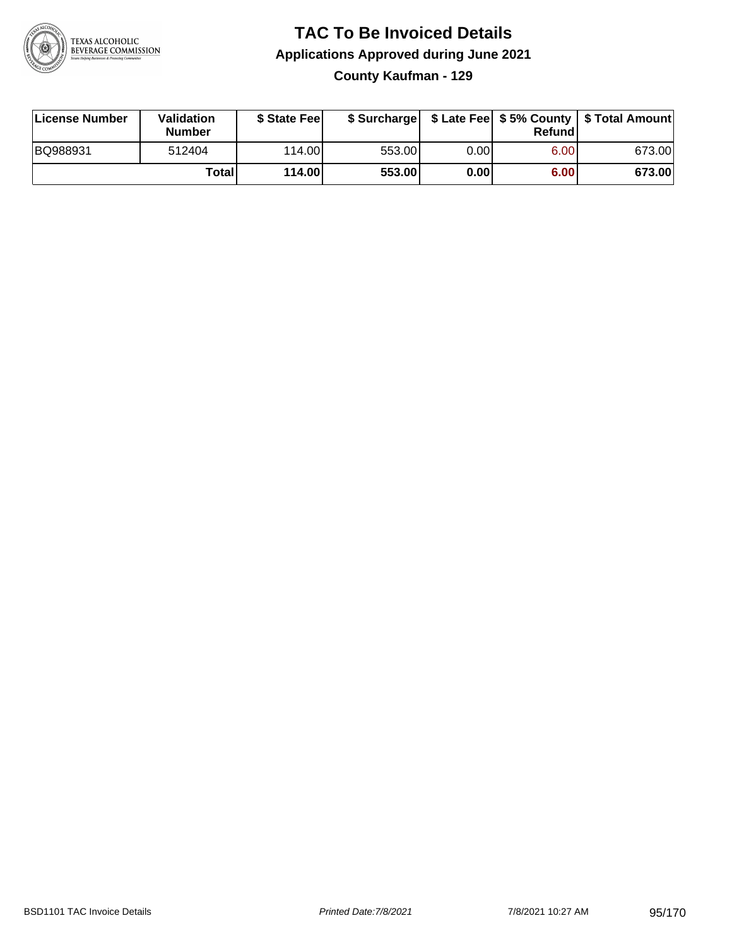

# **TAC To Be Invoiced Details Applications Approved during June 2021 County Kaufman - 129**

| License Number | Validation<br>Number | \$ State Fee    |        |      | Refundl | \$ Surcharge   \$ Late Fee   \$5% County   \$ Total Amount |
|----------------|----------------------|-----------------|--------|------|---------|------------------------------------------------------------|
| BQ988931       | 512404               | 114.00 <b>1</b> | 553.00 | 0.00 | 6.00    | 673.00                                                     |
|                | Totall               | 114.00          | 553.00 | 0.00 | 6.00    | 673.00                                                     |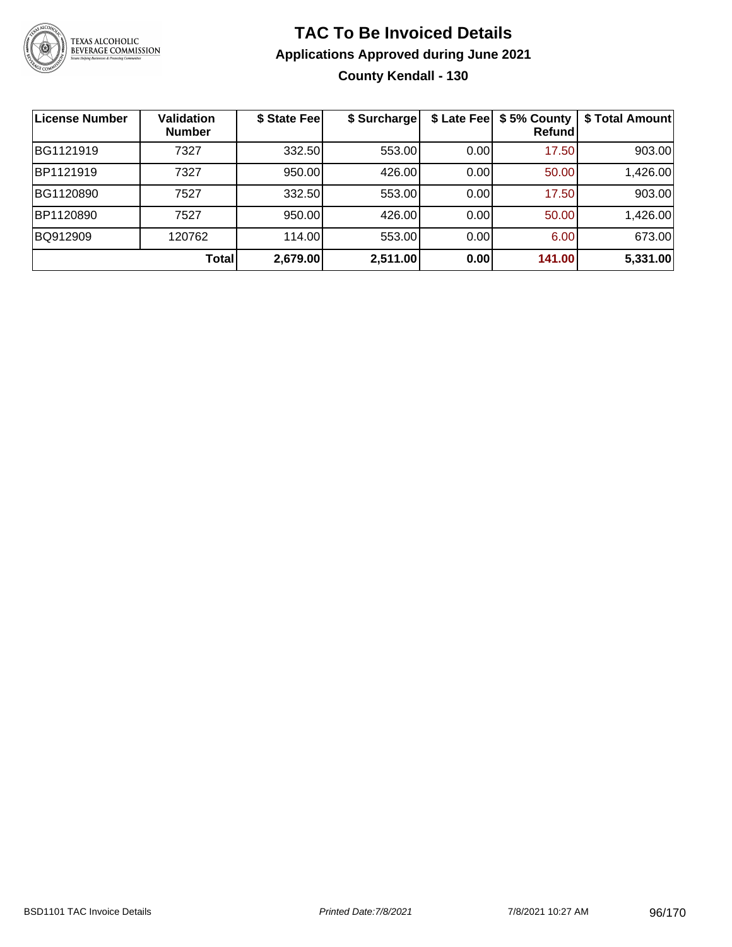

# **TAC To Be Invoiced Details Applications Approved during June 2021 County Kendall - 130**

| <b>License Number</b> | <b>Validation</b><br><b>Number</b> | \$ State Fee | \$ Surcharge | \$ Late Fee | \$5% County<br>Refundl | \$ Total Amount |
|-----------------------|------------------------------------|--------------|--------------|-------------|------------------------|-----------------|
| BG1121919             | 7327                               | 332.50       | 553.00       | 0.00        | 17.50                  | 903.00          |
| BP1121919             | 7327                               | 950.00       | 426.00       | 0.00        | 50.00                  | 1,426.00        |
| BG1120890             | 7527                               | 332.50       | 553.00       | 0.00        | 17.50                  | 903.00          |
| BP1120890             | 7527                               | 950.00       | 426.00       | 0.00        | 50.00                  | 1,426.00        |
| BQ912909              | 120762                             | 114.00       | 553.00       | 0.00        | 6.00                   | 673.00          |
|                       | <b>Total</b>                       | 2,679.00     | 2,511.00     | 0.00        | 141.00                 | 5,331.00        |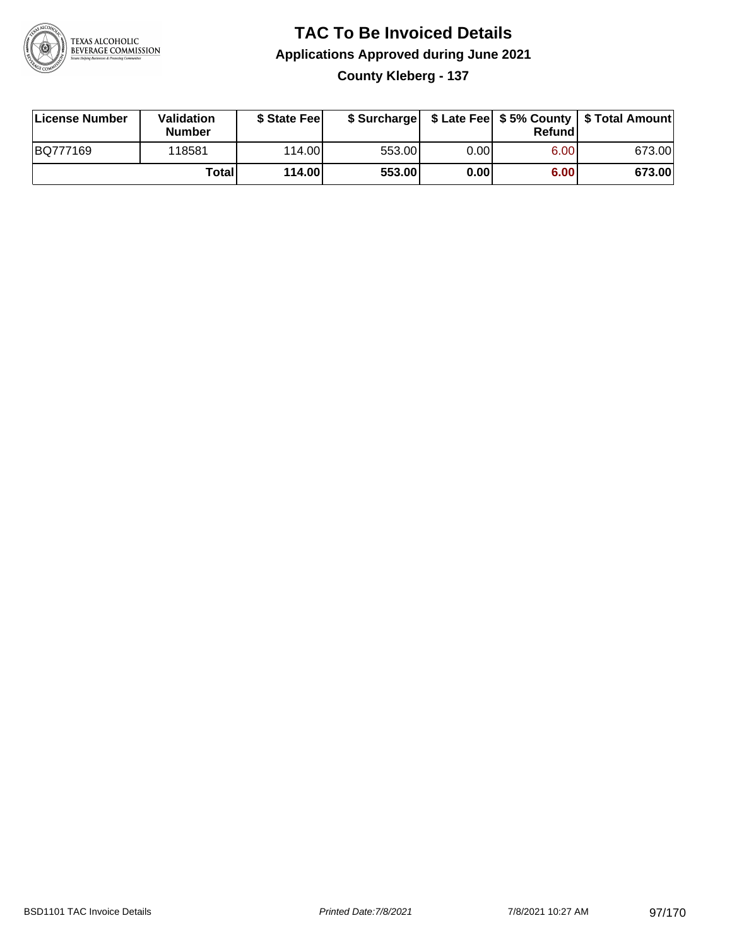

# **TAC To Be Invoiced Details Applications Approved during June 2021 County Kleberg - 137**

| License Number | Validation<br><b>Number</b> | \$ State Feel |        |      | Refundl | \$ Surcharge   \$ Late Fee   \$5% County   \$ Total Amount |
|----------------|-----------------------------|---------------|--------|------|---------|------------------------------------------------------------|
| BQ777169       | 118581                      | 114.00L       | 553.00 | 0.00 | 6.00    | 673.00                                                     |
|                | Totall                      | 114.00        | 553.00 | 0.00 | 6.00    | 673.00                                                     |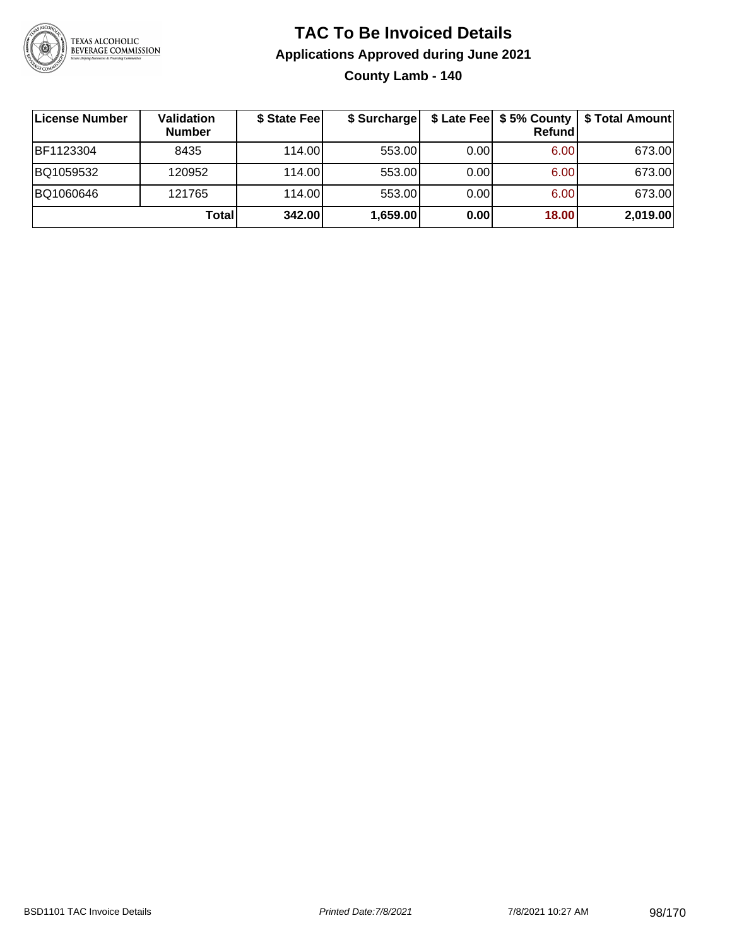

# **TAC To Be Invoiced Details Applications Approved during June 2021 County Lamb - 140**

| License Number | Validation<br><b>Number</b> | \$ State Fee | \$ Surcharge |      | Refund | \$ Late Fee   \$5% County   \$ Total Amount |
|----------------|-----------------------------|--------------|--------------|------|--------|---------------------------------------------|
| BF1123304      | 8435                        | 114.00L      | 553.00       | 0.00 | 6.00   | 673.00                                      |
| BQ1059532      | 120952                      | 114.00L      | 553.00       | 0.00 | 6.00   | 673.00                                      |
| BQ1060646      | 121765                      | 114.00       | 553.00       | 0.00 | 6.00   | 673.00                                      |
|                | Total                       | 342.00       | 1,659.00     | 0.00 | 18.00  | 2,019.00                                    |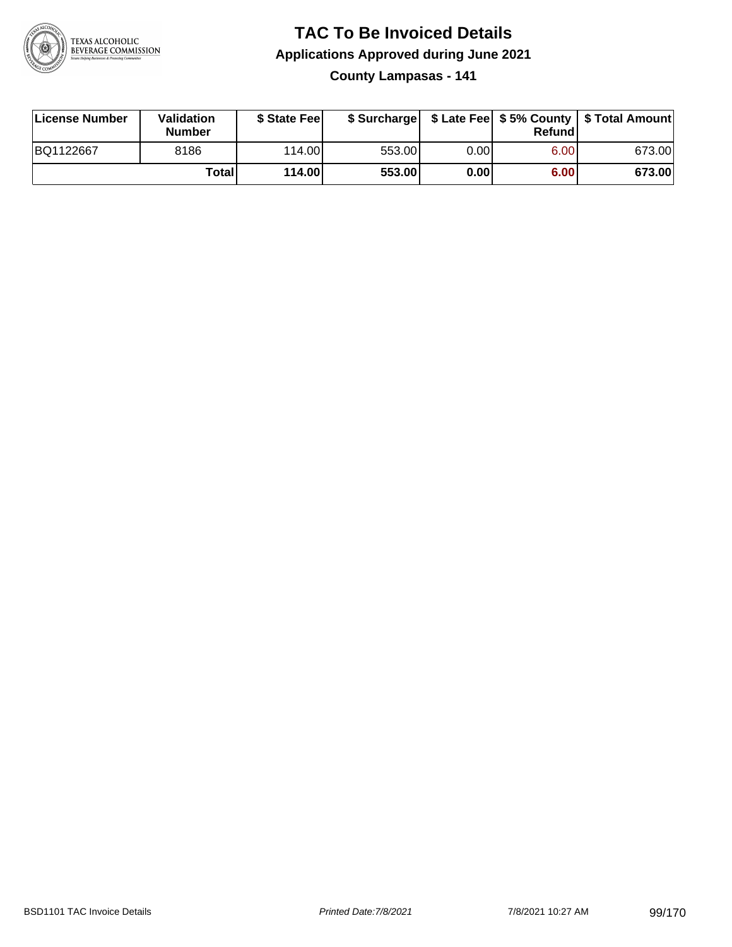

# **TAC To Be Invoiced Details Applications Approved during June 2021**

**County Lampasas - 141**

| License Number | Validation<br><b>Number</b> | \$ State Feel |        |      | Refundl | \$ Surcharge   \$ Late Fee   \$5% County   \$ Total Amount |
|----------------|-----------------------------|---------------|--------|------|---------|------------------------------------------------------------|
| BQ1122667      | 8186                        | 114.00        | 553.00 | 0.00 | 6.00    | 673.00                                                     |
|                | <b>Total</b>                | 114.00        | 553.00 | 0.00 | 6.00    | 673.00                                                     |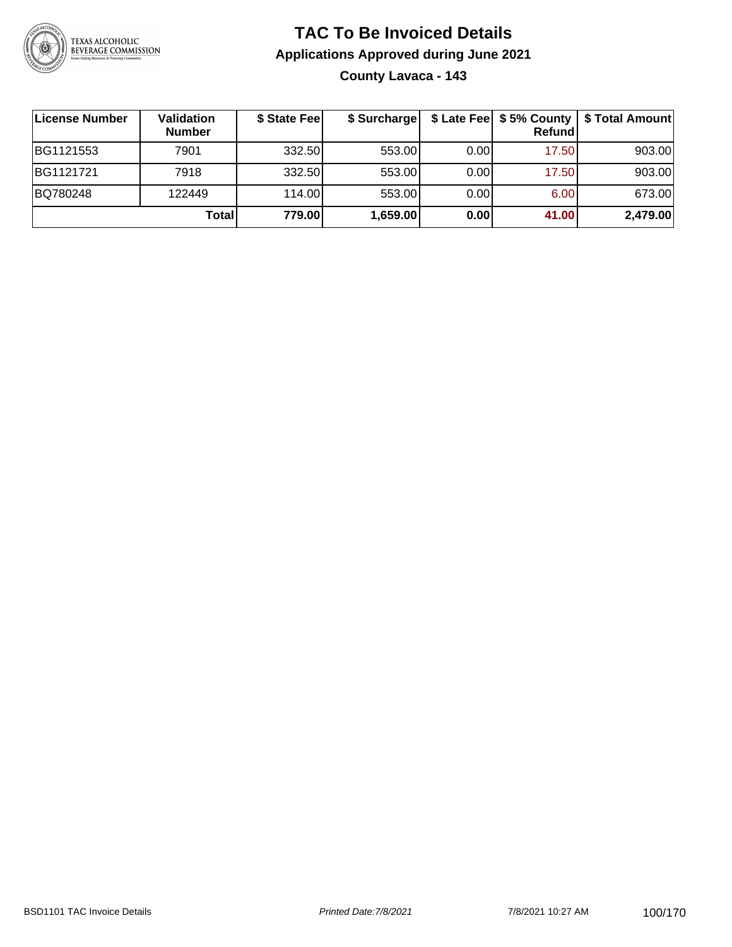

# **TAC To Be Invoiced Details Applications Approved during June 2021 County Lavaca - 143**

| License Number | Validation<br><b>Number</b> | \$ State Fee | \$ Surcharge |      | \$ Late Fee   \$5% County  <br>Refundl | \$ Total Amount |
|----------------|-----------------------------|--------------|--------------|------|----------------------------------------|-----------------|
| BG1121553      | 7901                        | 332.50       | 553.00       | 0.00 | 17.50                                  | 903.00          |
| BG1121721      | 7918                        | 332.50       | 553.00       | 0.00 | 17.50                                  | 903.00          |
| BQ780248       | 122449                      | 114.00       | 553.00       | 0.00 | 6.00                                   | 673.00          |
|                | Total                       | 779.00       | 1,659.00     | 0.00 | 41.00                                  | 2,479.00        |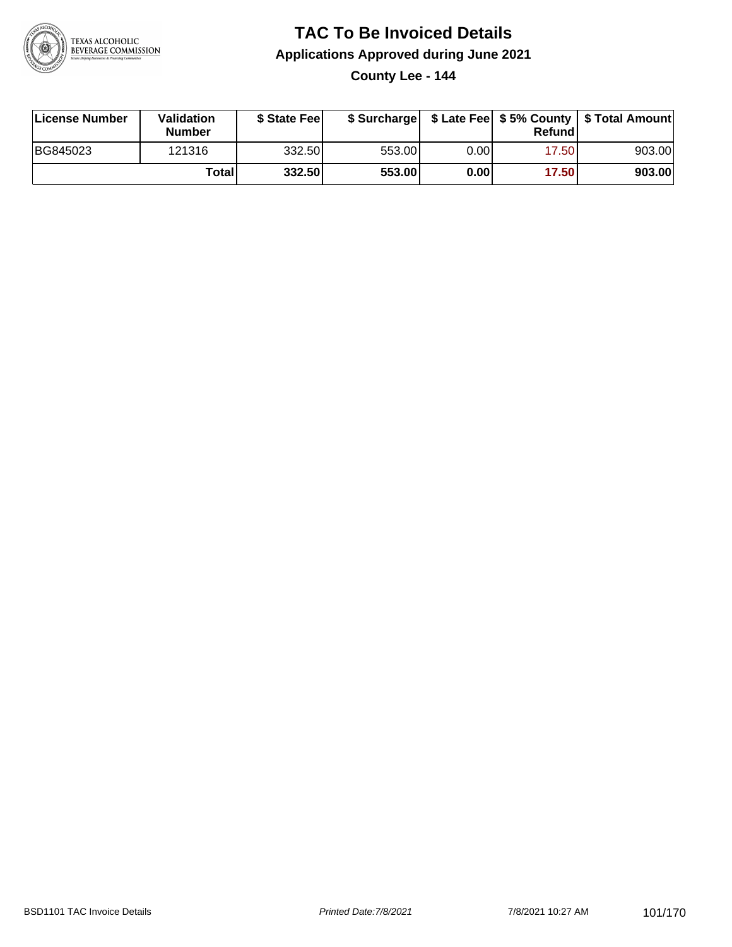

# **TAC To Be Invoiced Details Applications Approved during June 2021**

**County Lee - 144**

| License Number | Validation<br><b>Number</b> | \$ State Feel |        |       | Refundl | \$ Surcharge   \$ Late Fee   \$5% County   \$ Total Amount |
|----------------|-----------------------------|---------------|--------|-------|---------|------------------------------------------------------------|
| BG845023       | 121316                      | 332.50        | 553.00 | 0.00I | 17.50   | 903.00                                                     |
|                | Totall                      | 332.50        | 553.00 | 0.00  | 17.50   | 903.00                                                     |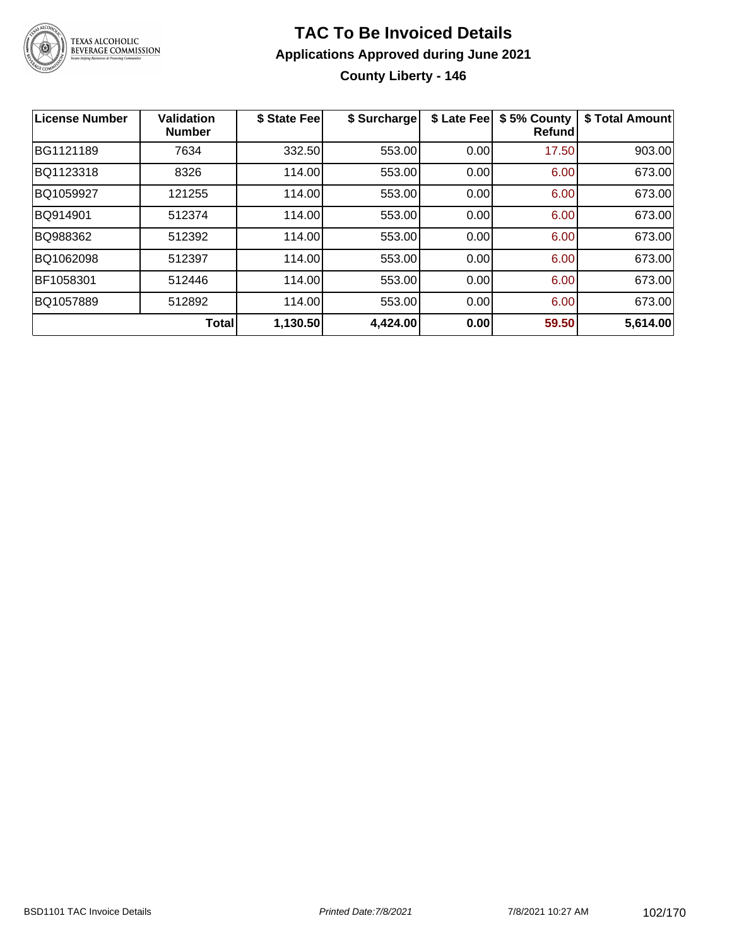

# **TAC To Be Invoiced Details Applications Approved during June 2021 County Liberty - 146**

| <b>License Number</b> | <b>Validation</b><br><b>Number</b> | \$ State Fee | \$ Surcharge | \$ Late Fee | \$5% County<br>Refundl | \$ Total Amount |
|-----------------------|------------------------------------|--------------|--------------|-------------|------------------------|-----------------|
| BG1121189             | 7634                               | 332.50       | 553.00       | 0.00        | 17.50                  | 903.00          |
| BQ1123318             | 8326                               | 114.00       | 553.00       | 0.00        | 6.00                   | 673.00          |
| BQ1059927             | 121255                             | 114.00       | 553.00       | 0.00        | 6.00                   | 673.00          |
| BQ914901              | 512374                             | 114.00       | 553.00       | 0.00        | 6.00                   | 673.00          |
| BQ988362              | 512392                             | 114.00       | 553.00       | 0.00        | 6.00                   | 673.00          |
| BQ1062098             | 512397                             | 114.00       | 553.00       | 0.00        | 6.00                   | 673.00          |
| BF1058301             | 512446                             | 114.00       | 553.00       | 0.00        | 6.00                   | 673.00          |
| BQ1057889             | 512892                             | 114.00       | 553.00       | 0.00        | 6.00                   | 673.00          |
|                       | Total                              | 1,130.50     | 4,424.00     | 0.00        | 59.50                  | 5,614.00        |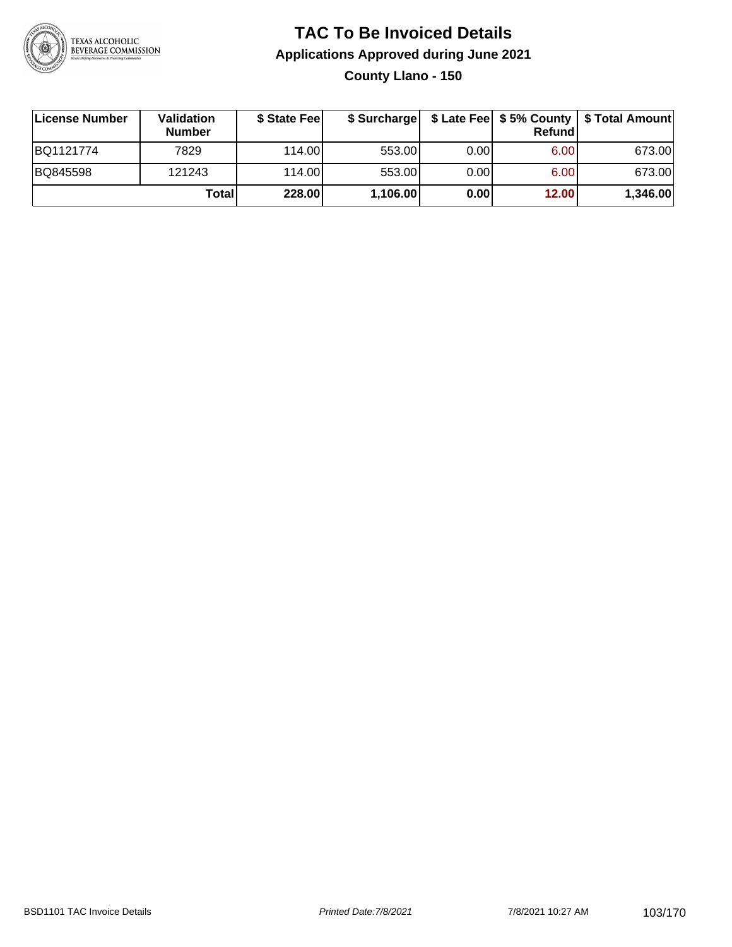

# **TAC To Be Invoiced Details Applications Approved during June 2021 County Llano - 150**

**License Number Validation Number \$ State Fee \$ Surcharge \$ Late Fee \$ 5% County Refund \$ Total Amount** BQ1121774 7829 114.00 553.00 0.00 6.00 673.00 BQ845598 121243 114.00 553.00 0.00 6.00 673.00 **Total 228.00 1,106.00 0.00 12.00 1,346.00**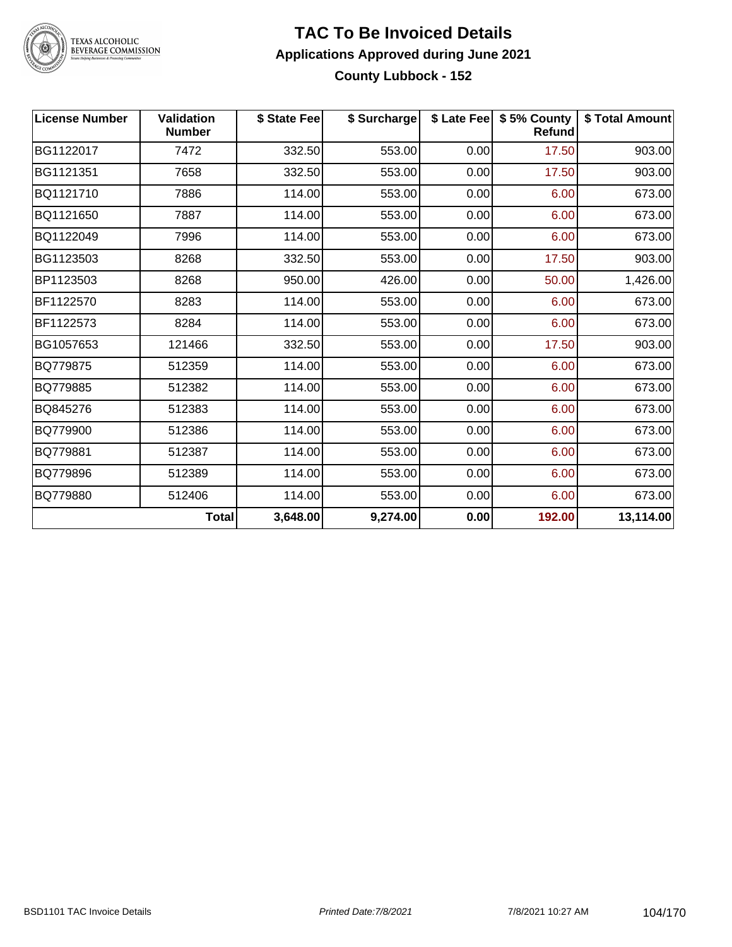

#### **TAC To Be Invoiced Details Applications Approved during June 2021 County Lubbock - 152**

| <b>License Number</b> | <b>Validation</b><br><b>Number</b> | \$ State Fee | \$ Surcharge |      | \$ Late Fee   \$5% County<br>Refund | \$ Total Amount |
|-----------------------|------------------------------------|--------------|--------------|------|-------------------------------------|-----------------|
| BG1122017             | 7472                               | 332.50       | 553.00       | 0.00 | 17.50                               | 903.00          |
| BG1121351             | 7658                               | 332.50       | 553.00       | 0.00 | 17.50                               | 903.00          |
| BQ1121710             | 7886                               | 114.00       | 553.00       | 0.00 | 6.00                                | 673.00          |
| BQ1121650             | 7887                               | 114.00       | 553.00       | 0.00 | 6.00                                | 673.00          |
| BQ1122049             | 7996                               | 114.00       | 553.00       | 0.00 | 6.00                                | 673.00          |
| BG1123503             | 8268                               | 332.50       | 553.00       | 0.00 | 17.50                               | 903.00          |
| BP1123503             | 8268                               | 950.00       | 426.00       | 0.00 | 50.00                               | 1,426.00        |
| BF1122570             | 8283                               | 114.00       | 553.00       | 0.00 | 6.00                                | 673.00          |
| BF1122573             | 8284                               | 114.00       | 553.00       | 0.00 | 6.00                                | 673.00          |
| BG1057653             | 121466                             | 332.50       | 553.00       | 0.00 | 17.50                               | 903.00          |
| BQ779875              | 512359                             | 114.00       | 553.00       | 0.00 | 6.00                                | 673.00          |
| BQ779885              | 512382                             | 114.00       | 553.00       | 0.00 | 6.00                                | 673.00          |
| BQ845276              | 512383                             | 114.00       | 553.00       | 0.00 | 6.00                                | 673.00          |
| BQ779900              | 512386                             | 114.00       | 553.00       | 0.00 | 6.00                                | 673.00          |
| BQ779881              | 512387                             | 114.00       | 553.00       | 0.00 | 6.00                                | 673.00          |
| BQ779896              | 512389                             | 114.00       | 553.00       | 0.00 | 6.00                                | 673.00          |
| BQ779880              | 512406                             | 114.00       | 553.00       | 0.00 | 6.00                                | 673.00          |
|                       | <b>Total</b>                       | 3,648.00     | 9,274.00     | 0.00 | 192.00                              | 13,114.00       |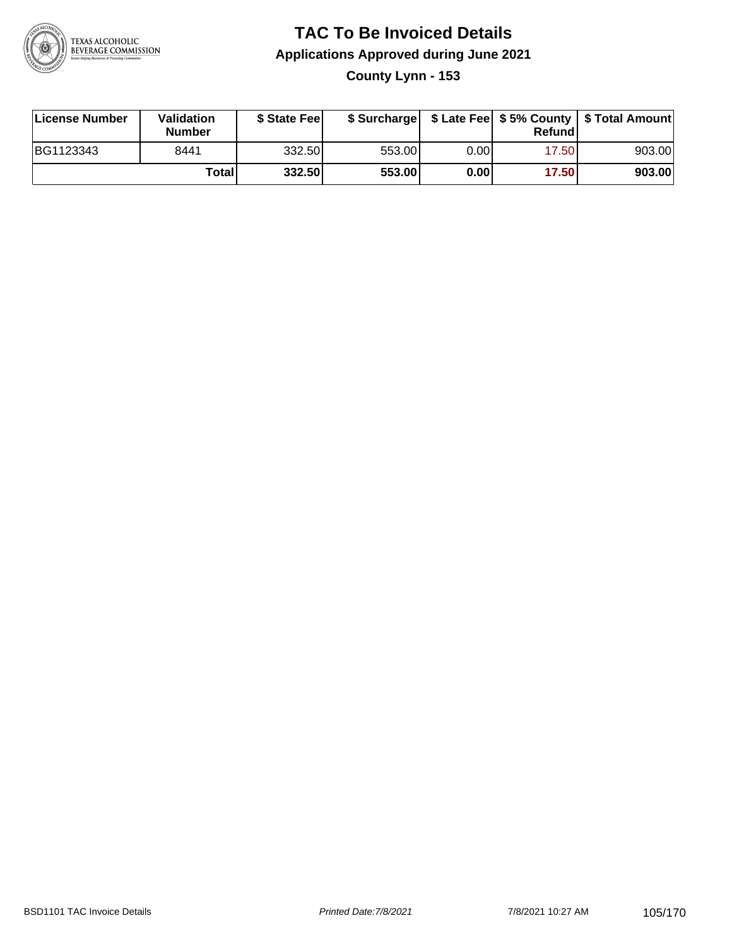

#### **TAC To Be Invoiced Details Applications Approved during June 2021 County Lynn - 153**

| License Number | Validation<br><b>Number</b> | \$ State Fee |        |      | Refundl | \$ Surcharge   \$ Late Fee   \$5% County   \$ Total Amount |
|----------------|-----------------------------|--------------|--------|------|---------|------------------------------------------------------------|
| BG1123343      | 8441                        | 332.50       | 553.00 | 0.00 | 17.50   | 903.00                                                     |
|                | Totall                      | 332.50       | 553.00 | 0.00 | 17.50   | 903.00                                                     |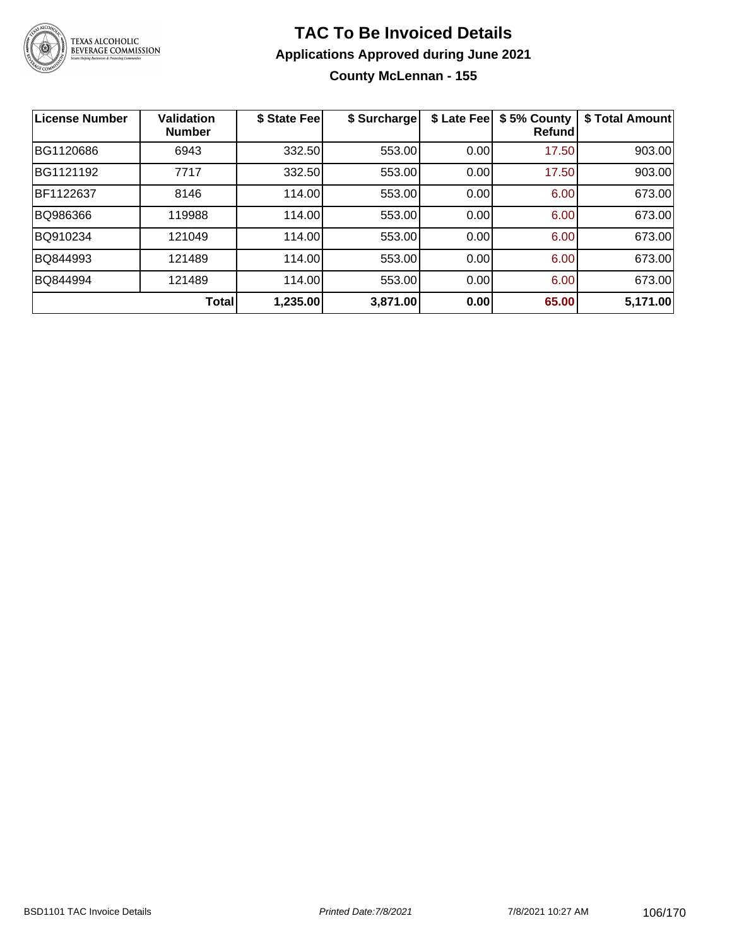

#### **TAC To Be Invoiced Details Applications Approved during June 2021 County McLennan - 155**

| <b>License Number</b> | <b>Validation</b><br><b>Number</b> | \$ State Fee | \$ Surcharge | \$ Late Fee | \$5% County<br><b>Refund</b> | \$ Total Amount |
|-----------------------|------------------------------------|--------------|--------------|-------------|------------------------------|-----------------|
| BG1120686             | 6943                               | 332.50       | 553.00       | 0.00        | 17.50                        | 903.00          |
| BG1121192             | 7717                               | 332.50       | 553.00       | 0.00        | 17.50                        | 903.00          |
| BF1122637             | 8146                               | 114.00       | 553.00       | 0.00        | 6.00                         | 673.00          |
| BQ986366              | 119988                             | 114.00       | 553.00       | 0.00        | 6.00                         | 673.00          |
| BQ910234              | 121049                             | 114.00       | 553.00       | 0.00        | 6.00                         | 673.00          |
| BQ844993              | 121489                             | 114.00       | 553.00       | 0.00        | 6.00                         | 673.00          |
| BQ844994              | 121489                             | 114.00       | 553.00       | 0.00        | 6.00                         | 673.00          |
|                       | Total                              | 1,235.00     | 3,871.00     | 0.00        | 65.00                        | 5,171.00        |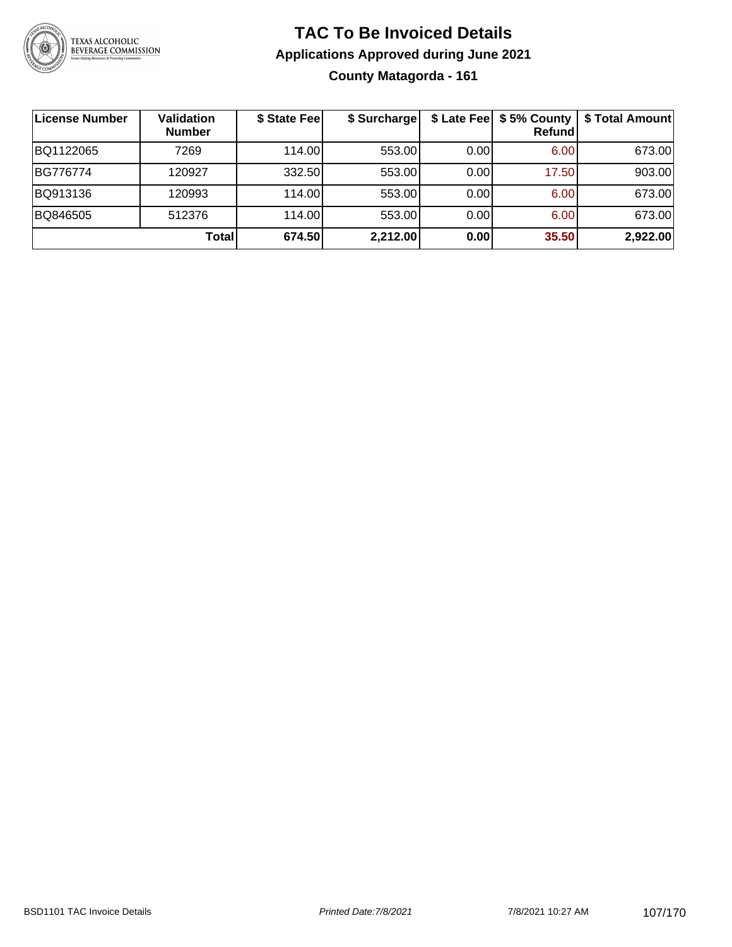

# **TAC To Be Invoiced Details Applications Approved during June 2021 County Matagorda - 161**

| ∣License Number | Validation<br><b>Number</b> | \$ State Fee | \$ Surcharge | \$ Late Fee | \$5% County<br>Refund | \$ Total Amount |
|-----------------|-----------------------------|--------------|--------------|-------------|-----------------------|-----------------|
| BQ1122065       | 7269                        | 114.00       | 553.00       | 0.00        | 6.00                  | 673.00          |
| BG776774        | 120927                      | 332.50       | 553.00       | 0.00        | 17.50                 | 903.00          |
| BQ913136        | 120993                      | 114.00       | 553.00       | 0.00        | 6.00                  | 673.00          |
| BQ846505        | 512376                      | 114.00       | 553.00       | 0.00        | 6.00                  | 673.00          |
|                 | Total                       | 674.50       | 2,212.00     | 0.00        | 35.50                 | 2,922.00        |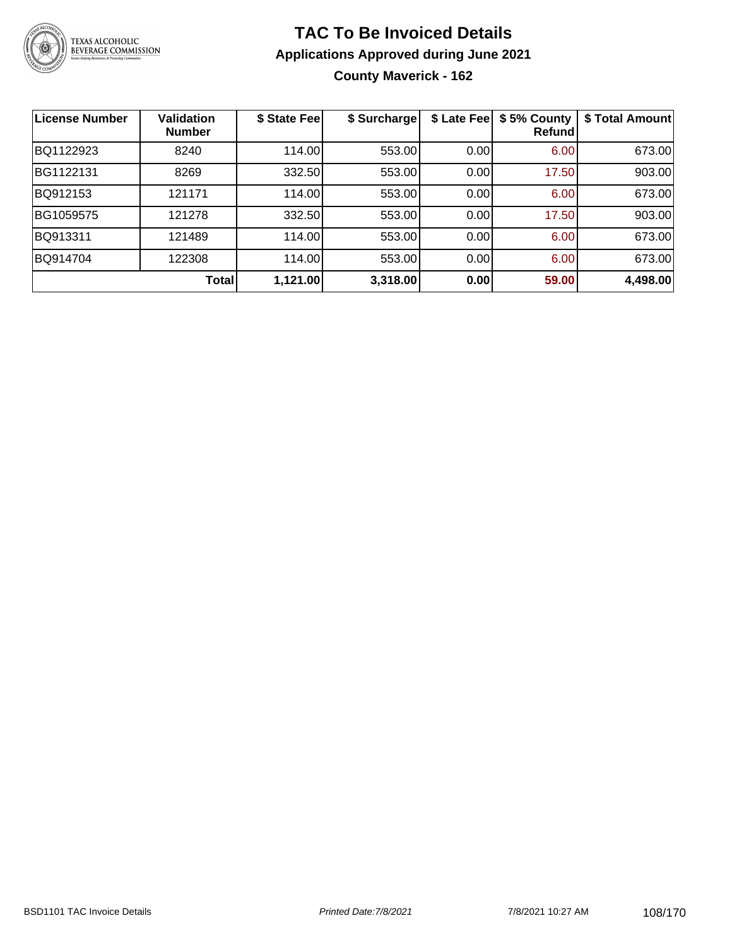

# **TAC To Be Invoiced Details Applications Approved during June 2021 County Maverick - 162**

| <b>License Number</b> | <b>Validation</b><br><b>Number</b> | \$ State Fee | \$ Surcharge | \$ Late Fee | \$5% County<br>Refundl | \$ Total Amount |
|-----------------------|------------------------------------|--------------|--------------|-------------|------------------------|-----------------|
| BQ1122923             | 8240                               | 114.00       | 553.00       | 0.00        | 6.00                   | 673.00          |
| BG1122131             | 8269                               | 332.50       | 553.00       | 0.00        | 17.50                  | 903.00          |
| BQ912153              | 121171                             | 114.00       | 553.00       | 0.00        | 6.00                   | 673.00          |
| BG1059575             | 121278                             | 332.50       | 553.00       | 0.00        | 17.50                  | 903.00          |
| BQ913311              | 121489                             | 114.00       | 553.00       | 0.00        | 6.00                   | 673.00          |
| BQ914704              | 122308                             | 114.00       | 553.00       | 0.00        | 6.00                   | 673.00          |
|                       | Total                              | 1,121.00     | 3,318.00     | 0.00        | 59.00                  | 4,498.00        |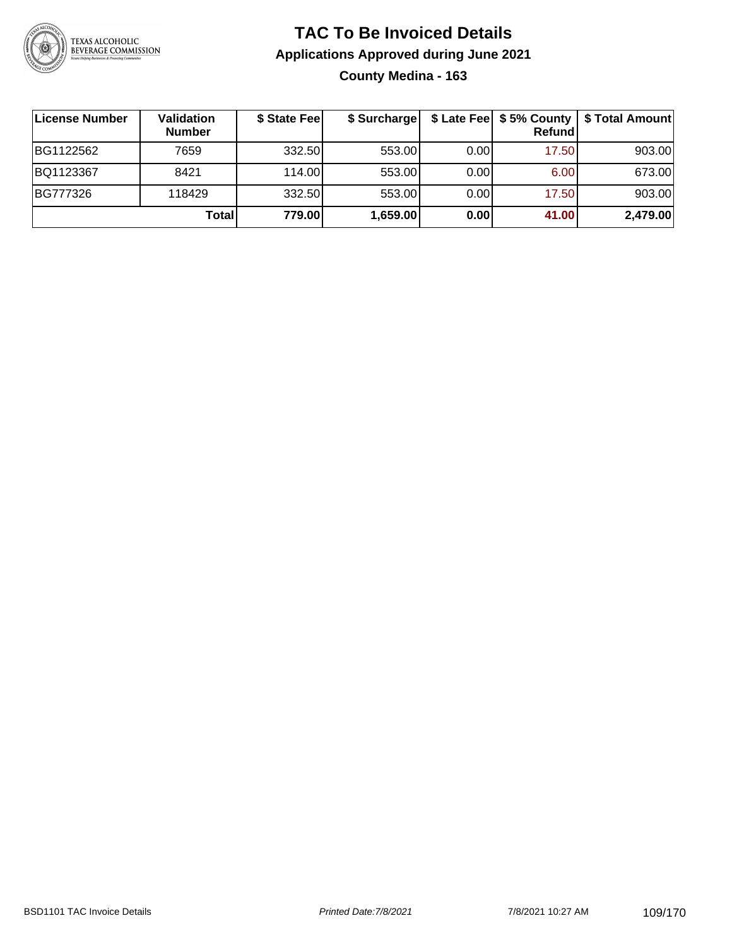

### **TAC To Be Invoiced Details Applications Approved during June 2021 County Medina - 163**

| License Number | <b>Validation</b><br><b>Number</b> | \$ State Fee | \$ Surcharge |      | Refundl | \$ Late Fee   \$5% County   \$ Total Amount |
|----------------|------------------------------------|--------------|--------------|------|---------|---------------------------------------------|
| BG1122562      | 7659                               | 332.50       | 553.00       | 0.00 | 17.50   | 903.00                                      |
| BQ1123367      | 8421                               | 114.00L      | 553.00       | 0.00 | 6.00    | 673.00                                      |
| BG777326       | 118429                             | 332.50       | 553.00       | 0.00 | 17.50   | 903.00                                      |
|                | Total                              | 779.00       | 1,659.00     | 0.00 | 41.00   | 2,479.00                                    |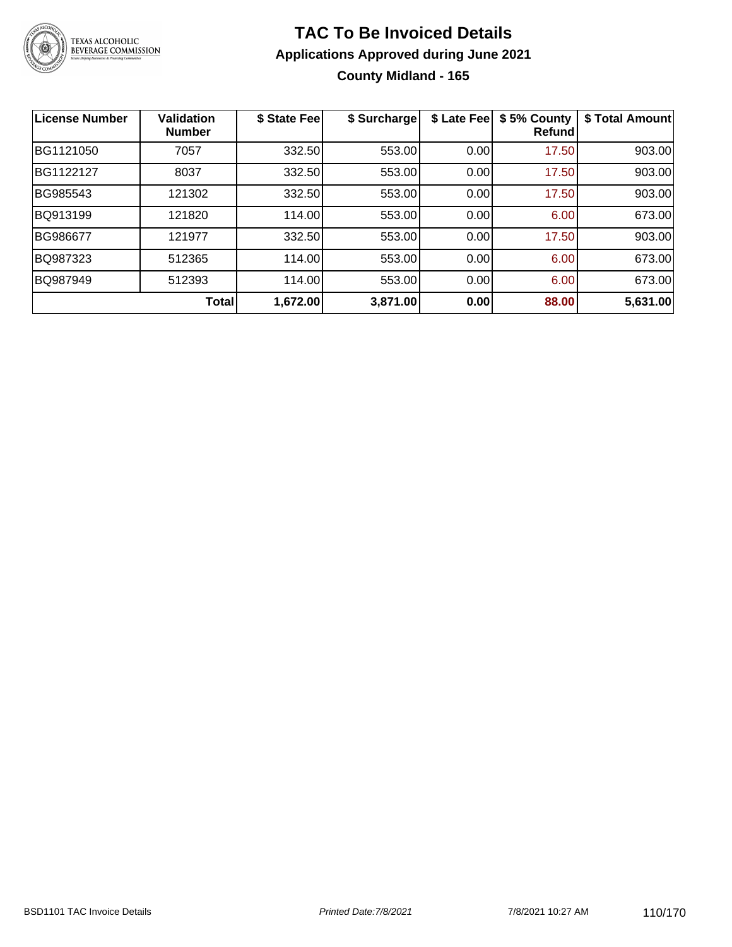

## **TAC To Be Invoiced Details Applications Approved during June 2021 County Midland - 165**

| <b>License Number</b> | <b>Validation</b><br><b>Number</b> | \$ State Fee | \$ Surcharge | \$ Late Fee | \$5% County<br>Refundl | \$ Total Amount |
|-----------------------|------------------------------------|--------------|--------------|-------------|------------------------|-----------------|
| BG1121050             | 7057                               | 332.50       | 553.00       | 0.00        | 17.50                  | 903.00          |
| BG1122127             | 8037                               | 332.50       | 553.00       | 0.00        | 17.50                  | 903.00          |
| BG985543              | 121302                             | 332.50       | 553.00       | 0.00        | 17.50                  | 903.00          |
| BQ913199              | 121820                             | 114.00       | 553.00       | 0.00        | 6.00                   | 673.00          |
| BG986677              | 121977                             | 332.50       | 553.00       | 0.00        | 17.50                  | 903.00          |
| BQ987323              | 512365                             | 114.00       | 553.00       | 0.00        | 6.00                   | 673.00          |
| BQ987949              | 512393                             | 114.00       | 553.00       | 0.00        | 6.00                   | 673.00          |
|                       | Total                              | 1,672.00     | 3,871.00     | 0.00        | 88.00                  | 5,631.00        |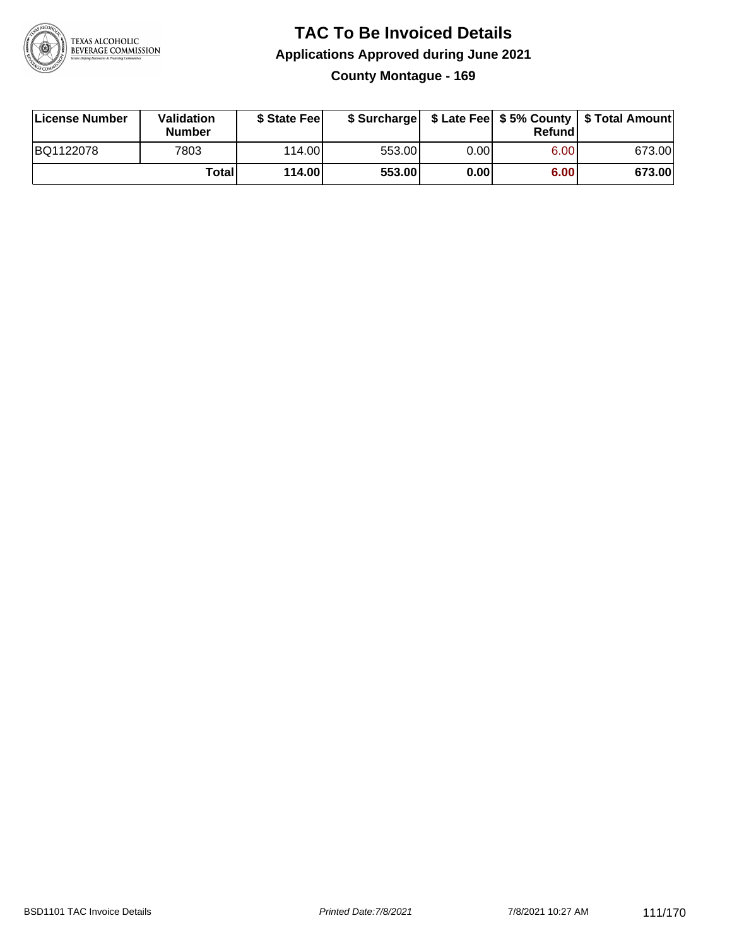

#### **TAC To Be Invoiced Details Applications Approved during June 2021 County Montague - 169**

| License Number | <b>Validation</b><br><b>Number</b> | \$ State Fee    |        |      | Refund | \$ Surcharge   \$ Late Fee   \$5% County   \$ Total Amount |
|----------------|------------------------------------|-----------------|--------|------|--------|------------------------------------------------------------|
| BQ1122078      | 7803                               | 114.00 <b>1</b> | 553.00 | 0.00 | 6.00   | 673.00                                                     |
|                | Totall                             | 114.00          | 553.00 | 0.00 | 6.00   | 673.00                                                     |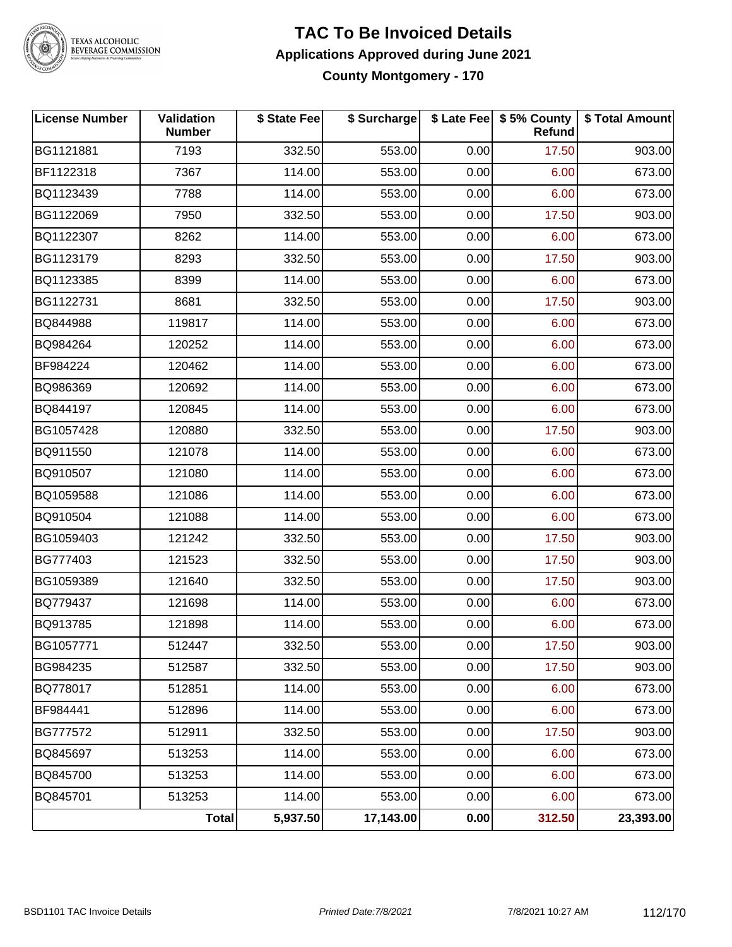

# TEXAS ALCOHOLIC<br>BEVERAGE COMMISSION

#### **TAC To Be Invoiced Details Applications Approved during June 2021 County Montgomery - 170**

| <b>License Number</b> | Validation<br><b>Number</b> | \$ State Fee | \$ Surcharge |      | \$ Late Fee   \$5% County<br><b>Refund</b> | \$ Total Amount |
|-----------------------|-----------------------------|--------------|--------------|------|--------------------------------------------|-----------------|
| BG1121881             | 7193                        | 332.50       | 553.00       | 0.00 | 17.50                                      | 903.00          |
| BF1122318             | 7367                        | 114.00       | 553.00       | 0.00 | 6.00                                       | 673.00          |
| BQ1123439             | 7788                        | 114.00       | 553.00       | 0.00 | 6.00                                       | 673.00          |
| BG1122069             | 7950                        | 332.50       | 553.00       | 0.00 | 17.50                                      | 903.00          |
| BQ1122307             | 8262                        | 114.00       | 553.00       | 0.00 | 6.00                                       | 673.00          |
| BG1123179             | 8293                        | 332.50       | 553.00       | 0.00 | 17.50                                      | 903.00          |
| BQ1123385             | 8399                        | 114.00       | 553.00       | 0.00 | 6.00                                       | 673.00          |
| BG1122731             | 8681                        | 332.50       | 553.00       | 0.00 | 17.50                                      | 903.00          |
| BQ844988              | 119817                      | 114.00       | 553.00       | 0.00 | 6.00                                       | 673.00          |
| BQ984264              | 120252                      | 114.00       | 553.00       | 0.00 | 6.00                                       | 673.00          |
| BF984224              | 120462                      | 114.00       | 553.00       | 0.00 | 6.00                                       | 673.00          |
| BQ986369              | 120692                      | 114.00       | 553.00       | 0.00 | 6.00                                       | 673.00          |
| BQ844197              | 120845                      | 114.00       | 553.00       | 0.00 | 6.00                                       | 673.00          |
| BG1057428             | 120880                      | 332.50       | 553.00       | 0.00 | 17.50                                      | 903.00          |
| BQ911550              | 121078                      | 114.00       | 553.00       | 0.00 | 6.00                                       | 673.00          |
| BQ910507              | 121080                      | 114.00       | 553.00       | 0.00 | 6.00                                       | 673.00          |
| BQ1059588             | 121086                      | 114.00       | 553.00       | 0.00 | 6.00                                       | 673.00          |
| BQ910504              | 121088                      | 114.00       | 553.00       | 0.00 | 6.00                                       | 673.00          |
| BG1059403             | 121242                      | 332.50       | 553.00       | 0.00 | 17.50                                      | 903.00          |
| BG777403              | 121523                      | 332.50       | 553.00       | 0.00 | 17.50                                      | 903.00          |
| BG1059389             | 121640                      | 332.50       | 553.00       | 0.00 | 17.50                                      | 903.00          |
| BQ779437              | 121698                      | 114.00       | 553.00       | 0.00 | 6.00                                       | 673.00          |
| BQ913785              | 121898                      | 114.00       | 553.00       | 0.00 | 6.00                                       | 673.00          |
| BG1057771             | 512447                      | 332.50       | 553.00       | 0.00 | 17.50                                      | 903.00          |
| BG984235              | 512587                      | 332.50       | 553.00       | 0.00 | 17.50                                      | 903.00          |
| BQ778017              | 512851                      | 114.00       | 553.00       | 0.00 | 6.00                                       | 673.00          |
| BF984441              | 512896                      | 114.00       | 553.00       | 0.00 | 6.00                                       | 673.00          |
| BG777572              | 512911                      | 332.50       | 553.00       | 0.00 | 17.50                                      | 903.00          |
| BQ845697              | 513253                      | 114.00       | 553.00       | 0.00 | 6.00                                       | 673.00          |
| BQ845700              | 513253                      | 114.00       | 553.00       | 0.00 | 6.00                                       | 673.00          |
| BQ845701              | 513253                      | 114.00       | 553.00       | 0.00 | 6.00                                       | 673.00          |
|                       | <b>Total</b>                | 5,937.50     | 17,143.00    | 0.00 | 312.50                                     | 23,393.00       |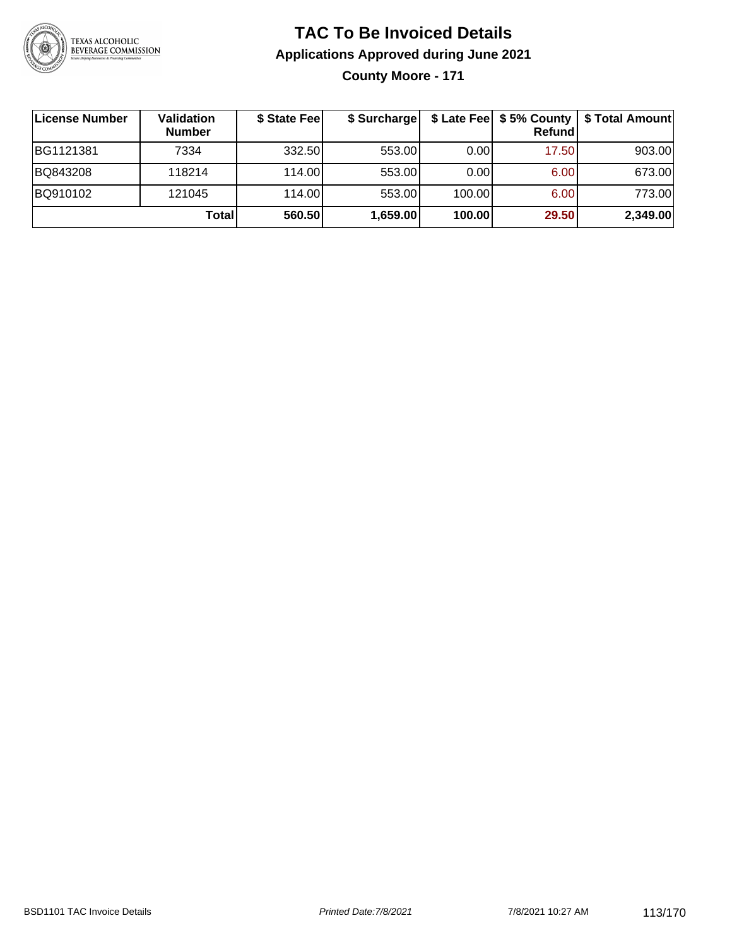

### **TAC To Be Invoiced Details Applications Approved during June 2021 County Moore - 171**

**License Number Validation Number \$ State Fee \$ Surcharge \$ Late Fee \$ 5% County Refund \$ Total Amount** BG1121381 7334 332.50 553.00 0.00 17.50 903.00 BQ843208 118214 114.00 553.00 0.00 6.00 673.00 BQ910102 121045 114.00 553.00 100.00 6.00 773.00 **Total 560.50 1,659.00 100.00 29.50 2,349.00**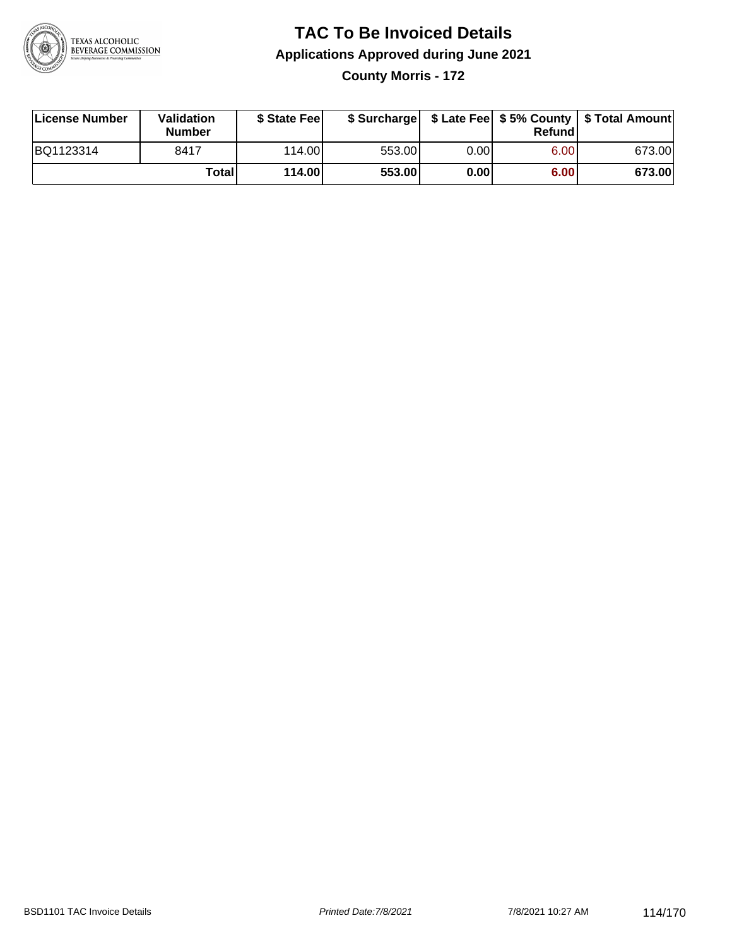

### **TAC To Be Invoiced Details Applications Approved during June 2021 County Morris - 172**

| License Number | Validation<br>Number | \$ State Feel |        |      | Refundl | \$ Surcharge   \$ Late Fee   \$5% County   \$ Total Amount |
|----------------|----------------------|---------------|--------|------|---------|------------------------------------------------------------|
| BQ1123314      | 8417                 | 114.00L       | 553.00 | 0.00 | 6.00    | 673.00                                                     |
|                | Total                | 114.00        | 553.00 | 0.00 | 6.00    | 673.00                                                     |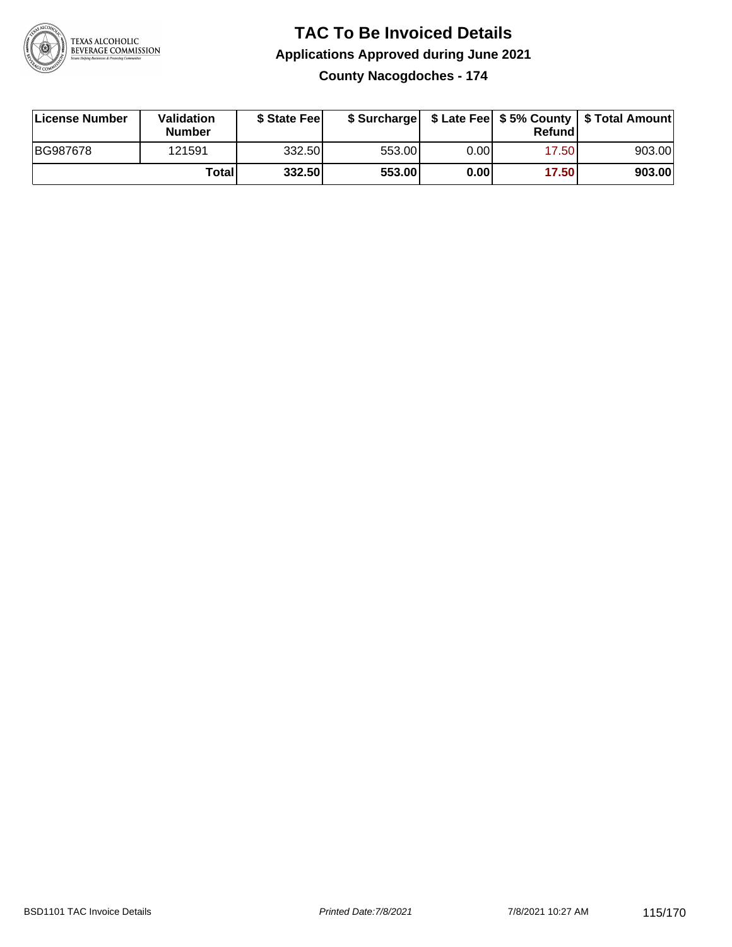

## **TAC To Be Invoiced Details Applications Approved during June 2021**

**County Nacogdoches - 174**

| License Number | <b>Validation</b><br><b>Number</b> | \$ State Feel |        |       | Refundl | \$ Surcharge   \$ Late Fee   \$5% County   \$ Total Amount |
|----------------|------------------------------------|---------------|--------|-------|---------|------------------------------------------------------------|
| BG987678       | 121591                             | 332.50        | 553.00 | 0.001 | 17.50   | 903.00                                                     |
|                | Totall                             | 332.50        | 553.00 | 0.00  | 17.50   | 903.00                                                     |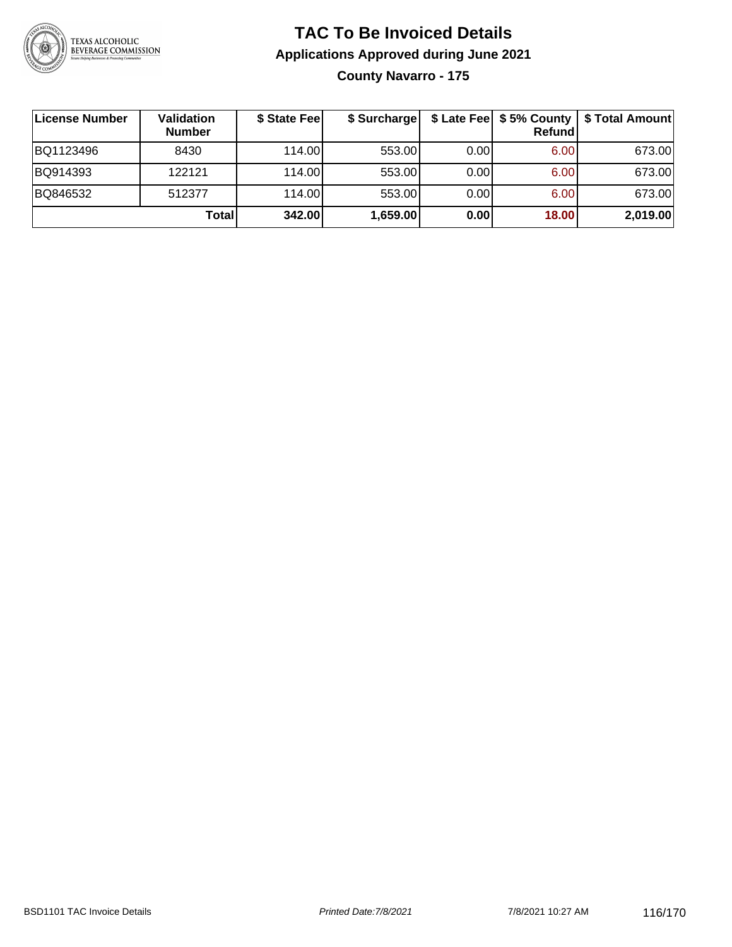

## **TAC To Be Invoiced Details Applications Approved during June 2021 County Navarro - 175**

| License Number | Validation<br><b>Number</b> | \$ State Fee | \$ Surcharge |      | \$ Late Fee   \$5% County<br><b>Refund</b> | \$ Total Amount |
|----------------|-----------------------------|--------------|--------------|------|--------------------------------------------|-----------------|
| BQ1123496      | 8430                        | 114.00       | 553.00       | 0.00 | 6.00                                       | 673.00          |
| BQ914393       | 122121                      | 114.00L      | 553.00       | 0.00 | 6.00                                       | 673.00          |
| BQ846532       | 512377                      | 114.00       | 553.00       | 0.00 | 6.00                                       | 673.00          |
|                | Total                       | 342.00       | 1,659.00     | 0.00 | 18.00                                      | 2,019.00        |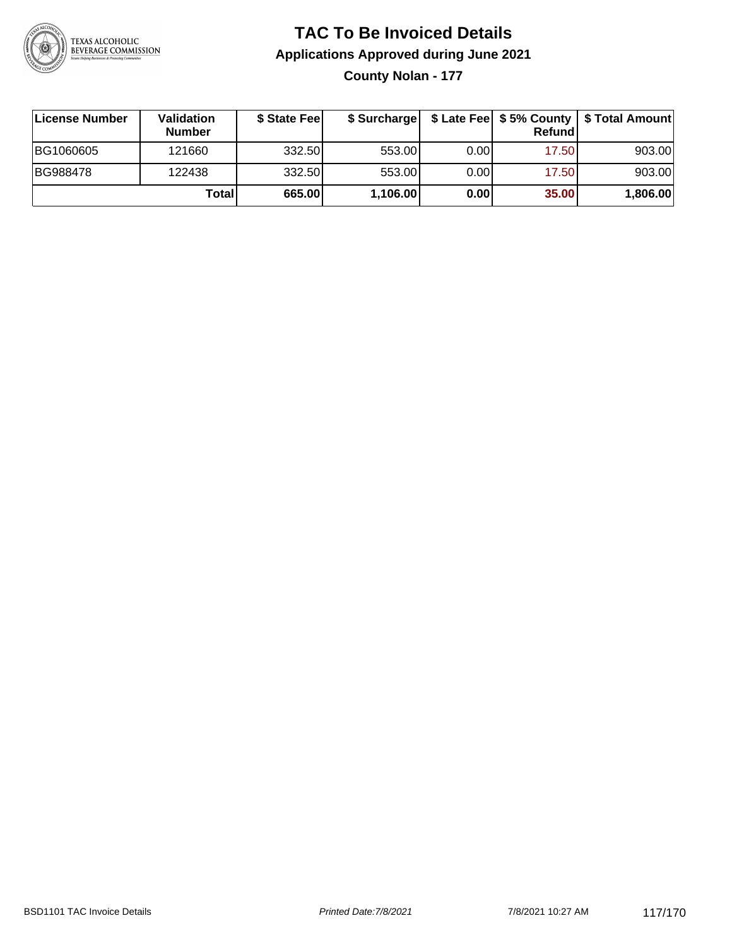

## **TAC To Be Invoiced Details Applications Approved during June 2021**

**County Nolan - 177**

| ∣License Number | <b>Validation</b><br><b>Number</b> | \$ State Feel |          |       | Refundl | \$ Surcharge   \$ Late Fee   \$5% County   \$ Total Amount |
|-----------------|------------------------------------|---------------|----------|-------|---------|------------------------------------------------------------|
| BG1060605       | 121660                             | 332.50        | 553.00   | 0.001 | 17.50   | 903.00                                                     |
| BG988478        | 122438                             | 332.50        | 553.00   | 0.00  | 17.50   | 903.00                                                     |
|                 | Totall                             | 665.00        | 1,106.00 | 0.00  | 35.00   | 1,806.00                                                   |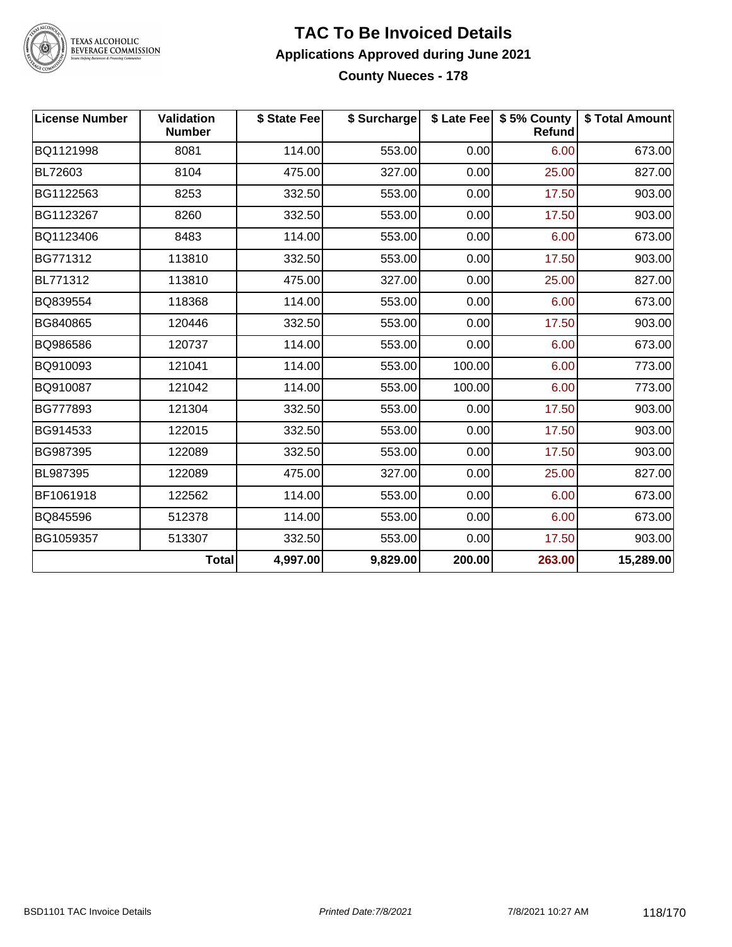

# TEXAS ALCOHOLIC<br>BEVERAGE COMMISSION

#### **TAC To Be Invoiced Details Applications Approved during June 2021 County Nueces - 178**

| <b>License Number</b> | <b>Validation</b><br><b>Number</b> | \$ State Fee | \$ Surcharge |        | \$ Late Fee   \$5% County<br>Refund | \$ Total Amount |
|-----------------------|------------------------------------|--------------|--------------|--------|-------------------------------------|-----------------|
| BQ1121998             | 8081                               | 114.00       | 553.00       | 0.00   | 6.00                                | 673.00          |
| BL72603               | 8104                               | 475.00       | 327.00       | 0.00   | 25.00                               | 827.00          |
| BG1122563             | 8253                               | 332.50       | 553.00       | 0.00   | 17.50                               | 903.00          |
| BG1123267             | 8260                               | 332.50       | 553.00       | 0.00   | 17.50                               | 903.00          |
| BQ1123406             | 8483                               | 114.00       | 553.00       | 0.00   | 6.00                                | 673.00          |
| BG771312              | 113810                             | 332.50       | 553.00       | 0.00   | 17.50                               | 903.00          |
| BL771312              | 113810                             | 475.00       | 327.00       | 0.00   | 25.00                               | 827.00          |
| BQ839554              | 118368                             | 114.00       | 553.00       | 0.00   | 6.00                                | 673.00          |
| BG840865              | 120446                             | 332.50       | 553.00       | 0.00   | 17.50                               | 903.00          |
| BQ986586              | 120737                             | 114.00       | 553.00       | 0.00   | 6.00                                | 673.00          |
| BQ910093              | 121041                             | 114.00       | 553.00       | 100.00 | 6.00                                | 773.00          |
| BQ910087              | 121042                             | 114.00       | 553.00       | 100.00 | 6.00                                | 773.00          |
| BG777893              | 121304                             | 332.50       | 553.00       | 0.00   | 17.50                               | 903.00          |
| BG914533              | 122015                             | 332.50       | 553.00       | 0.00   | 17.50                               | 903.00          |
| BG987395              | 122089                             | 332.50       | 553.00       | 0.00   | 17.50                               | 903.00          |
| BL987395              | 122089                             | 475.00       | 327.00       | 0.00   | 25.00                               | 827.00          |
| BF1061918             | 122562                             | 114.00       | 553.00       | 0.00   | 6.00                                | 673.00          |
| BQ845596              | 512378                             | 114.00       | 553.00       | 0.00   | 6.00                                | 673.00          |
| BG1059357             | 513307                             | 332.50       | 553.00       | 0.00   | 17.50                               | 903.00          |
|                       | <b>Total</b>                       | 4,997.00     | 9,829.00     | 200.00 | 263.00                              | 15,289.00       |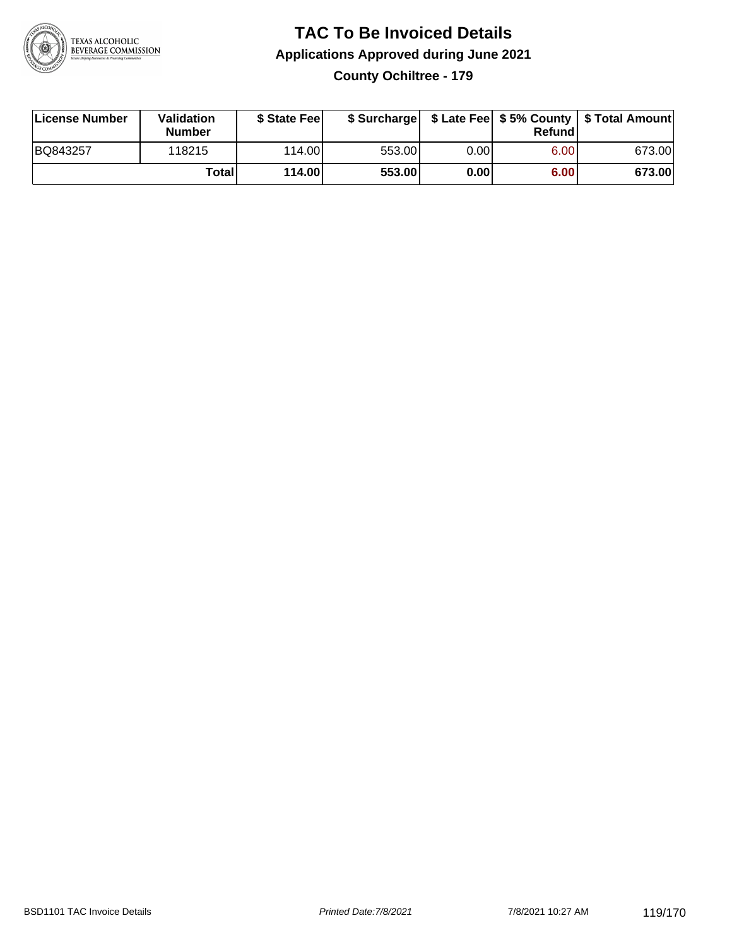

#### **TAC To Be Invoiced Details Applications Approved during June 2021 County Ochiltree - 179**

| License Number | Validation<br><b>Number</b> | \$ State Fee    |        |       | Refundl | \$ Surcharge   \$ Late Fee   \$5% County   \$ Total Amount |
|----------------|-----------------------------|-----------------|--------|-------|---------|------------------------------------------------------------|
| BQ843257       | 118215                      | 114.00 <b>1</b> | 553.00 | 0.001 | 6.00    | 673.00                                                     |
|                | Totall                      | 114.00          | 553.00 | 0.001 | 6.00    | 673.00                                                     |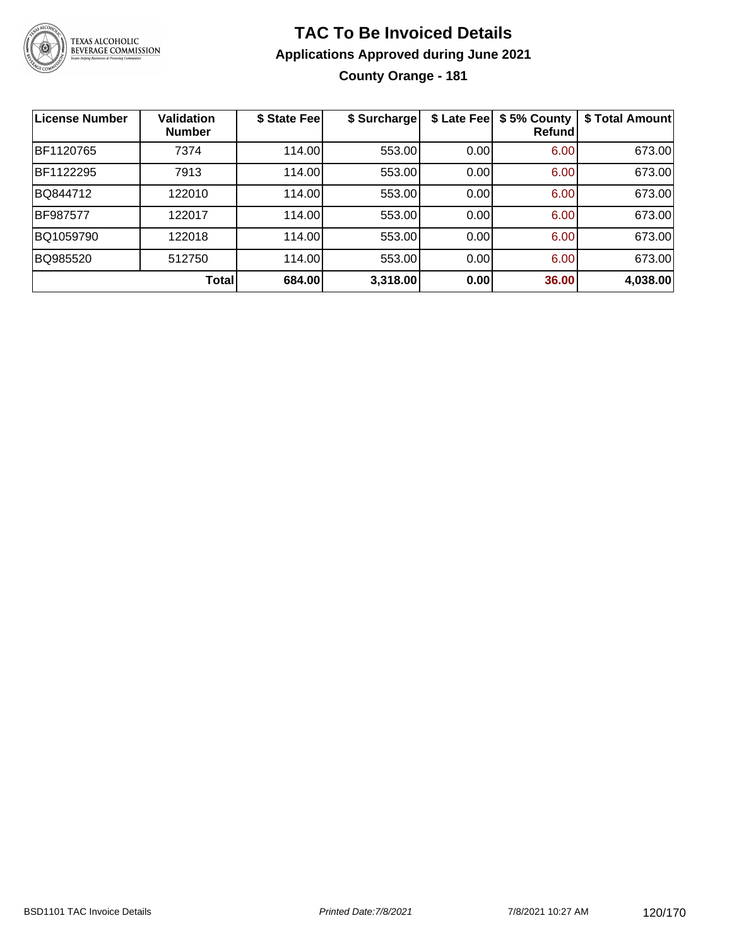

## **TAC To Be Invoiced Details Applications Approved during June 2021 County Orange - 181**

| <b>License Number</b> | <b>Validation</b><br><b>Number</b> | \$ State Fee | \$ Surcharge | \$ Late Fee | \$5% County<br>Refund | \$ Total Amount |
|-----------------------|------------------------------------|--------------|--------------|-------------|-----------------------|-----------------|
| BF1120765             | 7374                               | 114.00       | 553.00       | 0.00        | 6.00                  | 673.00          |
| BF1122295             | 7913                               | 114.00       | 553.00       | 0.00        | 6.00                  | 673.00          |
| BQ844712              | 122010                             | 114.00       | 553.00       | 0.00        | 6.00                  | 673.00          |
| <b>BF987577</b>       | 122017                             | 114.00       | 553.00       | 0.00        | 6.00                  | 673.00          |
| BQ1059790             | 122018                             | 114.00       | 553.00       | 0.00        | 6.00                  | 673.00          |
| BQ985520              | 512750                             | 114.00       | 553.00       | 0.00        | 6.00                  | 673.00          |
|                       | Total                              | 684.00       | 3,318.00     | 0.00        | 36.00                 | 4,038.00        |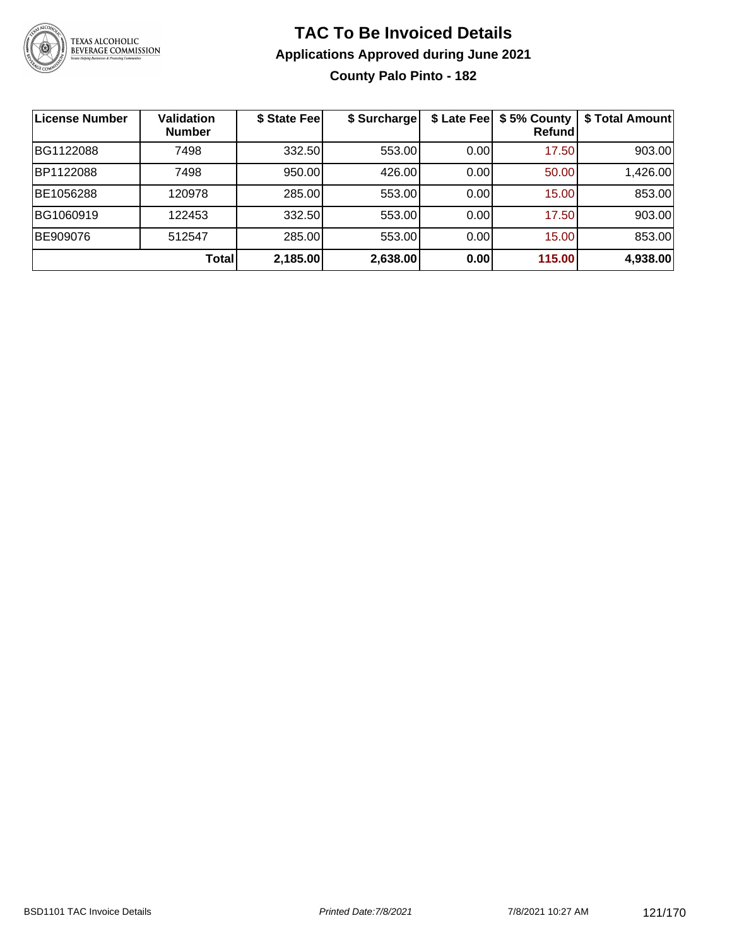

## **TAC To Be Invoiced Details Applications Approved during June 2021 County Palo Pinto - 182**

| License Number | Validation<br><b>Number</b> | \$ State Fee | \$ Surcharge | \$ Late Fee | \$5% County<br>Refundl | \$ Total Amount |
|----------------|-----------------------------|--------------|--------------|-------------|------------------------|-----------------|
| BG1122088      | 7498                        | 332.50       | 553.00       | 0.00        | 17.50                  | 903.00          |
| BP1122088      | 7498                        | 950.00       | 426.00       | 0.00        | 50.00                  | 1,426.00        |
| BE1056288      | 120978                      | 285.00       | 553.00       | 0.00        | 15.00                  | 853.00          |
| BG1060919      | 122453                      | 332.50       | 553.00       | 0.00        | 17.50                  | 903.00          |
| BE909076       | 512547                      | 285.00       | 553.00       | 0.00        | 15.00                  | 853.00          |
|                | Total                       | 2,185.00     | 2,638.00     | 0.00        | 115.00                 | 4,938.00        |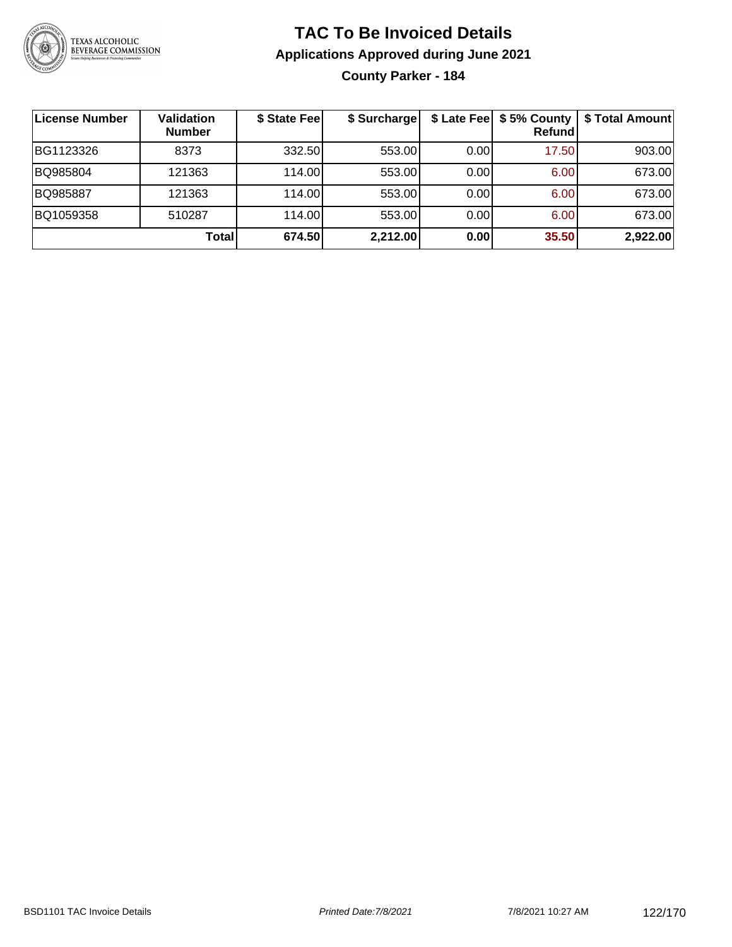

## **TAC To Be Invoiced Details Applications Approved during June 2021**

**County Parker - 184**

| License Number | <b>Validation</b><br><b>Number</b> | \$ State Fee | \$ Surcharge |      | \$ Late Fee   \$5% County  <br>Refundl | \$ Total Amount |
|----------------|------------------------------------|--------------|--------------|------|----------------------------------------|-----------------|
| BG1123326      | 8373                               | 332.50       | 553.00       | 0.00 | 17.50                                  | 903.00          |
| BQ985804       | 121363                             | 114.00       | 553.00       | 0.00 | 6.00                                   | 673.00          |
| BQ985887       | 121363                             | 114.00       | 553.00       | 0.00 | 6.00                                   | 673.00          |
| BQ1059358      | 510287                             | 114.00       | 553.00       | 0.00 | 6.00                                   | 673.00          |
|                | Total                              | 674.50       | 2,212.00     | 0.00 | 35.50                                  | 2,922.00        |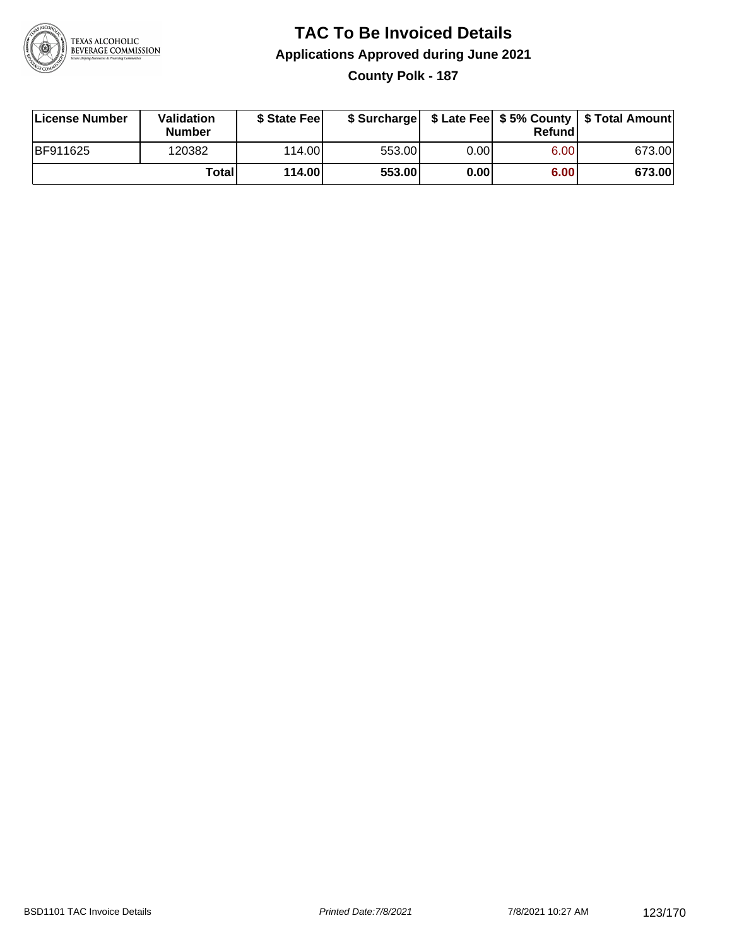

### **TAC To Be Invoiced Details Applications Approved during June 2021 County Polk - 187**

| License Number  | Validation<br>Number | \$ State Feel |        |      | Refundl | \$ Surcharge   \$ Late Fee   \$5% County   \$ Total Amount |
|-----------------|----------------------|---------------|--------|------|---------|------------------------------------------------------------|
| <b>BF911625</b> | 120382               | 114.00L       | 553.00 | 0.00 | 6.00    | 673.00                                                     |
|                 | Totall               | 114.00        | 553.00 | 0.00 | 6.00    | 673.00                                                     |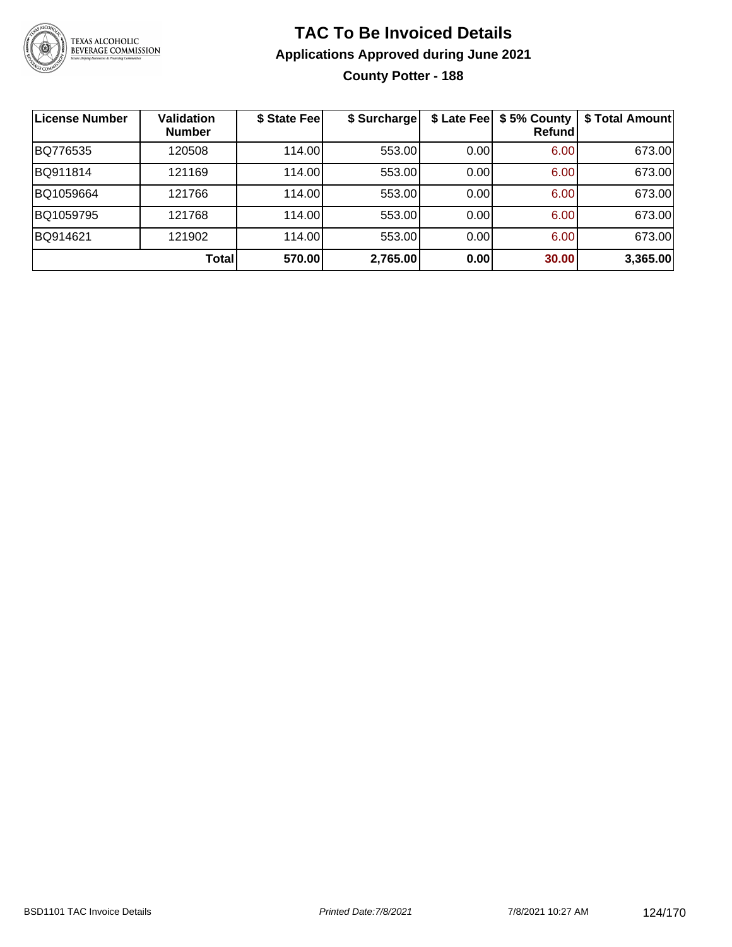

## **TAC To Be Invoiced Details Applications Approved during June 2021 County Potter - 188**

| License Number | <b>Validation</b><br><b>Number</b> | \$ State Fee | \$ Surcharge | \$ Late Fee | \$5% County<br><b>Refund</b> | \$ Total Amount |
|----------------|------------------------------------|--------------|--------------|-------------|------------------------------|-----------------|
| BQ776535       | 120508                             | 114.00       | 553.00       | 0.00        | 6.00                         | 673.00          |
| BQ911814       | 121169                             | 114.00       | 553.00       | 0.00        | 6.00                         | 673.00          |
| BQ1059664      | 121766                             | 114.00       | 553.00       | 0.00        | 6.00                         | 673.00          |
| BQ1059795      | 121768                             | 114.00       | 553.00       | 0.00        | 6.00                         | 673.00          |
| BQ914621       | 121902                             | 114.00       | 553.00       | 0.00        | 6.00                         | 673.00          |
|                | Total                              | 570.00       | 2,765.00     | 0.00        | 30.00                        | 3,365.00        |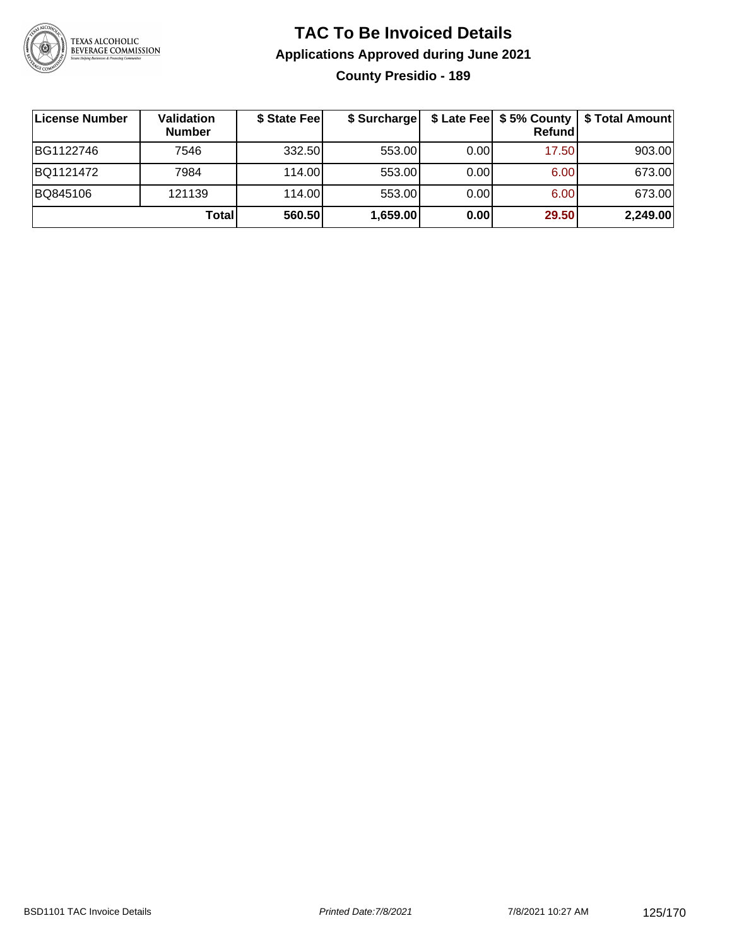

## **TAC To Be Invoiced Details Applications Approved during June 2021 County Presidio - 189**

| ∣License Number | Validation<br><b>Number</b> | \$ State Feel | \$ Surcharge |      | Refundl | \$ Late Fee   \$5% County   \$ Total Amount |
|-----------------|-----------------------------|---------------|--------------|------|---------|---------------------------------------------|
| BG1122746       | 7546                        | 332.50        | 553.00       | 0.00 | 17.50   | 903.00                                      |
| BQ1121472       | 7984                        | 114.00L       | 553.00       | 0.00 | 6.00    | 673.00                                      |
| BQ845106        | 121139                      | 114.00        | 553.00       | 0.00 | 6.00    | 673.00                                      |
|                 | <b>Total</b>                | 560.50        | 1,659.00     | 0.00 | 29.50   | 2,249.00                                    |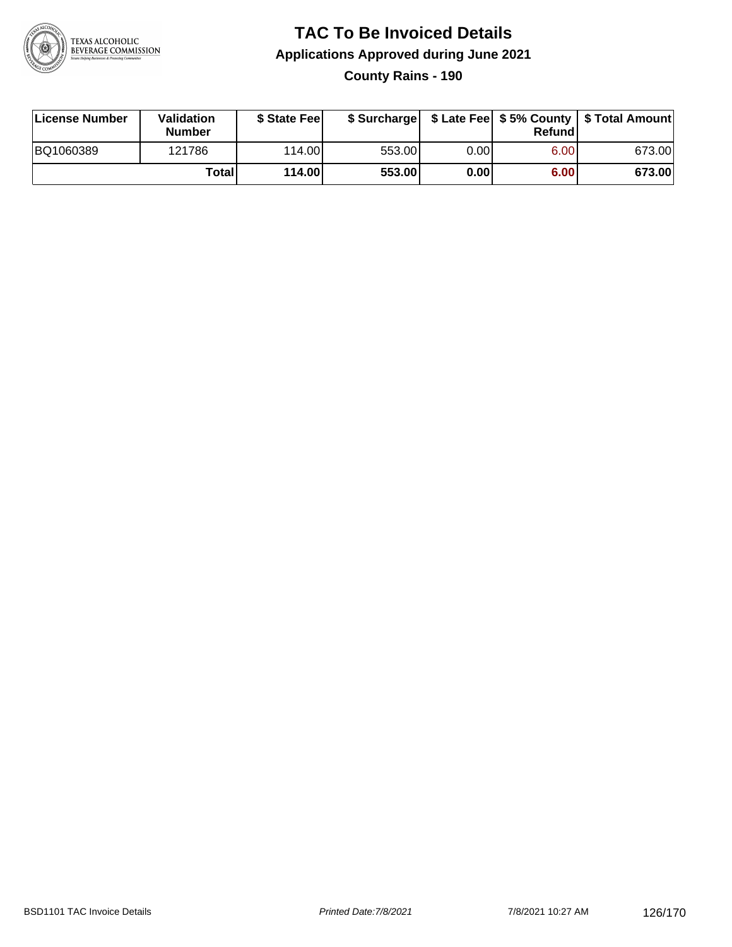

# **TAC To Be Invoiced Details Applications Approved during June 2021**

**County Rains - 190**

| License Number | Validation<br><b>Number</b> | \$ State Feel |        |      | Refundl | \$ Surcharge   \$ Late Fee   \$5% County   \$ Total Amount |
|----------------|-----------------------------|---------------|--------|------|---------|------------------------------------------------------------|
| BQ1060389      | 121786                      | 114.00        | 553.00 | 0.00 | 6.00    | 673.00                                                     |
|                | Totall                      | <b>114.00</b> | 553.00 | 0.00 | 6.00    | 673.00                                                     |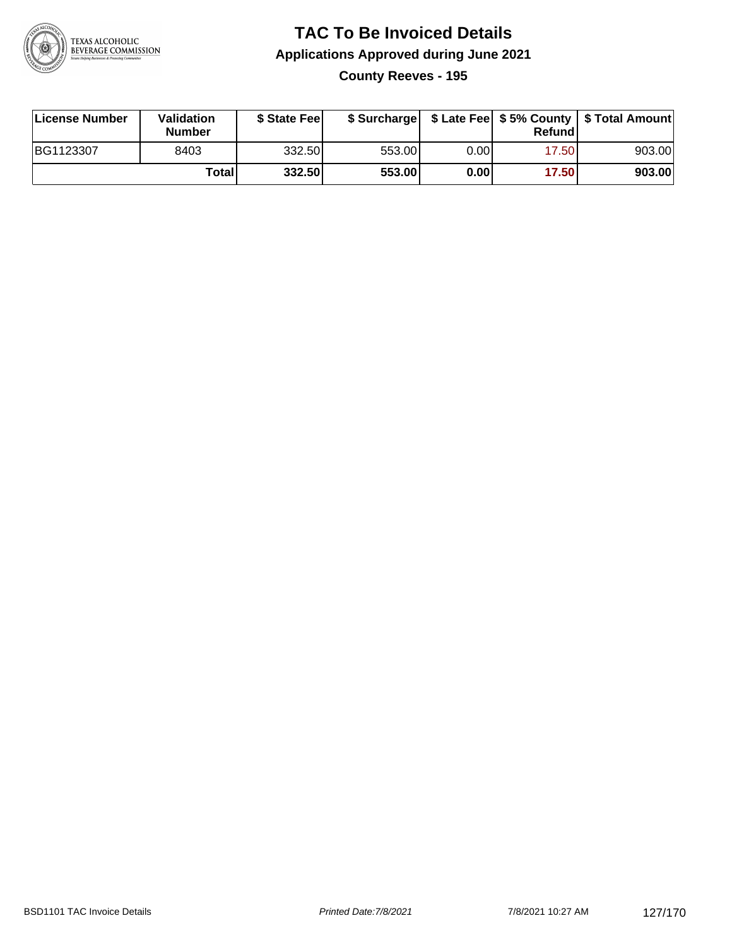

#### **TAC To Be Invoiced Details Applications Approved during June 2021 County Reeves - 195**

| License Number | Validation<br><b>Number</b> | \$ State Fee |        |      | Refund | \$ Surcharge   \$ Late Fee   \$5% County   \$ Total Amount |
|----------------|-----------------------------|--------------|--------|------|--------|------------------------------------------------------------|
| BG1123307      | 8403                        | 332.50       | 553.00 | 0.00 | 17.50  | 903.00                                                     |
|                | Totall                      | 332.50       | 553.00 | 0.00 | 17.50  | 903.00                                                     |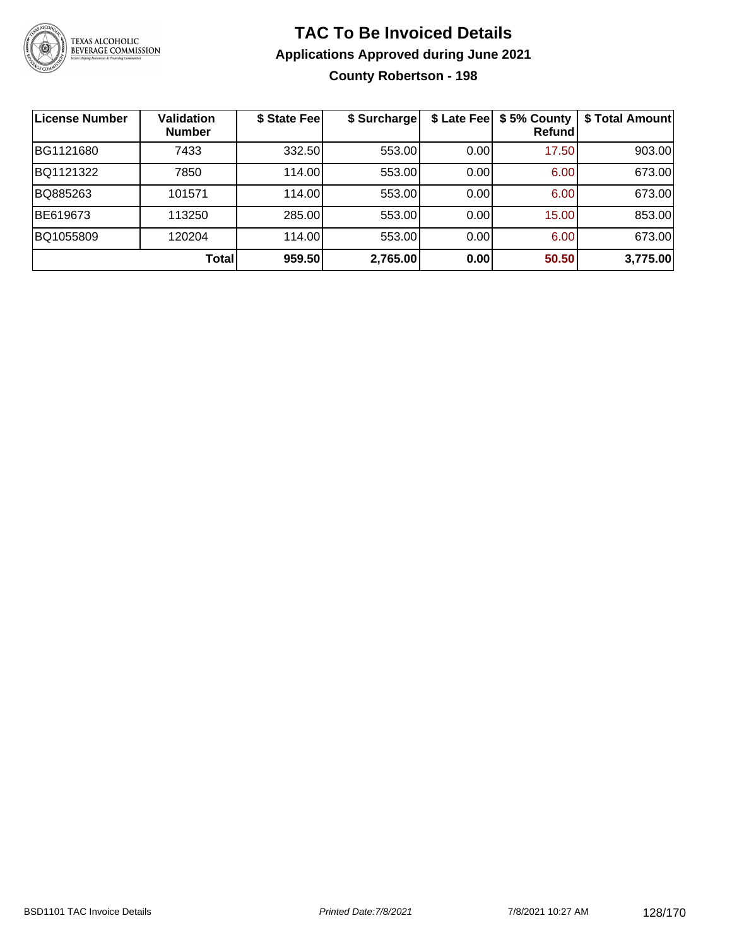

#### **TAC To Be Invoiced Details Applications Approved during June 2021 County Robertson - 198**

| <b>License Number</b> | <b>Validation</b><br><b>Number</b> | \$ State Fee | \$ Surcharge |      | \$ Late Fee   \$5% County<br><b>Refund</b> | \$ Total Amount |
|-----------------------|------------------------------------|--------------|--------------|------|--------------------------------------------|-----------------|
| BG1121680             | 7433                               | 332.50       | 553.00       | 0.00 | 17.50                                      | 903.00          |
| BQ1121322             | 7850                               | 114.00       | 553.00       | 0.00 | 6.00                                       | 673.00          |
| BQ885263              | 101571                             | 114.00       | 553.00       | 0.00 | 6.00                                       | 673.00          |
| BE619673              | 113250                             | 285.00       | 553.00       | 0.00 | 15.00                                      | 853.00          |
| BQ1055809             | 120204                             | 114.00       | 553.00       | 0.00 | 6.00                                       | 673.00          |
|                       | <b>Total</b>                       | 959.50       | 2,765.00     | 0.00 | 50.50                                      | 3,775.00        |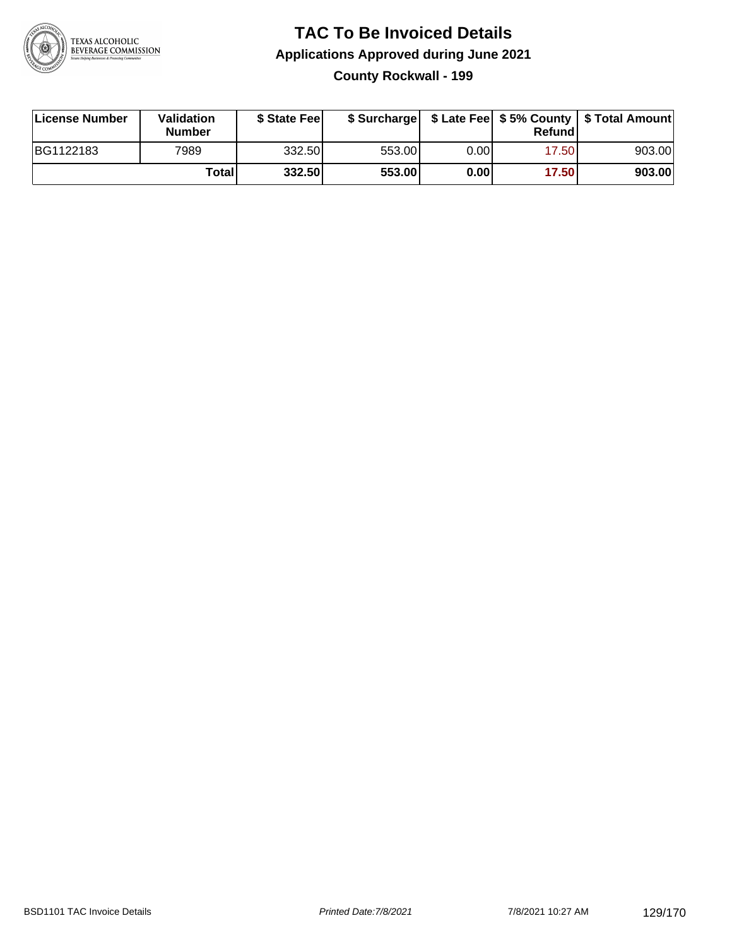

### **TAC To Be Invoiced Details Applications Approved during June 2021 County Rockwall - 199**

| License Number | Validation<br><b>Number</b> | \$ State Fee |        |      | Refund | \$ Surcharge   \$ Late Fee   \$5% County   \$ Total Amount |
|----------------|-----------------------------|--------------|--------|------|--------|------------------------------------------------------------|
| BG1122183      | 7989                        | 332.50       | 553.00 | 0.00 | 17.50  | 903.00                                                     |
|                | Totall                      | 332.50       | 553.00 | 0.00 | 17.50  | 903.00                                                     |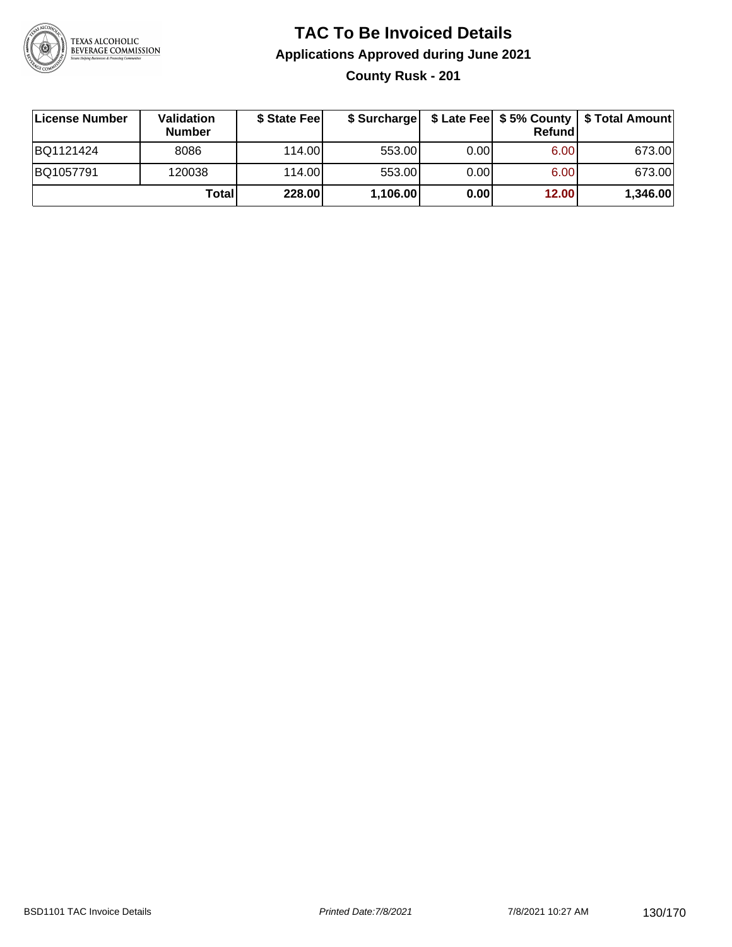

## **TAC To Be Invoiced Details Applications Approved during June 2021 County Rusk - 201**

| License Number | <b>Validation</b><br><b>Number</b> | \$ State Fee | \$ Surcharge |      | <b>Refund</b>     | \$ Late Fee   \$5% County   \$ Total Amount |
|----------------|------------------------------------|--------------|--------------|------|-------------------|---------------------------------------------|
| BQ1121424      | 8086                               | 114.00       | 553.00       | 0.00 | 6.00 <sub>1</sub> | 673.00                                      |
| BQ1057791      | 120038                             | 114.00       | 553.00       | 0.00 | 6.00              | 673.00                                      |
|                | <b>Total</b>                       | 228.00       | 1,106.00     | 0.00 | 12.00             | 1,346.00                                    |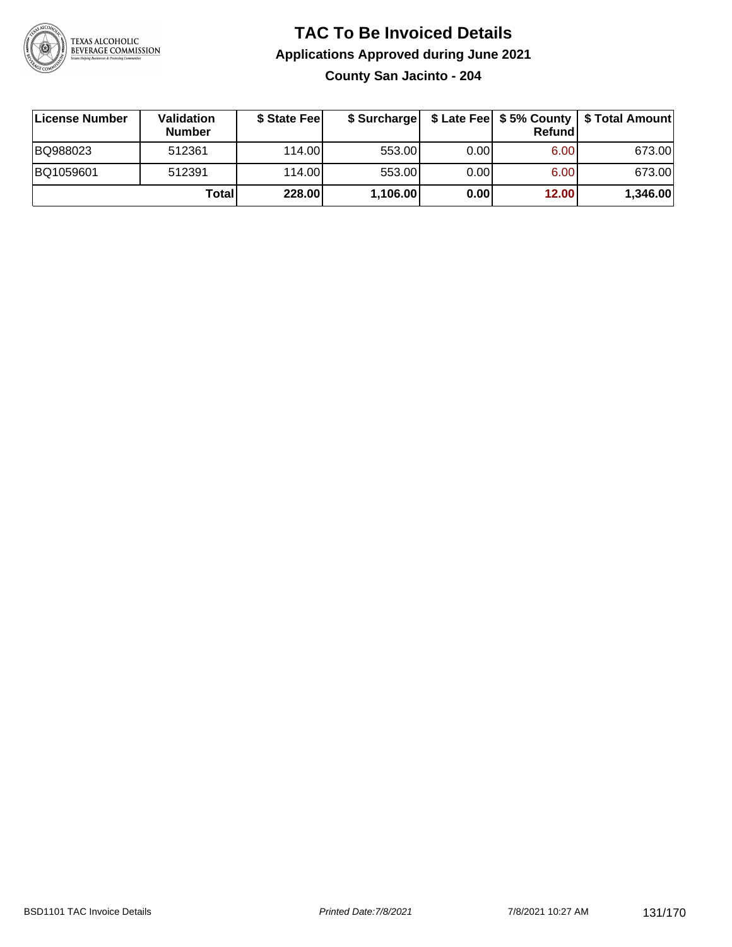

### **TAC To Be Invoiced Details Applications Approved during June 2021 County San Jacinto - 204**

| License Number | Validation<br><b>Number</b> | \$ State Feel | \$ Surcharge |      | Refundl | \$ Late Fee   \$5% County   \$ Total Amount |
|----------------|-----------------------------|---------------|--------------|------|---------|---------------------------------------------|
| BQ988023       | 512361                      | 114.00L       | 553.00       | 0.00 | 6.00    | 673.00                                      |
| BQ1059601      | 512391                      | 114.00L       | 553.00       | 0.00 | 6.00    | 673.00                                      |
|                | Total                       | 228.00        | 1,106.00     | 0.00 | 12.00   | 1,346.00                                    |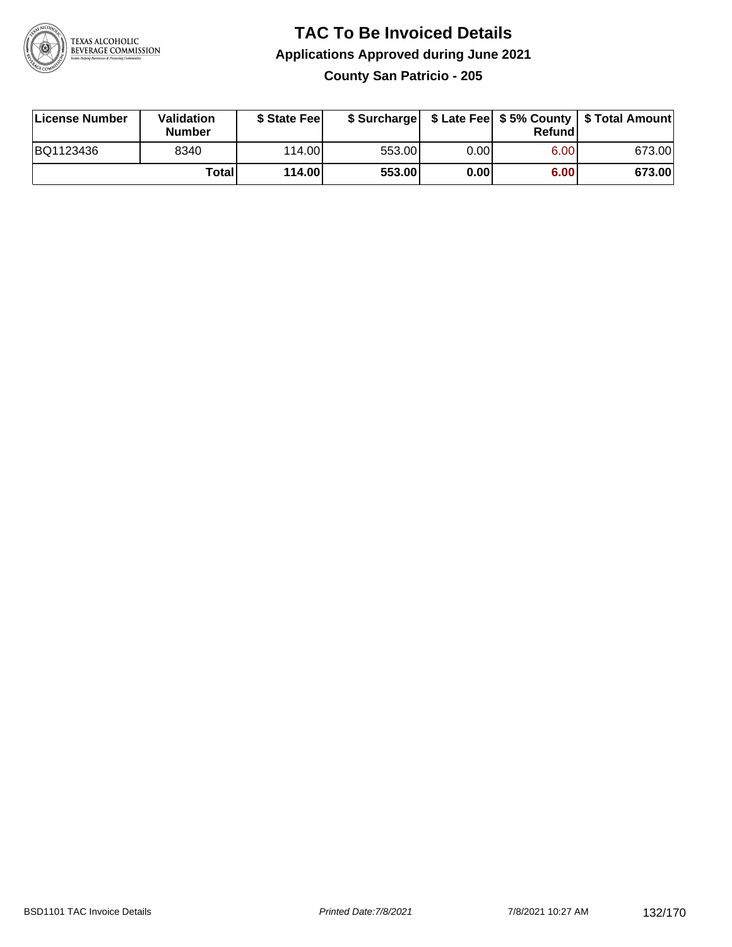

#### **TAC To Be Invoiced Details Applications Approved during June 2021 County San Patricio - 205**

| License Number | Validation<br><b>Number</b> | \$ State Feel |        |      | Refund | \$ Surcharge   \$ Late Fee   \$5% County   \$ Total Amount |
|----------------|-----------------------------|---------------|--------|------|--------|------------------------------------------------------------|
| BQ1123436      | 8340                        | 114.00L       | 553.00 | 0.00 | 6.00   | 673.00                                                     |
|                | <b>Total</b>                | 114.00        | 553.00 | 0.00 | 6.00   | 673.00                                                     |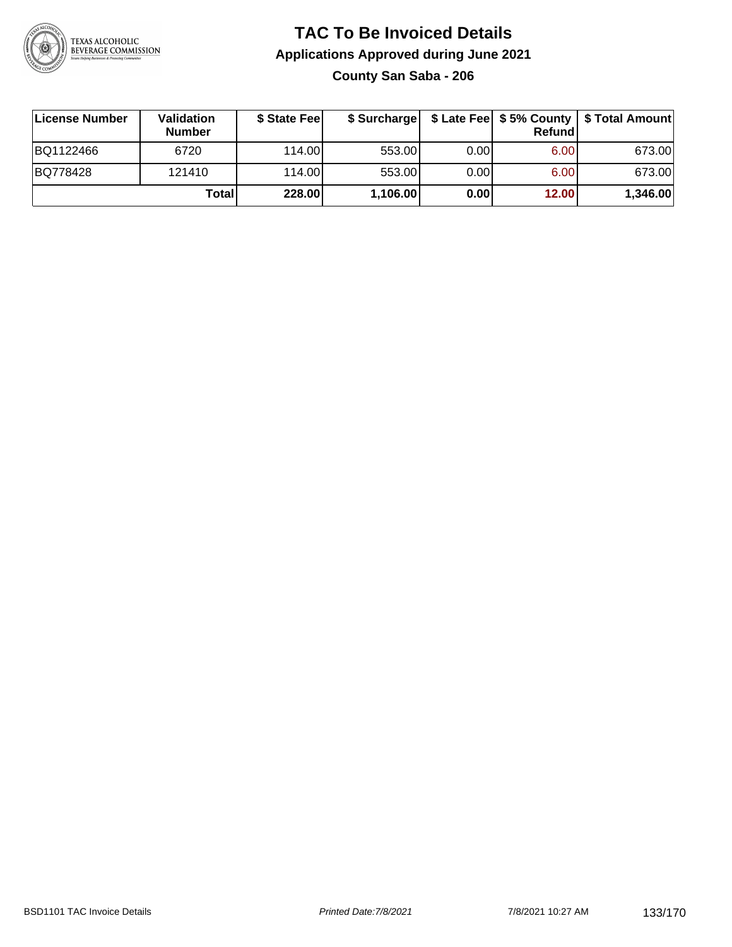

## **TAC To Be Invoiced Details Applications Approved during June 2021 County San Saba - 206**

| License Number | <b>Validation</b><br><b>Number</b> | \$ State Fee |          |       | <b>Refund</b> | \$ Surcharge   \$ Late Fee   \$5% County   \$ Total Amount |
|----------------|------------------------------------|--------------|----------|-------|---------------|------------------------------------------------------------|
| BQ1122466      | 6720                               | 114.00L      | 553.00   | 0.001 | 6.00          | 673.00                                                     |
| BQ778428       | 121410                             | 114.00L      | 553.00   | 0.00  | 6.00          | 673.00                                                     |
|                | Total                              | 228.00       | 1,106.00 | 0.00  | 12.00         | 1,346.00                                                   |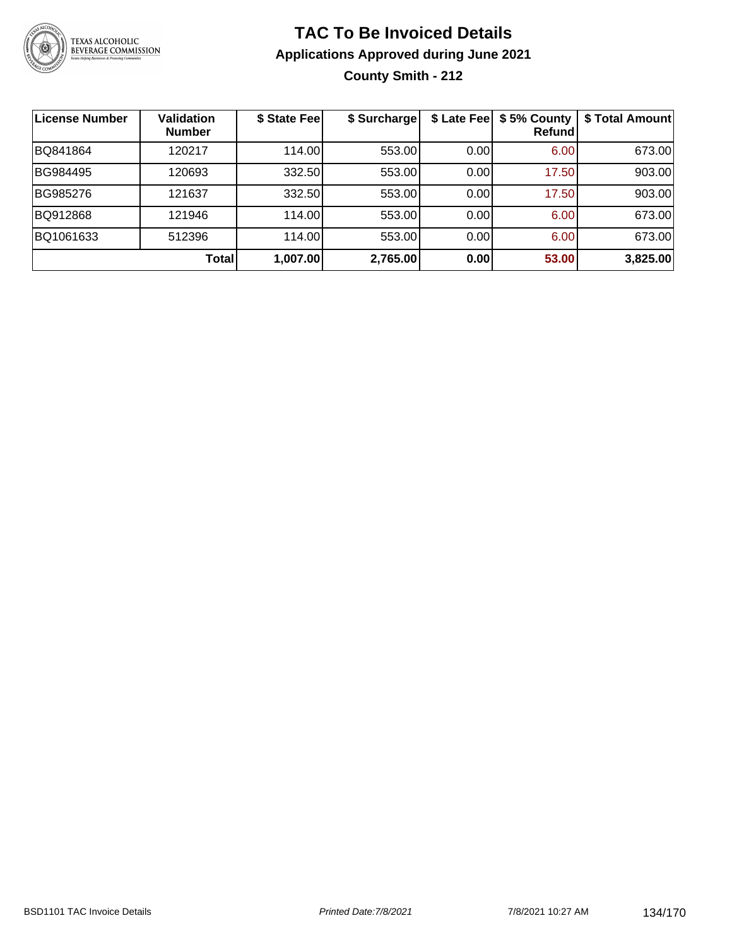

## **TAC To Be Invoiced Details Applications Approved during June 2021 County Smith - 212**

| License Number | <b>Validation</b><br><b>Number</b> | \$ State Fee | \$ Surcharge | \$ Late Fee | \$5% County<br><b>Refund</b> | \$ Total Amount |
|----------------|------------------------------------|--------------|--------------|-------------|------------------------------|-----------------|
| BQ841864       | 120217                             | 114.00       | 553.00       | 0.00        | 6.00                         | 673.00          |
| BG984495       | 120693                             | 332.50       | 553.00       | 0.00        | 17.50                        | 903.00          |
| BG985276       | 121637                             | 332.50       | 553.00       | 0.00        | 17.50                        | 903.00          |
| BQ912868       | 121946                             | 114.00       | 553.00       | 0.00        | 6.00                         | 673.00          |
| BQ1061633      | 512396                             | 114.00       | 553.00       | 0.00        | 6.00                         | 673.00          |
|                | Total                              | 1,007.00     | 2,765.00     | 0.00        | 53.00                        | 3,825.00        |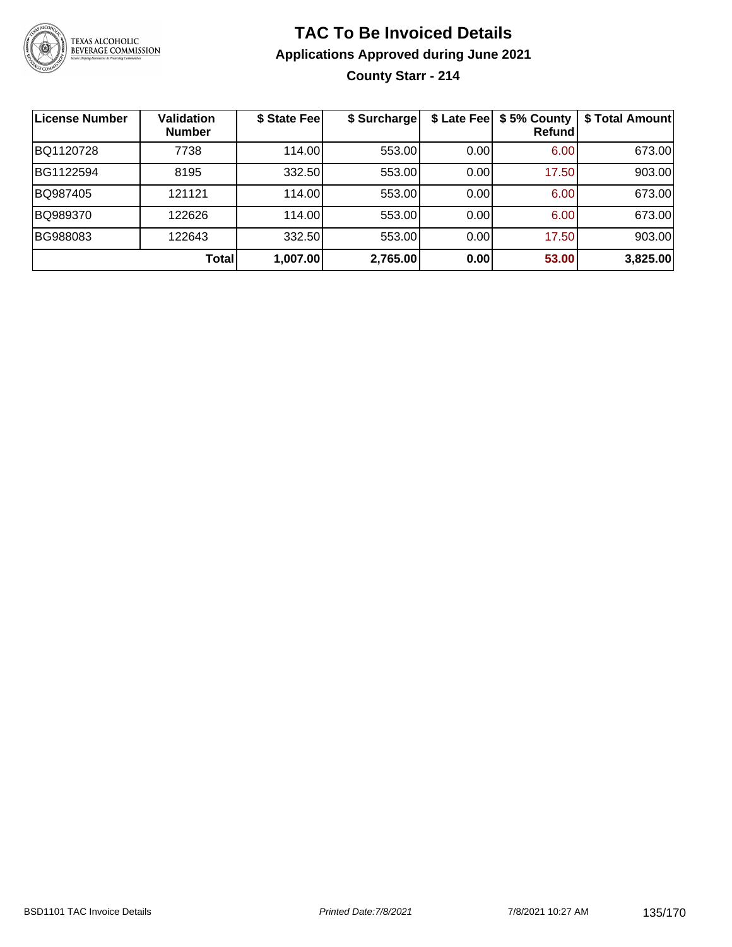

## **TAC To Be Invoiced Details Applications Approved during June 2021 County Starr - 214**

| License Number | <b>Validation</b><br><b>Number</b> | \$ State Fee | \$ Surcharge | \$ Late Fee | \$5% County<br>Refundl | \$ Total Amount |
|----------------|------------------------------------|--------------|--------------|-------------|------------------------|-----------------|
| BQ1120728      | 7738                               | 114.00       | 553.00       | 0.00        | 6.00                   | 673.00          |
| BG1122594      | 8195                               | 332.50       | 553.00       | 0.00        | 17.50                  | 903.00          |
| BQ987405       | 121121                             | 114.00       | 553.00       | 0.00        | 6.00                   | 673.00          |
| BQ989370       | 122626                             | 114.00       | 553.00       | 0.00        | 6.00                   | 673.00          |
| BG988083       | 122643                             | 332.50       | 553.00       | 0.00        | 17.50                  | 903.00          |
|                | Total                              | 1,007.00     | 2,765.00     | 0.00        | 53.00                  | 3,825.00        |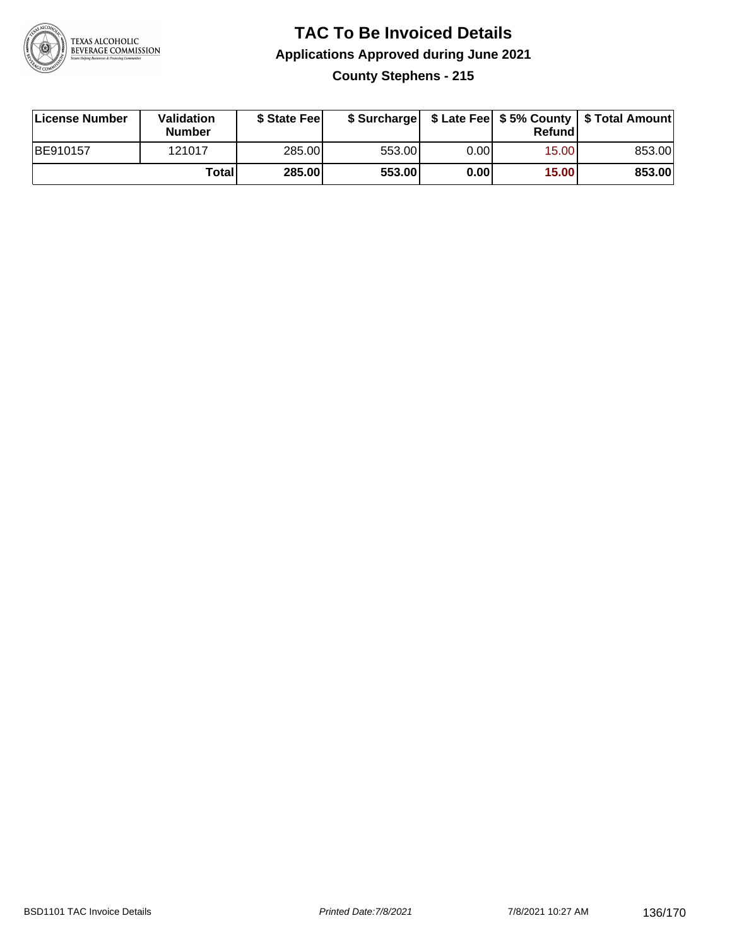

## **TAC To Be Invoiced Details Applications Approved during June 2021 County Stephens - 215**

| License Number | Validation<br><b>Number</b> | \$ State Fee  | \$ Surcharge |      | Refund | \$ Late Fee   \$5% County   \$ Total Amount |
|----------------|-----------------------------|---------------|--------------|------|--------|---------------------------------------------|
| BE910157       | 121017                      | 285.00        | 553.00       | 0.00 | 15.00  | 853.00                                      |
|                | Totall                      | <b>285.00</b> | 553.00       | 0.00 | 15.00  | 853.00                                      |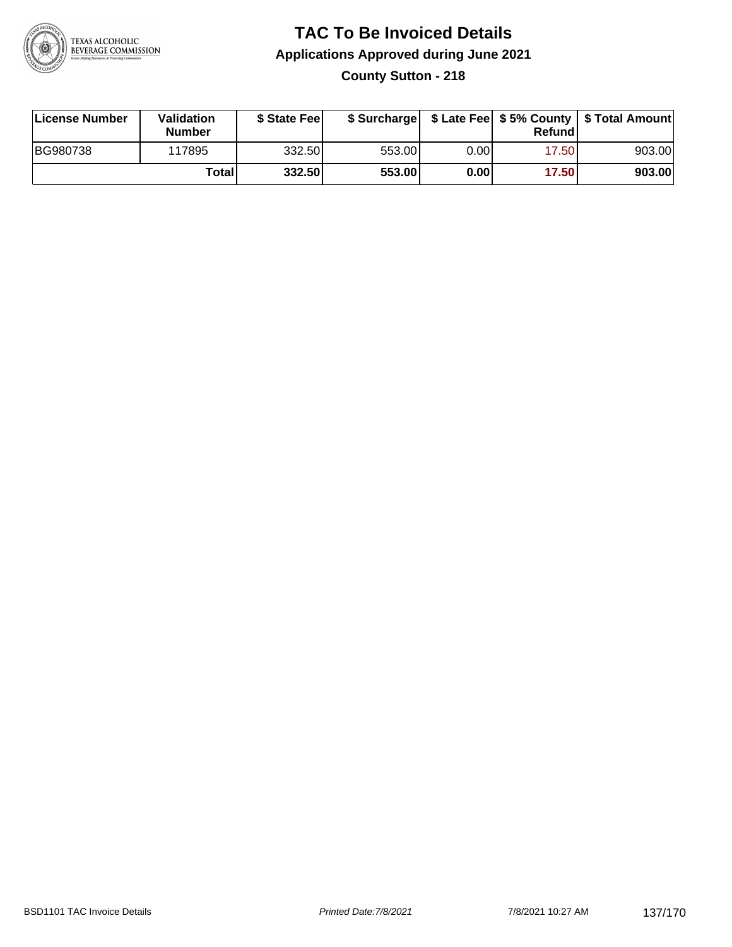

## **TAC To Be Invoiced Details Applications Approved during June 2021 County Sutton - 218**

| License Number | Validation<br><b>Number</b> | \$ State Feel |        |       | Refundl | \$ Surcharge   \$ Late Fee   \$5% County   \$ Total Amount |
|----------------|-----------------------------|---------------|--------|-------|---------|------------------------------------------------------------|
| BG980738       | 117895                      | 332.50        | 553.00 | 0.00  | 17.50   | 903.00                                                     |
|                | Totall                      | 332.50        | 553.00 | 0.001 | 17.50   | 903.00                                                     |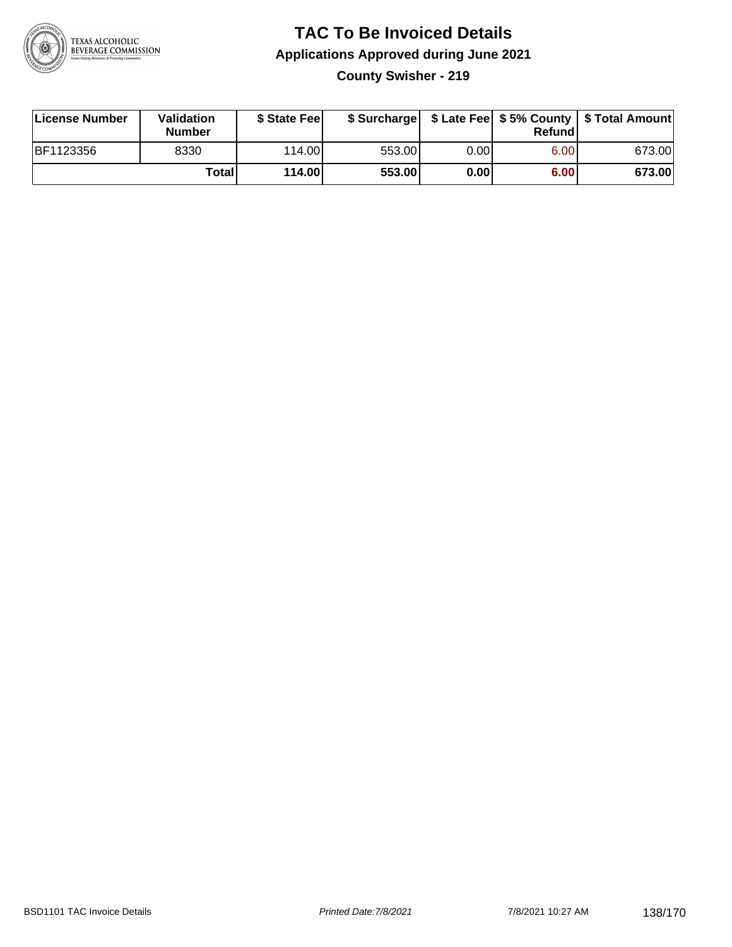

#### **TAC To Be Invoiced Details Applications Approved during June 2021 County Swisher - 219**

| License Number | Validation<br><b>Number</b> | \$ State Fee |        |      | Refund | \$ Surcharge   \$ Late Fee   \$5% County   \$ Total Amount |
|----------------|-----------------------------|--------------|--------|------|--------|------------------------------------------------------------|
| BF1123356      | 8330                        | 114.00L      | 553.00 | 0.00 | 6.00   | 673.00                                                     |
|                | Total                       | 114.00       | 553.00 | 0.00 | 6.00   | 673.00                                                     |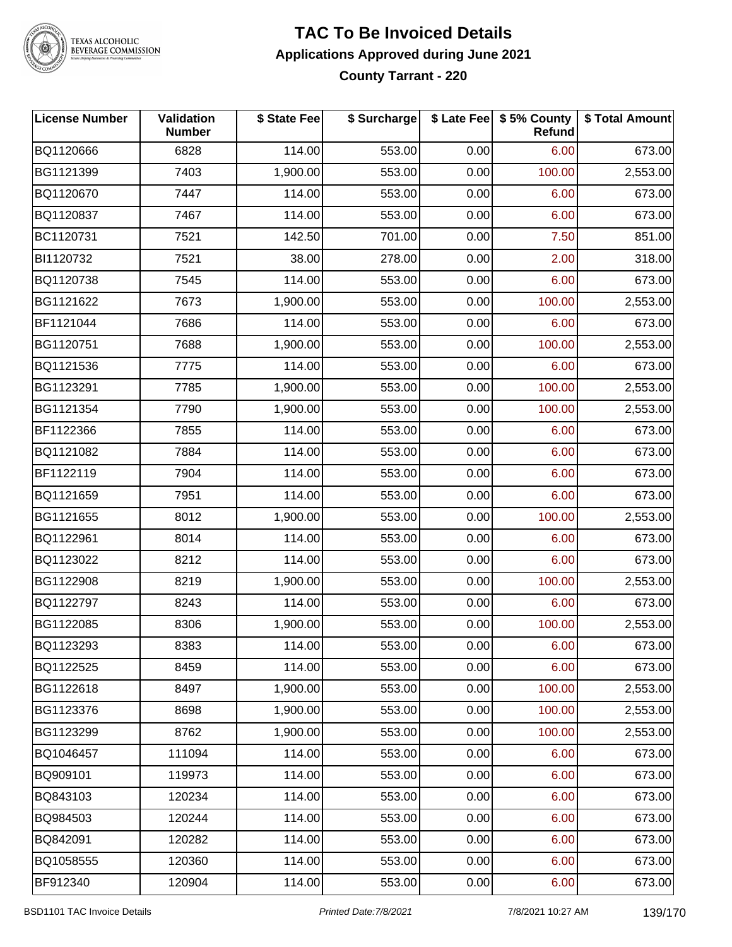

# TEXAS ALCOHOLIC<br>BEVERAGE COMMISSION

#### **TAC To Be Invoiced Details Applications Approved during June 2021 County Tarrant - 220**

| <b>License Number</b> | <b>Validation</b><br><b>Number</b> | \$ State Fee | \$ Surcharge |      | \$ Late Fee \$ 5% County<br><b>Refund</b> | \$ Total Amount |
|-----------------------|------------------------------------|--------------|--------------|------|-------------------------------------------|-----------------|
| BQ1120666             | 6828                               | 114.00       | 553.00       | 0.00 | 6.00                                      | 673.00          |
| BG1121399             | 7403                               | 1,900.00     | 553.00       | 0.00 | 100.00                                    | 2,553.00        |
| BQ1120670             | 7447                               | 114.00       | 553.00       | 0.00 | 6.00                                      | 673.00          |
| BQ1120837             | 7467                               | 114.00       | 553.00       | 0.00 | 6.00                                      | 673.00          |
| BC1120731             | 7521                               | 142.50       | 701.00       | 0.00 | 7.50                                      | 851.00          |
| BI1120732             | 7521                               | 38.00        | 278.00       | 0.00 | 2.00                                      | 318.00          |
| BQ1120738             | 7545                               | 114.00       | 553.00       | 0.00 | 6.00                                      | 673.00          |
| BG1121622             | 7673                               | 1,900.00     | 553.00       | 0.00 | 100.00                                    | 2,553.00        |
| BF1121044             | 7686                               | 114.00       | 553.00       | 0.00 | 6.00                                      | 673.00          |
| BG1120751             | 7688                               | 1,900.00     | 553.00       | 0.00 | 100.00                                    | 2,553.00        |
| BQ1121536             | 7775                               | 114.00       | 553.00       | 0.00 | 6.00                                      | 673.00          |
| BG1123291             | 7785                               | 1,900.00     | 553.00       | 0.00 | 100.00                                    | 2,553.00        |
| BG1121354             | 7790                               | 1,900.00     | 553.00       | 0.00 | 100.00                                    | 2,553.00        |
| BF1122366             | 7855                               | 114.00       | 553.00       | 0.00 | 6.00                                      | 673.00          |
| BQ1121082             | 7884                               | 114.00       | 553.00       | 0.00 | 6.00                                      | 673.00          |
| BF1122119             | 7904                               | 114.00       | 553.00       | 0.00 | 6.00                                      | 673.00          |
| BQ1121659             | 7951                               | 114.00       | 553.00       | 0.00 | 6.00                                      | 673.00          |
| BG1121655             | 8012                               | 1,900.00     | 553.00       | 0.00 | 100.00                                    | 2,553.00        |
| BQ1122961             | 8014                               | 114.00       | 553.00       | 0.00 | 6.00                                      | 673.00          |
| BQ1123022             | 8212                               | 114.00       | 553.00       | 0.00 | 6.00                                      | 673.00          |
| BG1122908             | 8219                               | 1,900.00     | 553.00       | 0.00 | 100.00                                    | 2,553.00        |
| BQ1122797             | 8243                               | 114.00       | 553.00       | 0.00 | 6.00                                      | 673.00          |
| BG1122085             | 8306                               | 1,900.00     | 553.00       | 0.00 | 100.00                                    | 2,553.00        |
| BQ1123293             | 8383                               | 114.00       | 553.00       | 0.00 | 6.00                                      | 673.00          |
| BQ1122525             | 8459                               | 114.00       | 553.00       | 0.00 | 6.00                                      | 673.00          |
| BG1122618             | 8497                               | 1,900.00     | 553.00       | 0.00 | 100.00                                    | 2,553.00        |
| BG1123376             | 8698                               | 1,900.00     | 553.00       | 0.00 | 100.00                                    | 2,553.00        |
| BG1123299             | 8762                               | 1,900.00     | 553.00       | 0.00 | 100.00                                    | 2,553.00        |
| BQ1046457             | 111094                             | 114.00       | 553.00       | 0.00 | 6.00                                      | 673.00          |
| BQ909101              | 119973                             | 114.00       | 553.00       | 0.00 | 6.00                                      | 673.00          |
| BQ843103              | 120234                             | 114.00       | 553.00       | 0.00 | 6.00                                      | 673.00          |
| BQ984503              | 120244                             | 114.00       | 553.00       | 0.00 | 6.00                                      | 673.00          |
| BQ842091              | 120282                             | 114.00       | 553.00       | 0.00 | 6.00                                      | 673.00          |
| BQ1058555             | 120360                             | 114.00       | 553.00       | 0.00 | 6.00                                      | 673.00          |
| BF912340              | 120904                             | 114.00       | 553.00       | 0.00 | 6.00                                      | 673.00          |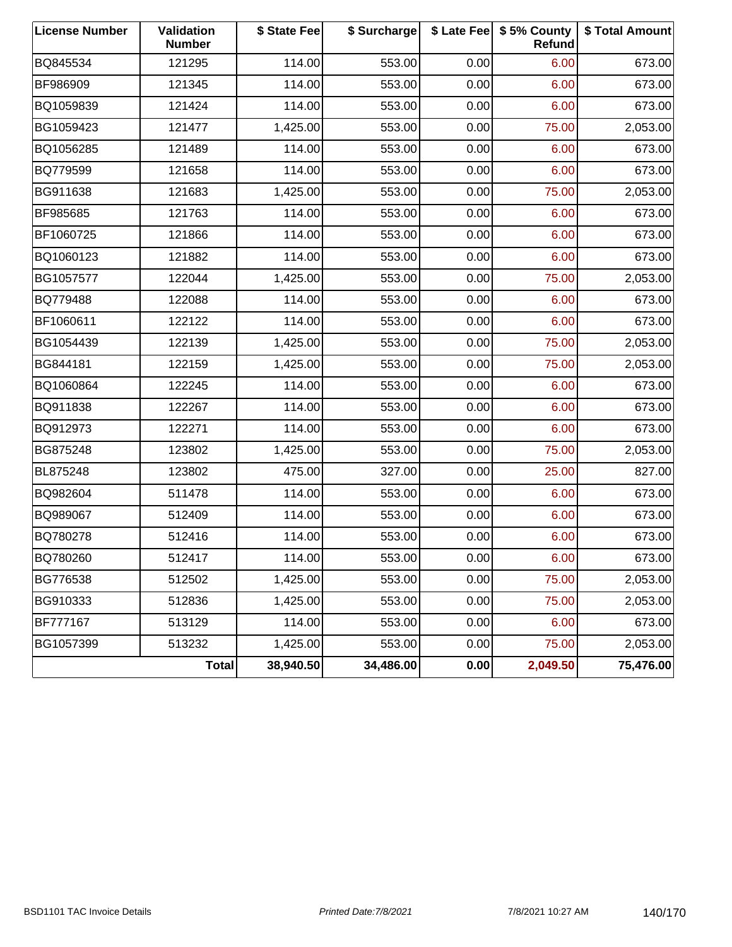| <b>License Number</b> | Validation<br><b>Number</b> | \$ State Fee | \$ Surcharge |      | \$ Late Fee   \$5% County<br><b>Refund</b> | \$ Total Amount |
|-----------------------|-----------------------------|--------------|--------------|------|--------------------------------------------|-----------------|
| BQ845534              | 121295                      | 114.00       | 553.00       | 0.00 | 6.00                                       | 673.00          |
| BF986909              | 121345                      | 114.00       | 553.00       | 0.00 | 6.00                                       | 673.00          |
| BQ1059839             | 121424                      | 114.00       | 553.00       | 0.00 | 6.00                                       | 673.00          |
| BG1059423             | 121477                      | 1,425.00     | 553.00       | 0.00 | 75.00                                      | 2,053.00        |
| BQ1056285             | 121489                      | 114.00       | 553.00       | 0.00 | 6.00                                       | 673.00          |
| BQ779599              | 121658                      | 114.00       | 553.00       | 0.00 | 6.00                                       | 673.00          |
| BG911638              | 121683                      | 1,425.00     | 553.00       | 0.00 | 75.00                                      | 2,053.00        |
| BF985685              | 121763                      | 114.00       | 553.00       | 0.00 | 6.00                                       | 673.00          |
| BF1060725             | 121866                      | 114.00       | 553.00       | 0.00 | 6.00                                       | 673.00          |
| BQ1060123             | 121882                      | 114.00       | 553.00       | 0.00 | 6.00                                       | 673.00          |
| BG1057577             | 122044                      | 1,425.00     | 553.00       | 0.00 | 75.00                                      | 2,053.00        |
| BQ779488              | 122088                      | 114.00       | 553.00       | 0.00 | 6.00                                       | 673.00          |
| BF1060611             | 122122                      | 114.00       | 553.00       | 0.00 | 6.00                                       | 673.00          |
| BG1054439             | 122139                      | 1,425.00     | 553.00       | 0.00 | 75.00                                      | 2,053.00        |
| BG844181              | 122159                      | 1,425.00     | 553.00       | 0.00 | 75.00                                      | 2,053.00        |
| BQ1060864             | 122245                      | 114.00       | 553.00       | 0.00 | 6.00                                       | 673.00          |
| BQ911838              | 122267                      | 114.00       | 553.00       | 0.00 | 6.00                                       | 673.00          |
| BQ912973              | 122271                      | 114.00       | 553.00       | 0.00 | 6.00                                       | 673.00          |
| BG875248              | 123802                      | 1,425.00     | 553.00       | 0.00 | 75.00                                      | 2,053.00        |
| BL875248              | 123802                      | 475.00       | 327.00       | 0.00 | 25.00                                      | 827.00          |
| BQ982604              | 511478                      | 114.00       | 553.00       | 0.00 | 6.00                                       | 673.00          |
| BQ989067              | 512409                      | 114.00       | 553.00       | 0.00 | 6.00                                       | 673.00          |
| BQ780278              | 512416                      | 114.00       | 553.00       | 0.00 | 6.00                                       | 673.00          |
| BQ780260              | 512417                      | 114.00       | 553.00       | 0.00 | 6.00                                       | 673.00          |
| BG776538              | 512502                      | 1,425.00     | 553.00       | 0.00 | 75.00                                      | 2,053.00        |
| BG910333              | 512836                      | 1,425.00     | 553.00       | 0.00 | 75.00                                      | 2,053.00        |
| BF777167              | 513129                      | 114.00       | 553.00       | 0.00 | 6.00                                       | 673.00          |
| BG1057399             | 513232                      | 1,425.00     | 553.00       | 0.00 | 75.00                                      | 2,053.00        |
|                       | <b>Total</b>                | 38,940.50    | 34,486.00    | 0.00 | 2,049.50                                   | 75,476.00       |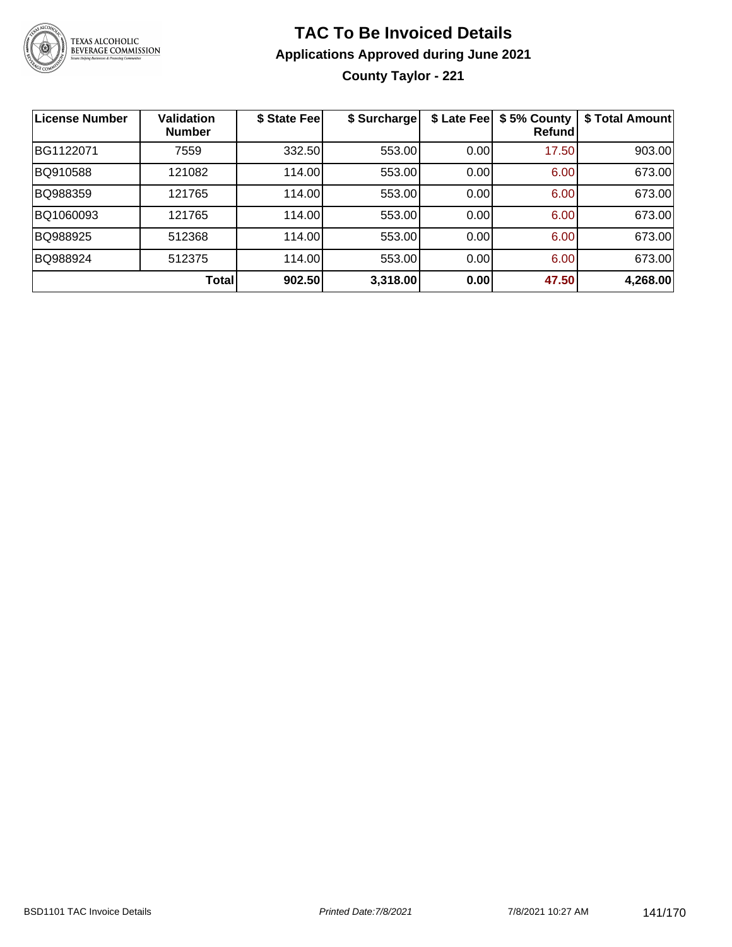

# **TAC To Be Invoiced Details Applications Approved during June 2021**

**County Taylor - 221**

| <b>License Number</b> | <b>Validation</b><br><b>Number</b> | \$ State Fee | \$ Surcharge | \$ Late Fee | \$5% County<br><b>Refund</b> | \$ Total Amount |
|-----------------------|------------------------------------|--------------|--------------|-------------|------------------------------|-----------------|
| BG1122071             | 7559                               | 332.50       | 553.00       | 0.00        | 17.50                        | 903.00          |
| BQ910588              | 121082                             | 114.00       | 553.00       | 0.00        | 6.00                         | 673.00          |
| BQ988359              | 121765                             | 114.00       | 553.00       | 0.00        | 6.00                         | 673.00          |
| BQ1060093             | 121765                             | 114.00       | 553.00       | 0.00        | 6.00                         | 673.00          |
| BQ988925              | 512368                             | 114.00       | 553.00       | 0.00        | 6.00                         | 673.00          |
| BQ988924              | 512375                             | 114.00       | 553.00       | 0.00        | 6.00                         | 673.00          |
|                       | Total                              | 902.50       | 3,318.00     | 0.00        | 47.50                        | 4,268.00        |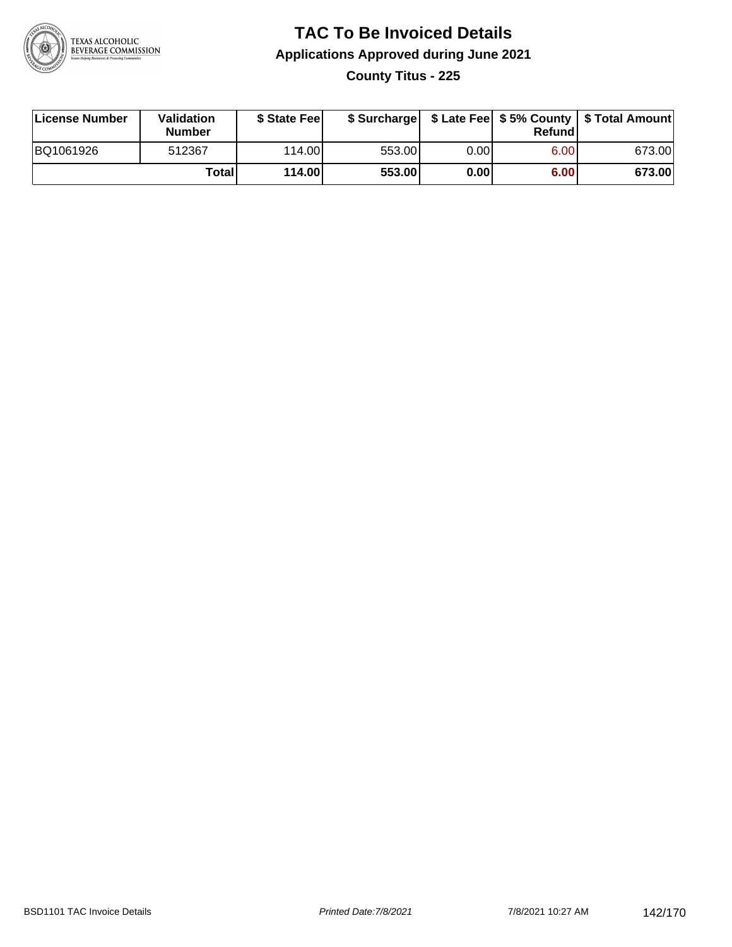

### **TAC To Be Invoiced Details Applications Approved during June 2021 County Titus - 225**

| License Number | Validation<br>Number | \$ State Fee    |        |      | Refundl | \$ Surcharge   \$ Late Fee   \$5% County   \$ Total Amount |
|----------------|----------------------|-----------------|--------|------|---------|------------------------------------------------------------|
| BQ1061926      | 512367               | 114.00 <b>1</b> | 553.00 | 0.00 | 6.00    | 673.00                                                     |
|                | Totall               | 114.00          | 553.00 | 0.00 | 6.00    | 673.00                                                     |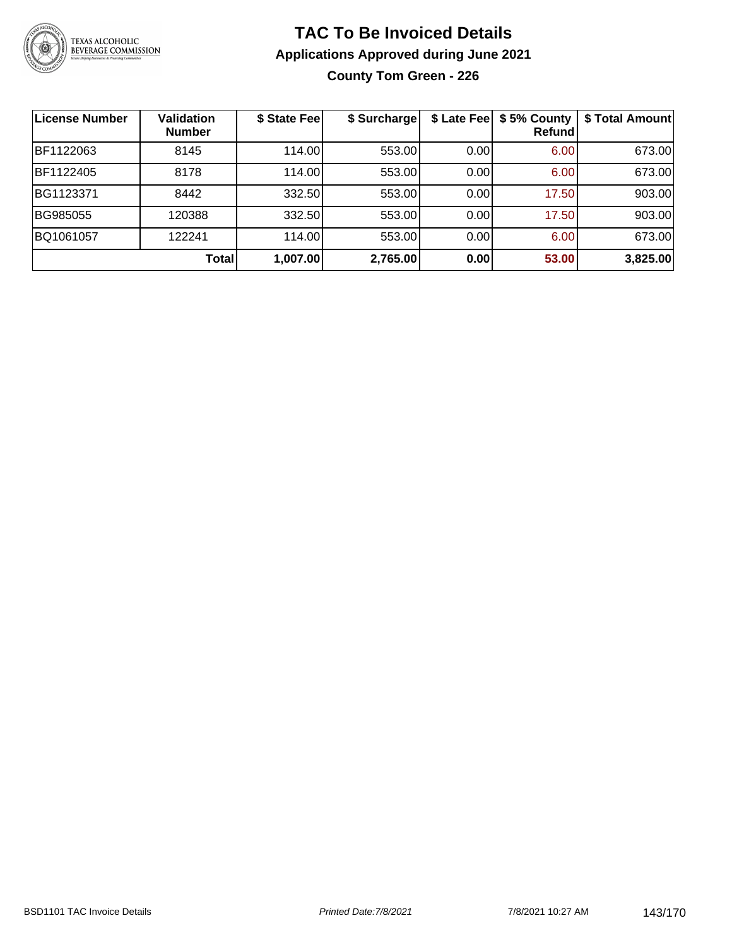

### **TAC To Be Invoiced Details Applications Approved during June 2021 County Tom Green - 226**

| License Number | <b>Validation</b><br><b>Number</b> | \$ State Fee | \$ Surcharge | \$ Late Fee | \$5% County<br>Refund | \$ Total Amount |
|----------------|------------------------------------|--------------|--------------|-------------|-----------------------|-----------------|
| BF1122063      | 8145                               | 114.00       | 553.00       | 0.00        | 6.00                  | 673.00          |
| BF1122405      | 8178                               | 114.00       | 553.00       | 0.00        | 6.00                  | 673.00          |
| BG1123371      | 8442                               | 332.50       | 553.00       | 0.00        | 17.50                 | 903.00          |
| BG985055       | 120388                             | 332.50       | 553.00       | 0.00        | 17.50                 | 903.00          |
| BQ1061057      | 122241                             | 114.00       | 553.00       | 0.00        | 6.00                  | 673.00          |
|                | <b>Total</b>                       | 1,007.00     | 2,765.00     | 0.00        | 53.00                 | 3,825.00        |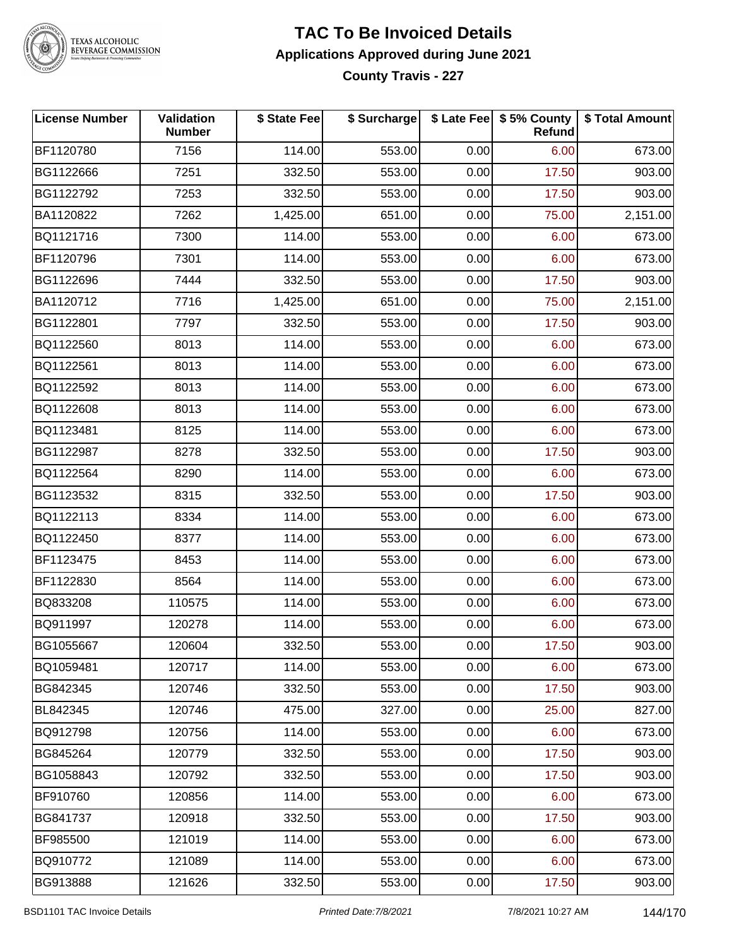

TEXAS ALCOHOLIC<br>BEVERAGE COMMISSION

#### **TAC To Be Invoiced Details Applications Approved during June 2021 County Travis - 227**

| <b>License Number</b> | Validation<br><b>Number</b> | \$ State Fee | \$ Surcharge |      | \$ Late Fee   \$5% County  <br>Refund | \$ Total Amount |
|-----------------------|-----------------------------|--------------|--------------|------|---------------------------------------|-----------------|
| BF1120780             | 7156                        | 114.00       | 553.00       | 0.00 | 6.00                                  | 673.00          |
| BG1122666             | 7251                        | 332.50       | 553.00       | 0.00 | 17.50                                 | 903.00          |
| BG1122792             | 7253                        | 332.50       | 553.00       | 0.00 | 17.50                                 | 903.00          |
| BA1120822             | 7262                        | 1,425.00     | 651.00       | 0.00 | 75.00                                 | 2,151.00        |
| BQ1121716             | 7300                        | 114.00       | 553.00       | 0.00 | 6.00                                  | 673.00          |
| BF1120796             | 7301                        | 114.00       | 553.00       | 0.00 | 6.00                                  | 673.00          |
| BG1122696             | 7444                        | 332.50       | 553.00       | 0.00 | 17.50                                 | 903.00          |
| BA1120712             | 7716                        | 1,425.00     | 651.00       | 0.00 | 75.00                                 | 2,151.00        |
| BG1122801             | 7797                        | 332.50       | 553.00       | 0.00 | 17.50                                 | 903.00          |
| BQ1122560             | 8013                        | 114.00       | 553.00       | 0.00 | 6.00                                  | 673.00          |
| BQ1122561             | 8013                        | 114.00       | 553.00       | 0.00 | 6.00                                  | 673.00          |
| BQ1122592             | 8013                        | 114.00       | 553.00       | 0.00 | 6.00                                  | 673.00          |
| BQ1122608             | 8013                        | 114.00       | 553.00       | 0.00 | 6.00                                  | 673.00          |
| BQ1123481             | 8125                        | 114.00       | 553.00       | 0.00 | 6.00                                  | 673.00          |
| BG1122987             | 8278                        | 332.50       | 553.00       | 0.00 | 17.50                                 | 903.00          |
| BQ1122564             | 8290                        | 114.00       | 553.00       | 0.00 | 6.00                                  | 673.00          |
| BG1123532             | 8315                        | 332.50       | 553.00       | 0.00 | 17.50                                 | 903.00          |
| BQ1122113             | 8334                        | 114.00       | 553.00       | 0.00 | 6.00                                  | 673.00          |
| BQ1122450             | 8377                        | 114.00       | 553.00       | 0.00 | 6.00                                  | 673.00          |
| BF1123475             | 8453                        | 114.00       | 553.00       | 0.00 | 6.00                                  | 673.00          |
| BF1122830             | 8564                        | 114.00       | 553.00       | 0.00 | 6.00                                  | 673.00          |
| BQ833208              | 110575                      | 114.00       | 553.00       | 0.00 | 6.00                                  | 673.00          |
| BQ911997              | 120278                      | 114.00       | 553.00       | 0.00 | 6.00                                  | 673.00          |
| BG1055667             | 120604                      | 332.50       | 553.00       | 0.00 | 17.50                                 | 903.00          |
| BQ1059481             | 120717                      | 114.00       | 553.00       | 0.00 | 6.00                                  | 673.00          |
| BG842345              | 120746                      | 332.50       | 553.00       | 0.00 | 17.50                                 | 903.00          |
| BL842345              | 120746                      | 475.00       | 327.00       | 0.00 | 25.00                                 | 827.00          |
| BQ912798              | 120756                      | 114.00       | 553.00       | 0.00 | 6.00                                  | 673.00          |
| BG845264              | 120779                      | 332.50       | 553.00       | 0.00 | 17.50                                 | 903.00          |
| BG1058843             | 120792                      | 332.50       | 553.00       | 0.00 | 17.50                                 | 903.00          |
| BF910760              | 120856                      | 114.00       | 553.00       | 0.00 | 6.00                                  | 673.00          |
| BG841737              | 120918                      | 332.50       | 553.00       | 0.00 | 17.50                                 | 903.00          |
| BF985500              | 121019                      | 114.00       | 553.00       | 0.00 | 6.00                                  | 673.00          |
| BQ910772              | 121089                      | 114.00       | 553.00       | 0.00 | 6.00                                  | 673.00          |
| BG913888              | 121626                      | 332.50       | 553.00       | 0.00 | 17.50                                 | 903.00          |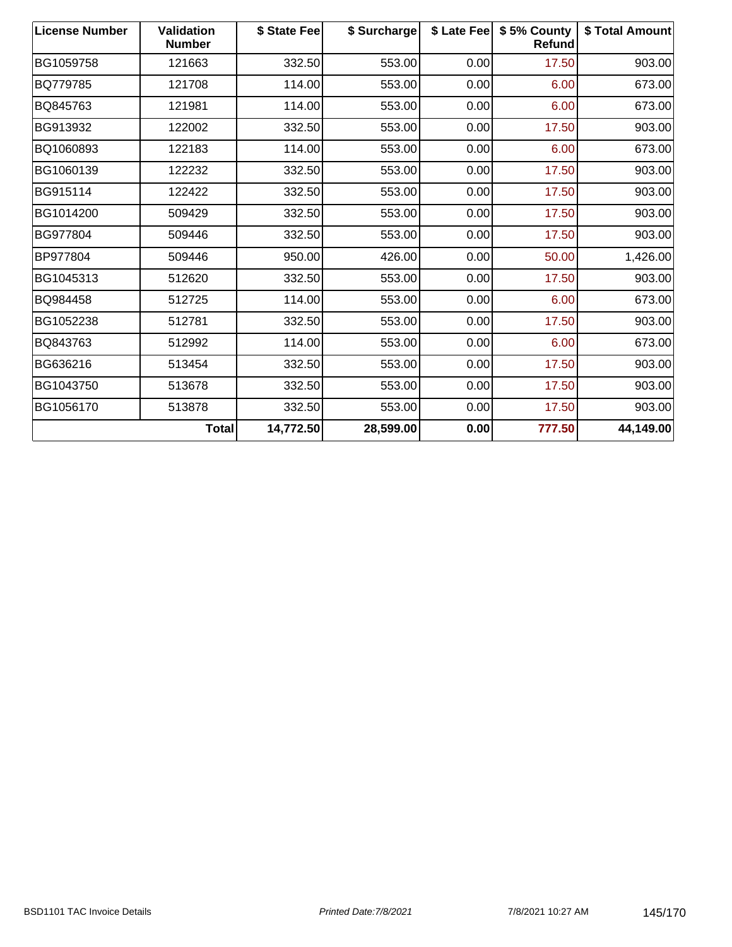| <b>License Number</b> | <b>Validation</b><br><b>Number</b> | \$ State Fee | \$ Surcharge |      | \$ Late Fee   \$5% County<br>Refund | \$ Total Amount |
|-----------------------|------------------------------------|--------------|--------------|------|-------------------------------------|-----------------|
| BG1059758             | 121663                             | 332.50       | 553.00       | 0.00 | 17.50                               | 903.00          |
| BQ779785              | 121708                             | 114.00       | 553.00       | 0.00 | 6.00                                | 673.00          |
| BQ845763              | 121981                             | 114.00       | 553.00       | 0.00 | 6.00                                | 673.00          |
| BG913932              | 122002                             | 332.50       | 553.00       | 0.00 | 17.50                               | 903.00          |
| BQ1060893             | 122183                             | 114.00       | 553.00       | 0.00 | 6.00                                | 673.00          |
| BG1060139             | 122232                             | 332.50       | 553.00       | 0.00 | 17.50                               | 903.00          |
| BG915114              | 122422                             | 332.50       | 553.00       | 0.00 | 17.50                               | 903.00          |
| BG1014200             | 509429                             | 332.50       | 553.00       | 0.00 | 17.50                               | 903.00          |
| BG977804              | 509446                             | 332.50       | 553.00       | 0.00 | 17.50                               | 903.00          |
| BP977804              | 509446                             | 950.00       | 426.00       | 0.00 | 50.00                               | 1,426.00        |
| BG1045313             | 512620                             | 332.50       | 553.00       | 0.00 | 17.50                               | 903.00          |
| BQ984458              | 512725                             | 114.00       | 553.00       | 0.00 | 6.00                                | 673.00          |
| BG1052238             | 512781                             | 332.50       | 553.00       | 0.00 | 17.50                               | 903.00          |
| BQ843763              | 512992                             | 114.00       | 553.00       | 0.00 | 6.00                                | 673.00          |
| BG636216              | 513454                             | 332.50       | 553.00       | 0.00 | 17.50                               | 903.00          |
| BG1043750             | 513678                             | 332.50       | 553.00       | 0.00 | 17.50                               | 903.00          |
| BG1056170             | 513878                             | 332.50       | 553.00       | 0.00 | 17.50                               | 903.00          |
|                       | <b>Total</b>                       | 14,772.50    | 28,599.00    | 0.00 | 777.50                              | 44,149.00       |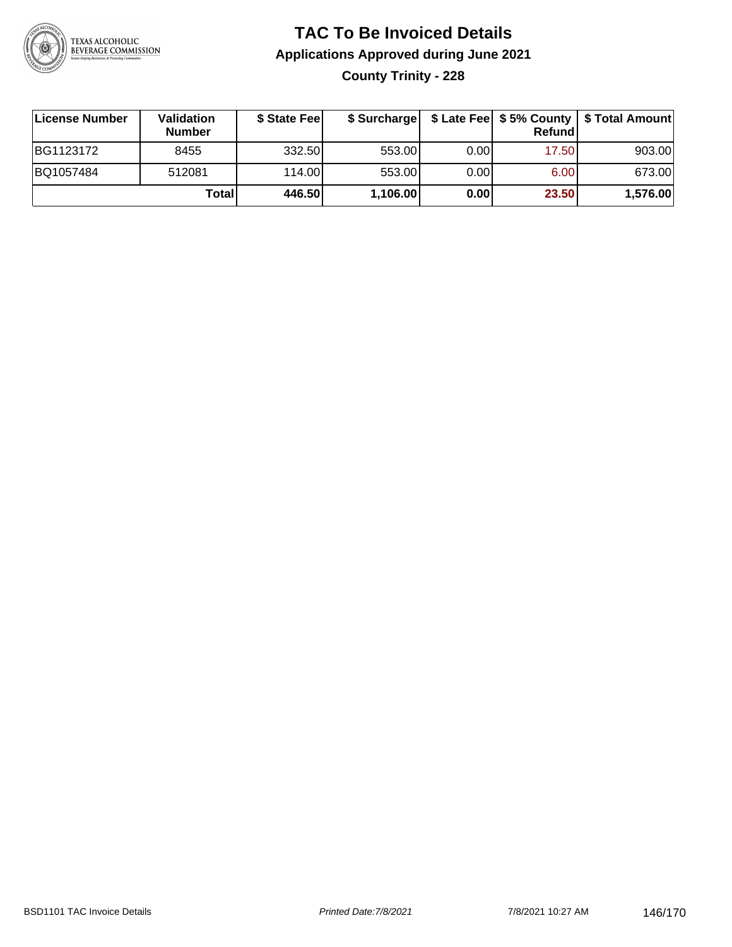

# **TAC To Be Invoiced Details Applications Approved during June 2021 County Trinity - 228**

| License Number | <b>Validation</b><br><b>Number</b> | \$ State Feel | \$ Surcharge |       | Refund | \$ Late Fee   \$5% County   \$ Total Amount |
|----------------|------------------------------------|---------------|--------------|-------|--------|---------------------------------------------|
| BG1123172      | 8455                               | 332.50        | 553.00       | 0.001 | 17.50  | 903.00                                      |
| BQ1057484      | 512081                             | 114.00L       | 553.00       | 0.00  | 6.00   | 673.00                                      |
|                | Total                              | 446.50        | 1,106.00     | 0.00  | 23.50  | 1,576.00                                    |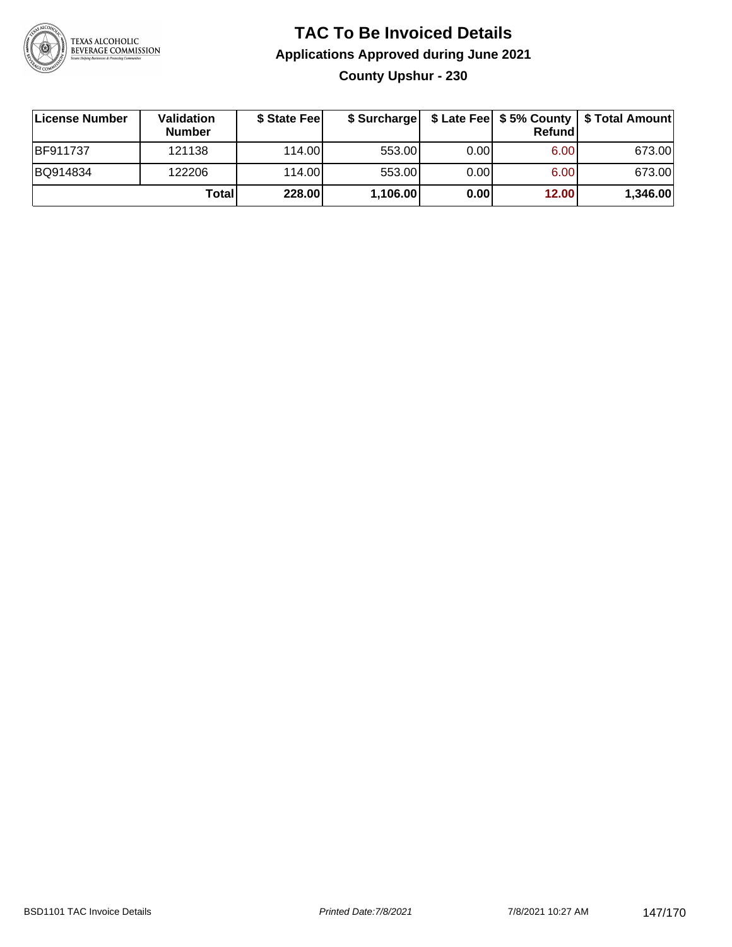

# **TAC To Be Invoiced Details Applications Approved during June 2021 County Upshur - 230**

| License Number  | <b>Validation</b><br><b>Number</b> | \$ State Fee | \$ Surcharge |      | <b>Refund</b> | \$ Late Fee   \$5% County   \$ Total Amount |
|-----------------|------------------------------------|--------------|--------------|------|---------------|---------------------------------------------|
| <b>BF911737</b> | 121138                             | 114.00L      | 553.00       | 0.00 | 6.00          | 673.00                                      |
| BQ914834        | 122206                             | 114.00L      | 553.00       | 0.00 | 6.00          | 673.00                                      |
|                 | Total                              | 228.00       | 1,106.00     | 0.00 | 12.00         | 1,346.00                                    |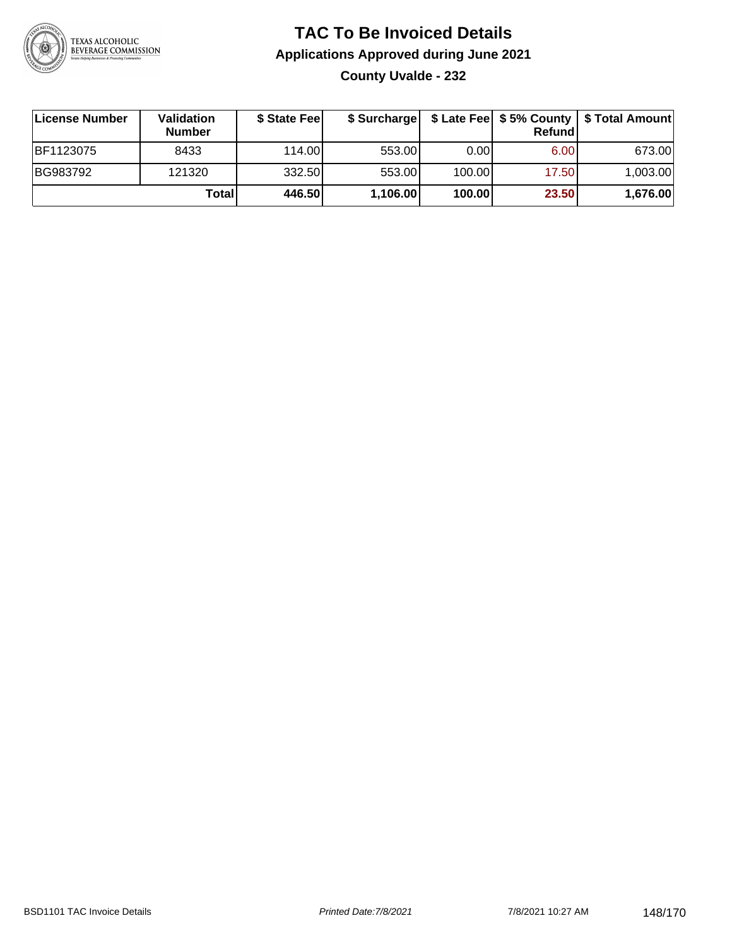

# **TAC To Be Invoiced Details Applications Approved during June 2021 County Uvalde - 232**

| License Number | <b>Validation</b><br><b>Number</b> | \$ State Fee |          |        | <b>Refund</b> | \$ Surcharge   \$ Late Fee   \$5% County   \$ Total Amount |
|----------------|------------------------------------|--------------|----------|--------|---------------|------------------------------------------------------------|
| BF1123075      | 8433                               | 114.00L      | 553.00   | 0.001  | 6.00          | 673.00                                                     |
| BG983792       | 121320                             | 332.50       | 553.00   | 100.00 | 17.50         | 1,003.00                                                   |
|                | Total                              | 446.50       | 1,106.00 | 100.00 | 23.50         | 1,676.00                                                   |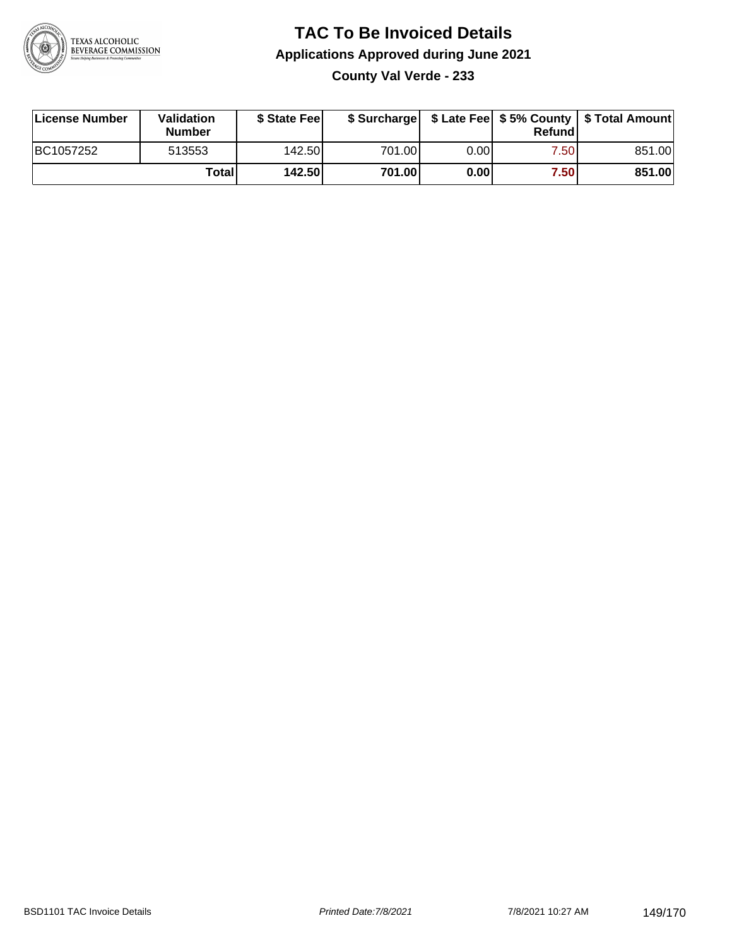

## **TAC To Be Invoiced Details Applications Approved during June 2021 County Val Verde - 233**

| License Number | Validation<br><b>Number</b> | \$ State Fee |        |      | Refund | \$ Surcharge   \$ Late Fee   \$5% County   \$ Total Amount |
|----------------|-----------------------------|--------------|--------|------|--------|------------------------------------------------------------|
| BC1057252      | 513553                      | 142.50       | 701.00 | 0.00 | 7.50   | 851.00                                                     |
|                | Total                       | 142.50       | 701.00 | 0.00 | 7.50   | 851.00                                                     |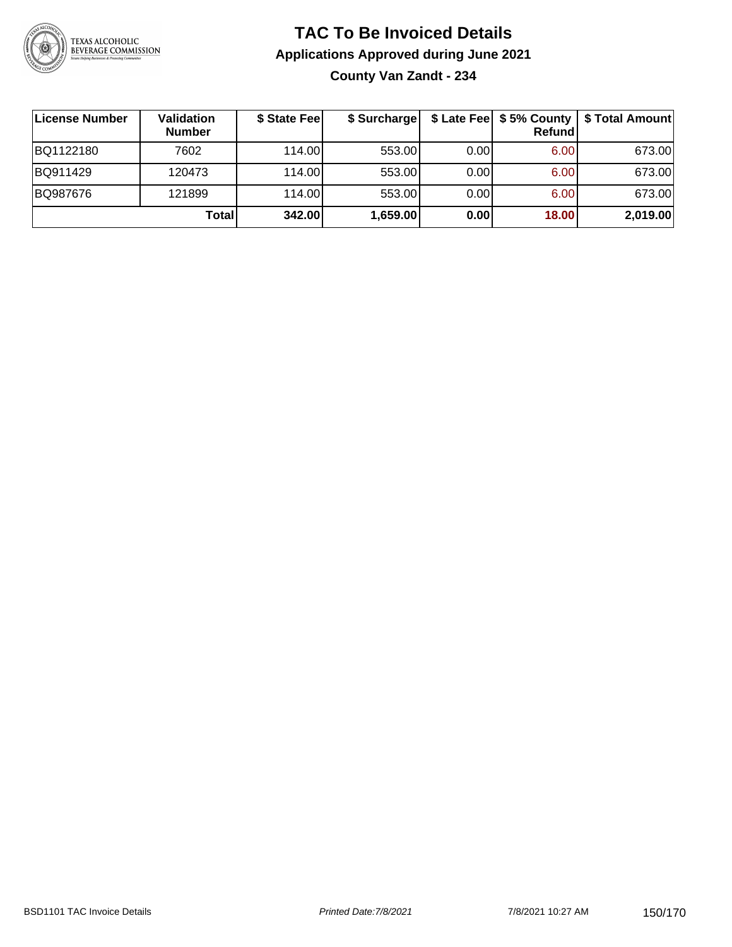

## **TAC To Be Invoiced Details Applications Approved during June 2021 County Van Zandt - 234**

| License Number | <b>Validation</b><br><b>Number</b> | \$ State Feel | \$ Surcharge |      | Refund | \$ Late Fee   \$5% County   \$ Total Amount |
|----------------|------------------------------------|---------------|--------------|------|--------|---------------------------------------------|
| BQ1122180      | 7602                               | 114.00L       | 553.00       | 0.00 | 6.00   | 673.00                                      |
| BQ911429       | 120473                             | 114.00L       | 553.00       | 0.00 | 6.00   | 673.00                                      |
| BQ987676       | 121899                             | 114.00L       | 553.00       | 0.00 | 6.00   | 673.00                                      |
|                | Total                              | 342.00        | 1,659.00     | 0.00 | 18.00  | 2,019.00                                    |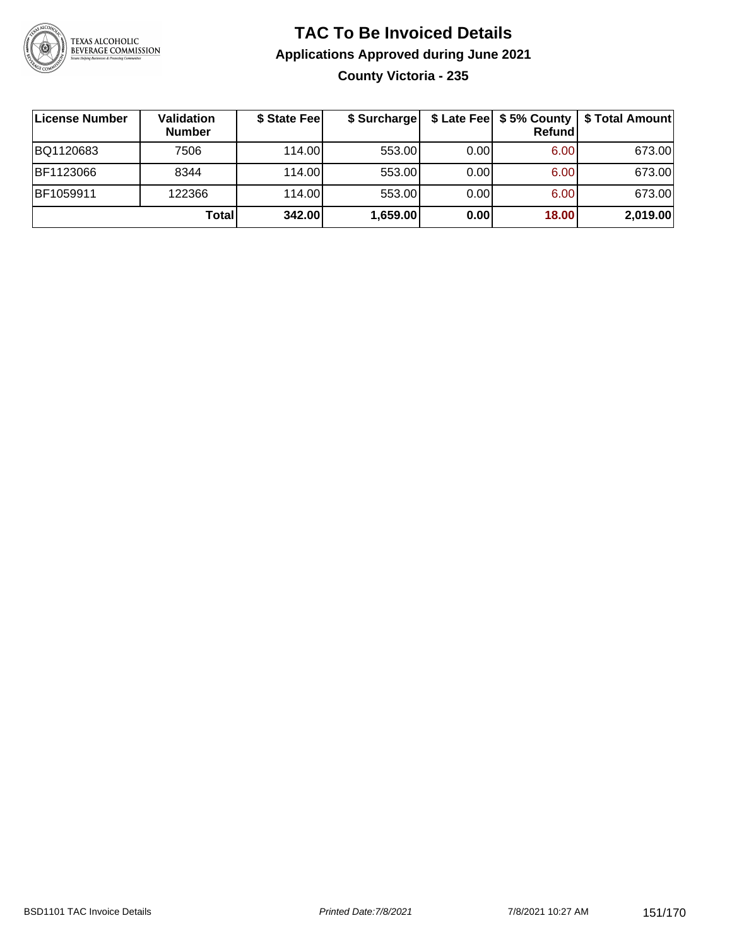

## **TAC To Be Invoiced Details Applications Approved during June 2021 County Victoria - 235**

| License Number | <b>Validation</b><br><b>Number</b> | \$ State Fee | \$ Surcharge |      | Refundl | \$ Late Fee   \$5% County   \$ Total Amount |
|----------------|------------------------------------|--------------|--------------|------|---------|---------------------------------------------|
| BQ1120683      | 7506                               | 114.00L      | 553.00       | 0.00 | 6.00    | 673.00                                      |
| BF1123066      | 8344                               | 114.00L      | 553.00       | 0.00 | 6.00    | 673.00                                      |
| BF1059911      | 122366                             | 114.00       | 553.00       | 0.00 | 6.00    | 673.00                                      |
|                | Total                              | 342.00       | 1,659.00     | 0.00 | 18.00   | 2,019.00                                    |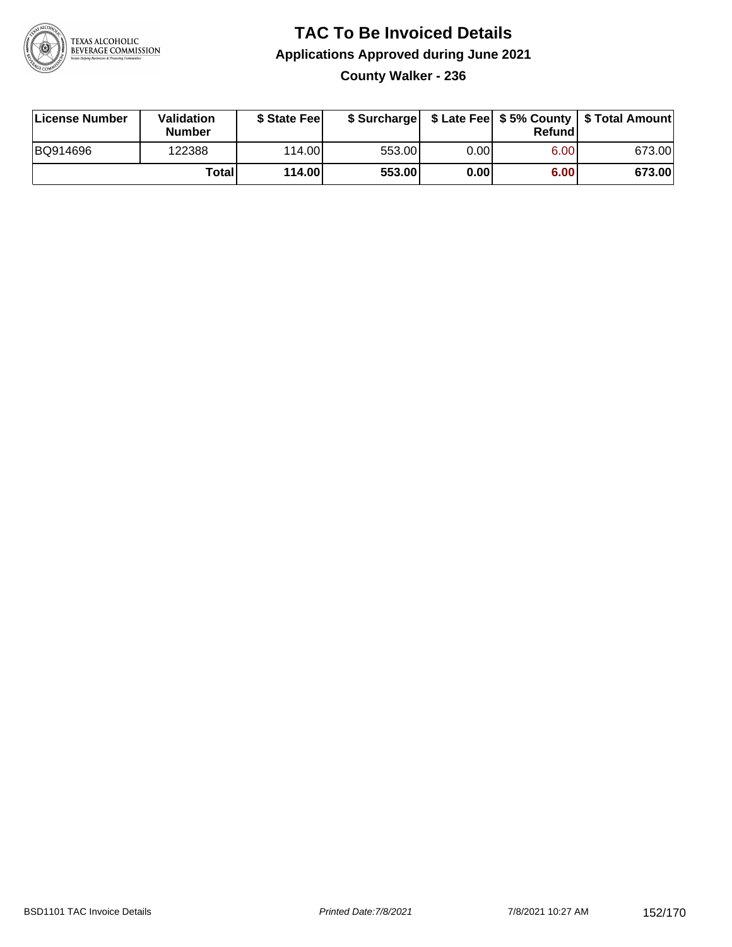

## **TAC To Be Invoiced Details Applications Approved during June 2021 County Walker - 236**

| License Number | Validation<br><b>Number</b> | \$ State Fee | \$ Surcharge |      | Refundl | \$ Late Fee   \$5% County   \$ Total Amount |
|----------------|-----------------------------|--------------|--------------|------|---------|---------------------------------------------|
| BQ914696       | 122388                      | 114.00L      | 553.00       | 0.00 | 6.00    | 673.00                                      |
|                | <b>Total</b>                | 114.00       | 553.00       | 0.00 | 6.00    | 673.00                                      |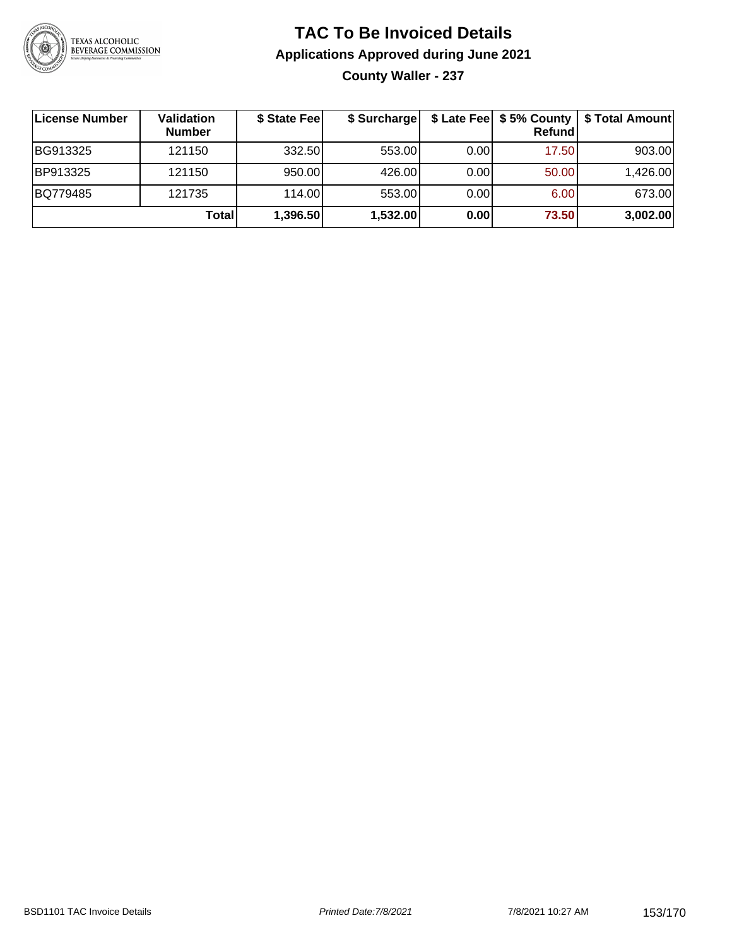

## **TAC To Be Invoiced Details Applications Approved during June 2021 County Waller - 237**

| License Number | Validation<br><b>Number</b> | \$ State Fee | \$ Surcharge |      | <b>Refund</b>     | \$ Late Fee   \$5% County   \$ Total Amount |
|----------------|-----------------------------|--------------|--------------|------|-------------------|---------------------------------------------|
| BG913325       | 121150                      | 332.50       | 553.00       | 0.00 | 17.50             | 903.00                                      |
| BP913325       | 121150                      | 950.00       | 426.00       | 0.00 | 50.00             | 1,426.00                                    |
| BQ779485       | 121735                      | 114.00       | 553.00       | 0.00 | 6.00 <sub>1</sub> | 673.00                                      |
|                | <b>Total</b>                | 1,396.50     | 1,532.00     | 0.00 | 73.50             | 3,002.00                                    |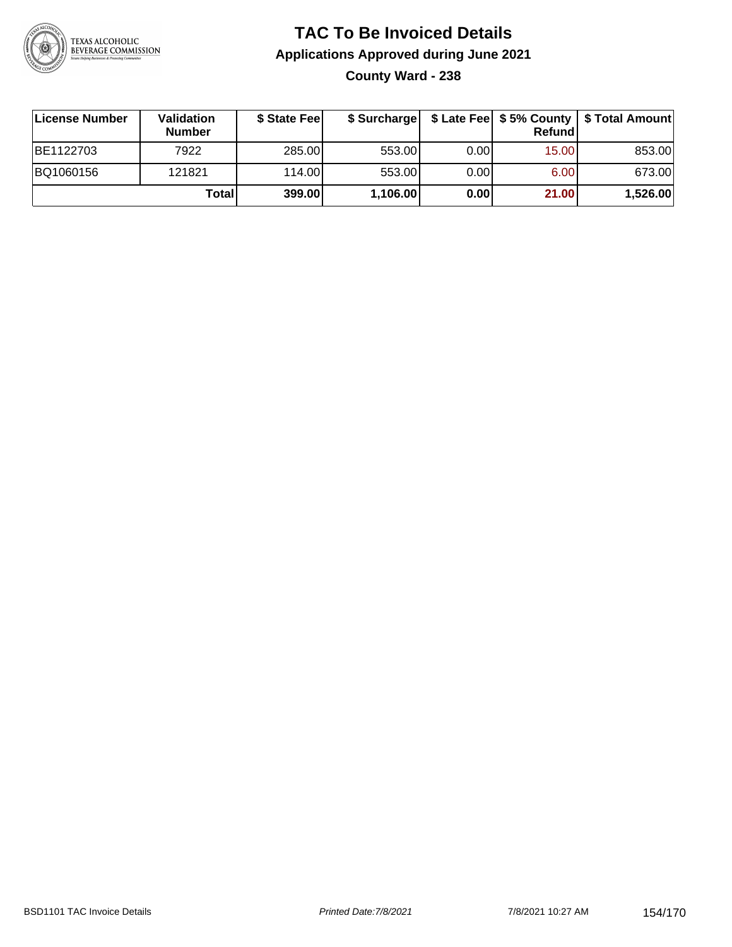

# **TAC To Be Invoiced Details Applications Approved during June 2021 County Ward - 238**

| License Number | <b>Validation</b><br><b>Number</b> | \$ State Fee |          |      | Refund | \$ Surcharge   \$ Late Fee   \$5% County   \$ Total Amount |
|----------------|------------------------------------|--------------|----------|------|--------|------------------------------------------------------------|
| BE1122703      | 7922                               | 285.00       | 553.00   | 0.00 | 15.00  | 853.00                                                     |
| BQ1060156      | 121821                             | 114.00L      | 553.00   | 0.00 | 6.00   | 673.00                                                     |
|                | Totall                             | 399.00       | 1,106.00 | 0.00 | 21.00  | 1,526.00                                                   |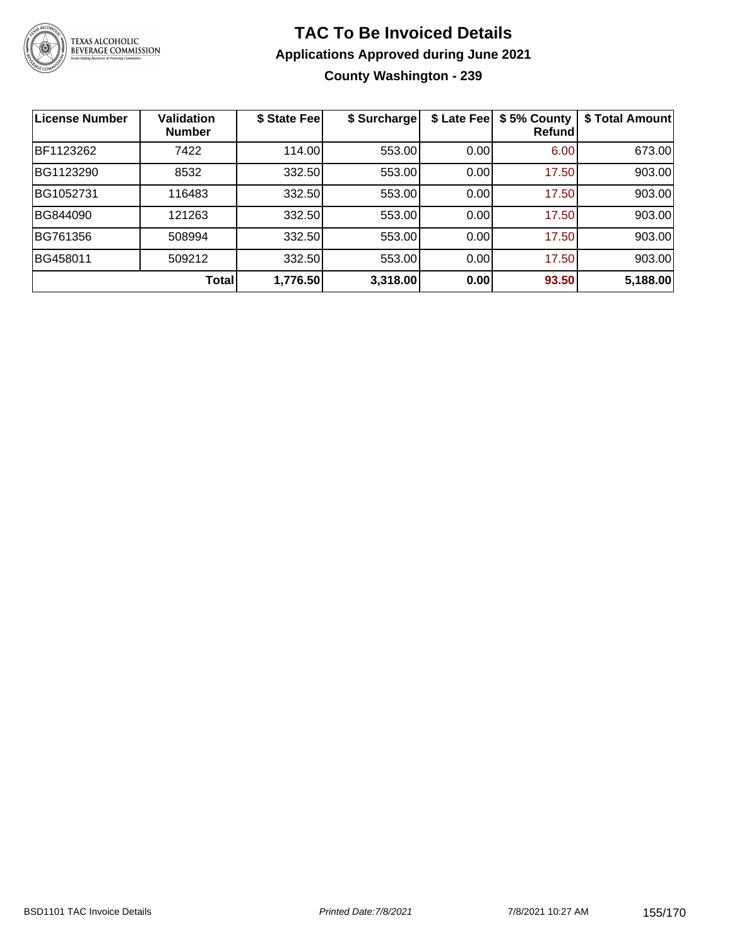

## **TAC To Be Invoiced Details Applications Approved during June 2021 County Washington - 239**

| License Number | <b>Validation</b><br><b>Number</b> | \$ State Fee | \$ Surcharge | \$ Late Fee | \$5% County<br>Refund | \$ Total Amount |
|----------------|------------------------------------|--------------|--------------|-------------|-----------------------|-----------------|
| BF1123262      | 7422                               | 114.00       | 553.00       | 0.00        | 6.00                  | 673.00          |
| BG1123290      | 8532                               | 332.50       | 553.00       | 0.00        | 17.50                 | 903.00          |
| BG1052731      | 116483                             | 332.50       | 553.00       | 0.00        | 17.50                 | 903.00          |
| BG844090       | 121263                             | 332.50       | 553.00       | 0.00        | 17.50                 | 903.00          |
| BG761356       | 508994                             | 332.50       | 553.00       | 0.00        | 17.50                 | 903.00          |
| BG458011       | 509212                             | 332.50       | 553.00       | 0.00        | 17.50                 | 903.00          |
|                | Total                              | 1,776.50     | 3,318.00     | 0.00        | 93.50                 | 5,188.00        |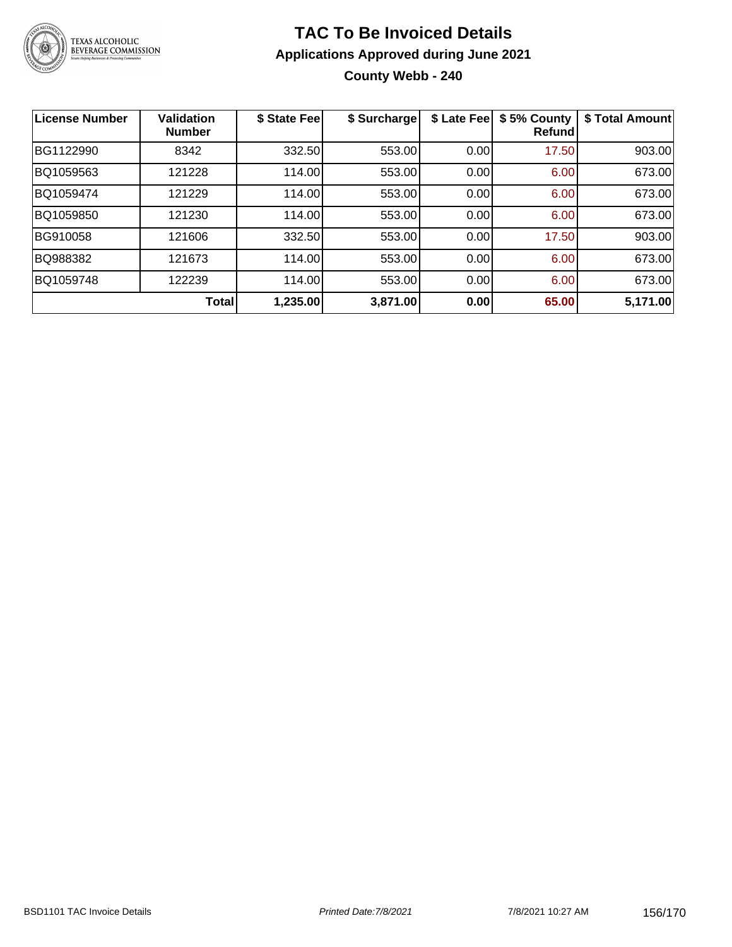

# **TAC To Be Invoiced Details Applications Approved during June 2021 County Webb - 240**

| <b>License Number</b> | <b>Validation</b><br><b>Number</b> | \$ State Fee | \$ Surcharge | \$ Late Fee | \$5% County<br>Refundl | \$ Total Amount |
|-----------------------|------------------------------------|--------------|--------------|-------------|------------------------|-----------------|
| BG1122990             | 8342                               | 332.50       | 553.00       | 0.00        | 17.50                  | 903.00          |
| BQ1059563             | 121228                             | 114.00       | 553.00       | 0.00        | 6.00                   | 673.00          |
| BQ1059474             | 121229                             | 114.00       | 553.00       | 0.00        | 6.00                   | 673.00          |
| BQ1059850             | 121230                             | 114.00       | 553.00       | 0.00        | 6.00                   | 673.00          |
| BG910058              | 121606                             | 332.50       | 553.00       | 0.00        | 17.50                  | 903.00          |
| BQ988382              | 121673                             | 114.00       | 553.00       | 0.00        | 6.00                   | 673.00          |
| BQ1059748             | 122239                             | 114.00       | 553.00       | 0.00        | 6.00                   | 673.00          |
|                       | Total                              | 1,235.00     | 3,871.00     | 0.00        | 65.00                  | 5,171.00        |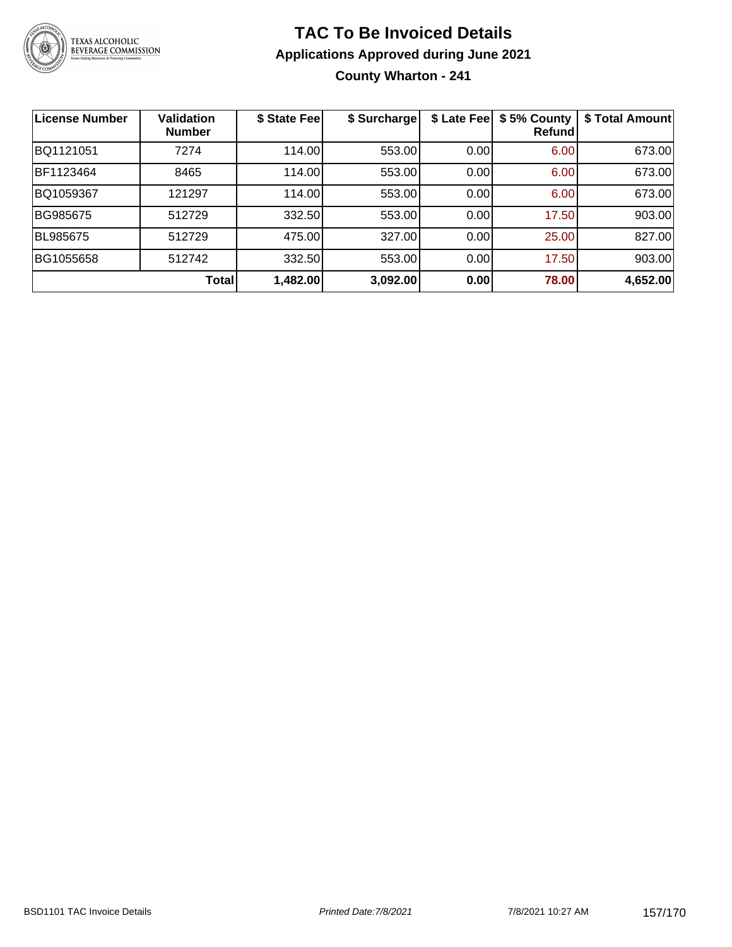

# **TAC To Be Invoiced Details Applications Approved during June 2021 County Wharton - 241**

| <b>License Number</b> | <b>Validation</b><br><b>Number</b> | \$ State Fee | \$ Surcharge | \$ Late Fee | \$5% County<br>Refund | \$ Total Amount |
|-----------------------|------------------------------------|--------------|--------------|-------------|-----------------------|-----------------|
| BQ1121051             | 7274                               | 114.00       | 553.00       | 0.00        | 6.00                  | 673.00          |
| BF1123464             | 8465                               | 114.00       | 553.00       | 0.00        | 6.00                  | 673.00          |
| BQ1059367             | 121297                             | 114.00       | 553.00       | 0.00        | 6.00                  | 673.00          |
| BG985675              | 512729                             | 332.50       | 553.00       | 0.00        | 17.50                 | 903.00          |
| BL985675              | 512729                             | 475.00       | 327.00       | 0.00        | 25.00                 | 827.00          |
| BG1055658             | 512742                             | 332.50       | 553.00       | 0.00        | 17.50                 | 903.00          |
|                       | Total                              | 1,482.00     | 3,092.00     | 0.00        | 78.00                 | 4,652.00        |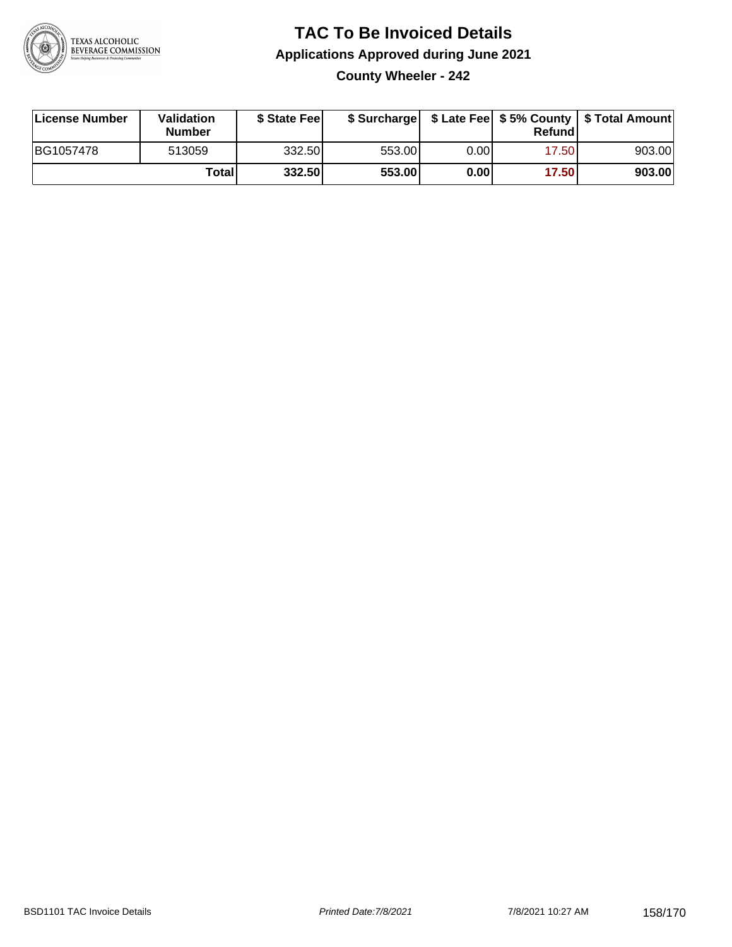

### **TAC To Be Invoiced Details Applications Approved during June 2021 County Wheeler - 242**

| License Number | Validation<br><b>Number</b> | \$ State Feel | \$ Surcharge |      | Refund | \$ Late Fee   \$5% County   \$ Total Amount |
|----------------|-----------------------------|---------------|--------------|------|--------|---------------------------------------------|
| BG1057478      | 513059                      | 332.50        | 553.00       | 0.00 | 17.50  | 903.00                                      |
|                | Totall                      | 332.50        | 553.00       | 0.00 | 17.50  | 903.00                                      |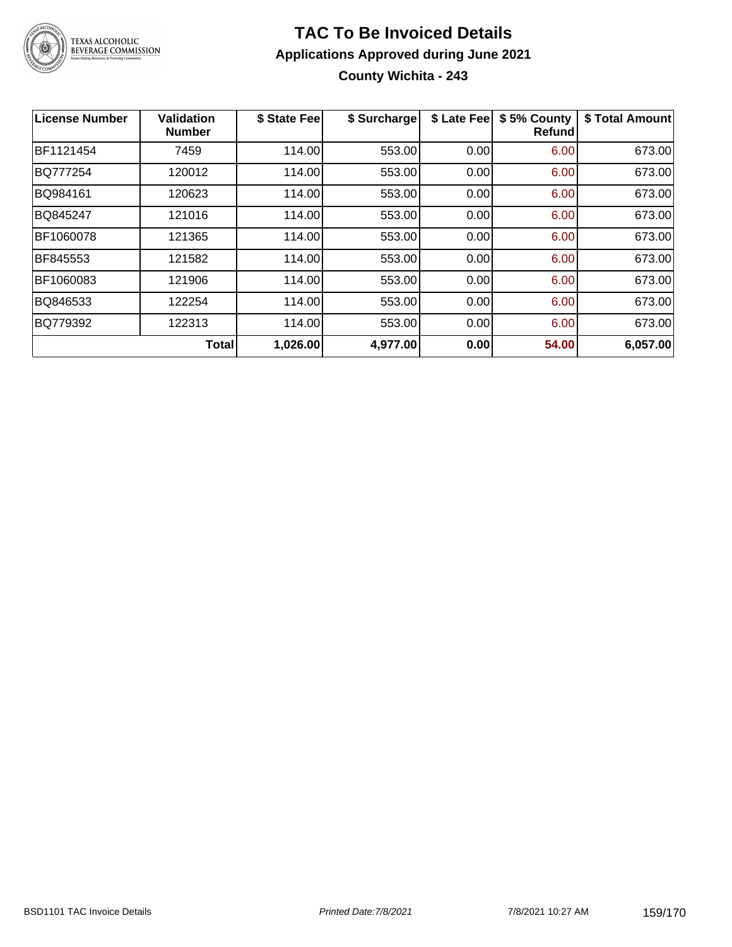

# **TAC To Be Invoiced Details Applications Approved during June 2021 County Wichita - 243**

| <b>License Number</b> | <b>Validation</b><br><b>Number</b> | \$ State Fee | \$ Surcharge | \$ Late Fee | \$5% County<br><b>Refund</b> | \$ Total Amount |
|-----------------------|------------------------------------|--------------|--------------|-------------|------------------------------|-----------------|
| BF1121454             | 7459                               | 114.00       | 553.00       | 0.00        | 6.00                         | 673.00          |
| BQ777254              | 120012                             | 114.00       | 553.00       | 0.00        | 6.00                         | 673.00          |
| BQ984161              | 120623                             | 114.00       | 553.00       | 0.00        | 6.00                         | 673.00          |
| BQ845247              | 121016                             | 114.00       | 553.00       | 0.00        | 6.00                         | 673.00          |
| BF1060078             | 121365                             | 114.00       | 553.00       | 0.00        | 6.00                         | 673.00          |
| BF845553              | 121582                             | 114.00       | 553.00       | 0.00        | 6.00                         | 673.00          |
| BF1060083             | 121906                             | 114.00       | 553.00       | 0.00        | 6.00                         | 673.00          |
| BQ846533              | 122254                             | 114.00       | 553.00       | 0.00        | 6.00                         | 673.00          |
| BQ779392              | 122313                             | 114.00       | 553.00       | 0.00        | 6.00                         | 673.00          |
|                       | <b>Total</b>                       | 1,026.00     | 4,977.00     | 0.00        | 54.00                        | 6,057.00        |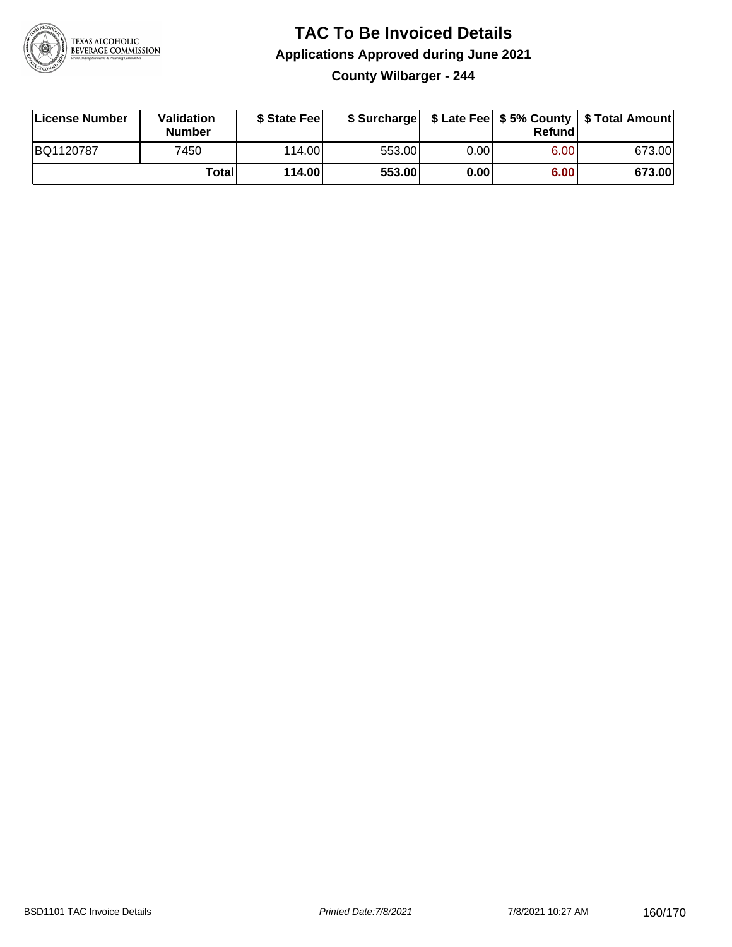

## **TAC To Be Invoiced Details Applications Approved during June 2021 County Wilbarger - 244**

| License Number | Validation<br>Number | \$ State Fee    |        |      | Refundl | \$ Surcharge   \$ Late Fee   \$5% County   \$ Total Amount |
|----------------|----------------------|-----------------|--------|------|---------|------------------------------------------------------------|
| BQ1120787      | 7450                 | 114.00 <b>1</b> | 553.00 | 0.00 | 6.00    | 673.00                                                     |
|                | Totall               | 114.00          | 553.00 | 0.00 | 6.00    | 673.00                                                     |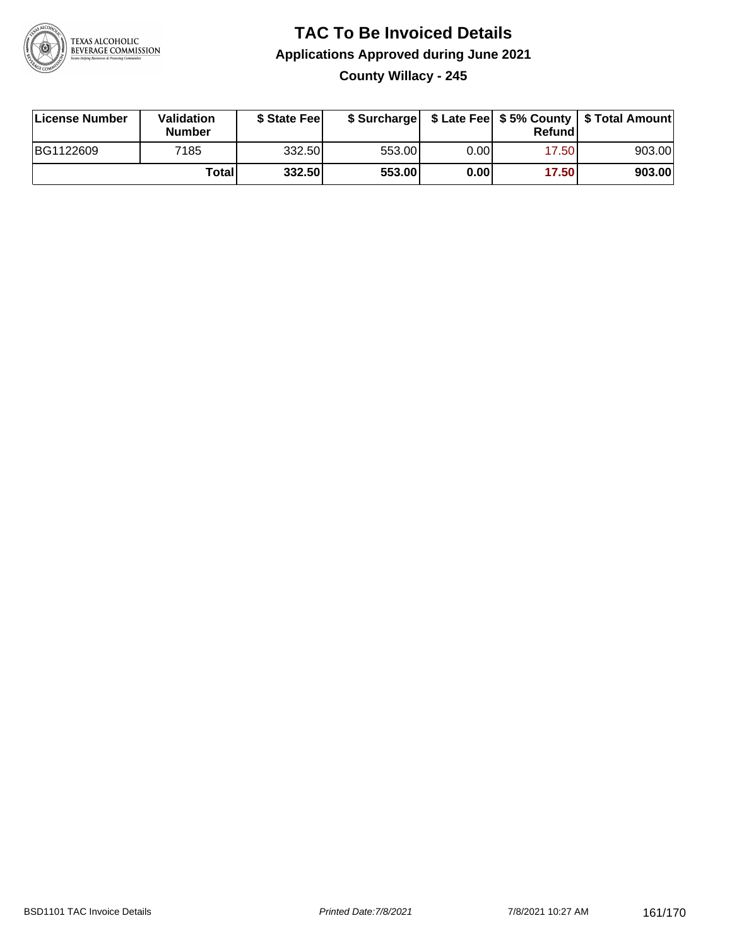

## **TAC To Be Invoiced Details Applications Approved during June 2021 County Willacy - 245**

| License Number | Validation<br><b>Number</b> | \$ State Feel |        |      | Refundl | \$ Surcharge   \$ Late Fee   \$5% County   \$ Total Amount |
|----------------|-----------------------------|---------------|--------|------|---------|------------------------------------------------------------|
| BG1122609      | 7185                        | 332.50        | 553.00 | 0.00 | 17.50   | 903.00                                                     |
|                | Totall                      | 332.50        | 553.00 | 0.00 | 17.50   | 903.00                                                     |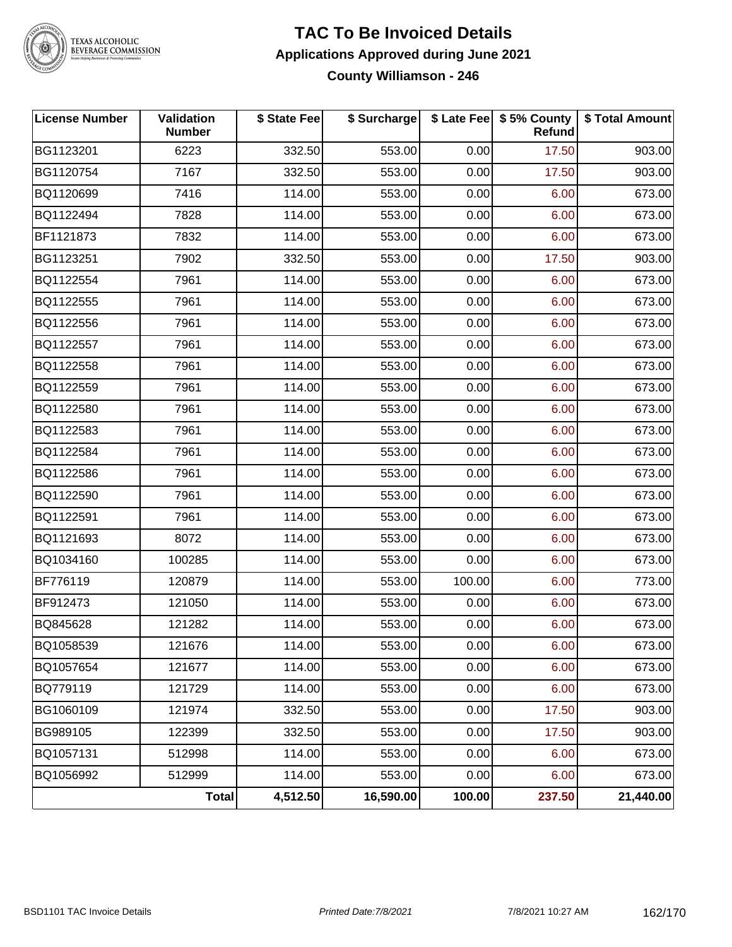

## **TAC To Be Invoiced Details Applications Approved during June 2021 County Williamson - 246**

| <b>License Number</b> | Validation<br><b>Number</b> | \$ State Fee | \$ Surcharge |        | \$ Late Fee   \$5% County<br>Refund | \$ Total Amount |
|-----------------------|-----------------------------|--------------|--------------|--------|-------------------------------------|-----------------|
| BG1123201             | 6223                        | 332.50       | 553.00       | 0.00   | 17.50                               | 903.00          |
| BG1120754             | 7167                        | 332.50       | 553.00       | 0.00   | 17.50                               | 903.00          |
| BQ1120699             | 7416                        | 114.00       | 553.00       | 0.00   | 6.00                                | 673.00          |
| BQ1122494             | 7828                        | 114.00       | 553.00       | 0.00   | 6.00                                | 673.00          |
| BF1121873             | 7832                        | 114.00       | 553.00       | 0.00   | 6.00                                | 673.00          |
| BG1123251             | 7902                        | 332.50       | 553.00       | 0.00   | 17.50                               | 903.00          |
| BQ1122554             | 7961                        | 114.00       | 553.00       | 0.00   | 6.00                                | 673.00          |
| BQ1122555             | 7961                        | 114.00       | 553.00       | 0.00   | 6.00                                | 673.00          |
| BQ1122556             | 7961                        | 114.00       | 553.00       | 0.00   | 6.00                                | 673.00          |
| BQ1122557             | 7961                        | 114.00       | 553.00       | 0.00   | 6.00                                | 673.00          |
| BQ1122558             | 7961                        | 114.00       | 553.00       | 0.00   | 6.00                                | 673.00          |
| BQ1122559             | 7961                        | 114.00       | 553.00       | 0.00   | 6.00                                | 673.00          |
| BQ1122580             | 7961                        | 114.00       | 553.00       | 0.00   | 6.00                                | 673.00          |
| BQ1122583             | 7961                        | 114.00       | 553.00       | 0.00   | 6.00                                | 673.00          |
| BQ1122584             | 7961                        | 114.00       | 553.00       | 0.00   | 6.00                                | 673.00          |
| BQ1122586             | 7961                        | 114.00       | 553.00       | 0.00   | 6.00                                | 673.00          |
| BQ1122590             | 7961                        | 114.00       | 553.00       | 0.00   | 6.00                                | 673.00          |
| BQ1122591             | 7961                        | 114.00       | 553.00       | 0.00   | 6.00                                | 673.00          |
| BQ1121693             | 8072                        | 114.00       | 553.00       | 0.00   | 6.00                                | 673.00          |
| BQ1034160             | 100285                      | 114.00       | 553.00       | 0.00   | 6.00                                | 673.00          |
| BF776119              | 120879                      | 114.00       | 553.00       | 100.00 | 6.00                                | 773.00          |
| BF912473              | 121050                      | 114.00       | 553.00       | 0.00   | 6.00                                | 673.00          |
| BQ845628              | 121282                      | 114.00       | 553.00       | 0.00   | 6.00                                | 673.00          |
| BQ1058539             | 121676                      | 114.00       | 553.00       | 0.00   | 6.00                                | 673.00          |
| BQ1057654             | 121677                      | 114.00       | 553.00       | 0.00   | 6.00                                | 673.00          |
| BQ779119              | 121729                      | 114.00       | 553.00       | 0.00   | 6.00                                | 673.00          |
| BG1060109             | 121974                      | 332.50       | 553.00       | 0.00   | 17.50                               | 903.00          |
| BG989105              | 122399                      | 332.50       | 553.00       | 0.00   | 17.50                               | 903.00          |
| BQ1057131             | 512998                      | 114.00       | 553.00       | 0.00   | 6.00                                | 673.00          |
| BQ1056992             | 512999                      | 114.00       | 553.00       | 0.00   | 6.00                                | 673.00          |
|                       | Total                       | 4,512.50     | 16,590.00    | 100.00 | 237.50                              | 21,440.00       |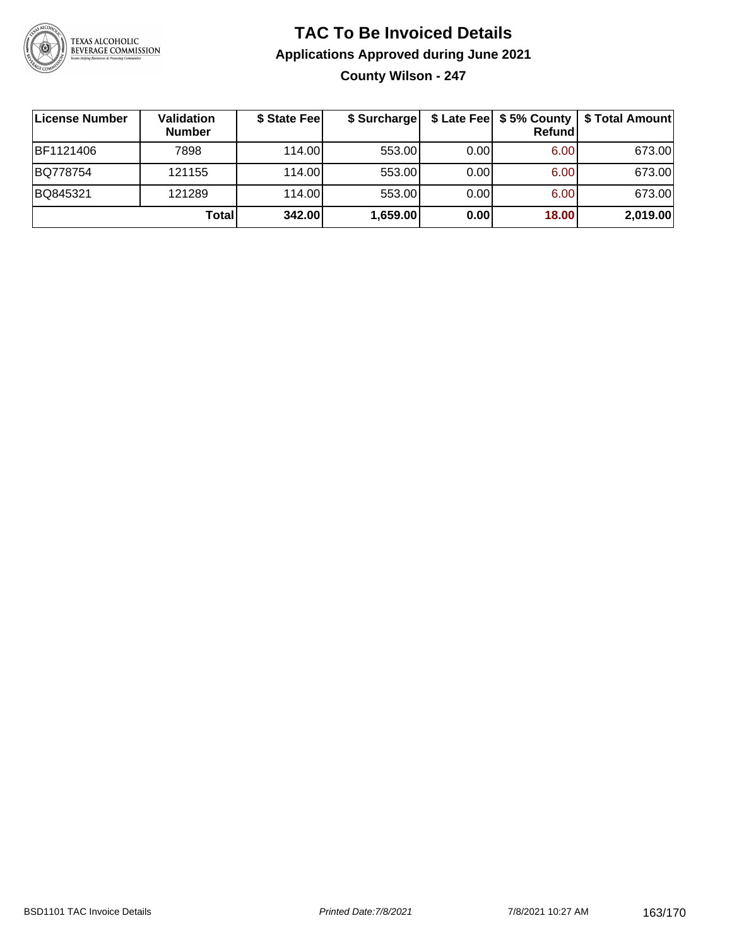

# **TAC To Be Invoiced Details Applications Approved during June 2021 County Wilson - 247**

| License Number | <b>Validation</b><br><b>Number</b> | \$ State Fee | \$ Surcharge |      | \$ Late Fee   \$5% County<br>Refund | \$ Total Amount |
|----------------|------------------------------------|--------------|--------------|------|-------------------------------------|-----------------|
| BF1121406      | 7898                               | 114.00       | 553.00       | 0.00 | 6.00                                | 673.00          |
| BQ778754       | 121155                             | 114.00L      | 553.00       | 0.00 | 6.00                                | 673.00          |
| BQ845321       | 121289                             | 114.00       | 553.00       | 0.00 | 6.00                                | 673.00          |
|                | Total                              | 342.00       | 1,659.00     | 0.00 | 18.00                               | 2,019.00        |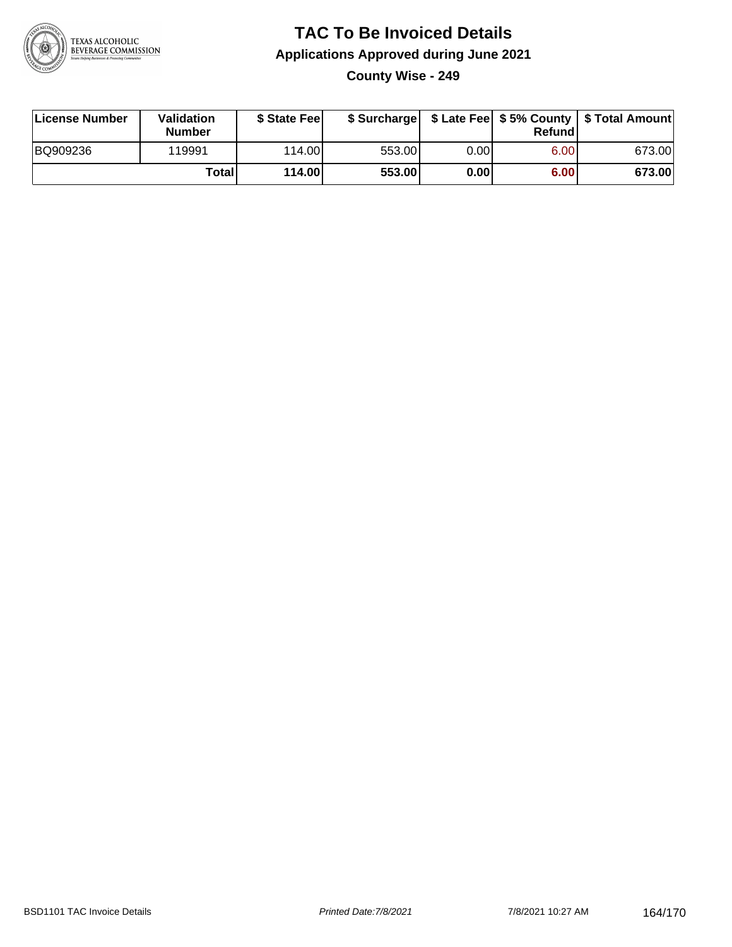

## **TAC To Be Invoiced Details Applications Approved during June 2021 County Wise - 249**

| License Number | Validation<br><b>Number</b> | \$ State Feel |        |      | Refundl | \$ Surcharge   \$ Late Fee   \$5% County   \$ Total Amount |
|----------------|-----------------------------|---------------|--------|------|---------|------------------------------------------------------------|
| BQ909236       | 119991                      | 114.00L       | 553.00 | 0.00 | 6.00    | 673.00                                                     |
|                | <b>Total</b>                | 114.00        | 553.00 | 0.00 | 6.00    | 673.00                                                     |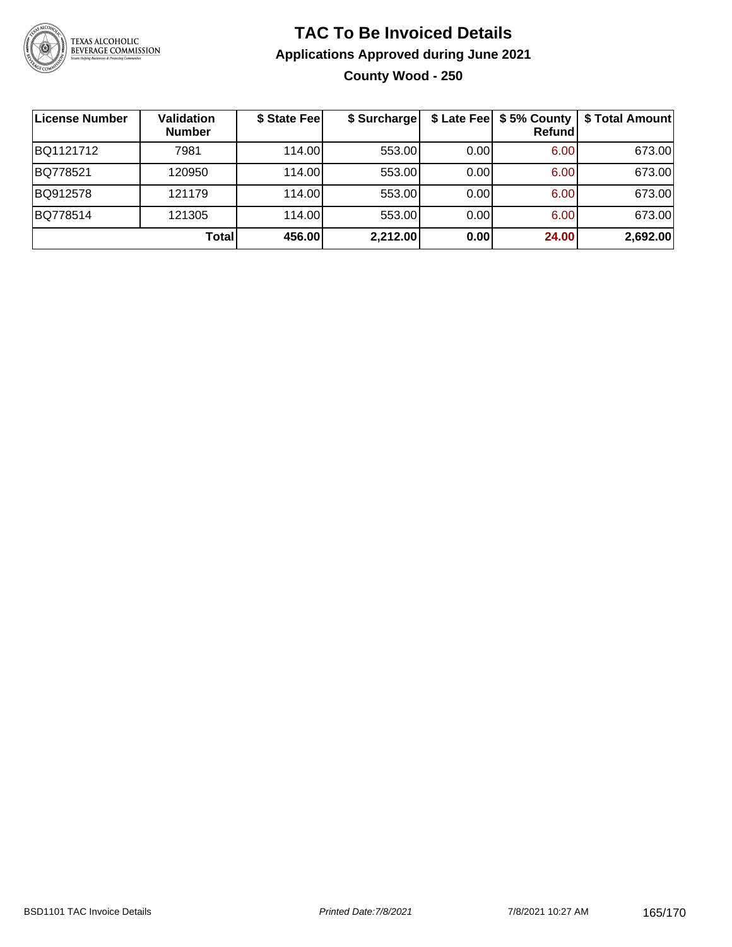

# **TAC To Be Invoiced Details Applications Approved during June 2021 County Wood - 250**

| License Number | <b>Validation</b><br><b>Number</b> | \$ State Fee | \$ Surcharge |      | Refundl | \$ Late Fee   \$5% County   \$ Total Amount |
|----------------|------------------------------------|--------------|--------------|------|---------|---------------------------------------------|
| BQ1121712      | 7981                               | 114.00L      | 553.00       | 0.00 | 6.00    | 673.00                                      |
| BQ778521       | 120950                             | 114.00L      | 553.00       | 0.00 | 6.00    | 673.00                                      |
| BQ912578       | 121179                             | 114.00       | 553.00       | 0.00 | 6.00    | 673.00                                      |
| BQ778514       | 121305                             | 114.00L      | 553.00       | 0.00 | 6.00    | 673.00                                      |
|                | <b>Total</b>                       | 456.00       | 2,212.00     | 0.00 | 24.00   | 2,692.00                                    |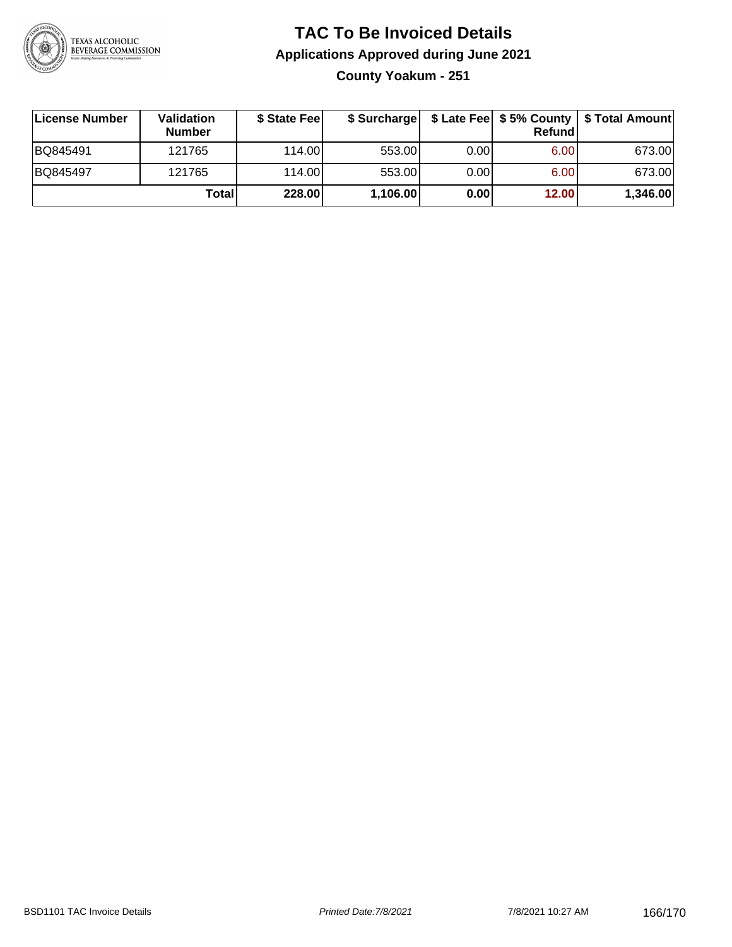

# **TAC To Be Invoiced Details Applications Approved during June 2021 County Yoakum - 251**

**License Number Validation Number \$ State Fee \$ Surcharge \$ Late Fee \$ 5% County Refund \$ Total Amount** BQ845491 | 121765 | 114.00| 553.00| 0.00| 6.00| 673.00 BQ845497 | 121765 | 114.00| 553.00| 0.00| 6.00| 673.00 **Total 228.00 1,106.00 0.00 12.00 1,346.00**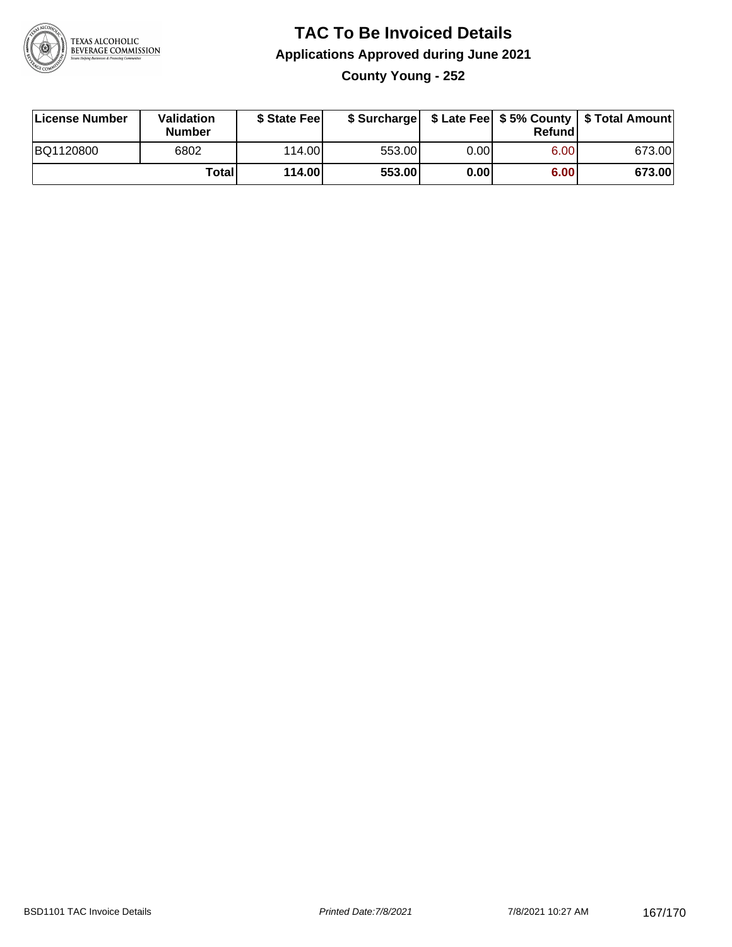

# **TAC To Be Invoiced Details Applications Approved during June 2021 County Young - 252**

| License Number | Validation<br><b>Number</b> | \$ State Fee |        |      | Refundl | \$ Surcharge   \$ Late Fee   \$5% County   \$ Total Amount |
|----------------|-----------------------------|--------------|--------|------|---------|------------------------------------------------------------|
| BQ1120800      | 6802                        | 114.00L      | 553.00 | 0.00 | 6.00    | 673.00                                                     |
|                | <b>Total</b>                | 114.00       | 553.00 | 0.00 | 6.00    | 673.00                                                     |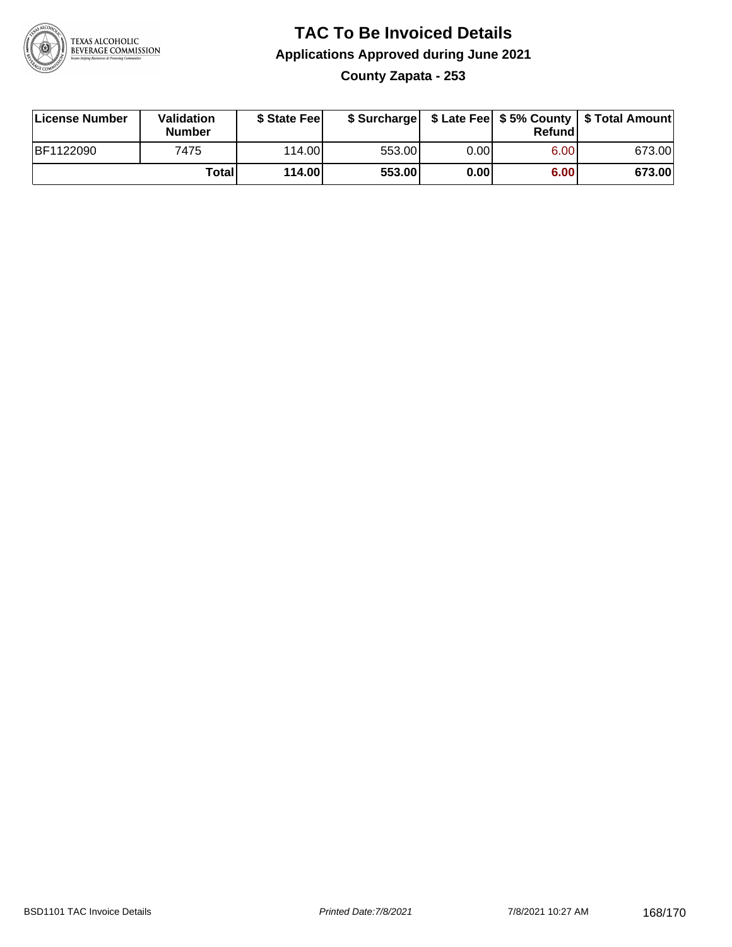

## **TAC To Be Invoiced Details Applications Approved during June 2021 County Zapata - 253**

| License Number   | Validation<br><b>Number</b> | \$ State Feel |        |      | Refund | \$ Surcharge   \$ Late Fee   \$5% County   \$ Total Amount |
|------------------|-----------------------------|---------------|--------|------|--------|------------------------------------------------------------|
| <b>BF1122090</b> | 7475                        | 114.00L       | 553.00 | 0.00 | 6.00   | 673.00                                                     |
|                  | Totall                      | 114.00        | 553.00 | 0.00 | 6.00   | 673.00                                                     |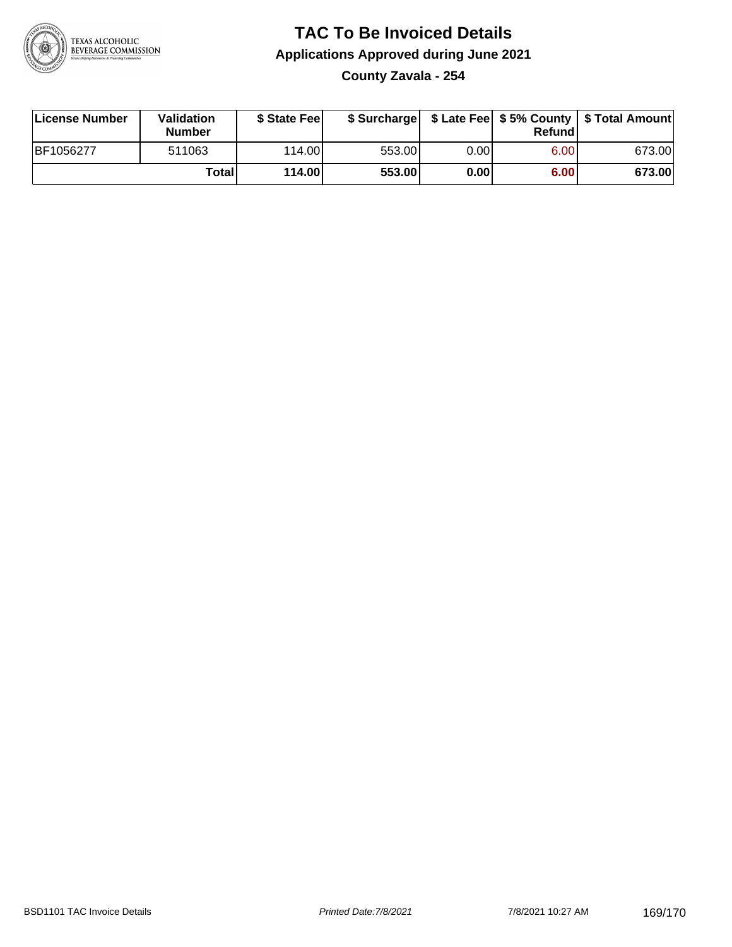

## **TAC To Be Invoiced Details Applications Approved during June 2021 County Zavala - 254**

| License Number | Validation<br><b>Number</b> | \$ State Feel |        |      | Refundl | \$ Surcharge   \$ Late Fee   \$5% County   \$ Total Amount |
|----------------|-----------------------------|---------------|--------|------|---------|------------------------------------------------------------|
| BF1056277      | 511063                      | 114.00L       | 553.00 | 0.00 | 6.00    | 673.00                                                     |
|                | Totall                      | 114.00        | 553.00 | 0.00 | 6.00    | 673.00                                                     |